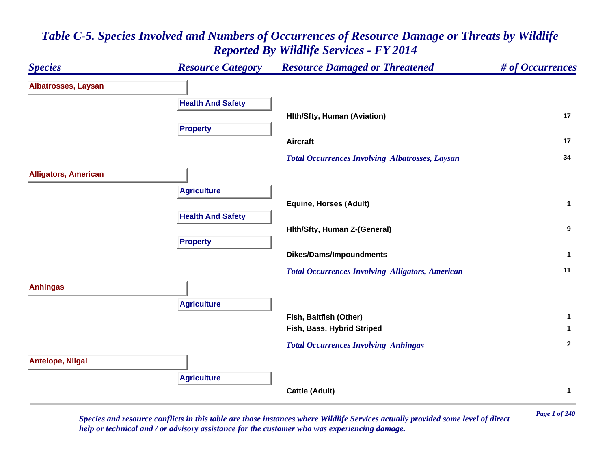# *Species Resource Category Resource Damaged or Threatened # of Occurrences* **Albatrosses, Laysan Health And Safety Hlth/Sfty, Human (Aviation) <sup>17</sup> Property Aircraft 17**  *Total Occurrences Involving Albatrosses, Laysan* **<sup>34</sup> Alligators, American Agriculture Equine, Horses (Adult) <sup>1</sup> Health And Safety Hlth/Sfty, Human Z-(General) <sup>9</sup> Property Dikes/Dams/Impoundments <sup>1</sup>**  *Total Occurrences Involving Alligators, American* **<sup>11</sup> Anhingas Agriculture Fish, Baitfish (Other) <sup>1</sup> Fish, Bass, Hybrid Striped <sup>1</sup>**  *Total Occurrences Involving Anhingas* **<sup>2</sup> Antelope, Nilgai Agriculture Cattle (Adult) <sup>1</sup>**

## *Table C-5. Species Involved and Numbers of Occurrences of Resource Damage or Threats by Wildlife Reported By Wildlife Services - FY 2014*

*Page 1 of 240 Species and resource conflicts in this table are those instances where Wildlife Services actually provided some level of direct help or technical and / or advisory assistance for the customer who was experiencing damage.*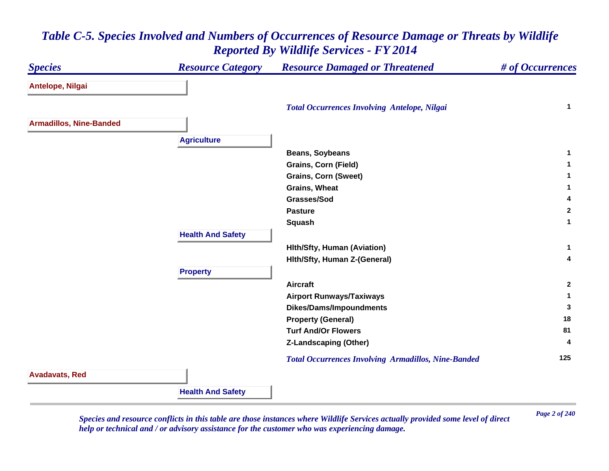#### *Species Resource Category Resource Damaged or Threatened # of Occurrences* **Antelope, Nilgai**  *Total Occurrences Involving Antelope, Nilgai* **<sup>1</sup> Armadillos, Nine-Banded Agriculture Beans, Soybeans <sup>1</sup> Grains, Corn (Field) <sup>1</sup> Grains, Corn (Sweet) <sup>1</sup> Grains, Wheat 1 Grasses/Sod 4 Pasture 2 Squash <sup>1</sup> Health And Safety Hlth/Sfty, Human (Aviation) <sup>1</sup> Hlth/Sfty, Human Z-(General) <sup>4</sup> Property Aircraft 2 Airport Runways/Taxiways <sup>1</sup> Dikes/Dams/Impoundments <sup>3</sup> Property (General) <sup>18</sup> Turf And/Or Flowers 81 Z-Landscaping (Other) <sup>4</sup>**  *Total Occurrences Involving Armadillos, Nine-Banded* **<sup>125</sup> Avadavats, Red Health And Safety**

### *Table C-5. Species Involved and Numbers of Occurrences of Resource Damage or Threats by Wildlife Reported By Wildlife Services - FY 2014*

*Page 2 of 240 Species and resource conflicts in this table are those instances where Wildlife Services actually provided some level of direct help or technical and / or advisory assistance for the customer who was experiencing damage.*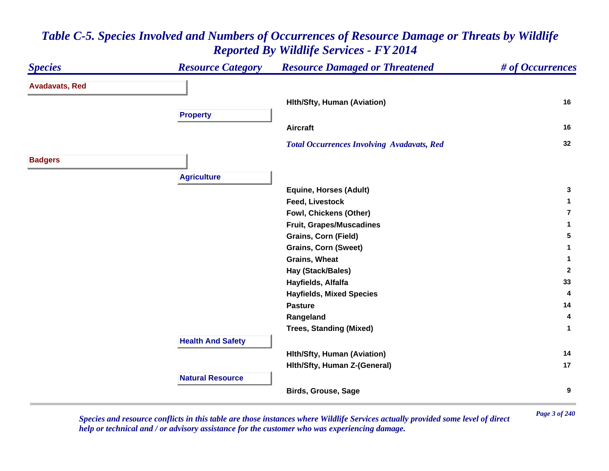#### *Species Resource Category Resource Damaged or Threatened # of Occurrences* **Avadavats, Red Hlth/Sfty, Human (Aviation) <sup>16</sup> Property Aircraft 16**  *Total Occurrences Involving Avadavats, Red* **<sup>32</sup> Badgers Agriculture Equine, Horses (Adult) <sup>3</sup> Feed, Livestock 1 Fowl, Chickens (Other) 7Fruit, Grapes/Muscadines <sup>1</sup> Grains, Corn (Field) <sup>5</sup> Grains, Corn (Sweet) <sup>1</sup> Grains, Wheat 1 Hay (Stack/Bales) <sup>2</sup> Hayfields, Alfalfa <sup>33</sup> Hayfields, Mixed Species <sup>4</sup> Pasture 14 Rangeland <sup>4</sup> Trees, Standing (Mixed) <sup>1</sup> Health And Safety Hlth/Sfty, Human (Aviation) <sup>14</sup> Hlth/Sfty, Human Z-(General) <sup>17</sup> Natural ResourceBirds, Grouse, Sage <sup>9</sup>**

### *Table C-5. Species Involved and Numbers of Occurrences of Resource Damage or Threats by Wildlife Reported By Wildlife Services - FY 2014*

*Page 3 of 240 Species and resource conflicts in this table are those instances where Wildlife Services actually provided some level of direct help or technical and / or advisory assistance for the customer who was experiencing damage.*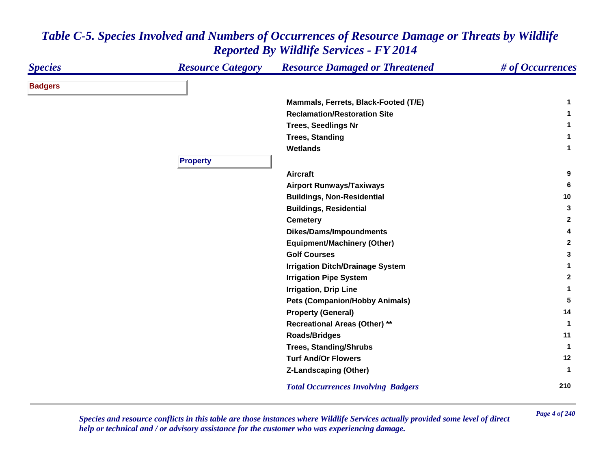| <b>Species</b> | <b>Resource Category</b> | <b>Resource Damaged or Threatened</b>      | # of Occurrences |
|----------------|--------------------------|--------------------------------------------|------------------|
| <b>Badgers</b> |                          |                                            |                  |
|                |                          | Mammals, Ferrets, Black-Footed (T/E)       | 1                |
|                |                          | <b>Reclamation/Restoration Site</b>        | 1                |
|                |                          | <b>Trees, Seedlings Nr</b>                 | 1                |
|                |                          | <b>Trees, Standing</b>                     | $\mathbf 1$      |
|                |                          | <b>Wetlands</b>                            | 1                |
|                | <b>Property</b>          |                                            |                  |
|                |                          | <b>Aircraft</b>                            | 9                |
|                |                          | <b>Airport Runways/Taxiways</b>            | 6                |
|                |                          | <b>Buildings, Non-Residential</b>          | 10               |
|                |                          | <b>Buildings, Residential</b>              | 3                |
|                |                          | <b>Cemetery</b>                            | $\mathbf{2}$     |
|                |                          | <b>Dikes/Dams/Impoundments</b>             | 4                |
|                |                          | <b>Equipment/Machinery (Other)</b>         | $\mathbf{2}$     |
|                |                          | <b>Golf Courses</b>                        | 3                |
|                |                          | <b>Irrigation Ditch/Drainage System</b>    | 1                |
|                |                          | <b>Irrigation Pipe System</b>              | $\mathbf{2}$     |
|                |                          | <b>Irrigation, Drip Line</b>               | 1                |
|                |                          | <b>Pets (Companion/Hobby Animals)</b>      | 5                |
|                |                          | <b>Property (General)</b>                  | 14               |
|                |                          | <b>Recreational Areas (Other) **</b>       | $\mathbf{1}$     |
|                |                          | <b>Roads/Bridges</b>                       | 11               |
|                |                          | <b>Trees, Standing/Shrubs</b>              | 1                |
|                |                          | <b>Turf And/Or Flowers</b>                 | 12               |
|                |                          | <b>Z-Landscaping (Other)</b>               | 1                |
|                |                          | <b>Total Occurrences Involving Badgers</b> | 210              |

*Page 4 of 240 Species and resource conflicts in this table are those instances where Wildlife Services actually provided some level of direct help or technical and / or advisory assistance for the customer who was experiencing damage.*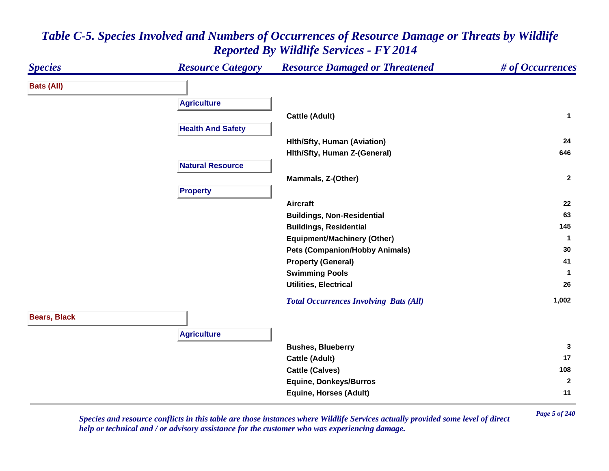| <b>Species</b>      | <b>Resource Category</b> | <b>Resource Damaged or Threatened</b>         | # of Occurrences |
|---------------------|--------------------------|-----------------------------------------------|------------------|
| <b>Bats (All)</b>   |                          |                                               |                  |
|                     | <b>Agriculture</b>       |                                               |                  |
|                     |                          | <b>Cattle (Adult)</b>                         | $\mathbf{1}$     |
|                     | <b>Health And Safety</b> |                                               |                  |
|                     |                          | <b>Hith/Sfty, Human (Aviation)</b>            | 24               |
|                     |                          | Hith/Sfty, Human Z-(General)                  | 646              |
|                     | <b>Natural Resource</b>  |                                               |                  |
|                     |                          | Mammals, Z-(Other)                            | $\mathbf{2}$     |
|                     | <b>Property</b>          |                                               |                  |
|                     |                          | <b>Aircraft</b>                               | 22               |
|                     |                          | <b>Buildings, Non-Residential</b>             | 63               |
|                     |                          | <b>Buildings, Residential</b>                 | 145              |
|                     |                          | <b>Equipment/Machinery (Other)</b>            | $\mathbf 1$      |
|                     |                          | <b>Pets (Companion/Hobby Animals)</b>         | 30               |
|                     |                          | <b>Property (General)</b>                     | 41               |
|                     |                          | <b>Swimming Pools</b>                         | $\mathbf 1$      |
|                     |                          | <b>Utilities, Electrical</b>                  | 26               |
|                     |                          | <b>Total Occurrences Involving Bats (All)</b> | 1,002            |
| <b>Bears, Black</b> |                          |                                               |                  |
|                     |                          |                                               |                  |
|                     | <b>Agriculture</b>       |                                               |                  |
|                     |                          | <b>Bushes, Blueberry</b>                      | $\mathbf{3}$     |
|                     |                          | <b>Cattle (Adult)</b>                         | 17               |
|                     |                          | <b>Cattle (Calves)</b>                        | 108              |
|                     |                          | <b>Equine, Donkeys/Burros</b>                 | $\mathbf{2}$     |
|                     |                          | <b>Equine, Horses (Adult)</b>                 | 11               |

*Page 5 of 240 Species and resource conflicts in this table are those instances where Wildlife Services actually provided some level of direct help or technical and / or advisory assistance for the customer who was experiencing damage.*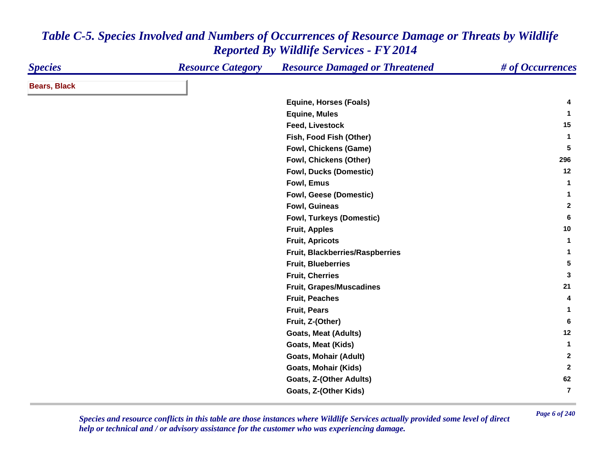| <b>Species</b>      | <b>Resource Category</b> | <b>Resource Damaged or Threatened</b> | # of Occurrences        |
|---------------------|--------------------------|---------------------------------------|-------------------------|
| <b>Bears, Black</b> |                          |                                       |                         |
|                     |                          | <b>Equine, Horses (Foals)</b>         | 4                       |
|                     |                          | <b>Equine, Mules</b>                  | 1                       |
|                     |                          | Feed, Livestock                       | 15                      |
|                     |                          | Fish, Food Fish (Other)               | $\mathbf{1}$            |
|                     |                          | Fowl, Chickens (Game)                 | 5                       |
|                     |                          | Fowl, Chickens (Other)                | 296                     |
|                     |                          | <b>Fowl, Ducks (Domestic)</b>         | 12                      |
|                     |                          | Fowl, Emus                            | $\mathbf{1}$            |
|                     |                          | Fowl, Geese (Domestic)                | 1                       |
|                     |                          | <b>Fowl, Guineas</b>                  | $\mathbf{2}$            |
|                     |                          | <b>Fowl, Turkeys (Domestic)</b>       | 6                       |
|                     |                          | <b>Fruit, Apples</b>                  | 10                      |
|                     |                          | <b>Fruit, Apricots</b>                | $\mathbf{1}$            |
|                     |                          | Fruit, Blackberries/Raspberries       | 1                       |
|                     |                          | <b>Fruit, Blueberries</b>             | 5                       |
|                     |                          | <b>Fruit, Cherries</b>                | 3                       |
|                     |                          | <b>Fruit, Grapes/Muscadines</b>       | 21                      |
|                     |                          | <b>Fruit, Peaches</b>                 | 4                       |
|                     |                          | <b>Fruit, Pears</b>                   | 1                       |
|                     |                          | Fruit, Z-(Other)                      | 6                       |
|                     |                          | <b>Goats, Meat (Adults)</b>           | 12                      |
|                     |                          | Goats, Meat (Kids)                    | $\mathbf{1}$            |
|                     |                          | Goats, Mohair (Adult)                 | $\mathbf{2}$            |
|                     |                          | <b>Goats, Mohair (Kids)</b>           | $\overline{2}$          |
|                     |                          | <b>Goats, Z-(Other Adults)</b>        | 62                      |
|                     |                          | Goats, Z-(Other Kids)                 | $\overline{\mathbf{r}}$ |

*Page 6 of 240 Species and resource conflicts in this table are those instances where Wildlife Services actually provided some level of direct help or technical and / or advisory assistance for the customer who was experiencing damage.*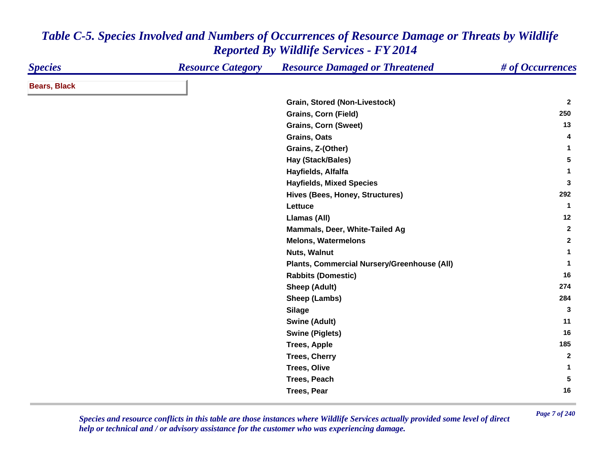| <b>Species</b>      | <b>Resource Category</b> | <b>Resource Damaged or Threatened</b>       | # of Occurrences |
|---------------------|--------------------------|---------------------------------------------|------------------|
| <b>Bears, Black</b> |                          |                                             |                  |
|                     |                          | <b>Grain, Stored (Non-Livestock)</b>        | $\overline{2}$   |
|                     |                          | <b>Grains, Corn (Field)</b>                 | 250              |
|                     |                          | <b>Grains, Corn (Sweet)</b>                 | 13               |
|                     |                          | Grains, Oats                                | 4                |
|                     |                          | Grains, Z-(Other)                           | 1                |
|                     |                          | Hay (Stack/Bales)                           | 5                |
|                     |                          | Hayfields, Alfalfa                          | 1                |
|                     |                          | <b>Hayfields, Mixed Species</b>             | 3                |
|                     |                          | Hives (Bees, Honey, Structures)             | 292              |
|                     |                          | Lettuce                                     | $\mathbf{1}$     |
|                     |                          | Llamas (All)                                | 12               |
|                     |                          | Mammals, Deer, White-Tailed Ag              | $\mathbf{2}$     |
|                     |                          | <b>Melons, Watermelons</b>                  | $\mathbf{2}$     |
|                     |                          | Nuts, Walnut                                | 1                |
|                     |                          | Plants, Commercial Nursery/Greenhouse (All) | $\mathbf{1}$     |
|                     |                          | <b>Rabbits (Domestic)</b>                   | 16               |
|                     |                          | <b>Sheep (Adult)</b>                        | 274              |
|                     |                          | Sheep (Lambs)                               | 284              |
|                     |                          | <b>Silage</b>                               | 3                |
|                     |                          | <b>Swine (Adult)</b>                        | 11               |
|                     |                          | <b>Swine (Piglets)</b>                      | 16               |
|                     |                          | <b>Trees, Apple</b>                         | 185              |
|                     |                          | <b>Trees, Cherry</b>                        | $\overline{2}$   |
|                     |                          | <b>Trees, Olive</b>                         | 1                |
|                     |                          | Trees, Peach                                | 5                |
|                     |                          | <b>Trees, Pear</b>                          | 16               |

*Page 7 of 240 Species and resource conflicts in this table are those instances where Wildlife Services actually provided some level of direct help or technical and / or advisory assistance for the customer who was experiencing damage.*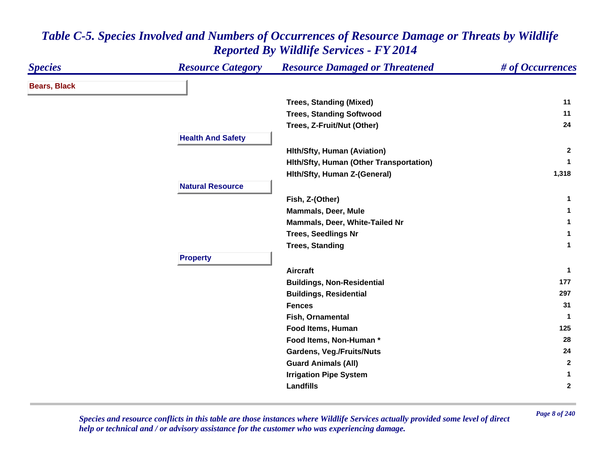| <b>Species</b>      | <b>Resource Category</b> | <b>Resource Damaged or Threatened</b>   | # of Occurrences |
|---------------------|--------------------------|-----------------------------------------|------------------|
| <b>Bears, Black</b> |                          |                                         |                  |
|                     |                          | <b>Trees, Standing (Mixed)</b>          | 11               |
|                     |                          | <b>Trees, Standing Softwood</b>         | 11               |
|                     |                          | Trees, Z-Fruit/Nut (Other)              | 24               |
|                     | <b>Health And Safety</b> |                                         |                  |
|                     |                          | <b>Hith/Sfty, Human (Aviation)</b>      | $\mathbf{2}$     |
|                     |                          | Hith/Sfty, Human (Other Transportation) | -1               |
|                     |                          | Hith/Sfty, Human Z-(General)            | 1,318            |
|                     | <b>Natural Resource</b>  |                                         |                  |
|                     |                          | Fish, Z-(Other)                         | 1                |
|                     |                          | <b>Mammals, Deer, Mule</b>              |                  |
|                     |                          | Mammals, Deer, White-Tailed Nr          | 1                |
|                     |                          | <b>Trees, Seedlings Nr</b>              | 1                |
|                     |                          | <b>Trees, Standing</b>                  | $\mathbf{1}$     |
|                     | <b>Property</b>          |                                         |                  |
|                     |                          | <b>Aircraft</b>                         | $\mathbf{1}$     |
|                     |                          | <b>Buildings, Non-Residential</b>       | 177              |
|                     |                          | <b>Buildings, Residential</b>           | 297              |
|                     |                          | <b>Fences</b>                           | 31               |
|                     |                          | Fish, Ornamental                        | 1                |
|                     |                          | Food Items, Human                       | 125              |
|                     |                          | Food Items, Non-Human*                  | 28               |
|                     |                          | <b>Gardens, Veg./Fruits/Nuts</b>        | 24               |
|                     |                          | <b>Guard Animals (All)</b>              | $\mathbf{2}$     |
|                     |                          | <b>Irrigation Pipe System</b>           | 1                |
|                     |                          | <b>Landfills</b>                        | $\mathbf{2}$     |

*Page 8 of 240 Species and resource conflicts in this table are those instances where Wildlife Services actually provided some level of direct help or technical and / or advisory assistance for the customer who was experiencing damage.*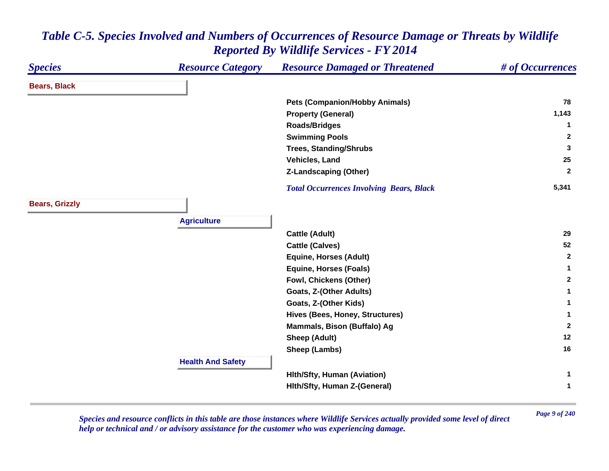| <b>Species</b>        | <b>Resource Category</b> | <b>Resource Damaged or Threatened</b>           | # of Occurrences |
|-----------------------|--------------------------|-------------------------------------------------|------------------|
| <b>Bears, Black</b>   |                          |                                                 |                  |
|                       |                          | <b>Pets (Companion/Hobby Animals)</b>           | 78               |
|                       |                          | <b>Property (General)</b>                       | 1,143            |
|                       |                          | <b>Roads/Bridges</b>                            | 1                |
|                       |                          | <b>Swimming Pools</b>                           | $\mathbf{2}$     |
|                       |                          | <b>Trees, Standing/Shrubs</b>                   | 3                |
|                       |                          | Vehicles, Land                                  | 25               |
|                       |                          | <b>Z-Landscaping (Other)</b>                    | $\mathbf{2}$     |
|                       |                          | <b>Total Occurrences Involving Bears, Black</b> | 5,341            |
| <b>Bears, Grizzly</b> |                          |                                                 |                  |
|                       | <b>Agriculture</b>       |                                                 |                  |
|                       |                          | <b>Cattle (Adult)</b>                           | 29               |
|                       |                          | <b>Cattle (Calves)</b>                          | 52               |
|                       |                          | <b>Equine, Horses (Adult)</b>                   | $\mathbf{2}$     |
|                       |                          | <b>Equine, Horses (Foals)</b>                   | $\mathbf{1}$     |
|                       |                          | Fowl, Chickens (Other)                          | $\mathbf{2}$     |
|                       |                          | Goats, Z-(Other Adults)                         | 1                |
|                       |                          | Goats, Z-(Other Kids)                           | 1                |
|                       |                          | Hives (Bees, Honey, Structures)                 | 1                |
|                       |                          | Mammals, Bison (Buffalo) Ag                     | $\overline{2}$   |
|                       |                          | <b>Sheep (Adult)</b>                            | 12               |
|                       |                          | Sheep (Lambs)                                   | 16               |
|                       | <b>Health And Safety</b> |                                                 |                  |
|                       |                          | <b>Hith/Sfty, Human (Aviation)</b>              | 1                |
|                       |                          | Hith/Sfty, Human Z-(General)                    | 1                |

*Page 9 of 240 Species and resource conflicts in this table are those instances where Wildlife Services actually provided some level of direct help or technical and / or advisory assistance for the customer who was experiencing damage.*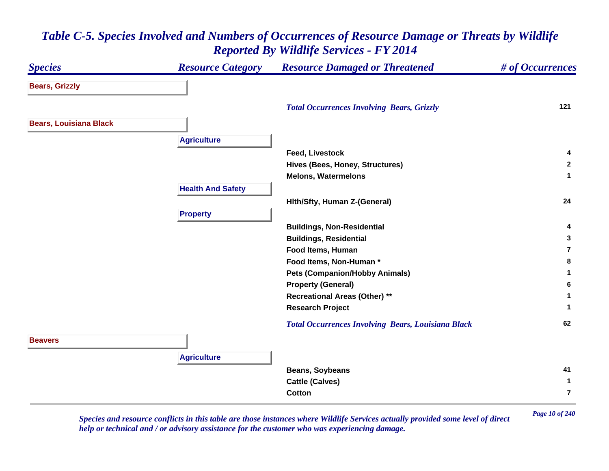#### *Species Resource Category Resource Damaged or Threatened # of Occurrences* **Bears, Grizzly**  *Total Occurrences Involving Bears, Grizzly* **<sup>121</sup> Bears, Louisiana Black Agriculture Feed, Livestock 4 Hives (Bees, Honey, Structures) <sup>2</sup> Melons, Watermelons 1 Health And Safety Hlth/Sfty, Human Z-(General) <sup>24</sup> Property Buildings, Non-Residential <sup>4</sup> Buildings, Residential <sup>3</sup> Food Items, Human 7Food Items, Non-Human \* 8 Pets (Companion/Hobby Animals) <sup>1</sup> Property (General) <sup>6</sup> Recreational Areas (Other) \*\* <sup>1</sup> Research Project <sup>1</sup>**  *Total Occurrences Involving Bears, Louisiana Black* **<sup>62</sup> BeaversAgriculture Beans, Soybeans <sup>41</sup> Cattle (Calves) <sup>1</sup> Cotton7**

### *Table C-5. Species Involved and Numbers of Occurrences of Resource Damage or Threats by Wildlife Reported By Wildlife Services - FY 2014*

*Page 10 of 240 Species and resource conflicts in this table are those instances where Wildlife Services actually provided some level of direct help or technical and / or advisory assistance for the customer who was experiencing damage.*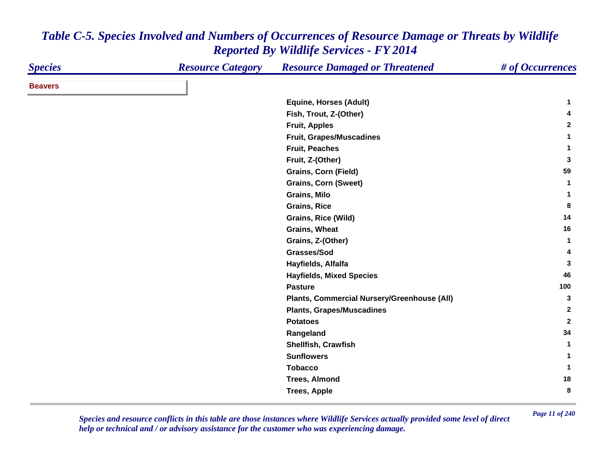| <b>Species</b> | <b>Resource Category</b> | <b>Resource Damaged or Threatened</b>       | # of Occurrences |
|----------------|--------------------------|---------------------------------------------|------------------|
| <b>Beavers</b> |                          |                                             |                  |
|                |                          | <b>Equine, Horses (Adult)</b>               | 1.               |
|                |                          | Fish, Trout, Z-(Other)                      | 4                |
|                |                          | <b>Fruit, Apples</b>                        | $\mathbf{2}$     |
|                |                          | <b>Fruit, Grapes/Muscadines</b>             | 1                |
|                |                          | <b>Fruit, Peaches</b>                       | 1                |
|                |                          | Fruit, Z-(Other)                            | 3                |
|                |                          | <b>Grains, Corn (Field)</b>                 | 59               |
|                |                          | <b>Grains, Corn (Sweet)</b>                 | $\mathbf{1}$     |
|                |                          | Grains, Milo                                | 1                |
|                |                          | <b>Grains, Rice</b>                         | 8                |
|                |                          | Grains, Rice (Wild)                         | 14               |
|                |                          | <b>Grains, Wheat</b>                        | 16               |
|                |                          | Grains, Z-(Other)                           | $\mathbf{1}$     |
|                |                          | Grasses/Sod                                 | 4                |
|                |                          | Hayfields, Alfalfa                          | 3                |
|                |                          | <b>Hayfields, Mixed Species</b>             | 46               |
|                |                          | <b>Pasture</b>                              | 100              |
|                |                          | Plants, Commercial Nursery/Greenhouse (All) | 3                |
|                |                          | <b>Plants, Grapes/Muscadines</b>            | $\mathbf{2}$     |
|                |                          | <b>Potatoes</b>                             | $\mathbf{2}$     |
|                |                          | Rangeland                                   | 34               |
|                |                          | Shellfish, Crawfish                         | -1               |
|                |                          | <b>Sunflowers</b>                           | 1                |
|                |                          | <b>Tobacco</b>                              | 1                |
|                |                          | <b>Trees, Almond</b>                        | 18               |
|                |                          | <b>Trees, Apple</b>                         | 8                |

*Page 11 of 240 Species and resource conflicts in this table are those instances where Wildlife Services actually provided some level of direct help or technical and / or advisory assistance for the customer who was experiencing damage.*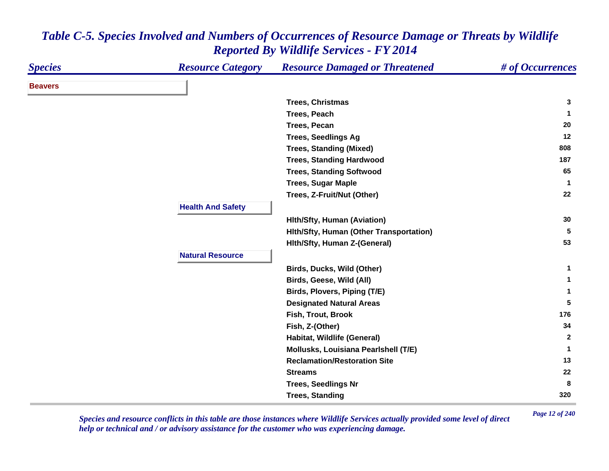| <b>Species</b> | <b>Resource Category</b> | <b>Resource Damaged or Threatened</b>   | # of Occurrences |
|----------------|--------------------------|-----------------------------------------|------------------|
| <b>Beavers</b> |                          |                                         |                  |
|                |                          | <b>Trees, Christmas</b>                 | 3                |
|                |                          | Trees, Peach                            | -1               |
|                |                          | <b>Trees, Pecan</b>                     | 20               |
|                |                          | <b>Trees, Seedlings Ag</b>              | 12               |
|                |                          | <b>Trees, Standing (Mixed)</b>          | 808              |
|                |                          | <b>Trees, Standing Hardwood</b>         | 187              |
|                |                          | <b>Trees, Standing Softwood</b>         | 65               |
|                |                          | <b>Trees, Sugar Maple</b>               | $\mathbf{1}$     |
|                |                          | Trees, Z-Fruit/Nut (Other)              | 22               |
|                | <b>Health And Safety</b> |                                         |                  |
|                |                          | <b>Hith/Sfty, Human (Aviation)</b>      | 30               |
|                |                          | Hith/Sfty, Human (Other Transportation) | 5                |
|                |                          | Hith/Sfty, Human Z-(General)            | 53               |
|                | <b>Natural Resource</b>  |                                         |                  |
|                |                          | Birds, Ducks, Wild (Other)              | 1                |
|                |                          | Birds, Geese, Wild (All)                | 1                |
|                |                          | Birds, Plovers, Piping (T/E)            | 1                |
|                |                          | <b>Designated Natural Areas</b>         | 5                |
|                |                          | Fish, Trout, Brook                      | 176              |
|                |                          | Fish, Z-(Other)                         | 34               |
|                |                          | Habitat, Wildlife (General)             | $\mathbf{2}$     |
|                |                          | Mollusks, Louisiana Pearlshell (T/E)    | 1                |
|                |                          | <b>Reclamation/Restoration Site</b>     | 13               |
|                |                          | <b>Streams</b>                          | 22               |
|                |                          | <b>Trees, Seedlings Nr</b>              | 8                |
|                |                          | <b>Trees, Standing</b>                  | 320              |

*Page 12 of 240 Species and resource conflicts in this table are those instances where Wildlife Services actually provided some level of direct help or technical and / or advisory assistance for the customer who was experiencing damage.*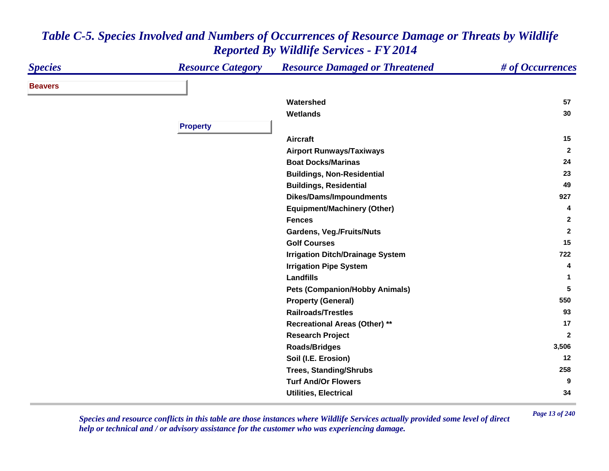| <b>Species</b> | <b>Resource Category</b> | <b>Resource Damaged or Threatened</b>   | # of Occurrences |
|----------------|--------------------------|-----------------------------------------|------------------|
| <b>Beavers</b> |                          |                                         |                  |
|                |                          | Watershed                               | 57               |
|                |                          | <b>Wetlands</b>                         | 30               |
|                | <b>Property</b>          |                                         |                  |
|                |                          | <b>Aircraft</b>                         | 15               |
|                |                          | <b>Airport Runways/Taxiways</b>         | $\overline{2}$   |
|                |                          | <b>Boat Docks/Marinas</b>               | 24               |
|                |                          | <b>Buildings, Non-Residential</b>       | 23               |
|                |                          | <b>Buildings, Residential</b>           | 49               |
|                |                          | <b>Dikes/Dams/Impoundments</b>          | 927              |
|                |                          | <b>Equipment/Machinery (Other)</b>      | 4                |
|                |                          | <b>Fences</b>                           | $\mathbf{2}$     |
|                |                          | <b>Gardens, Veg./Fruits/Nuts</b>        | $\overline{2}$   |
|                |                          | <b>Golf Courses</b>                     | 15               |
|                |                          | <b>Irrigation Ditch/Drainage System</b> | 722              |
|                |                          | <b>Irrigation Pipe System</b>           | 4                |
|                |                          | Landfills                               | 1                |
|                |                          | <b>Pets (Companion/Hobby Animals)</b>   | 5                |
|                |                          | <b>Property (General)</b>               | 550              |
|                |                          | <b>Railroads/Trestles</b>               | 93               |
|                |                          | <b>Recreational Areas (Other) **</b>    | 17               |
|                |                          | <b>Research Project</b>                 | $\overline{2}$   |
|                |                          | <b>Roads/Bridges</b>                    | 3,506            |
|                |                          | Soil (I.E. Erosion)                     | 12               |
|                |                          | <b>Trees, Standing/Shrubs</b>           | 258              |
|                |                          | <b>Turf And/Or Flowers</b>              | 9                |
|                |                          | <b>Utilities, Electrical</b>            | 34               |

*Page 13 of 240 Species and resource conflicts in this table are those instances where Wildlife Services actually provided some level of direct help or technical and / or advisory assistance for the customer who was experiencing damage.*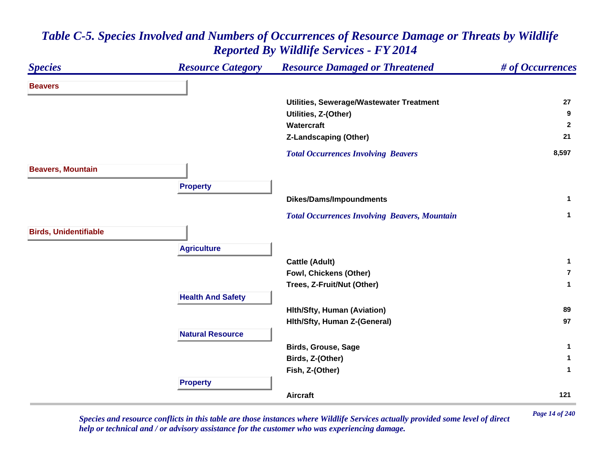| <b>Species</b>               | <b>Resource Category</b> | <b>Resource Damaged or Threatened</b>                | # of Occurrences        |
|------------------------------|--------------------------|------------------------------------------------------|-------------------------|
| <b>Beavers</b>               |                          |                                                      |                         |
|                              |                          | Utilities, Sewerage/Wastewater Treatment             | 27                      |
|                              |                          | Utilities, Z-(Other)                                 | 9                       |
|                              |                          | Watercraft                                           | $\overline{2}$          |
|                              |                          | <b>Z-Landscaping (Other)</b>                         | 21                      |
|                              |                          | <b>Total Occurrences Involving Beavers</b>           | 8,597                   |
| <b>Beavers, Mountain</b>     |                          |                                                      |                         |
|                              | <b>Property</b>          |                                                      |                         |
|                              |                          | <b>Dikes/Dams/Impoundments</b>                       | $\mathbf{1}$            |
|                              |                          | <b>Total Occurrences Involving Beavers, Mountain</b> | $\mathbf{1}$            |
| <b>Birds, Unidentifiable</b> |                          |                                                      |                         |
|                              | <b>Agriculture</b>       |                                                      |                         |
|                              |                          | <b>Cattle (Adult)</b>                                | $\mathbf{1}$            |
|                              |                          | Fowl, Chickens (Other)                               | $\overline{\mathbf{r}}$ |
|                              |                          | Trees, Z-Fruit/Nut (Other)                           | 1                       |
|                              | <b>Health And Safety</b> |                                                      |                         |
|                              |                          | <b>Hlth/Sfty, Human (Aviation)</b>                   | 89                      |
|                              |                          | Hith/Sfty, Human Z-(General)                         | 97                      |
|                              | <b>Natural Resource</b>  |                                                      |                         |
|                              |                          | <b>Birds, Grouse, Sage</b>                           | $\mathbf{1}$            |
|                              |                          | Birds, Z-(Other)                                     | 1                       |
|                              |                          | Fish, Z-(Other)                                      | 1                       |
|                              | <b>Property</b>          |                                                      |                         |
|                              |                          | <b>Aircraft</b>                                      | 121                     |

*Page 14 of 240 Species and resource conflicts in this table are those instances where Wildlife Services actually provided some level of direct help or technical and / or advisory assistance for the customer who was experiencing damage.*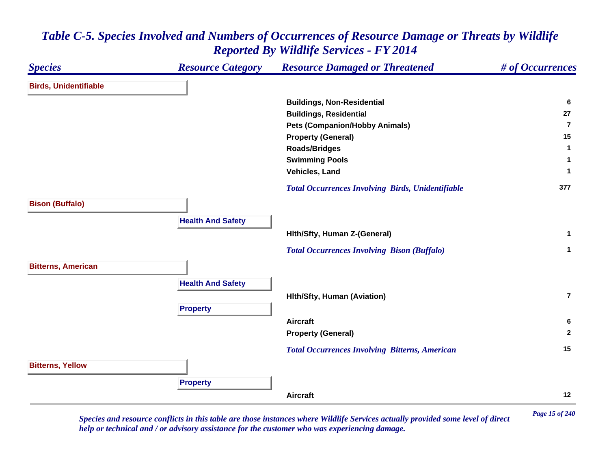#### *Species Resource Category Resource Damaged or Threatened # of Occurrences* **Birds, Unidentifiable Buildings, Non-Residential <sup>6</sup> Buildings, Residential <sup>27</sup> Pets (Companion/Hobby Animals) 7Property (General) <sup>15</sup> Roads/Bridges <sup>1</sup> Swimming Pools <sup>1</sup> Vehicles, Land 1**  *Total Occurrences Involving Birds, Unidentifiable* **<sup>377</sup> Bison (Buffalo) Health And Safety Hlth/Sfty, Human Z-(General) <sup>1</sup>**  *Total Occurrences Involving Bison (Buffalo)* **<sup>1</sup> Bitterns, American Health And Safety Hlth/Sfty, Human (Aviation) 7Property Aircraft 6 Property (General) <sup>2</sup>**  *Total Occurrences Involving Bitterns, American* **<sup>15</sup> Bitterns, Yellow Property Aircraft12**

### *Table C-5. Species Involved and Numbers of Occurrences of Resource Damage or Threats by Wildlife Reported By Wildlife Services - FY 2014*

*Page 15 of 240 Species and resource conflicts in this table are those instances where Wildlife Services actually provided some level of direct help or technical and / or advisory assistance for the customer who was experiencing damage.*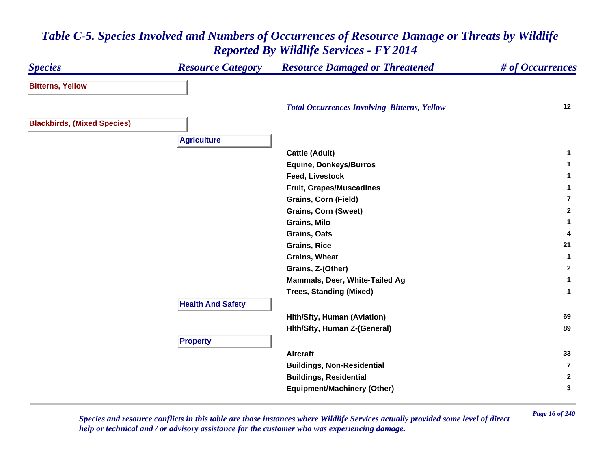#### *Species Resource Category Resource Damaged or Threatened # of Occurrences* **Bitterns, Yellow**  *Total Occurrences Involving Bitterns, Yellow* **<sup>12</sup> Blackbirds, (Mixed Species) Agriculture Cattle (Adult) <sup>1</sup> Equine, Donkeys/Burros <sup>1</sup> Feed, Livestock 1 Fruit, Grapes/Muscadines <sup>1</sup> Grains, Corn (Field) 7Grains, Corn (Sweet) <sup>2</sup> Grains, Milo 1 Grains, Oats 4 Grains, Rice 21 Grains, Wheat 1 Grains, Z-(Other) <sup>2</sup> Mammals, Deer, White-Tailed Ag <sup>1</sup> Trees, Standing (Mixed) <sup>1</sup> Health And Safety Hlth/Sfty, Human (Aviation) <sup>69</sup> Hlth/Sfty, Human Z-(General) <sup>89</sup> Property Aircraft 33 Buildings, Non-Residential 7Buildings, Residential <sup>2</sup> Equipment/Machinery (Other) <sup>3</sup>**

## *Table C-5. Species Involved and Numbers of Occurrences of Resource Damage or Threats by Wildlife Reported By Wildlife Services - FY 2014*

*Page 16 of 240 Species and resource conflicts in this table are those instances where Wildlife Services actually provided some level of direct help or technical and / or advisory assistance for the customer who was experiencing damage.*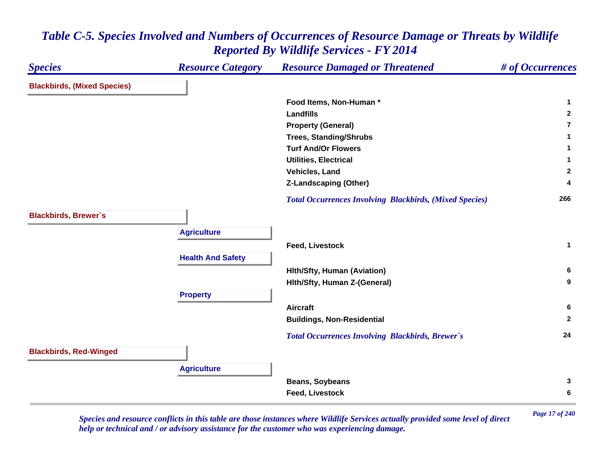#### *Species Resource Category Resource Damaged or Threatened # of Occurrences* **Blackbirds, (Mixed Species) Food Items, Non-Human \* 1 Landfills 2 Property (General) 7Trees, Standing/Shrubs <sup>1</sup> Turf And/Or Flowers 1 Utilities, Electrical 1 Vehicles, Land 2 Z-Landscaping (Other) <sup>4</sup>**  *Total Occurrences Involving Blackbirds, (Mixed Species)* **<sup>266</sup> Blackbirds, Brewer`s Agriculture Feed, Livestock 1 Health And Safety Hlth/Sfty, Human (Aviation) <sup>6</sup> Hlth/Sfty, Human Z-(General) <sup>9</sup> Property Aircraft 6 Buildings, Non-Residential <sup>2</sup>**  *Total Occurrences Involving Blackbirds, Brewer`s* **<sup>24</sup> Blackbirds, Red-Winged Agriculture Beans, Soybeans <sup>3</sup> Feed, Livestock 6**

*Table C-5. Species Involved and Numbers of Occurrences of Resource Damage or Threats by Wildlife Reported By Wildlife Services - FY 2014*

*Page 17 of 240 Species and resource conflicts in this table are those instances where Wildlife Services actually provided some level of direct help or technical and / or advisory assistance for the customer who was experiencing damage.*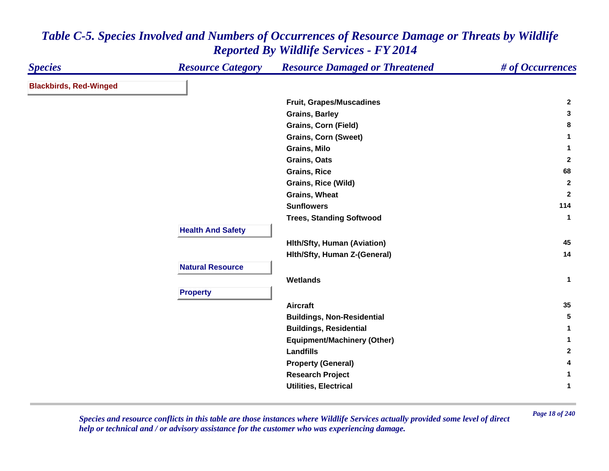| <b>Species</b>                | <b>Resource Category</b> | <b>Resource Damaged or Threatened</b> | # of Occurrences |
|-------------------------------|--------------------------|---------------------------------------|------------------|
| <b>Blackbirds, Red-Winged</b> |                          |                                       |                  |
|                               |                          | Fruit, Grapes/Muscadines              | $\mathbf{2}$     |
|                               |                          | <b>Grains, Barley</b>                 | 3                |
|                               |                          | <b>Grains, Corn (Field)</b>           | 8                |
|                               |                          | <b>Grains, Corn (Sweet)</b>           | $\mathbf 1$      |
|                               |                          | <b>Grains, Milo</b>                   | $\mathbf{1}$     |
|                               |                          | Grains, Oats                          | $\overline{2}$   |
|                               |                          | <b>Grains, Rice</b>                   | 68               |
|                               |                          | <b>Grains, Rice (Wild)</b>            | $\mathbf{2}$     |
|                               |                          | <b>Grains, Wheat</b>                  | $\mathbf{2}$     |
|                               |                          | <b>Sunflowers</b>                     | 114              |
|                               |                          | <b>Trees, Standing Softwood</b>       | $\mathbf{1}$     |
|                               | <b>Health And Safety</b> |                                       |                  |
|                               |                          | <b>Hith/Sfty, Human (Aviation)</b>    | 45               |
|                               |                          | Hith/Sfty, Human Z-(General)          | 14               |
|                               | <b>Natural Resource</b>  |                                       |                  |
|                               |                          | Wetlands                              | $\mathbf{1}$     |
|                               | <b>Property</b>          |                                       |                  |
|                               |                          |                                       | 35               |
|                               |                          | <b>Aircraft</b>                       |                  |
|                               |                          | <b>Buildings, Non-Residential</b>     | $5\phantom{.0}$  |
|                               |                          | <b>Buildings, Residential</b>         | $\mathbf 1$      |
|                               |                          | <b>Equipment/Machinery (Other)</b>    | $\mathbf{1}$     |
|                               |                          | Landfills                             | $\mathbf{2}$     |
|                               |                          | <b>Property (General)</b>             | 4                |
|                               |                          | <b>Research Project</b>               | 1                |
|                               |                          | <b>Utilities, Electrical</b>          | 1                |

*Page 18 of 240 Species and resource conflicts in this table are those instances where Wildlife Services actually provided some level of direct help or technical and / or advisory assistance for the customer who was experiencing damage.*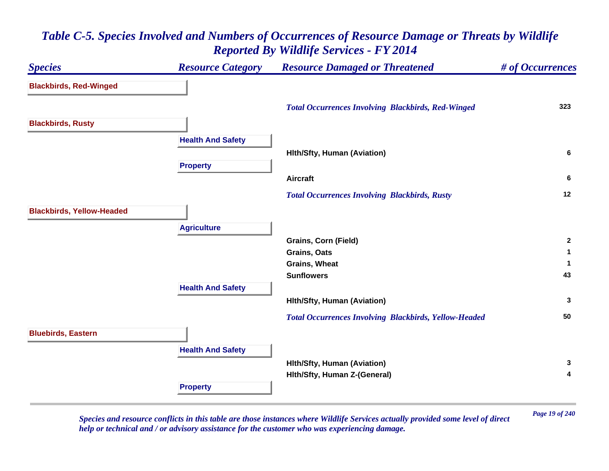## *Species Resource Category Resource Damaged or Threatened # of Occurrences* **Blackbirds, Red-Winged**  *Total Occurrences Involving Blackbirds, Red-Winged* **<sup>323</sup> Blackbirds, Rusty Health And Safety Hlth/Sfty, Human (Aviation) <sup>6</sup> Property Aircraft 6**  *Total Occurrences Involving Blackbirds, Rusty* **<sup>12</sup> Blackbirds, Yellow-Headed Agriculture Grains, Corn (Field) <sup>2</sup> Grains, Oats 1 Grains, Wheat 1 Sunflowers 43 Health And Safety Hlth/Sfty, Human (Aviation) <sup>3</sup>**  *Total Occurrences Involving Blackbirds, Yellow-Headed* **<sup>50</sup> Bluebirds, Eastern Health And Safety Hlth/Sfty, Human (Aviation) <sup>3</sup> Hlth/Sfty, Human Z-(General) <sup>4</sup> Property**

## *Table C-5. Species Involved and Numbers of Occurrences of Resource Damage or Threats by Wildlife Reported By Wildlife Services - FY 2014*

*Page 19 of 240 Species and resource conflicts in this table are those instances where Wildlife Services actually provided some level of direct help or technical and / or advisory assistance for the customer who was experiencing damage.*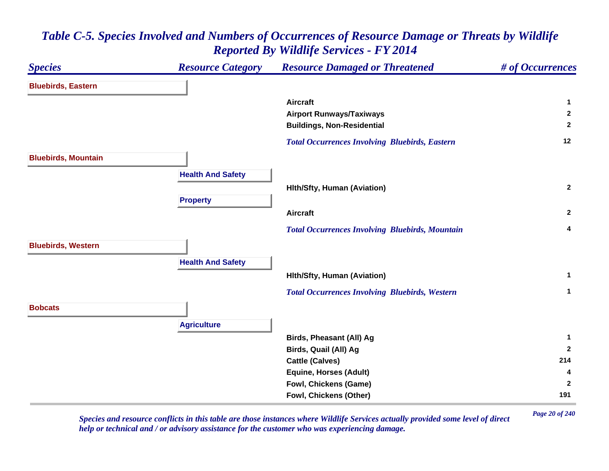### *Species Resource Category Resource Damaged or Threatened # of Occurrences* **Bluebirds, Eastern Aircraft 1 Airport Runways/Taxiways <sup>2</sup> Buildings, Non-Residential <sup>2</sup>**  *Total Occurrences Involving Bluebirds, Eastern* **<sup>12</sup> Bluebirds, Mountain Health And Safety Hlth/Sfty, Human (Aviation) <sup>2</sup> Property Aircraft 2**  *Total Occurrences Involving Bluebirds, Mountain* **<sup>4</sup> Bluebirds, Western Health And Safety Hlth/Sfty, Human (Aviation) <sup>1</sup>**  *Total Occurrences Involving Bluebirds, Western* **<sup>1</sup> BobcatsAgriculture Birds, Pheasant (All) Ag <sup>1</sup> Birds, Quail (All) Ag <sup>2</sup> Cattle (Calves) <sup>214</sup> Equine, Horses (Adult) <sup>4</sup> Fowl, Chickens (Game) <sup>2</sup> Fowl, Chickens (Other) <sup>191</sup>**

## *Table C-5. Species Involved and Numbers of Occurrences of Resource Damage or Threats by Wildlife Reported By Wildlife Services - FY 2014*

*Page 20 of 240 Species and resource conflicts in this table are those instances where Wildlife Services actually provided some level of direct help or technical and / or advisory assistance for the customer who was experiencing damage.*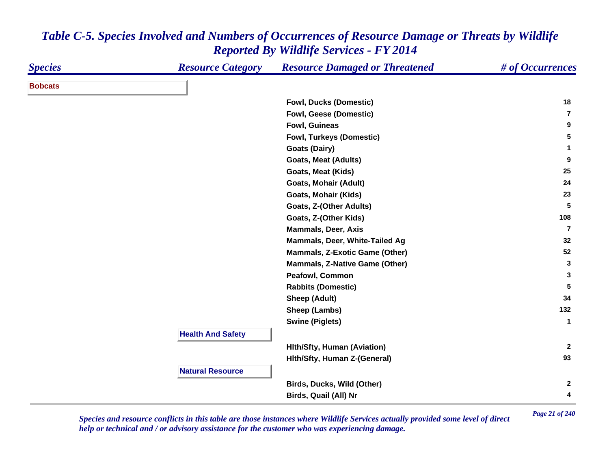| <b>Species</b> | <b>Resource Category</b> | <b>Resource Damaged or Threatened</b> | # of Occurrences |
|----------------|--------------------------|---------------------------------------|------------------|
| <b>Bobcats</b> |                          |                                       |                  |
|                |                          | <b>Fowl, Ducks (Domestic)</b>         | 18               |
|                |                          | <b>Fowl, Geese (Domestic)</b>         | $\overline{7}$   |
|                |                          | Fowl, Guineas                         | 9                |
|                |                          | <b>Fowl, Turkeys (Domestic)</b>       | 5                |
|                |                          | <b>Goats (Dairy)</b>                  | $\mathbf{1}$     |
|                |                          | <b>Goats, Meat (Adults)</b>           | 9                |
|                |                          | Goats, Meat (Kids)                    | 25               |
|                |                          | <b>Goats, Mohair (Adult)</b>          | 24               |
|                |                          | <b>Goats, Mohair (Kids)</b>           | 23               |
|                |                          | Goats, Z-(Other Adults)               | $5\phantom{.0}$  |
|                |                          | Goats, Z-(Other Kids)                 | 108              |
|                |                          | <b>Mammals, Deer, Axis</b>            | $\overline{7}$   |
|                |                          | Mammals, Deer, White-Tailed Ag        | 32               |
|                |                          | <b>Mammals, Z-Exotic Game (Other)</b> | 52               |
|                |                          | <b>Mammals, Z-Native Game (Other)</b> | 3                |
|                |                          | Peafowl, Common                       | 3                |
|                |                          | <b>Rabbits (Domestic)</b>             | $5\phantom{.0}$  |
|                |                          | <b>Sheep (Adult)</b>                  | 34               |
|                |                          | Sheep (Lambs)                         | 132              |
|                |                          | <b>Swine (Piglets)</b>                | $\mathbf{1}$     |
|                | <b>Health And Safety</b> |                                       |                  |
|                |                          | <b>Hith/Sfty, Human (Aviation)</b>    | $\mathbf{2}$     |
|                |                          | Hith/Sfty, Human Z-(General)          | 93               |
|                | <b>Natural Resource</b>  |                                       |                  |
|                |                          | Birds, Ducks, Wild (Other)            | $\mathbf{2}$     |
|                |                          | Birds, Quail (All) Nr                 | 4                |

*Page 21 of 240 Species and resource conflicts in this table are those instances where Wildlife Services actually provided some level of direct help or technical and / or advisory assistance for the customer who was experiencing damage.*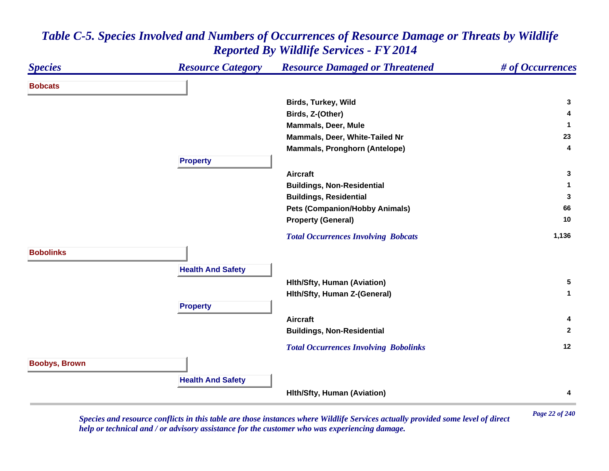| <b>Species</b>       | <b>Resource Category</b> | <b>Resource Damaged or Threatened</b>        | # of Occurrences |
|----------------------|--------------------------|----------------------------------------------|------------------|
| <b>Bobcats</b>       |                          |                                              |                  |
|                      |                          | Birds, Turkey, Wild                          | 3                |
|                      |                          | Birds, Z-(Other)                             | 4                |
|                      |                          | <b>Mammals, Deer, Mule</b>                   | 1                |
|                      |                          | Mammals, Deer, White-Tailed Nr               | 23               |
|                      |                          | <b>Mammals, Pronghorn (Antelope)</b>         | 4                |
|                      | <b>Property</b>          |                                              |                  |
|                      |                          | <b>Aircraft</b>                              | 3                |
|                      |                          | <b>Buildings, Non-Residential</b>            |                  |
|                      |                          | <b>Buildings, Residential</b>                | 3                |
|                      |                          | <b>Pets (Companion/Hobby Animals)</b>        | 66               |
|                      |                          | <b>Property (General)</b>                    | 10               |
|                      |                          | <b>Total Occurrences Involving Bobcats</b>   | 1,136            |
| <b>Bobolinks</b>     |                          |                                              |                  |
|                      | <b>Health And Safety</b> |                                              |                  |
|                      |                          | <b>Hith/Sfty, Human (Aviation)</b>           | 5                |
|                      |                          | Hith/Sfty, Human Z-(General)                 | $\mathbf{1}$     |
|                      | <b>Property</b>          |                                              |                  |
|                      |                          | <b>Aircraft</b>                              | 4                |
|                      |                          | <b>Buildings, Non-Residential</b>            | $\mathbf{2}$     |
|                      |                          | <b>Total Occurrences Involving Bobolinks</b> | 12               |
| <b>Boobys, Brown</b> |                          |                                              |                  |
|                      |                          |                                              |                  |
|                      | <b>Health And Safety</b> | <b>Hith/Sfty, Human (Aviation)</b>           | 4                |

*Page 22 of 240 Species and resource conflicts in this table are those instances where Wildlife Services actually provided some level of direct help or technical and / or advisory assistance for the customer who was experiencing damage.*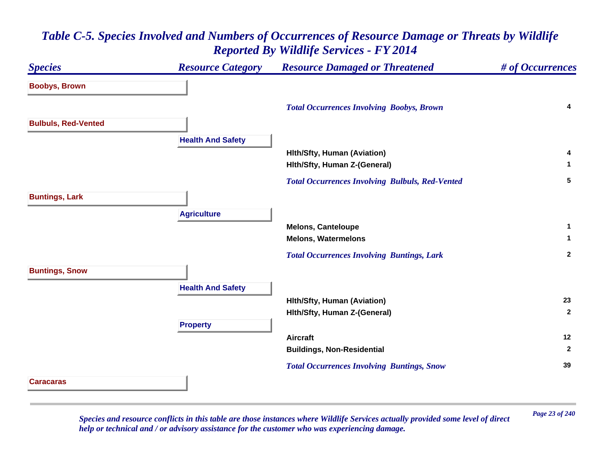# *Species Resource Category Resource Damaged or Threatened # of Occurrences* **Boobys, Brown**  *Total Occurrences Involving Boobys, Brown* **<sup>4</sup> Bulbuls, Red-Vented Health And Safety Hlth/Sfty, Human (Aviation) <sup>4</sup> Hlth/Sfty, Human Z-(General) <sup>1</sup>**  *Total Occurrences Involving Bulbuls, Red-Vented* **<sup>5</sup> Buntings, Lark Agriculture Melons, Canteloupe <sup>1</sup> Melons, Watermelons 1**  *Total Occurrences Involving Buntings, Lark* **<sup>2</sup> Buntings, Snow Health And Safety Hlth/Sfty, Human (Aviation) <sup>23</sup> Hlth/Sfty, Human Z-(General) <sup>2</sup> Property Aircraft 12 Buildings, Non-Residential <sup>2</sup>**  *Total Occurrences Involving Buntings, Snow* **<sup>39</sup> Caracaras**

## *Table C-5. Species Involved and Numbers of Occurrences of Resource Damage or Threats by Wildlife Reported By Wildlife Services - FY 2014*

*Page 23 of 240 Species and resource conflicts in this table are those instances where Wildlife Services actually provided some level of direct help or technical and / or advisory assistance for the customer who was experiencing damage.*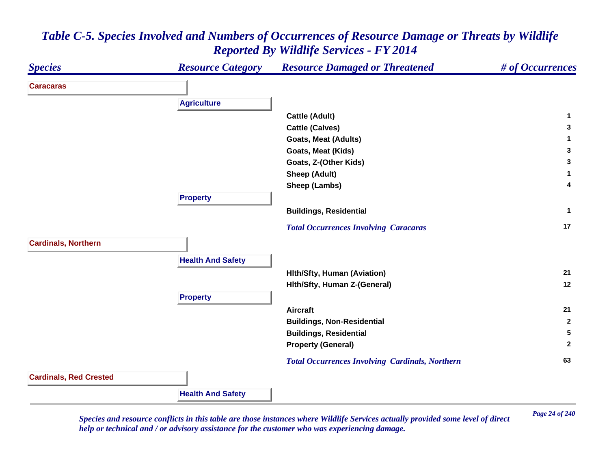

*Page 24 of 240 Species and resource conflicts in this table are those instances where Wildlife Services actually provided some level of direct help or technical and / or advisory assistance for the customer who was experiencing damage.*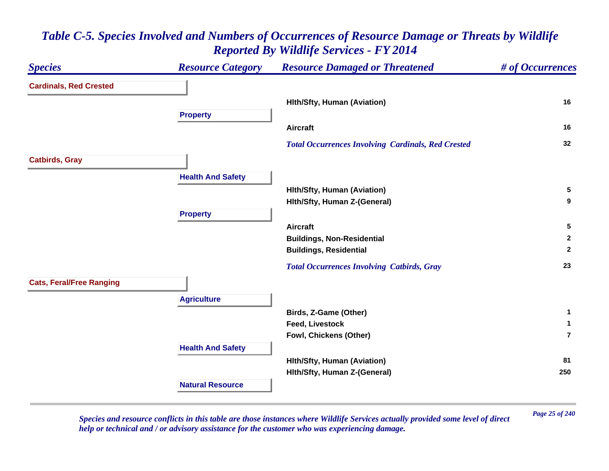#### *Species Resource Category Resource Damaged or Threatened # of Occurrences* **Cardinals, Red Crested Hlth/Sfty, Human (Aviation) <sup>16</sup> Property Aircraft 16**  *Total Occurrences Involving Cardinals, Red Crested* **<sup>32</sup> Catbirds, Gray Health And Safety Hlth/Sfty, Human (Aviation) <sup>5</sup> Hlth/Sfty, Human Z-(General) <sup>9</sup> Property Aircraft 5 Buildings, Non-Residential <sup>2</sup> Buildings, Residential <sup>2</sup>**  *Total Occurrences Involving Catbirds, Gray* **<sup>23</sup> Cats, Feral/Free Ranging Agriculture Birds, Z-Game (Other) <sup>1</sup> Feed, Livestock 1 Fowl, Chickens (Other) 7Health And Safety Hlth/Sfty, Human (Aviation) <sup>81</sup> Hlth/Sfty, Human Z-(General) <sup>250</sup> Natural Resource**

## *Table C-5. Species Involved and Numbers of Occurrences of Resource Damage or Threats by Wildlife Reported By Wildlife Services - FY 2014*

*Page 25 of 240 Species and resource conflicts in this table are those instances where Wildlife Services actually provided some level of direct help or technical and / or advisory assistance for the customer who was experiencing damage.*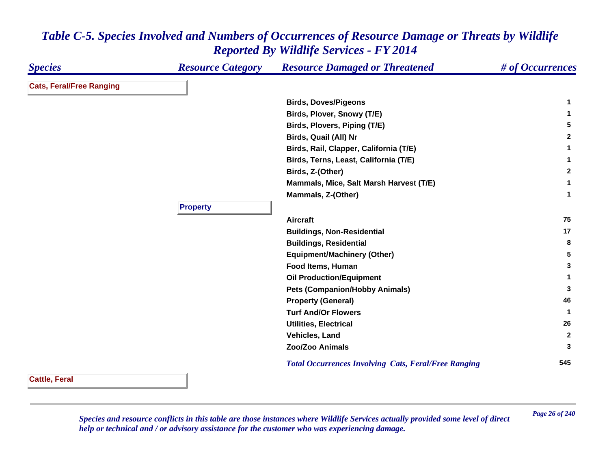| <b>Species</b>                  | <b>Resource Category</b> | <b>Resource Damaged or Threatened</b>                       | # of Occurrences |
|---------------------------------|--------------------------|-------------------------------------------------------------|------------------|
| <b>Cats, Feral/Free Ranging</b> |                          |                                                             |                  |
|                                 |                          | <b>Birds, Doves/Pigeons</b>                                 | 1                |
|                                 |                          | Birds, Plover, Snowy (T/E)                                  | 1                |
|                                 |                          | Birds, Plovers, Piping (T/E)                                | 5                |
|                                 |                          | Birds, Quail (All) Nr                                       | $\mathbf{2}$     |
|                                 |                          | Birds, Rail, Clapper, California (T/E)                      | 1                |
|                                 |                          | Birds, Terns, Least, California (T/E)                       | 1                |
|                                 |                          | Birds, Z-(Other)                                            | $\mathbf{2}$     |
|                                 |                          | Mammals, Mice, Salt Marsh Harvest (T/E)                     | 1                |
|                                 |                          | Mammals, Z-(Other)                                          | 1                |
|                                 | <b>Property</b>          |                                                             |                  |
|                                 |                          | <b>Aircraft</b>                                             | 75               |
|                                 |                          | <b>Buildings, Non-Residential</b>                           | 17               |
|                                 |                          | <b>Buildings, Residential</b>                               | 8                |
|                                 |                          | <b>Equipment/Machinery (Other)</b>                          | 5                |
|                                 |                          | Food Items, Human                                           | 3                |
|                                 |                          | <b>Oil Production/Equipment</b>                             | 1                |
|                                 |                          | <b>Pets (Companion/Hobby Animals)</b>                       | 3                |
|                                 |                          | <b>Property (General)</b>                                   | 46               |
|                                 |                          | <b>Turf And/Or Flowers</b>                                  | $\mathbf 1$      |
|                                 |                          | <b>Utilities, Electrical</b>                                | 26               |
|                                 |                          | Vehicles, Land                                              | $\mathbf{2}$     |
|                                 |                          | <b>Zoo/Zoo Animals</b>                                      | 3                |
|                                 |                          | <b>Total Occurrences Involving Cats, Feral/Free Ranging</b> | 545              |

**Cattle, Feral**

*Page 26 of 240 Species and resource conflicts in this table are those instances where Wildlife Services actually provided some level of direct help or technical and / or advisory assistance for the customer who was experiencing damage.*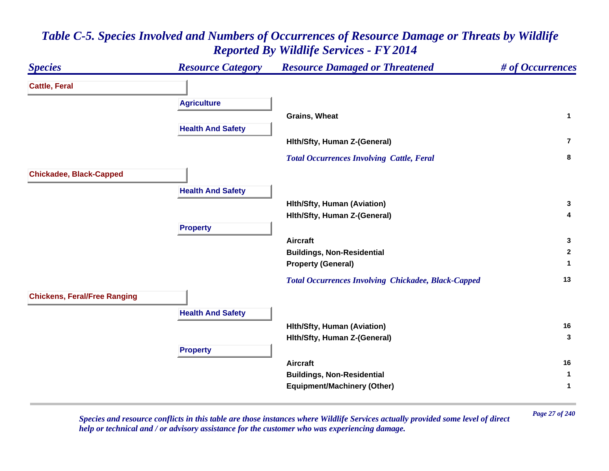

*Page 27 of 240 Species and resource conflicts in this table are those instances where Wildlife Services actually provided some level of direct help or technical and / or advisory assistance for the customer who was experiencing damage.*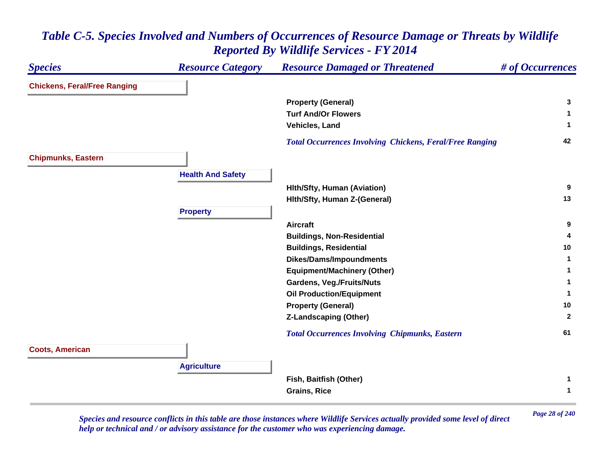#### *Species Resource Category Resource Damaged or Threatened # of Occurrences* **Chickens, Feral/Free Ranging Property (General) <sup>3</sup> Turf And/Or Flowers 1 Vehicles, Land 1**  *Total Occurrences Involving Chickens, Feral/Free Ranging* **<sup>42</sup> Chipmunks, Eastern Health And Safety Hlth/Sfty, Human (Aviation) <sup>9</sup> Hlth/Sfty, Human Z-(General) <sup>13</sup> Property Aircraft 9 Buildings, Non-Residential <sup>4</sup> Buildings, Residential <sup>10</sup> Dikes/Dams/Impoundments <sup>1</sup> Equipment/Machinery (Other) <sup>1</sup> Gardens, Veg./Fruits/Nuts <sup>1</sup> Oil Production/Equipment <sup>1</sup> Property (General) <sup>10</sup> Z-Landscaping (Other) <sup>2</sup>**  *Total Occurrences Involving Chipmunks, Eastern* **<sup>61</sup> Coots, American Agriculture Fish, Baitfish (Other) <sup>1</sup> Grains, Rice 1**

### *Table C-5. Species Involved and Numbers of Occurrences of Resource Damage or Threats by Wildlife Reported By Wildlife Services - FY 2014*

*Page 28 of 240 Species and resource conflicts in this table are those instances where Wildlife Services actually provided some level of direct help or technical and / or advisory assistance for the customer who was experiencing damage.*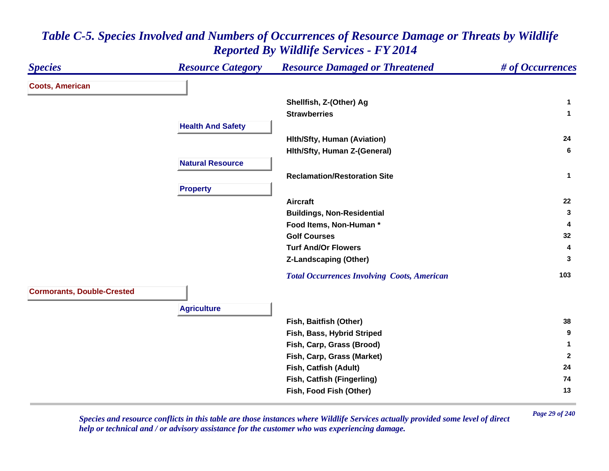| <b>Species</b>                    | <b>Resource Category</b> | <b>Resource Damaged or Threatened</b>              | # of Occurrences |
|-----------------------------------|--------------------------|----------------------------------------------------|------------------|
| <b>Coots, American</b>            |                          |                                                    |                  |
|                                   |                          | Shellfish, Z-(Other) Ag                            | 1                |
|                                   |                          | <b>Strawberries</b>                                | $\mathbf{1}$     |
|                                   | <b>Health And Safety</b> |                                                    |                  |
|                                   |                          | Hith/Sfty, Human (Aviation)                        | 24               |
|                                   |                          | Hith/Sfty, Human Z-(General)                       | 6                |
|                                   | <b>Natural Resource</b>  |                                                    |                  |
|                                   |                          | <b>Reclamation/Restoration Site</b>                | $\mathbf{1}$     |
|                                   | <b>Property</b>          |                                                    |                  |
|                                   |                          | <b>Aircraft</b>                                    | 22               |
|                                   |                          | <b>Buildings, Non-Residential</b>                  | 3                |
|                                   |                          | Food Items, Non-Human*                             | 4                |
|                                   |                          | <b>Golf Courses</b>                                | 32               |
|                                   |                          | <b>Turf And/Or Flowers</b>                         | 4                |
|                                   |                          | <b>Z-Landscaping (Other)</b>                       | 3                |
|                                   |                          | <b>Total Occurrences Involving Coots, American</b> | 103              |
| <b>Cormorants, Double-Crested</b> |                          |                                                    |                  |
|                                   | <b>Agriculture</b>       |                                                    |                  |
|                                   |                          | Fish, Baitfish (Other)                             | 38               |
|                                   |                          | Fish, Bass, Hybrid Striped                         | 9                |
|                                   |                          | Fish, Carp, Grass (Brood)                          | 1                |
|                                   |                          | Fish, Carp, Grass (Market)                         | $\mathbf{2}$     |
|                                   |                          | Fish, Catfish (Adult)                              | 24               |
|                                   |                          | Fish, Catfish (Fingerling)                         | 74               |
|                                   |                          | Fish, Food Fish (Other)                            | 13               |

*Page 29 of 240 Species and resource conflicts in this table are those instances where Wildlife Services actually provided some level of direct help or technical and / or advisory assistance for the customer who was experiencing damage.*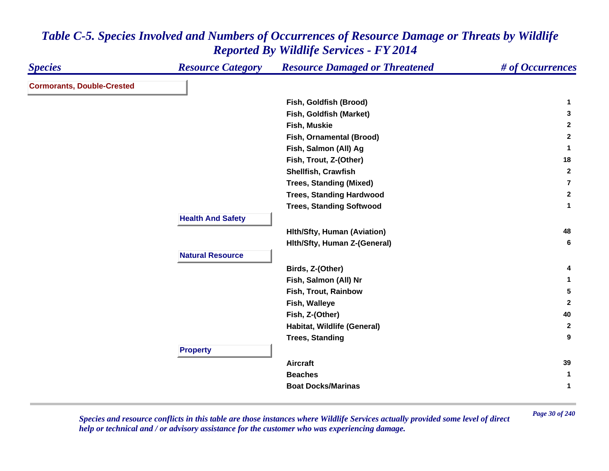| <b>Species</b>                    | <b>Resource Category</b> | <b>Resource Damaged or Threatened</b> | # of Occurrences |
|-----------------------------------|--------------------------|---------------------------------------|------------------|
| <b>Cormorants, Double-Crested</b> |                          |                                       |                  |
|                                   |                          | Fish, Goldfish (Brood)                | $\mathbf 1$      |
|                                   |                          | Fish, Goldfish (Market)               | 3                |
|                                   |                          | Fish, Muskie                          | $\mathbf{2}$     |
|                                   |                          | Fish, Ornamental (Brood)              | $\mathbf{2}$     |
|                                   |                          | Fish, Salmon (All) Ag                 | $\mathbf{1}$     |
|                                   |                          | Fish, Trout, Z-(Other)                | 18               |
|                                   |                          | Shellfish, Crawfish                   | $\mathbf{2}$     |
|                                   |                          | <b>Trees, Standing (Mixed)</b>        | $\overline{7}$   |
|                                   |                          | <b>Trees, Standing Hardwood</b>       | $\mathbf{2}$     |
|                                   |                          | <b>Trees, Standing Softwood</b>       | $\mathbf{1}$     |
|                                   | <b>Health And Safety</b> |                                       |                  |
|                                   |                          | <b>Hith/Sfty, Human (Aviation)</b>    | 48               |
|                                   |                          | Hith/Sfty, Human Z-(General)          | 6                |
|                                   | <b>Natural Resource</b>  |                                       |                  |
|                                   |                          | Birds, Z-(Other)                      | 4                |
|                                   |                          | Fish, Salmon (All) Nr                 | 1                |
|                                   |                          | Fish, Trout, Rainbow                  | $5\phantom{.0}$  |
|                                   |                          | Fish, Walleye                         | $\mathbf{2}$     |
|                                   |                          | Fish, Z-(Other)                       | 40               |
|                                   |                          | Habitat, Wildlife (General)           | $\mathbf{2}$     |
|                                   |                          | <b>Trees, Standing</b>                | $\boldsymbol{9}$ |
|                                   | <b>Property</b>          |                                       |                  |
|                                   |                          | <b>Aircraft</b>                       | 39               |
|                                   |                          | <b>Beaches</b>                        | $\mathbf{1}$     |
|                                   |                          | <b>Boat Docks/Marinas</b>             | $\mathbf 1$      |

*Page 30 of 240 Species and resource conflicts in this table are those instances where Wildlife Services actually provided some level of direct help or technical and / or advisory assistance for the customer who was experiencing damage.*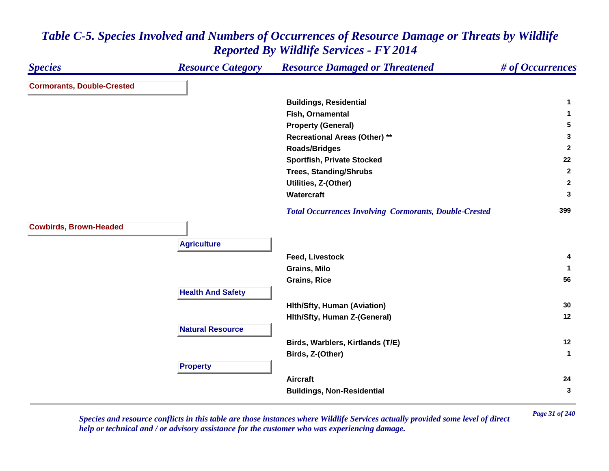| <b>Species</b>                    | <b>Resource Category</b> | <b>Resource Damaged or Threatened</b>                         | # of Occurrences |
|-----------------------------------|--------------------------|---------------------------------------------------------------|------------------|
| <b>Cormorants, Double-Crested</b> |                          |                                                               |                  |
|                                   |                          | <b>Buildings, Residential</b>                                 | 1                |
|                                   |                          | Fish, Ornamental                                              | 1                |
|                                   |                          | <b>Property (General)</b>                                     | 5                |
|                                   |                          | <b>Recreational Areas (Other) **</b>                          | 3                |
|                                   |                          | <b>Roads/Bridges</b>                                          | $\overline{2}$   |
|                                   |                          | <b>Sportfish, Private Stocked</b>                             | 22               |
|                                   |                          | <b>Trees, Standing/Shrubs</b>                                 | $\overline{2}$   |
|                                   |                          | Utilities, Z-(Other)                                          | $\mathbf{2}$     |
|                                   |                          | Watercraft                                                    | 3                |
|                                   |                          | <b>Total Occurrences Involving Cormorants, Double-Crested</b> | 399              |
| <b>Cowbirds, Brown-Headed</b>     |                          |                                                               |                  |
|                                   | <b>Agriculture</b>       |                                                               |                  |
|                                   |                          | <b>Feed, Livestock</b>                                        | 4                |
|                                   |                          | <b>Grains, Milo</b>                                           | -1               |
|                                   |                          | <b>Grains, Rice</b>                                           | 56               |
|                                   | <b>Health And Safety</b> |                                                               |                  |
|                                   |                          | <b>Hith/Sfty, Human (Aviation)</b>                            | 30               |
|                                   |                          | Hith/Sfty, Human Z-(General)                                  | 12               |
|                                   | <b>Natural Resource</b>  |                                                               |                  |
|                                   |                          | Birds, Warblers, Kirtlands (T/E)                              | 12               |
|                                   |                          | Birds, Z-(Other)                                              | $\mathbf{1}$     |
|                                   | <b>Property</b>          |                                                               |                  |
|                                   |                          | <b>Aircraft</b>                                               | 24               |
|                                   |                          | <b>Buildings, Non-Residential</b>                             | 3                |
|                                   |                          |                                                               |                  |

*Page 31 of 240 Species and resource conflicts in this table are those instances where Wildlife Services actually provided some level of direct help or technical and / or advisory assistance for the customer who was experiencing damage.*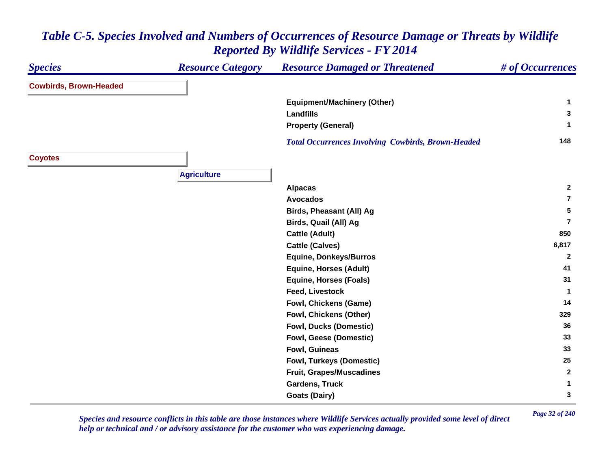#### *Species Resource Category Resource Damaged or Threatened # of Occurrences* **Cowbirds, Brown-Headed Equipment/Machinery (Other) <sup>1</sup> Landfills 3 Property (General) <sup>1</sup>**  *Total Occurrences Involving Cowbirds, Brown-Headed* **<sup>148</sup> Coyotes Agriculture Alpacas <sup>2</sup> Avocados7Birds, Pheasant (All) Ag <sup>5</sup> Birds, Quail (All) Ag 7Cattle (Adult) <sup>850</sup> Cattle (Calves) 6,817 Equine, Donkeys/Burros <sup>2</sup> Equine, Horses (Adult) <sup>41</sup> Equine, Horses (Foals) <sup>31</sup> Feed, Livestock 1 Fowl, Chickens (Game) <sup>14</sup> Fowl, Chickens (Other) <sup>329</sup> Fowl, Ducks (Domestic) <sup>36</sup> Fowl, Geese (Domestic) <sup>33</sup> Fowl, Guineas 33 Fowl, Turkeys (Domestic) <sup>25</sup> Fruit, Grapes/Muscadines <sup>2</sup> Gardens, Truck 1 Goats (Dairy) <sup>3</sup>**

## *Table C-5. Species Involved and Numbers of Occurrences of Resource Damage or Threats by Wildlife Reported By Wildlife Services - FY 2014*

*Page 32 of 240 Species and resource conflicts in this table are those instances where Wildlife Services actually provided some level of direct help or technical and / or advisory assistance for the customer who was experiencing damage.*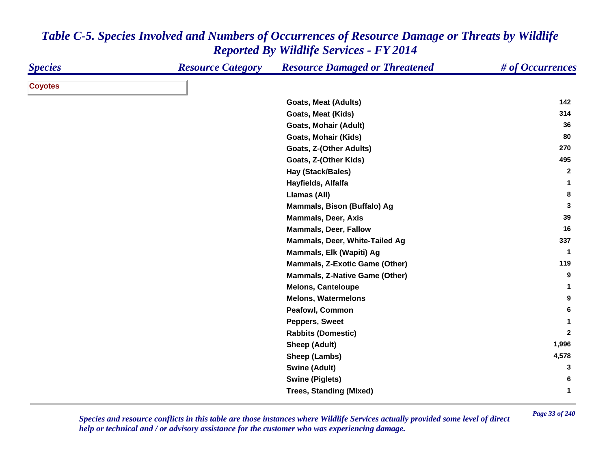| <b>Species</b> | <b>Resource Category</b> | <b>Resource Damaged or Threatened</b> | # of Occurrences |
|----------------|--------------------------|---------------------------------------|------------------|
| <b>Coyotes</b> |                          |                                       |                  |
|                |                          | <b>Goats, Meat (Adults)</b>           | 142              |
|                |                          | <b>Goats, Meat (Kids)</b>             | 314              |
|                |                          | <b>Goats, Mohair (Adult)</b>          | 36               |
|                |                          | <b>Goats, Mohair (Kids)</b>           | 80               |
|                |                          | Goats, Z-(Other Adults)               | 270              |
|                |                          | Goats, Z-(Other Kids)                 | 495              |
|                |                          | Hay (Stack/Bales)                     | $\mathbf{2}$     |
|                |                          | Hayfields, Alfalfa                    | 1                |
|                |                          | Llamas (All)                          | 8                |
|                |                          | Mammals, Bison (Buffalo) Ag           | 3                |
|                |                          | <b>Mammals, Deer, Axis</b>            | 39               |
|                |                          | <b>Mammals, Deer, Fallow</b>          | 16               |
|                |                          | Mammals, Deer, White-Tailed Ag        | 337              |
|                |                          | Mammals, Elk (Wapiti) Ag              | $\mathbf{1}$     |
|                |                          | <b>Mammals, Z-Exotic Game (Other)</b> | 119              |
|                |                          | <b>Mammals, Z-Native Game (Other)</b> | 9                |
|                |                          | <b>Melons, Canteloupe</b>             | 1                |
|                |                          | <b>Melons, Watermelons</b>            | 9                |
|                |                          | Peafowl, Common                       | 6                |
|                |                          | <b>Peppers, Sweet</b>                 | 1                |
|                |                          | <b>Rabbits (Domestic)</b>             | $\overline{2}$   |
|                |                          | Sheep (Adult)                         | 1,996            |
|                |                          | Sheep (Lambs)                         | 4,578            |
|                |                          | <b>Swine (Adult)</b>                  | 3                |
|                |                          | <b>Swine (Piglets)</b>                | 6                |
|                |                          | <b>Trees, Standing (Mixed)</b>        | 1                |

*Page 33 of 240 Species and resource conflicts in this table are those instances where Wildlife Services actually provided some level of direct help or technical and / or advisory assistance for the customer who was experiencing damage.*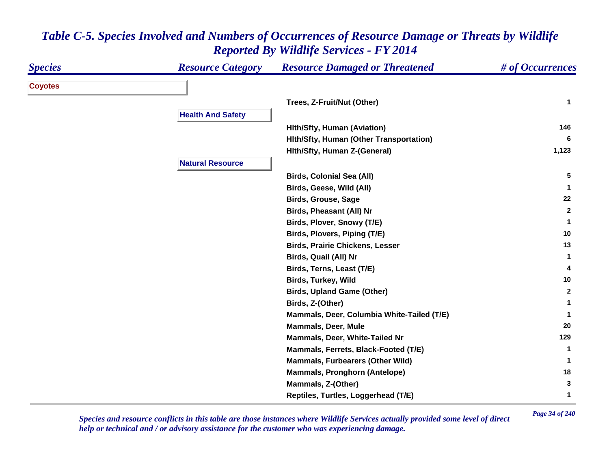| <b>Species</b> | <b>Resource Category</b> | <b>Resource Damaged or Threatened</b>      | # of Occurrences |
|----------------|--------------------------|--------------------------------------------|------------------|
| <b>Coyotes</b> |                          |                                            |                  |
|                |                          | Trees, Z-Fruit/Nut (Other)                 | $\mathbf{1}$     |
|                | <b>Health And Safety</b> |                                            |                  |
|                |                          | <b>Hith/Sfty, Human (Aviation)</b>         | 146              |
|                |                          | Hith/Sfty, Human (Other Transportation)    | 6                |
|                |                          | Hith/Sfty, Human Z-(General)               | 1,123            |
|                | <b>Natural Resource</b>  |                                            |                  |
|                |                          | <b>Birds, Colonial Sea (All)</b>           | 5                |
|                |                          | Birds, Geese, Wild (All)                   | -1               |
|                |                          | <b>Birds, Grouse, Sage</b>                 | 22               |
|                |                          | Birds, Pheasant (All) Nr                   | $\mathbf{2}$     |
|                |                          | Birds, Plover, Snowy (T/E)                 | -1               |
|                |                          | Birds, Plovers, Piping (T/E)               | 10               |
|                |                          | <b>Birds, Prairie Chickens, Lesser</b>     | 13               |
|                |                          | Birds, Quail (All) Nr                      | 1                |
|                |                          | Birds, Terns, Least (T/E)                  | 4                |
|                |                          | <b>Birds, Turkey, Wild</b>                 | 10               |
|                |                          | <b>Birds, Upland Game (Other)</b>          | $\mathbf{2}$     |
|                |                          | Birds, Z-(Other)                           | 1                |
|                |                          | Mammals, Deer, Columbia White-Tailed (T/E) | -1               |
|                |                          | <b>Mammals, Deer, Mule</b>                 | 20               |
|                |                          | Mammals, Deer, White-Tailed Nr             | 129              |
|                |                          | Mammals, Ferrets, Black-Footed (T/E)       | 1                |
|                |                          | Mammals, Furbearers (Other Wild)           | -1               |
|                |                          | <b>Mammals, Pronghorn (Antelope)</b>       | 18               |
|                |                          | Mammals, Z-(Other)                         | 3                |
|                |                          | Reptiles, Turtles, Loggerhead (T/E)        | 1                |

*Page 34 of 240 Species and resource conflicts in this table are those instances where Wildlife Services actually provided some level of direct help or technical and / or advisory assistance for the customer who was experiencing damage.*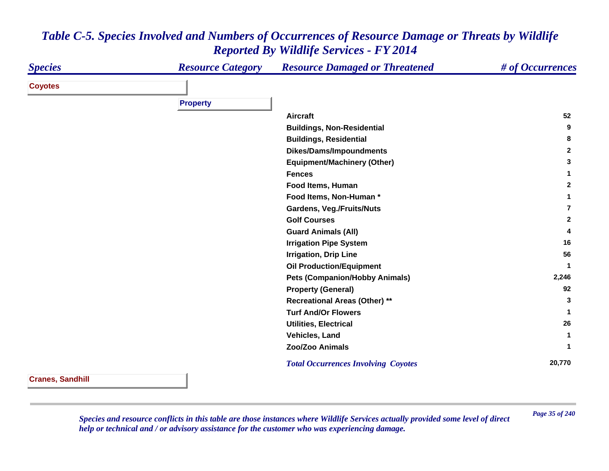| <b>Species</b> | <b>Resource Category</b> | <b>Resource Damaged or Threatened</b>      | # of Occurrences |
|----------------|--------------------------|--------------------------------------------|------------------|
| <b>Coyotes</b> |                          |                                            |                  |
|                | <b>Property</b>          |                                            |                  |
|                |                          | <b>Aircraft</b>                            | 52               |
|                |                          |                                            |                  |
|                |                          | <b>Buildings, Non-Residential</b>          | 9                |
|                |                          | <b>Buildings, Residential</b>              | 8                |
|                |                          | <b>Dikes/Dams/Impoundments</b>             | $\mathbf{2}$     |
|                |                          | <b>Equipment/Machinery (Other)</b>         | 3                |
|                |                          | <b>Fences</b>                              |                  |
|                |                          | Food Items, Human                          | $\mathbf{2}$     |
|                |                          | Food Items, Non-Human *                    |                  |
|                |                          | <b>Gardens, Veg./Fruits/Nuts</b>           | 7                |
|                |                          | <b>Golf Courses</b>                        | $\mathbf{2}$     |
|                |                          | <b>Guard Animals (All)</b>                 | 4                |
|                |                          | <b>Irrigation Pipe System</b>              | 16               |
|                |                          | <b>Irrigation, Drip Line</b>               | 56               |
|                |                          | <b>Oil Production/Equipment</b>            |                  |
|                |                          | <b>Pets (Companion/Hobby Animals)</b>      | 2,246            |
|                |                          | <b>Property (General)</b>                  | 92               |
|                |                          | <b>Recreational Areas (Other) **</b>       | 3                |
|                |                          | <b>Turf And/Or Flowers</b>                 | 1                |
|                |                          | <b>Utilities, Electrical</b>               | 26               |
|                |                          | Vehicles, Land                             | 1                |
|                |                          | Zoo/Zoo Animals                            | 1                |
|                |                          | <b>Total Occurrences Involving Coyotes</b> | 20,770           |

**Cranes, Sandhill**

*Page 35 of 240 Species and resource conflicts in this table are those instances where Wildlife Services actually provided some level of direct help or technical and / or advisory assistance for the customer who was experiencing damage.*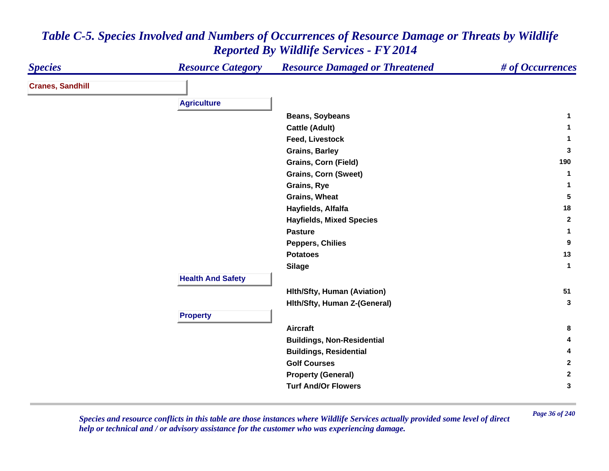| <b>Species</b>          | <b>Resource Category</b> | <b>Resource Damaged or Threatened</b>                                                                                                                | # of Occurrences |
|-------------------------|--------------------------|------------------------------------------------------------------------------------------------------------------------------------------------------|------------------|
| <b>Cranes, Sandhill</b> |                          |                                                                                                                                                      |                  |
|                         | <b>Agriculture</b>       |                                                                                                                                                      |                  |
|                         |                          | <b>Beans, Soybeans</b>                                                                                                                               | $\mathbf{1}$     |
|                         |                          | <b>Cattle (Adult)</b>                                                                                                                                | 1                |
|                         |                          | Feed, Livestock                                                                                                                                      | $\mathbf{1}$     |
|                         |                          | <b>Grains, Barley</b>                                                                                                                                | 3                |
|                         |                          | <b>Grains, Corn (Field)</b>                                                                                                                          | 190              |
|                         |                          | <b>Grains, Corn (Sweet)</b>                                                                                                                          | 1                |
|                         |                          | Grains, Rye                                                                                                                                          | 1                |
|                         |                          | <b>Grains, Wheat</b>                                                                                                                                 | 5                |
|                         |                          | Hayfields, Alfalfa                                                                                                                                   | 18               |
|                         |                          | <b>Hayfields, Mixed Species</b>                                                                                                                      | $\mathbf{2}$     |
|                         |                          | <b>Pasture</b>                                                                                                                                       | $\mathbf{1}$     |
|                         |                          | <b>Peppers, Chilies</b>                                                                                                                              | 9                |
|                         |                          | <b>Potatoes</b>                                                                                                                                      | 13               |
|                         |                          | <b>Silage</b>                                                                                                                                        | $\mathbf{1}$     |
|                         | <b>Health And Safety</b> |                                                                                                                                                      |                  |
|                         |                          | <b>Hith/Sfty, Human (Aviation)</b>                                                                                                                   | 51               |
|                         |                          | Hith/Sfty, Human Z-(General)                                                                                                                         | 3                |
|                         | <b>Property</b>          |                                                                                                                                                      |                  |
|                         |                          | <b>Aircraft</b>                                                                                                                                      | 8                |
|                         |                          |                                                                                                                                                      | 4                |
|                         |                          |                                                                                                                                                      | 4                |
|                         |                          |                                                                                                                                                      | $\mathbf{2}$     |
|                         |                          |                                                                                                                                                      | $\mathbf{2}$     |
|                         |                          |                                                                                                                                                      | 3                |
|                         |                          | <b>Buildings, Non-Residential</b><br><b>Buildings, Residential</b><br><b>Golf Courses</b><br><b>Property (General)</b><br><b>Turf And/Or Flowers</b> |                  |

*Page 36 of 240 Species and resource conflicts in this table are those instances where Wildlife Services actually provided some level of direct help or technical and / or advisory assistance for the customer who was experiencing damage.*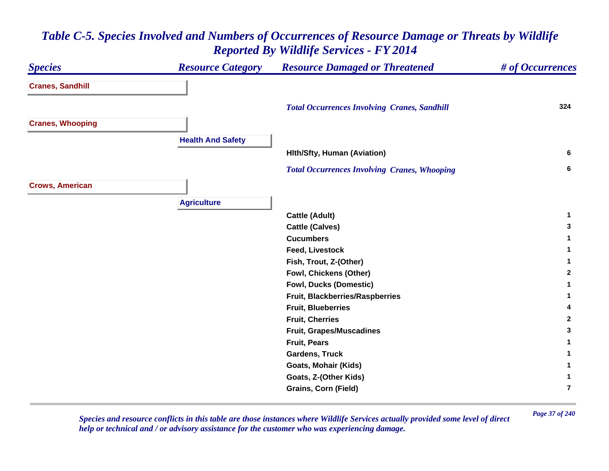#### *Species Resource Category Resource Damaged or Threatened # of Occurrences* **Cranes, Sandhill**  *Total Occurrences Involving Cranes, Sandhill* **<sup>324</sup> Cranes, Whooping Health And Safety Hlth/Sfty, Human (Aviation) <sup>6</sup>**  *Total Occurrences Involving Cranes, Whooping* **<sup>6</sup> Crows, American Agriculture Cattle (Adult) <sup>1</sup> Cattle (Calves) <sup>3</sup> Cucumbers 1 Feed, Livestock 1 Fish, Trout, Z-(Other) <sup>1</sup> Fowl, Chickens (Other) <sup>2</sup> Fowl, Ducks (Domestic) <sup>1</sup> Fruit, Blackberries/Raspberries <sup>1</sup> Fruit, Blueberries 4 Fruit, Cherries 2 Fruit, Grapes/Muscadines <sup>3</sup> Fruit, Pears 1 Gardens, Truck 1 Goats, Mohair (Kids) <sup>1</sup> Goats, Z-(Other Kids) <sup>1</sup> Grains, Corn (Field) 7**

### *Table C-5. Species Involved and Numbers of Occurrences of Resource Damage or Threats by Wildlife Reported By Wildlife Services - FY 2014*

*Page 37 of 240 Species and resource conflicts in this table are those instances where Wildlife Services actually provided some level of direct help or technical and / or advisory assistance for the customer who was experiencing damage.*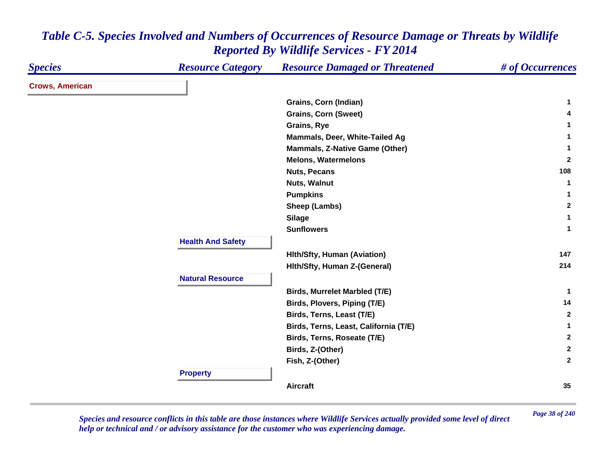| <b>Species</b>         | <b>Resource Category</b> | <b>Resource Damaged or Threatened</b> | # of Occurrences |
|------------------------|--------------------------|---------------------------------------|------------------|
| <b>Crows, American</b> |                          |                                       |                  |
|                        |                          | Grains, Corn (Indian)                 | 1                |
|                        |                          | <b>Grains, Corn (Sweet)</b>           | 4                |
|                        |                          | Grains, Rye                           | 1                |
|                        |                          | Mammals, Deer, White-Tailed Ag        |                  |
|                        |                          | Mammals, Z-Native Game (Other)        | $\mathbf{1}$     |
|                        |                          | <b>Melons, Watermelons</b>            | $\mathbf{2}$     |
|                        |                          | <b>Nuts, Pecans</b>                   | 108              |
|                        |                          | <b>Nuts, Walnut</b>                   | -1               |
|                        |                          | <b>Pumpkins</b>                       | 1                |
|                        |                          | Sheep (Lambs)                         | $\mathbf{2}$     |
|                        |                          | <b>Silage</b>                         | $\mathbf{1}$     |
|                        |                          | <b>Sunflowers</b>                     | $\mathbf{1}$     |
|                        | <b>Health And Safety</b> |                                       |                  |
|                        |                          | <b>Hith/Sfty, Human (Aviation)</b>    | 147              |
|                        |                          | Hith/Sfty, Human Z-(General)          | 214              |
|                        | <b>Natural Resource</b>  |                                       |                  |
|                        |                          | <b>Birds, Murrelet Marbled (T/E)</b>  | -1               |
|                        |                          | Birds, Plovers, Piping (T/E)          | 14               |
|                        |                          | Birds, Terns, Least (T/E)             | $\mathbf{2}$     |
|                        |                          | Birds, Terns, Least, California (T/E) | 1                |
|                        |                          | Birds, Terns, Roseate (T/E)           | $\mathbf{2}$     |
|                        |                          | Birds, Z-(Other)                      | $\mathbf{2}$     |
|                        |                          | Fish, Z-(Other)                       | $\mathbf{2}$     |
|                        | <b>Property</b>          |                                       |                  |
|                        |                          | <b>Aircraft</b>                       | 35               |

*Page 38 of 240 Species and resource conflicts in this table are those instances where Wildlife Services actually provided some level of direct help or technical and / or advisory assistance for the customer who was experiencing damage.*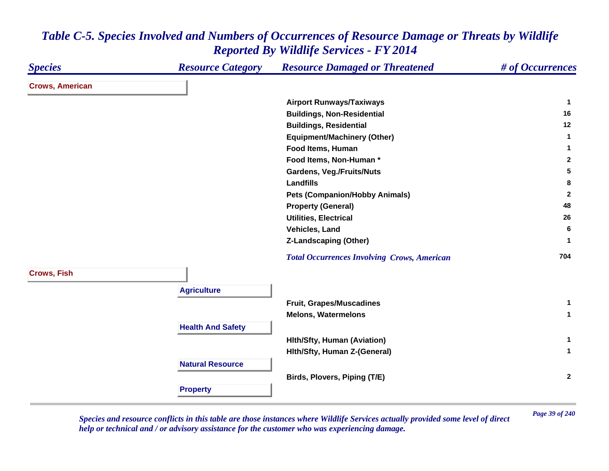#### *Species Resource Category Resource Damaged or Threatened # of Occurrences* **Crows, American Airport Runways/Taxiways <sup>1</sup> Buildings, Non-Residential <sup>16</sup> Buildings, Residential <sup>12</sup> Equipment/Machinery (Other) <sup>1</sup> Food Items, Human 1 Food Items, Non-Human \* 2 Gardens, Veg./Fruits/Nuts <sup>5</sup> Landfills 8 Pets (Companion/Hobby Animals) <sup>2</sup> Property (General) <sup>48</sup> Utilities, Electrical 26 Vehicles, Land 6 Z-Landscaping (Other) <sup>1</sup>**  *Total Occurrences Involving Crows, American* **<sup>704</sup> Crows, Fish Agriculture Fruit, Grapes/Muscadines <sup>1</sup> Melons, Watermelons 1 Health And Safety Hlth/Sfty, Human (Aviation) <sup>1</sup> Hlth/Sfty, Human Z-(General) <sup>1</sup> Natural ResourceBirds, Plovers, Piping (T/E) <sup>2</sup> Property**

### *Table C-5. Species Involved and Numbers of Occurrences of Resource Damage or Threats by Wildlife Reported By Wildlife Services - FY 2014*

*Page 39 of 240 Species and resource conflicts in this table are those instances where Wildlife Services actually provided some level of direct help or technical and / or advisory assistance for the customer who was experiencing damage.*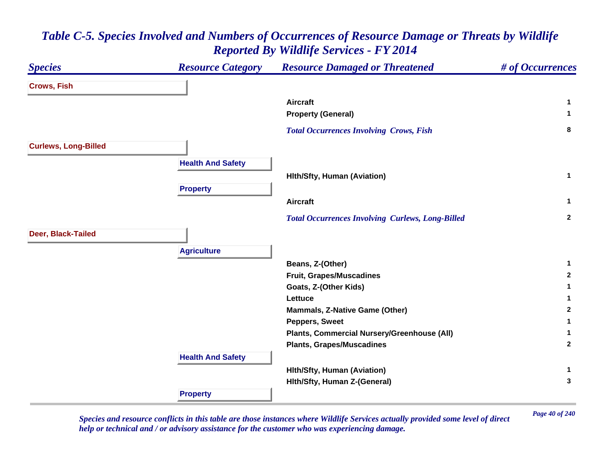| <b>Species</b>              | <b>Resource Category</b> | <b>Resource Damaged or Threatened</b>                   | # of Occurrences |
|-----------------------------|--------------------------|---------------------------------------------------------|------------------|
| <b>Crows, Fish</b>          |                          |                                                         |                  |
|                             |                          | <b>Aircraft</b>                                         | $\mathbf 1$      |
|                             |                          | <b>Property (General)</b>                               | 1                |
|                             |                          | <b>Total Occurrences Involving Crows, Fish</b>          | 8                |
| <b>Curlews, Long-Billed</b> |                          |                                                         |                  |
|                             | <b>Health And Safety</b> |                                                         |                  |
|                             |                          | <b>Hith/Sfty, Human (Aviation)</b>                      | $\mathbf{1}$     |
|                             | <b>Property</b>          |                                                         |                  |
|                             |                          | <b>Aircraft</b>                                         | $\mathbf{1}$     |
|                             |                          |                                                         | $\overline{2}$   |
|                             |                          | <b>Total Occurrences Involving Curlews, Long-Billed</b> |                  |
| Deer, Black-Tailed          |                          |                                                         |                  |
|                             | <b>Agriculture</b>       |                                                         |                  |
|                             |                          | Beans, Z-(Other)                                        | 1                |
|                             |                          | <b>Fruit, Grapes/Muscadines</b>                         | $\overline{2}$   |
|                             |                          | Goats, Z-(Other Kids)                                   | 1                |
|                             |                          | Lettuce                                                 | 1                |
|                             |                          | <b>Mammals, Z-Native Game (Other)</b>                   | $\overline{2}$   |
|                             |                          | <b>Peppers, Sweet</b>                                   | 1                |
|                             |                          | Plants, Commercial Nursery/Greenhouse (All)             | 1                |
|                             |                          | <b>Plants, Grapes/Muscadines</b>                        | $\overline{2}$   |
|                             | <b>Health And Safety</b> |                                                         |                  |
|                             |                          | <b>Hith/Sfty, Human (Aviation)</b>                      | -1               |
|                             |                          | Hith/Sfty, Human Z-(General)                            | 3                |
|                             | <b>Property</b>          |                                                         |                  |

*Page 40 of 240 Species and resource conflicts in this table are those instances where Wildlife Services actually provided some level of direct help or technical and / or advisory assistance for the customer who was experiencing damage.*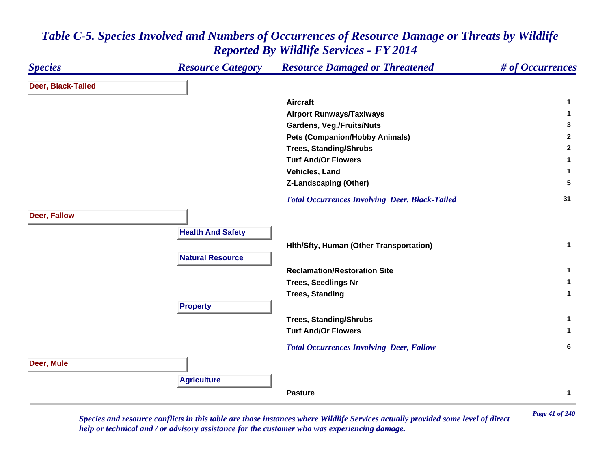#### *Species Resource Category Resource Damaged or Threatened # of Occurrences* **Deer, Black-Tailed Aircraft 1 Airport Runways/Taxiways <sup>1</sup> Gardens, Veg./Fruits/Nuts <sup>3</sup> Pets (Companion/Hobby Animals) <sup>2</sup> Trees, Standing/Shrubs <sup>2</sup> Turf And/Or Flowers 1 Vehicles, Land 1 Z-Landscaping (Other) <sup>5</sup>**  *Total Occurrences Involving Deer, Black-Tailed* **<sup>31</sup> Deer, Fallow Health And Safety Hlth/Sfty, Human (Other Transportation) <sup>1</sup> Natural ResourceReclamation/Restoration Site 1 Trees, Seedlings Nr <sup>1</sup> Trees, Standing <sup>1</sup> Property Trees, Standing/Shrubs <sup>1</sup> Turf And/Or Flowers 1**  *Total Occurrences Involving Deer, Fallow* **<sup>6</sup> Deer, Mule Agriculture Pasture1**

### *Table C-5. Species Involved and Numbers of Occurrences of Resource Damage or Threats by Wildlife Reported By Wildlife Services - FY 2014*

*Page 41 of 240 Species and resource conflicts in this table are those instances where Wildlife Services actually provided some level of direct help or technical and / or advisory assistance for the customer who was experiencing damage.*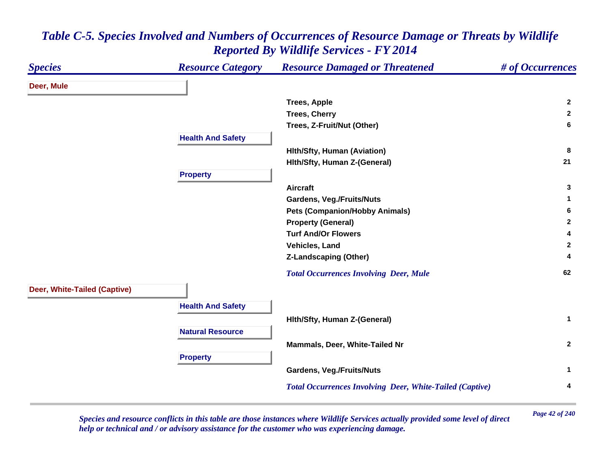| <b>Species</b>               | <b>Resource Category</b> | <b>Resource Damaged or Threatened</b>                           | # of Occurrences |
|------------------------------|--------------------------|-----------------------------------------------------------------|------------------|
| Deer, Mule                   |                          |                                                                 |                  |
|                              |                          | <b>Trees, Apple</b>                                             | $\overline{2}$   |
|                              |                          | <b>Trees, Cherry</b>                                            | $\overline{2}$   |
|                              |                          | Trees, Z-Fruit/Nut (Other)                                      | 6                |
|                              | <b>Health And Safety</b> |                                                                 |                  |
|                              |                          | <b>Hith/Sfty, Human (Aviation)</b>                              | 8                |
|                              |                          | Hith/Sfty, Human Z-(General)                                    | 21               |
|                              | <b>Property</b>          |                                                                 |                  |
|                              |                          | <b>Aircraft</b>                                                 | 3                |
|                              |                          | <b>Gardens, Veg./Fruits/Nuts</b>                                | 1                |
|                              |                          | <b>Pets (Companion/Hobby Animals)</b>                           | 6                |
|                              |                          | <b>Property (General)</b>                                       | $\mathbf{2}$     |
|                              |                          | <b>Turf And/Or Flowers</b>                                      | 4                |
|                              |                          | Vehicles, Land                                                  | $\mathbf{2}$     |
|                              |                          | <b>Z-Landscaping (Other)</b>                                    | 4                |
|                              |                          | <b>Total Occurrences Involving Deer, Mule</b>                   | 62               |
| Deer, White-Tailed (Captive) |                          |                                                                 |                  |
|                              | <b>Health And Safety</b> |                                                                 |                  |
|                              |                          | Hith/Sfty, Human Z-(General)                                    | $\mathbf{1}$     |
|                              | <b>Natural Resource</b>  |                                                                 |                  |
|                              |                          |                                                                 | $\overline{2}$   |
|                              |                          | Mammals, Deer, White-Tailed Nr                                  |                  |
|                              | <b>Property</b>          |                                                                 |                  |
|                              |                          | <b>Gardens, Veg./Fruits/Nuts</b>                                | $\mathbf{1}$     |
|                              |                          | <b>Total Occurrences Involving Deer, White-Tailed (Captive)</b> | 4                |

*Page 42 of 240 Species and resource conflicts in this table are those instances where Wildlife Services actually provided some level of direct help or technical and / or advisory assistance for the customer who was experiencing damage.*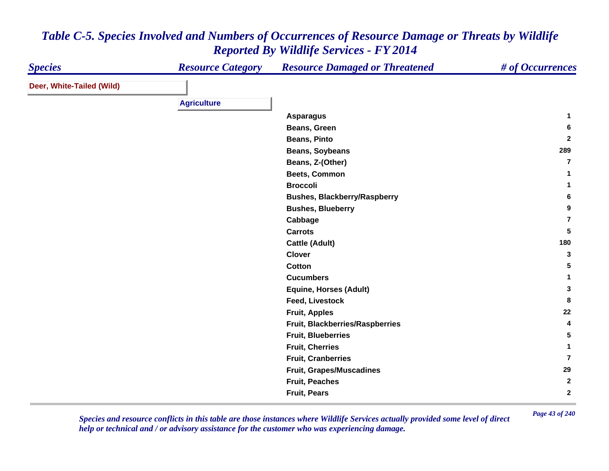| <b>Species</b>            | <b>Resource Category</b> | <b>Resource Damaged or Threatened</b> | # of Occurrences        |
|---------------------------|--------------------------|---------------------------------------|-------------------------|
| Deer, White-Tailed (Wild) |                          |                                       |                         |
|                           | <b>Agriculture</b>       |                                       |                         |
|                           |                          |                                       |                         |
|                           |                          | <b>Asparagus</b>                      | 1                       |
|                           |                          | Beans, Green                          | 6                       |
|                           |                          | <b>Beans, Pinto</b>                   | $\mathbf{2}$            |
|                           |                          | Beans, Soybeans                       | 289                     |
|                           |                          | Beans, Z-(Other)                      | $\overline{\mathbf{r}}$ |
|                           |                          | Beets, Common                         | 1                       |
|                           |                          | <b>Broccoli</b>                       | 1.                      |
|                           |                          | <b>Bushes, Blackberry/Raspberry</b>   | 6                       |
|                           |                          | <b>Bushes, Blueberry</b>              | 9                       |
|                           |                          | Cabbage                               | $\overline{7}$          |
|                           |                          | <b>Carrots</b>                        | 5                       |
|                           |                          | <b>Cattle (Adult)</b>                 | 180                     |
|                           |                          | <b>Clover</b>                         | 3                       |
|                           |                          | Cotton                                | 5                       |
|                           |                          | <b>Cucumbers</b>                      | 1                       |
|                           |                          | <b>Equine, Horses (Adult)</b>         | 3                       |
|                           |                          | <b>Feed, Livestock</b>                | 8                       |
|                           |                          | <b>Fruit, Apples</b>                  | 22                      |
|                           |                          | Fruit, Blackberries/Raspberries       | 4                       |
|                           |                          | <b>Fruit, Blueberries</b>             | 5                       |
|                           |                          | <b>Fruit, Cherries</b>                | $\mathbf{1}$            |
|                           |                          | <b>Fruit, Cranberries</b>             | $\overline{7}$          |
|                           |                          | <b>Fruit, Grapes/Muscadines</b>       | 29                      |
|                           |                          | <b>Fruit, Peaches</b>                 | $\mathbf{2}$            |
|                           |                          | <b>Fruit, Pears</b>                   | $\mathbf{2}$            |

*Page 43 of 240 Species and resource conflicts in this table are those instances where Wildlife Services actually provided some level of direct help or technical and / or advisory assistance for the customer who was experiencing damage.*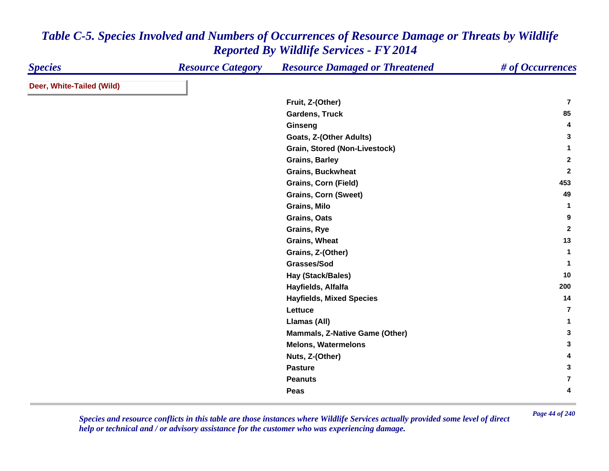| <b>Species</b>            | <b>Resource Category</b> | <b>Resource Damaged or Threatened</b> | # of Occurrences        |
|---------------------------|--------------------------|---------------------------------------|-------------------------|
| Deer, White-Tailed (Wild) |                          |                                       |                         |
|                           |                          | Fruit, Z-(Other)                      | $\overline{7}$          |
|                           |                          | <b>Gardens, Truck</b>                 | 85                      |
|                           |                          | Ginseng                               | 4                       |
|                           |                          | Goats, Z-(Other Adults)               | 3                       |
|                           |                          | Grain, Stored (Non-Livestock)         | $\mathbf{1}$            |
|                           |                          | <b>Grains, Barley</b>                 | $\mathbf{2}$            |
|                           |                          | <b>Grains, Buckwheat</b>              | $\mathbf{2}$            |
|                           |                          | <b>Grains, Corn (Field)</b>           | 453                     |
|                           |                          | <b>Grains, Corn (Sweet)</b>           | 49                      |
|                           |                          | Grains, Milo                          | $\mathbf 1$             |
|                           |                          | Grains, Oats                          | 9                       |
|                           |                          | Grains, Rye                           | $\mathbf{2}$            |
|                           |                          | <b>Grains, Wheat</b>                  | 13                      |
|                           |                          | Grains, Z-(Other)                     | $\mathbf{1}$            |
|                           |                          | Grasses/Sod                           | 1                       |
|                           |                          | Hay (Stack/Bales)                     | 10                      |
|                           |                          | Hayfields, Alfalfa                    | 200                     |
|                           |                          | <b>Hayfields, Mixed Species</b>       | 14                      |
|                           |                          | Lettuce                               | 7                       |
|                           |                          | Llamas (All)                          | 1                       |
|                           |                          | <b>Mammals, Z-Native Game (Other)</b> | 3                       |
|                           |                          | <b>Melons, Watermelons</b>            | 3                       |
|                           |                          | Nuts, Z-(Other)                       | 4                       |
|                           |                          | <b>Pasture</b>                        | 3                       |
|                           |                          | <b>Peanuts</b>                        | $\overline{\mathbf{r}}$ |
|                           |                          | Peas                                  | 4                       |

*Page 44 of 240 Species and resource conflicts in this table are those instances where Wildlife Services actually provided some level of direct help or technical and / or advisory assistance for the customer who was experiencing damage.*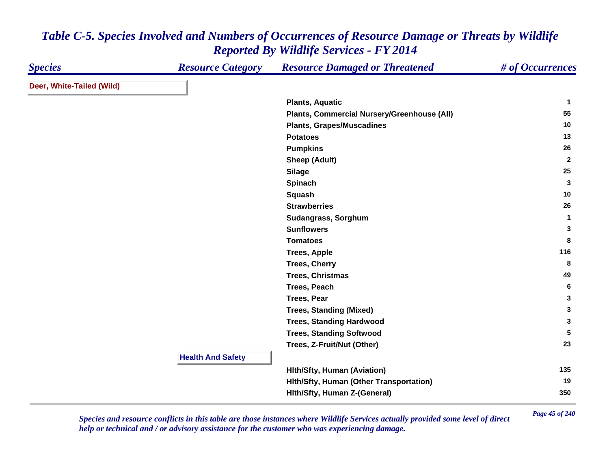| <b>Species</b>            | <b>Resource Category</b> | <b>Resource Damaged or Threatened</b>       | # of Occurrences |
|---------------------------|--------------------------|---------------------------------------------|------------------|
| Deer, White-Tailed (Wild) |                          |                                             |                  |
|                           |                          | <b>Plants, Aquatic</b>                      | -1               |
|                           |                          | Plants, Commercial Nursery/Greenhouse (All) | 55               |
|                           |                          | <b>Plants, Grapes/Muscadines</b>            | 10               |
|                           |                          | <b>Potatoes</b>                             | 13               |
|                           |                          | <b>Pumpkins</b>                             | 26               |
|                           |                          | <b>Sheep (Adult)</b>                        | $\mathbf{2}$     |
|                           |                          | <b>Silage</b>                               | 25               |
|                           |                          | Spinach                                     | 3                |
|                           |                          | Squash                                      | 10               |
|                           |                          | <b>Strawberries</b>                         | 26               |
|                           |                          | Sudangrass, Sorghum                         | $\mathbf{1}$     |
|                           |                          | <b>Sunflowers</b>                           | 3                |
|                           |                          | <b>Tomatoes</b>                             | 8                |
|                           |                          | <b>Trees, Apple</b>                         | 116              |
|                           |                          | <b>Trees, Cherry</b>                        | 8                |
|                           |                          | <b>Trees, Christmas</b>                     | 49               |
|                           |                          | <b>Trees, Peach</b>                         | 6                |
|                           |                          | <b>Trees, Pear</b>                          | $\mathbf{3}$     |
|                           |                          | <b>Trees, Standing (Mixed)</b>              | 3                |
|                           |                          | <b>Trees, Standing Hardwood</b>             | 3                |
|                           |                          | <b>Trees, Standing Softwood</b>             | 5                |
|                           |                          | Trees, Z-Fruit/Nut (Other)                  | 23               |
|                           | <b>Health And Safety</b> |                                             |                  |
|                           |                          | <b>Hith/Sfty, Human (Aviation)</b>          | 135              |
|                           |                          | Hith/Sfty, Human (Other Transportation)     | 19               |
|                           |                          | Hith/Sfty, Human Z-(General)                | 350              |

*Page 45 of 240 Species and resource conflicts in this table are those instances where Wildlife Services actually provided some level of direct help or technical and / or advisory assistance for the customer who was experiencing damage.*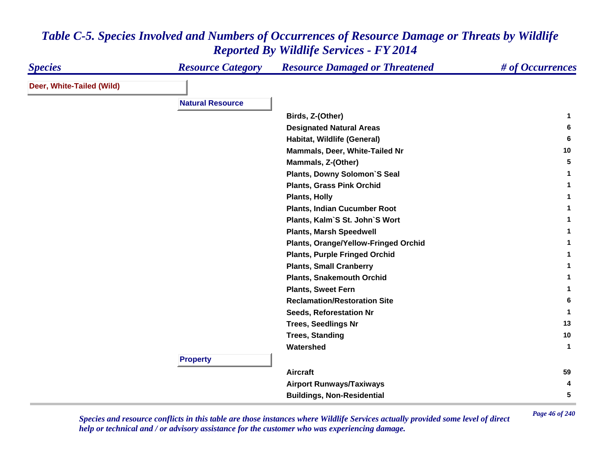| <b>Species</b>            | <b>Resource Category</b> | <b>Resource Damaged or Threatened</b> | # of Occurrences |
|---------------------------|--------------------------|---------------------------------------|------------------|
| Deer, White-Tailed (Wild) |                          |                                       |                  |
|                           | <b>Natural Resource</b>  |                                       |                  |
|                           |                          |                                       |                  |
|                           |                          | Birds, Z-(Other)                      | 1                |
|                           |                          | <b>Designated Natural Areas</b>       | 6                |
|                           |                          | Habitat, Wildlife (General)           | 6                |
|                           |                          | Mammals, Deer, White-Tailed Nr        | 10               |
|                           |                          | Mammals, Z-(Other)                    | 5                |
|                           |                          | <b>Plants, Downy Solomon'S Seal</b>   |                  |
|                           |                          | <b>Plants, Grass Pink Orchid</b>      |                  |
|                           |                          | <b>Plants, Holly</b>                  |                  |
|                           |                          | <b>Plants, Indian Cucumber Root</b>   |                  |
|                           |                          | Plants, Kalm'S St. John'S Wort        |                  |
|                           |                          | <b>Plants, Marsh Speedwell</b>        |                  |
|                           |                          | Plants, Orange/Yellow-Fringed Orchid  |                  |
|                           |                          | <b>Plants, Purple Fringed Orchid</b>  |                  |
|                           |                          | <b>Plants, Small Cranberry</b>        |                  |
|                           |                          | <b>Plants, Snakemouth Orchid</b>      |                  |
|                           |                          | <b>Plants, Sweet Fern</b>             |                  |
|                           |                          | <b>Reclamation/Restoration Site</b>   | 6                |
|                           |                          | <b>Seeds, Reforestation Nr</b>        |                  |
|                           |                          | <b>Trees, Seedlings Nr</b>            | 13               |
|                           |                          | <b>Trees, Standing</b>                | 10               |
|                           |                          | Watershed                             | $\mathbf 1$      |
|                           | <b>Property</b>          |                                       |                  |
|                           |                          | <b>Aircraft</b>                       | 59               |
|                           |                          | <b>Airport Runways/Taxiways</b>       | 4                |
|                           |                          | <b>Buildings, Non-Residential</b>     | 5                |

*Page 46 of 240 Species and resource conflicts in this table are those instances where Wildlife Services actually provided some level of direct help or technical and / or advisory assistance for the customer who was experiencing damage.*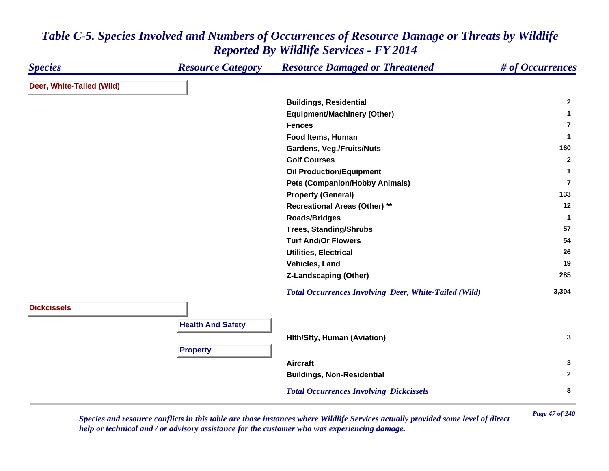| <b>Species</b>            | <b>Resource Category</b> | <b>Resource Damaged or Threatened</b>                        | # of Occurrences |
|---------------------------|--------------------------|--------------------------------------------------------------|------------------|
| Deer, White-Tailed (Wild) |                          |                                                              |                  |
|                           |                          | <b>Buildings, Residential</b>                                | $\mathbf{2}$     |
|                           |                          | <b>Equipment/Machinery (Other)</b>                           | 1                |
|                           |                          | <b>Fences</b>                                                | $\overline{7}$   |
|                           |                          | Food Items, Human                                            | $\mathbf{1}$     |
|                           |                          | <b>Gardens, Veg./Fruits/Nuts</b>                             | 160              |
|                           |                          | <b>Golf Courses</b>                                          | $\mathbf{2}$     |
|                           |                          | <b>Oil Production/Equipment</b>                              | $\mathbf{1}$     |
|                           |                          | <b>Pets (Companion/Hobby Animals)</b>                        | $\overline{7}$   |
|                           |                          | <b>Property (General)</b>                                    | 133              |
|                           |                          | <b>Recreational Areas (Other) **</b>                         | 12               |
|                           |                          | <b>Roads/Bridges</b>                                         | $\mathbf{1}$     |
|                           |                          | <b>Trees, Standing/Shrubs</b>                                | 57               |
|                           |                          | <b>Turf And/Or Flowers</b>                                   | 54               |
|                           |                          | <b>Utilities, Electrical</b>                                 | 26               |
|                           |                          | Vehicles, Land                                               | 19               |
|                           |                          | <b>Z-Landscaping (Other)</b>                                 | 285              |
|                           |                          | <b>Total Occurrences Involving Deer, White-Tailed (Wild)</b> | 3,304            |
| <b>Dickcissels</b>        |                          |                                                              |                  |
|                           | <b>Health And Safety</b> |                                                              |                  |
|                           |                          | <b>Hith/Sfty, Human (Aviation)</b>                           | 3                |
|                           |                          |                                                              |                  |
|                           | <b>Property</b>          |                                                              |                  |
|                           |                          | <b>Aircraft</b>                                              | 3                |
|                           |                          | <b>Buildings, Non-Residential</b>                            | $\overline{2}$   |
|                           |                          | <b>Total Occurrences Involving Dickcissels</b>               | 8                |

*Page 47 of 240 Species and resource conflicts in this table are those instances where Wildlife Services actually provided some level of direct help or technical and / or advisory assistance for the customer who was experiencing damage.*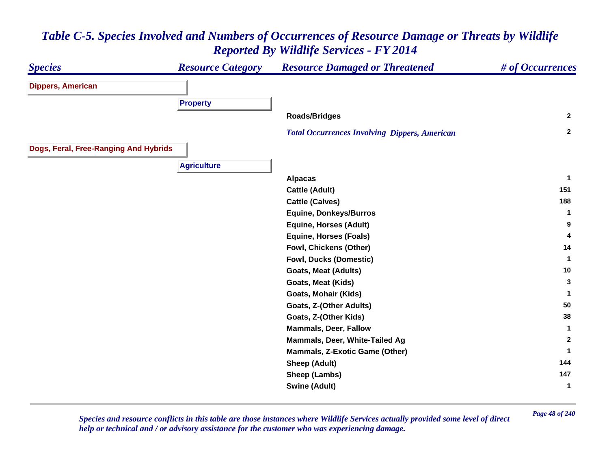### *Species Resource Category Resource Damaged or Threatened # of Occurrences* **Dippers, American Property Roads/Bridges <sup>2</sup>**  *Total Occurrences Involving Dippers, American* **<sup>2</sup> Dogs, Feral, Free-Ranging And Hybrids Agriculture Alpacas <sup>1</sup> Cattle (Adult) 151 Cattle (Calves) <sup>188</sup> Equine, Donkeys/Burros <sup>1</sup> Equine, Horses (Adult) <sup>9</sup> Equine, Horses (Foals) <sup>4</sup> Fowl, Chickens (Other) <sup>14</sup> Fowl, Ducks (Domestic) <sup>1</sup> Goats, Meat (Adults) <sup>10</sup> Goats, Meat (Kids) <sup>3</sup> Goats, Mohair (Kids) <sup>1</sup> Goats, Z-(Other Adults) <sup>50</sup> Goats, Z-(Other Kids) <sup>38</sup> Mammals, Deer, Fallow 1 Mammals, Deer, White-Tailed Ag <sup>2</sup> Mammals, Z-Exotic Game (Other) <sup>1</sup> Sheep (Adult) <sup>144</sup> Sheep (Lambs) <sup>147</sup> Swine (Adult) <sup>1</sup>**

# *Table C-5. Species Involved and Numbers of Occurrences of Resource Damage or Threats by Wildlife Reported By Wildlife Services - FY 2014*

*Page 48 of 240 Species and resource conflicts in this table are those instances where Wildlife Services actually provided some level of direct help or technical and / or advisory assistance for the customer who was experiencing damage.*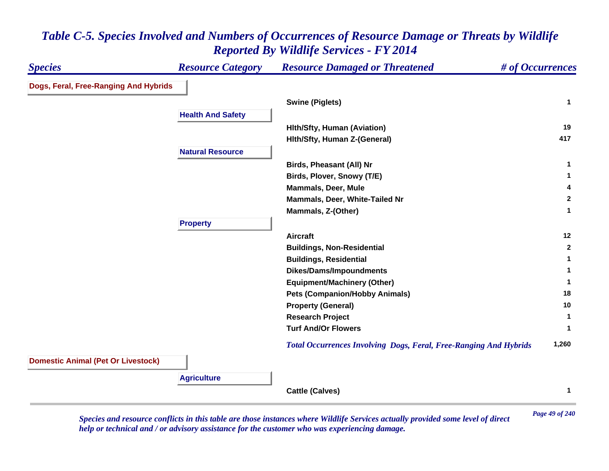| <b>Species</b>                            | <b>Resource Category</b> | <b>Resource Damaged or Threatened</b>                                    | # of Occurrences |
|-------------------------------------------|--------------------------|--------------------------------------------------------------------------|------------------|
| Dogs, Feral, Free-Ranging And Hybrids     |                          |                                                                          |                  |
|                                           |                          | <b>Swine (Piglets)</b>                                                   | $\mathbf{1}$     |
|                                           | <b>Health And Safety</b> |                                                                          |                  |
|                                           |                          | <b>Hith/Sfty, Human (Aviation)</b>                                       | 19               |
|                                           |                          | Hith/Sfty, Human Z-(General)                                             | 417              |
|                                           | <b>Natural Resource</b>  |                                                                          |                  |
|                                           |                          | <b>Birds, Pheasant (All) Nr</b>                                          | 1                |
|                                           |                          | Birds, Plover, Snowy (T/E)                                               | 1                |
|                                           |                          | <b>Mammals, Deer, Mule</b>                                               | 4                |
|                                           |                          | Mammals, Deer, White-Tailed Nr                                           | $\mathbf{2}$     |
|                                           |                          | Mammals, Z-(Other)                                                       | 1                |
|                                           | <b>Property</b>          |                                                                          |                  |
|                                           |                          | <b>Aircraft</b>                                                          | 12               |
|                                           |                          | <b>Buildings, Non-Residential</b>                                        | $\mathbf{2}$     |
|                                           |                          | <b>Buildings, Residential</b>                                            | 1                |
|                                           |                          | <b>Dikes/Dams/Impoundments</b>                                           |                  |
|                                           |                          | <b>Equipment/Machinery (Other)</b>                                       | 1                |
|                                           |                          | <b>Pets (Companion/Hobby Animals)</b>                                    | 18               |
|                                           |                          | <b>Property (General)</b>                                                | 10               |
|                                           |                          | <b>Research Project</b>                                                  | 1                |
|                                           |                          | <b>Turf And/Or Flowers</b>                                               |                  |
|                                           |                          | <b>Total Occurrences Involving Dogs, Feral, Free-Ranging And Hybrids</b> | 1,260            |
| <b>Domestic Animal (Pet Or Livestock)</b> |                          |                                                                          |                  |
|                                           | <b>Agriculture</b>       |                                                                          |                  |
|                                           |                          | <b>Cattle (Calves)</b>                                                   | 1                |

*Page 49 of 240 Species and resource conflicts in this table are those instances where Wildlife Services actually provided some level of direct help or technical and / or advisory assistance for the customer who was experiencing damage.*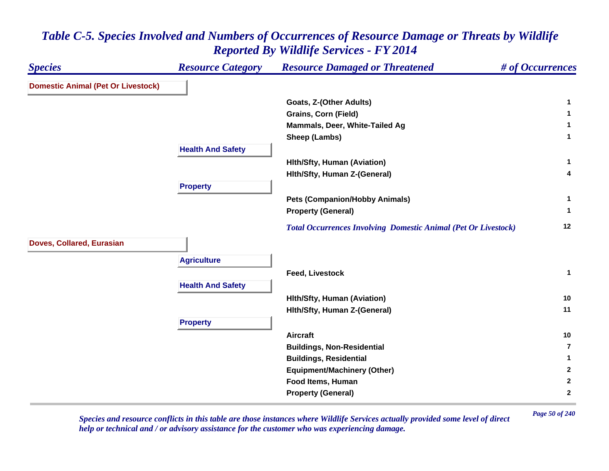| <b>Species</b>                            | <b>Resource Category</b> | <b>Resource Damaged or Threatened</b>                                 | # of Occurrences |
|-------------------------------------------|--------------------------|-----------------------------------------------------------------------|------------------|
| <b>Domestic Animal (Pet Or Livestock)</b> |                          |                                                                       |                  |
|                                           |                          | Goats, Z-(Other Adults)                                               | 1                |
|                                           |                          | <b>Grains, Corn (Field)</b>                                           | 1.               |
|                                           |                          | Mammals, Deer, White-Tailed Ag                                        | 1                |
|                                           |                          | Sheep (Lambs)                                                         | $\mathbf 1$      |
|                                           | <b>Health And Safety</b> |                                                                       |                  |
|                                           |                          | <b>Hith/Sfty, Human (Aviation)</b>                                    | $\mathbf{1}$     |
|                                           |                          | Hith/Sfty, Human Z-(General)                                          | 4                |
|                                           | <b>Property</b>          |                                                                       |                  |
|                                           |                          | <b>Pets (Companion/Hobby Animals)</b>                                 | $\mathbf{1}$     |
|                                           |                          | <b>Property (General)</b>                                             | $\mathbf 1$      |
|                                           |                          | <b>Total Occurrences Involving Domestic Animal (Pet Or Livestock)</b> | 12               |
| Doves, Collared, Eurasian                 |                          |                                                                       |                  |
|                                           | <b>Agriculture</b>       |                                                                       |                  |
|                                           |                          | <b>Feed, Livestock</b>                                                | $\mathbf{1}$     |
|                                           | <b>Health And Safety</b> |                                                                       |                  |
|                                           |                          | <b>Hith/Sfty, Human (Aviation)</b>                                    | 10               |
|                                           |                          | Hith/Sfty, Human Z-(General)                                          | 11               |
|                                           | <b>Property</b>          |                                                                       |                  |
|                                           |                          | <b>Aircraft</b>                                                       | 10               |
|                                           |                          | <b>Buildings, Non-Residential</b>                                     | $\overline{7}$   |
|                                           |                          | <b>Buildings, Residential</b>                                         | 1.               |
|                                           |                          | <b>Equipment/Machinery (Other)</b>                                    | $\mathbf{2}$     |
|                                           |                          | Food Items, Human                                                     | $\mathbf{2}$     |
|                                           |                          | <b>Property (General)</b>                                             | $\mathbf{2}$     |

*Page 50 of 240 Species and resource conflicts in this table are those instances where Wildlife Services actually provided some level of direct help or technical and / or advisory assistance for the customer who was experiencing damage.*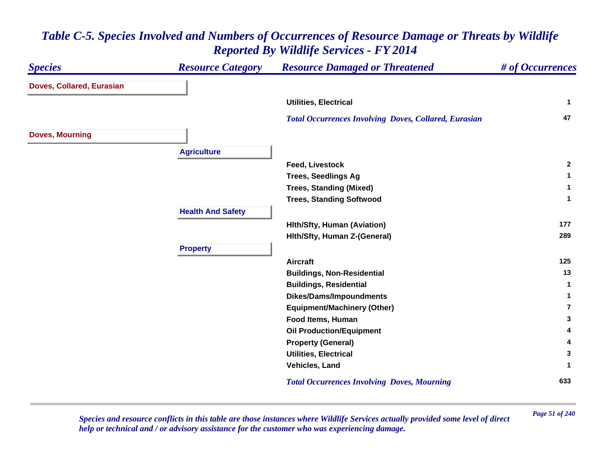| <b>Species</b>            | <b>Resource Category</b> | <b>Resource Damaged or Threatened</b>                        | # of Occurrences |
|---------------------------|--------------------------|--------------------------------------------------------------|------------------|
| Doves, Collared, Eurasian |                          |                                                              |                  |
|                           |                          | <b>Utilities, Electrical</b>                                 | $\mathbf{1}$     |
|                           |                          | <b>Total Occurrences Involving Doves, Collared, Eurasian</b> | 47               |
| <b>Doves, Mourning</b>    |                          |                                                              |                  |
|                           | <b>Agriculture</b>       |                                                              |                  |
|                           |                          | <b>Feed, Livestock</b>                                       | $\overline{2}$   |
|                           |                          | <b>Trees, Seedlings Ag</b>                                   | 1                |
|                           |                          | <b>Trees, Standing (Mixed)</b>                               | 1                |
|                           |                          | <b>Trees, Standing Softwood</b>                              | 1                |
|                           | <b>Health And Safety</b> |                                                              |                  |
|                           |                          | <b>Hith/Sfty, Human (Aviation)</b>                           | 177              |
|                           |                          | Hith/Sfty, Human Z-(General)                                 | 289              |
|                           | <b>Property</b>          |                                                              |                  |
|                           |                          | <b>Aircraft</b>                                              | 125              |
|                           |                          | <b>Buildings, Non-Residential</b>                            | 13               |
|                           |                          | <b>Buildings, Residential</b>                                | -1               |
|                           |                          | <b>Dikes/Dams/Impoundments</b>                               | 1                |
|                           |                          | <b>Equipment/Machinery (Other)</b>                           | 7                |
|                           |                          | Food Items, Human                                            | 3                |
|                           |                          | <b>Oil Production/Equipment</b>                              | 4                |
|                           |                          | <b>Property (General)</b>                                    | 4                |
|                           |                          | <b>Utilities, Electrical</b>                                 | 3                |
|                           |                          | Vehicles, Land                                               |                  |
|                           |                          | <b>Total Occurrences Involving Doves, Mourning</b>           | 633              |

*Page 51 of 240 Species and resource conflicts in this table are those instances where Wildlife Services actually provided some level of direct help or technical and / or advisory assistance for the customer who was experiencing damage.*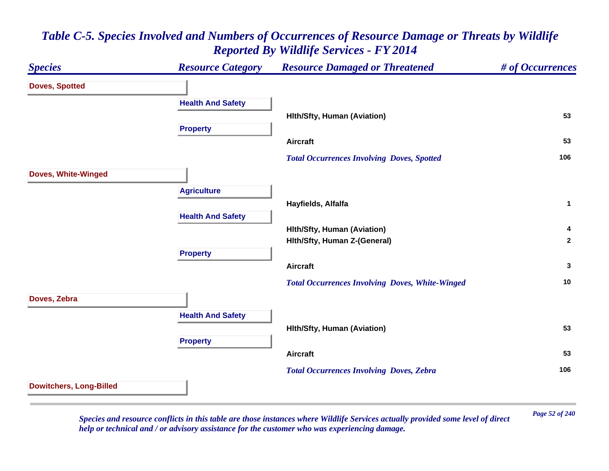### *Species Resource Category Resource Damaged or Threatened # of Occurrences* **Doves, Spotted Health And Safety Hlth/Sfty, Human (Aviation) <sup>53</sup> Property Aircraft 53**  *Total Occurrences Involving Doves, Spotted* **<sup>106</sup> Doves, White-Winged Agriculture Hayfields, Alfalfa <sup>1</sup> Health And Safety Hlth/Sfty, Human (Aviation) <sup>4</sup> Hlth/Sfty, Human Z-(General) <sup>2</sup> Property Aircraft 3**  *Total Occurrences Involving Doves, White-Winged* **<sup>10</sup> Doves, Zebra Health And Safety Hlth/Sfty, Human (Aviation) <sup>53</sup> Property Aircraft 53**  *Total Occurrences Involving Doves, Zebra* **<sup>106</sup> Dowitchers, Long-Billed**

### *Table C-5. Species Involved and Numbers of Occurrences of Resource Damage or Threats by Wildlife Reported By Wildlife Services - FY 2014*

*Page 52 of 240 Species and resource conflicts in this table are those instances where Wildlife Services actually provided some level of direct help or technical and / or advisory assistance for the customer who was experiencing damage.*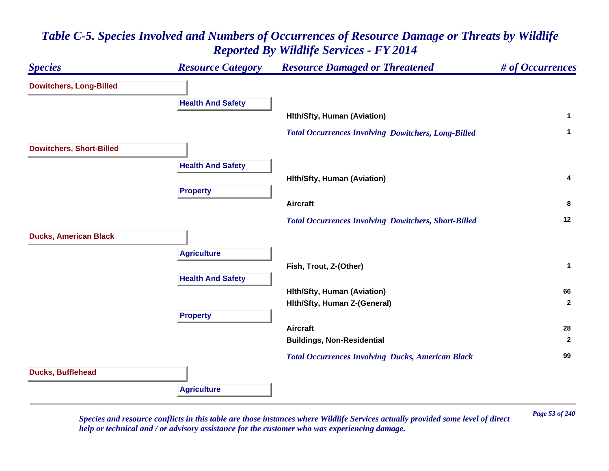

*Page 53 of 240 Species and resource conflicts in this table are those instances where Wildlife Services actually provided some level of direct help or technical and / or advisory assistance for the customer who was experiencing damage.*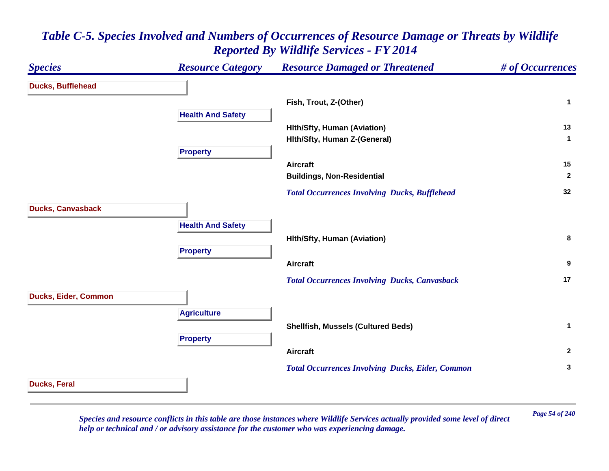### *Species Resource Category Resource Damaged or Threatened # of Occurrences* **Ducks, Bufflehead Fish, Trout, Z-(Other) <sup>1</sup> Health And Safety Hlth/Sfty, Human (Aviation) <sup>13</sup> Hlth/Sfty, Human Z-(General) <sup>1</sup> Property Aircraft 15 Buildings, Non-Residential <sup>2</sup>**  *Total Occurrences Involving Ducks, Bufflehead* **<sup>32</sup> Ducks, Canvasback Health And Safety Hlth/Sfty, Human (Aviation) <sup>8</sup> Property Aircraft 9**  *Total Occurrences Involving Ducks, Canvasback* **<sup>17</sup> Ducks, Eider, Common Agriculture Shellfish, Mussels (Cultured Beds) <sup>1</sup> Property Aircraft 2**  *Total Occurrences Involving Ducks, Eider, Common* **<sup>3</sup> Ducks, Feral**

### *Table C-5. Species Involved and Numbers of Occurrences of Resource Damage or Threats by Wildlife Reported By Wildlife Services - FY 2014*

*Page 54 of 240 Species and resource conflicts in this table are those instances where Wildlife Services actually provided some level of direct help or technical and / or advisory assistance for the customer who was experiencing damage.*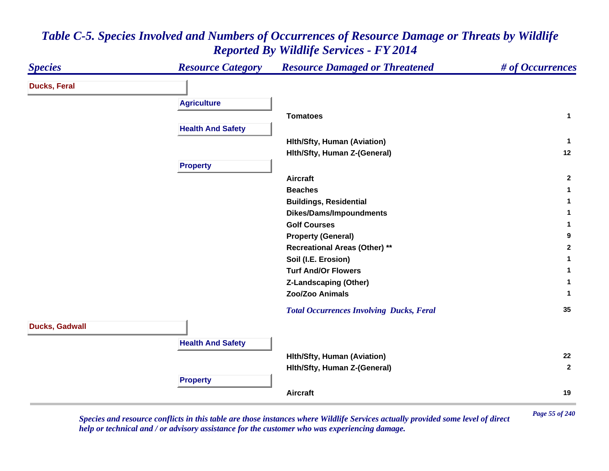#### *Species Resource Category Resource Damaged or Threatened # of Occurrences* **Ducks, Feral Agriculture Tomatoes 1 Health And Safety Hlth/Sfty, Human (Aviation) <sup>1</sup> Hlth/Sfty, Human Z-(General) <sup>12</sup> Property Aircraft 2 Beaches 1 Buildings, Residential <sup>1</sup> Dikes/Dams/Impoundments <sup>1</sup> Golf Courses 1 Property (General) <sup>9</sup> Recreational Areas (Other) \*\* <sup>2</sup> Soil (I.E. Erosion) <sup>1</sup> Turf And/Or Flowers 1 Z-Landscaping (Other) <sup>1</sup> Zoo/Zoo Animals 1**  *Total Occurrences Involving Ducks, Feral* **<sup>35</sup> Ducks, Gadwall Health And Safety Hlth/Sfty, Human (Aviation) <sup>22</sup> Hlth/Sfty, Human Z-(General) <sup>2</sup> Property Aircraft19**

### *Table C-5. Species Involved and Numbers of Occurrences of Resource Damage or Threats by Wildlife Reported By Wildlife Services - FY 2014*

*Page 55 of 240 Species and resource conflicts in this table are those instances where Wildlife Services actually provided some level of direct help or technical and / or advisory assistance for the customer who was experiencing damage.*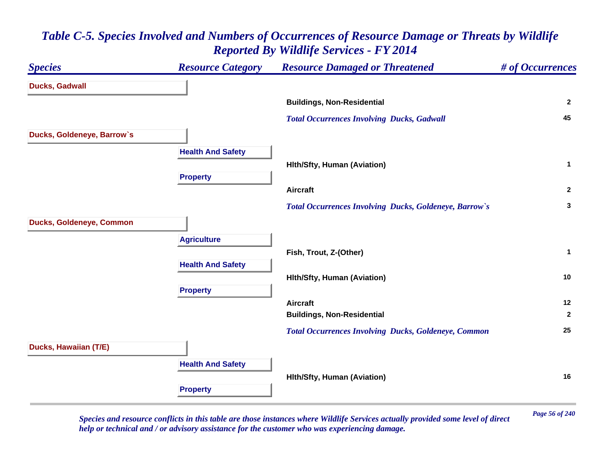## *Species Resource Category Resource Damaged or Threatened # of Occurrences* **Ducks, Gadwall Buildings, Non-Residential <sup>2</sup>**  *Total Occurrences Involving Ducks, Gadwall* **<sup>45</sup> Ducks, Goldeneye, Barrow`s Health And Safety Hlth/Sfty, Human (Aviation) <sup>1</sup> Property Aircraft 2**  *Total Occurrences Involving Ducks, Goldeneye, Barrow`s* **<sup>3</sup> Ducks, Goldeneye, Common Agriculture Fish, Trout, Z-(Other) <sup>1</sup> Health And Safety Hlth/Sfty, Human (Aviation) <sup>10</sup> Property Aircraft 12 Buildings, Non-Residential <sup>2</sup>**  *Total Occurrences Involving Ducks, Goldeneye, Common* **<sup>25</sup> Ducks, Hawaiian (T/E) Health And Safety Hlth/Sfty, Human (Aviation) <sup>16</sup> Property**

### *Table C-5. Species Involved and Numbers of Occurrences of Resource Damage or Threats by Wildlife Reported By Wildlife Services - FY 2014*

*Page 56 of 240 Species and resource conflicts in this table are those instances where Wildlife Services actually provided some level of direct help or technical and / or advisory assistance for the customer who was experiencing damage.*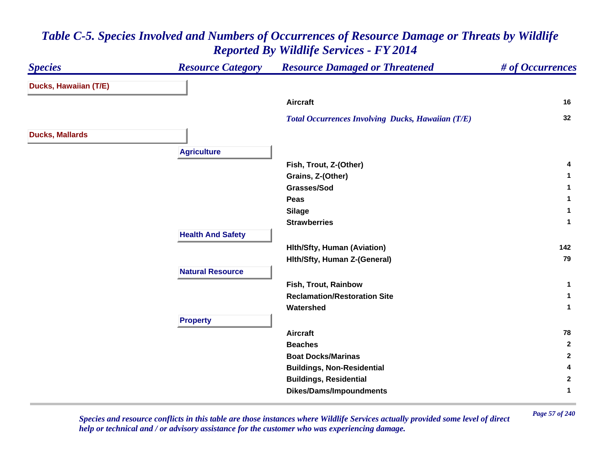#### *Species Resource Category Resource Damaged or Threatened # of Occurrences* **Ducks, Hawaiian (T/E) Aircraft 16**  *Total Occurrences Involving Ducks, Hawaiian (T/E)* **<sup>32</sup> Ducks, Mallards Agriculture Fish, Trout, Z-(Other) <sup>4</sup> Grains, Z-(Other) <sup>1</sup> Grasses/Sod 1 Peas 1 Silage <sup>1</sup> Strawberries 1 Health And Safety Hlth/Sfty, Human (Aviation) <sup>142</sup> Hlth/Sfty, Human Z-(General) <sup>79</sup> Natural ResourceFish, Trout, Rainbow 1 Reclamation/Restoration Site 1 Watershed 1 Property Aircraft 78 Beaches 2 Boat Docks/Marinas 2 Buildings, Non-Residential <sup>4</sup> Buildings, Residential <sup>2</sup> Dikes/Dams/Impoundments <sup>1</sup>**

### *Table C-5. Species Involved and Numbers of Occurrences of Resource Damage or Threats by Wildlife Reported By Wildlife Services - FY 2014*

*Page 57 of 240 Species and resource conflicts in this table are those instances where Wildlife Services actually provided some level of direct help or technical and / or advisory assistance for the customer who was experiencing damage.*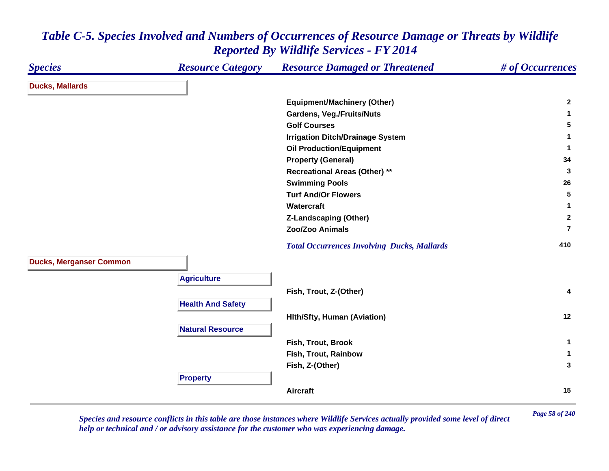#### *Species Resource Category Resource Damaged or Threatened # of Occurrences* **Ducks, Mallards Equipment/Machinery (Other) <sup>2</sup> Gardens, Veg./Fruits/Nuts <sup>1</sup> Golf Courses 5 Irrigation Ditch/Drainage System <sup>1</sup> Oil Production/Equipment <sup>1</sup> Property (General) <sup>34</sup> Recreational Areas (Other) \*\* <sup>3</sup> Swimming Pools <sup>26</sup> Turf And/Or Flowers 5 Watercraft 1 Z-Landscaping (Other) <sup>2</sup> Zoo/Zoo Animals7** *Total Occurrences Involving Ducks, Mallards* **<sup>410</sup> Ducks, Merganser Common Agriculture Fish, Trout, Z-(Other) <sup>4</sup> Health And Safety Hlth/Sfty, Human (Aviation) <sup>12</sup> Natural ResourceFish, Trout, Brook 1 Fish, Trout, Rainbow 1 Fish, Z-(Other) <sup>3</sup> Property Aircraft15**

### *Table C-5. Species Involved and Numbers of Occurrences of Resource Damage or Threats by Wildlife Reported By Wildlife Services - FY 2014*

*Page 58 of 240 Species and resource conflicts in this table are those instances where Wildlife Services actually provided some level of direct help or technical and / or advisory assistance for the customer who was experiencing damage.*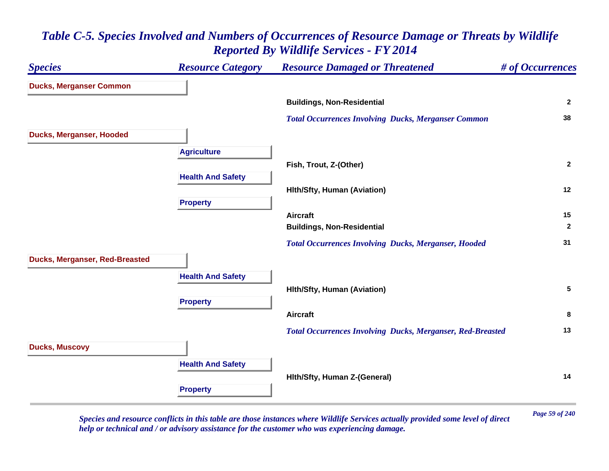# *Species Resource Category Resource Damaged or Threatened # of Occurrences* **Ducks, Merganser Common Buildings, Non-Residential <sup>2</sup>**  *Total Occurrences Involving Ducks, Merganser Common* **<sup>38</sup> Ducks, Merganser, Hooded Agriculture Fish, Trout, Z-(Other) <sup>2</sup> Health And Safety Hlth/Sfty, Human (Aviation) <sup>12</sup> Property Aircraft 15 Buildings, Non-Residential <sup>2</sup>**  *Total Occurrences Involving Ducks, Merganser, Hooded* **<sup>31</sup> Ducks, Merganser, Red-Breasted Health And Safety Hlth/Sfty, Human (Aviation) <sup>5</sup> Property Aircraft 8**  *Total Occurrences Involving Ducks, Merganser, Red-Breasted* **<sup>13</sup> Ducks, Muscovy Health And Safety Hlth/Sfty, Human Z-(General) <sup>14</sup> Property**

### *Table C-5. Species Involved and Numbers of Occurrences of Resource Damage or Threats by Wildlife Reported By Wildlife Services - FY 2014*

*Page 59 of 240 Species and resource conflicts in this table are those instances where Wildlife Services actually provided some level of direct help or technical and / or advisory assistance for the customer who was experiencing damage.*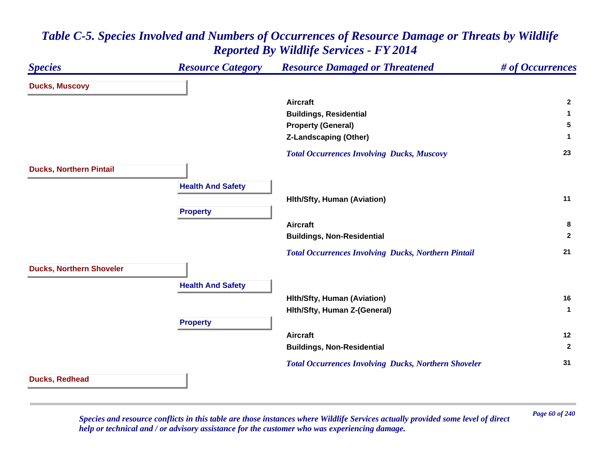| <b>Species</b>                  | <b>Resource Category</b> | <b>Resource Damaged or Threatened</b>                       | # of Occurrences |
|---------------------------------|--------------------------|-------------------------------------------------------------|------------------|
| <b>Ducks, Muscovy</b>           |                          |                                                             |                  |
|                                 |                          | <b>Aircraft</b>                                             | $\mathbf{2}$     |
|                                 |                          | <b>Buildings, Residential</b>                               | 1                |
|                                 |                          | <b>Property (General)</b>                                   | 5                |
|                                 |                          | <b>Z-Landscaping (Other)</b>                                | 1                |
|                                 |                          | <b>Total Occurrences Involving Ducks, Muscovy</b>           | 23               |
| <b>Ducks, Northern Pintail</b>  |                          |                                                             |                  |
|                                 | <b>Health And Safety</b> |                                                             |                  |
|                                 |                          | <b>Hith/Sfty, Human (Aviation)</b>                          | 11               |
|                                 | <b>Property</b>          |                                                             |                  |
|                                 |                          | <b>Aircraft</b>                                             | 8                |
|                                 |                          | <b>Buildings, Non-Residential</b>                           | $\mathbf{2}$     |
|                                 |                          | <b>Total Occurrences Involving Ducks, Northern Pintail</b>  | 21               |
| <b>Ducks, Northern Shoveler</b> |                          |                                                             |                  |
|                                 | <b>Health And Safety</b> |                                                             |                  |
|                                 |                          | <b>Hith/Sfty, Human (Aviation)</b>                          | 16               |
|                                 |                          | Hith/Sfty, Human Z-(General)                                | $\mathbf{1}$     |
|                                 | <b>Property</b>          |                                                             |                  |
|                                 |                          | <b>Aircraft</b>                                             | 12               |
|                                 |                          | <b>Buildings, Non-Residential</b>                           | $\mathbf{2}$     |
|                                 |                          | <b>Total Occurrences Involving Ducks, Northern Shoveler</b> | 31               |
| Ducks, Redhead                  |                          |                                                             |                  |

*Page 60 of 240 Species and resource conflicts in this table are those instances where Wildlife Services actually provided some level of direct help or technical and / or advisory assistance for the customer who was experiencing damage.*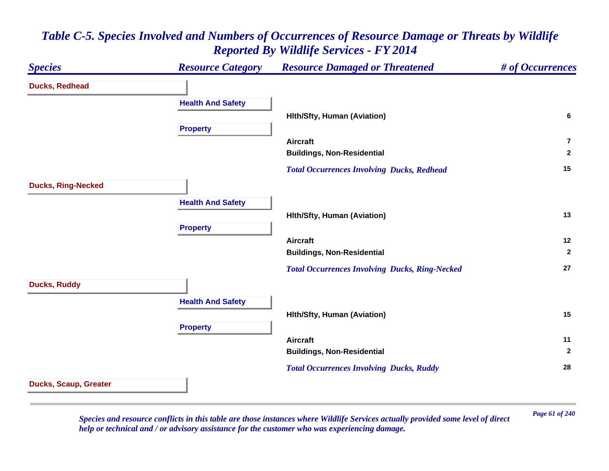### *Species Resource Category Resource Damaged or Threatened # of Occurrences* **Ducks, Redhead Health And Safety Hlth/Sfty, Human (Aviation) <sup>6</sup> Property Aircraft7Buildings, Non-Residential <sup>2</sup>**  *Total Occurrences Involving Ducks, Redhead* **<sup>15</sup> Ducks, Ring-Necked Health And Safety Hlth/Sfty, Human (Aviation) <sup>13</sup> Property Aircraft 12 Buildings, Non-Residential <sup>2</sup>**  *Total Occurrences Involving Ducks, Ring-Necked* **<sup>27</sup> Ducks, Ruddy Health And Safety Hlth/Sfty, Human (Aviation) <sup>15</sup> Property Aircraft 11 Buildings, Non-Residential <sup>2</sup>**  *Total Occurrences Involving Ducks, Ruddy* **<sup>28</sup> Ducks, Scaup, Greater**

### *Table C-5. Species Involved and Numbers of Occurrences of Resource Damage or Threats by Wildlife Reported By Wildlife Services - FY 2014*

*Page 61 of 240 Species and resource conflicts in this table are those instances where Wildlife Services actually provided some level of direct help or technical and / or advisory assistance for the customer who was experiencing damage.*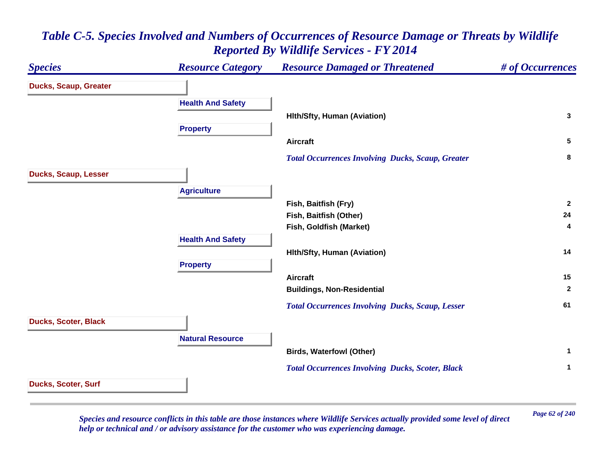### *Species Resource Category Resource Damaged or Threatened # of Occurrences* **Ducks, Scaup, Greater Health And Safety Hlth/Sfty, Human (Aviation) <sup>3</sup> Property Aircraft 5**  *Total Occurrences Involving Ducks, Scaup, Greater* **<sup>8</sup> Ducks, Scaup, Lesser Agriculture Fish, Baitfish (Fry) <sup>2</sup> Fish, Baitfish (Other) <sup>24</sup> Fish, Goldfish (Market) <sup>4</sup> Health And Safety Hlth/Sfty, Human (Aviation) <sup>14</sup> Property Aircraft 15 Buildings, Non-Residential <sup>2</sup>**  *Total Occurrences Involving Ducks, Scaup, Lesser* **<sup>61</sup> Ducks, Scoter, Black Natural ResourceBirds, Waterfowl (Other) <sup>1</sup>**  *Total Occurrences Involving Ducks, Scoter, Black* **<sup>1</sup> Ducks, Scoter, Surf**

### *Table C-5. Species Involved and Numbers of Occurrences of Resource Damage or Threats by Wildlife Reported By Wildlife Services - FY 2014*

*Page 62 of 240 Species and resource conflicts in this table are those instances where Wildlife Services actually provided some level of direct help or technical and / or advisory assistance for the customer who was experiencing damage.*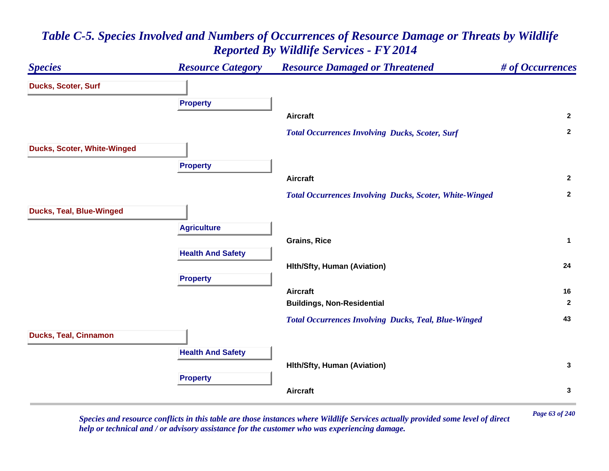#### *Species Resource Category Resource Damaged or Threatened # of Occurrences* **Ducks, Scoter, Surf Property Aircraft 2**  *Total Occurrences Involving Ducks, Scoter, Surf* **<sup>2</sup> Ducks, Scoter, White-Winged Property Aircraft 2**  *Total Occurrences Involving Ducks, Scoter, White-Winged* **<sup>2</sup> Ducks, Teal, Blue-Winged Agriculture Grains, Rice 1 Health And Safety Hlth/Sfty, Human (Aviation) <sup>24</sup> Property Aircraft 16 Buildings, Non-Residential <sup>2</sup>**  *Total Occurrences Involving Ducks, Teal, Blue-Winged* **<sup>43</sup> Ducks, Teal, Cinnamon Health And Safety Hlth/Sfty, Human (Aviation) <sup>3</sup> Property Aircraft3**

## *Table C-5. Species Involved and Numbers of Occurrences of Resource Damage or Threats by Wildlife Reported By Wildlife Services - FY 2014*

*Page 63 of 240 Species and resource conflicts in this table are those instances where Wildlife Services actually provided some level of direct help or technical and / or advisory assistance for the customer who was experiencing damage.*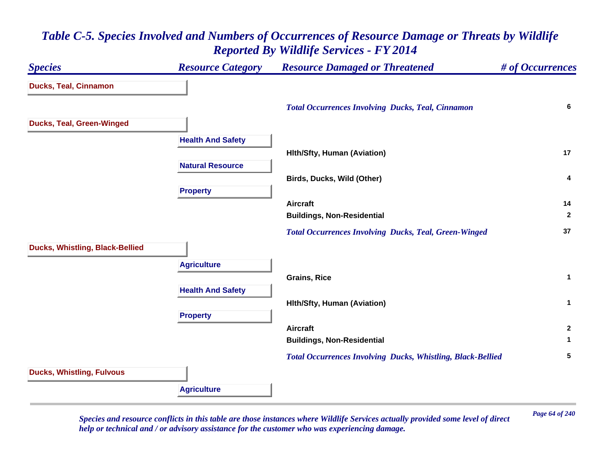# *Species Resource Category Resource Damaged or Threatened # of Occurrences* **Ducks, Teal, Cinnamon**  *Total Occurrences Involving Ducks, Teal, Cinnamon* **<sup>6</sup> Ducks, Teal, Green-Winged Health And Safety Hlth/Sfty, Human (Aviation) <sup>17</sup> Natural ResourceBirds, Ducks, Wild (Other) <sup>4</sup> Property Aircraft 14 Buildings, Non-Residential <sup>2</sup>**  *Total Occurrences Involving Ducks, Teal, Green-Winged* **<sup>37</sup> Ducks, Whistling, Black-Bellied Agriculture Grains, Rice 1 Health And Safety Hlth/Sfty, Human (Aviation) <sup>1</sup> Property Aircraft 2 Buildings, Non-Residential <sup>1</sup>**  *Total Occurrences Involving Ducks, Whistling, Black-Bellied* **<sup>5</sup> Ducks, Whistling, Fulvous Agriculture**

### *Table C-5. Species Involved and Numbers of Occurrences of Resource Damage or Threats by Wildlife Reported By Wildlife Services - FY 2014*

*Page 64 of 240 Species and resource conflicts in this table are those instances where Wildlife Services actually provided some level of direct help or technical and / or advisory assistance for the customer who was experiencing damage.*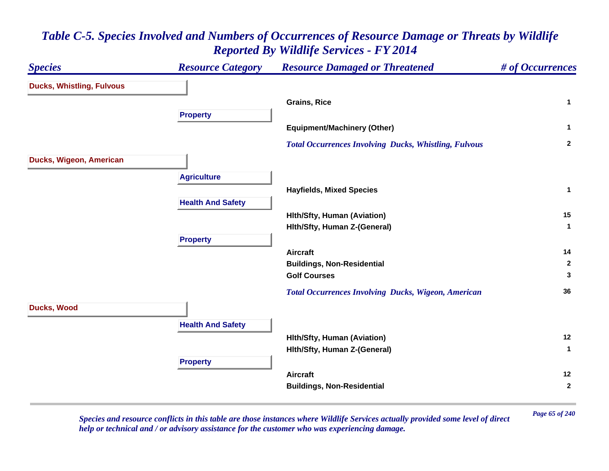#### *Species Resource Category Resource Damaged or Threatened # of Occurrences* **Ducks, Whistling, Fulvous Grains, Rice 1 Property Equipment/Machinery (Other) <sup>1</sup>**  *Total Occurrences Involving Ducks, Whistling, Fulvous* **<sup>2</sup> Ducks, Wigeon, American Agriculture Hayfields, Mixed Species <sup>1</sup> Health And Safety Hlth/Sfty, Human (Aviation) <sup>15</sup> Hlth/Sfty, Human Z-(General) <sup>1</sup> Property Aircraft 14 Buildings, Non-Residential <sup>2</sup> Golf Courses 3**  *Total Occurrences Involving Ducks, Wigeon, American* **<sup>36</sup> Ducks, Wood Health And Safety Hlth/Sfty, Human (Aviation) <sup>12</sup> Hlth/Sfty, Human Z-(General) <sup>1</sup> Property Aircraft 12 Buildings, Non-Residential <sup>2</sup>**

# *Table C-5. Species Involved and Numbers of Occurrences of Resource Damage or Threats by Wildlife Reported By Wildlife Services - FY 2014*

*Page 65 of 240 Species and resource conflicts in this table are those instances where Wildlife Services actually provided some level of direct help or technical and / or advisory assistance for the customer who was experiencing damage.*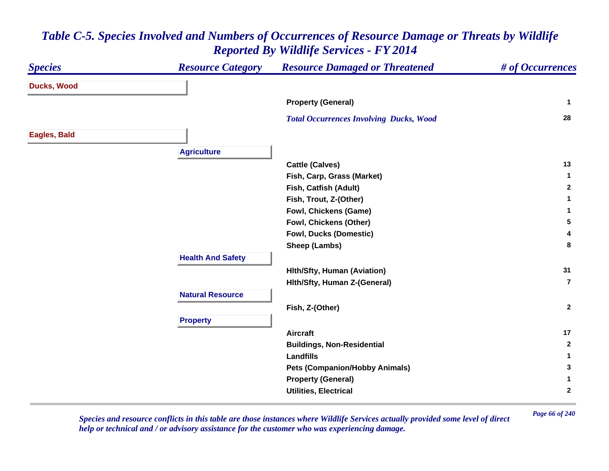| <b>Species</b>     | <b>Resource Category</b> | <b>Resource Damaged or Threatened</b>          | # of Occurrences |
|--------------------|--------------------------|------------------------------------------------|------------------|
| <b>Ducks, Wood</b> |                          |                                                |                  |
|                    |                          | <b>Property (General)</b>                      | $\mathbf{1}$     |
|                    |                          | <b>Total Occurrences Involving Ducks, Wood</b> | 28               |
| Eagles, Bald       |                          |                                                |                  |
|                    | <b>Agriculture</b>       |                                                |                  |
|                    |                          | <b>Cattle (Calves)</b>                         | 13               |
|                    |                          | Fish, Carp, Grass (Market)                     | -1               |
|                    |                          | Fish, Catfish (Adult)                          | $\mathbf{2}$     |
|                    |                          | Fish, Trout, Z-(Other)                         | 1                |
|                    |                          | Fowl, Chickens (Game)                          | 1                |
|                    |                          | Fowl, Chickens (Other)                         | 5                |
|                    |                          | <b>Fowl, Ducks (Domestic)</b>                  | 4                |
|                    |                          | Sheep (Lambs)                                  | 8                |
|                    | <b>Health And Safety</b> |                                                |                  |
|                    |                          | <b>Hith/Sfty, Human (Aviation)</b>             | 31               |
|                    |                          | Hith/Sfty, Human Z-(General)                   | $\overline{7}$   |
|                    | <b>Natural Resource</b>  |                                                |                  |
|                    |                          | Fish, Z-(Other)                                | $\mathbf{2}$     |
|                    | <b>Property</b>          |                                                |                  |
|                    |                          | <b>Aircraft</b>                                | 17               |
|                    |                          | <b>Buildings, Non-Residential</b>              | $\mathbf{2}$     |
|                    |                          | <b>Landfills</b>                               | 1                |
|                    |                          | <b>Pets (Companion/Hobby Animals)</b>          | 3                |
|                    |                          | <b>Property (General)</b>                      | 1                |
|                    |                          | <b>Utilities, Electrical</b>                   | $\mathbf 2$      |

*Page 66 of 240 Species and resource conflicts in this table are those instances where Wildlife Services actually provided some level of direct help or technical and / or advisory assistance for the customer who was experiencing damage.*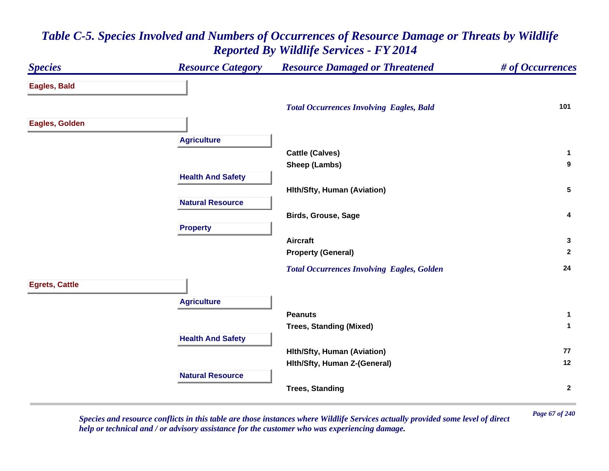### *Species Resource Category Resource Damaged or Threatened # of Occurrences* **Eagles, Bald**  *Total Occurrences Involving Eagles, Bald* **<sup>101</sup> Eagles, Golden Agriculture Cattle (Calves) <sup>1</sup> Sheep (Lambs) <sup>9</sup> Health And Safety Hlth/Sfty, Human (Aviation) <sup>5</sup> Natural ResourceBirds, Grouse, Sage <sup>4</sup> Property Aircraft 3 Property (General) <sup>2</sup>**  *Total Occurrences Involving Eagles, Golden* **<sup>24</sup> Egrets, Cattle Agriculture Peanuts 1 Trees, Standing (Mixed) <sup>1</sup> Health And Safety Hlth/Sfty, Human (Aviation) <sup>77</sup> Hlth/Sfty, Human Z-(General) <sup>12</sup> Natural ResourceTrees, Standing <sup>2</sup>**

# *Table C-5. Species Involved and Numbers of Occurrences of Resource Damage or Threats by Wildlife Reported By Wildlife Services - FY 2014*

*Page 67 of 240 Species and resource conflicts in this table are those instances where Wildlife Services actually provided some level of direct help or technical and / or advisory assistance for the customer who was experiencing damage.*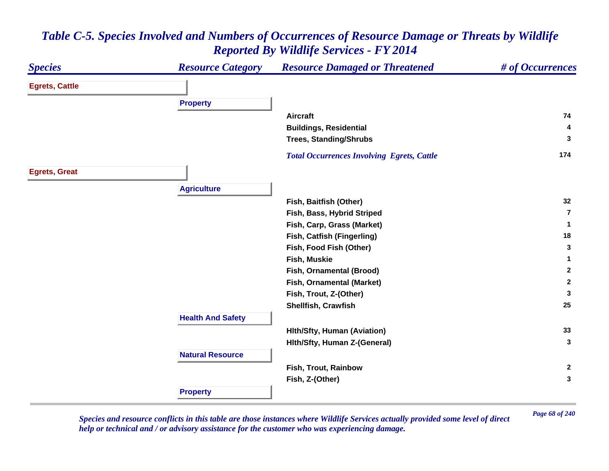#### *Species Resource Category Resource Damaged or Threatened # of Occurrences* **Egrets, Cattle Property Aircraft 74 Buildings, Residential <sup>4</sup> Trees, Standing/Shrubs <sup>3</sup>**  *Total Occurrences Involving Egrets, Cattle* **<sup>174</sup> Egrets, Great Agriculture Fish, Baitfish (Other) <sup>32</sup> Fish, Bass, Hybrid Striped 7Fish, Carp, Grass (Market) <sup>1</sup> Fish, Catfish (Fingerling) <sup>18</sup> Fish, Food Fish (Other) <sup>3</sup> Fish, Muskie 1 Fish, Ornamental (Brood) <sup>2</sup> Fish, Ornamental (Market) <sup>2</sup> Fish, Trout, Z-(Other) <sup>3</sup> Shellfish, Crawfish 25 Health And Safety Hlth/Sfty, Human (Aviation) <sup>33</sup> Hlth/Sfty, Human Z-(General) <sup>3</sup> Natural ResourceFish, Trout, Rainbow 2 Fish, Z-(Other) <sup>3</sup> Property**

### *Table C-5. Species Involved and Numbers of Occurrences of Resource Damage or Threats by Wildlife Reported By Wildlife Services - FY 2014*

*Page 68 of 240 Species and resource conflicts in this table are those instances where Wildlife Services actually provided some level of direct help or technical and / or advisory assistance for the customer who was experiencing damage.*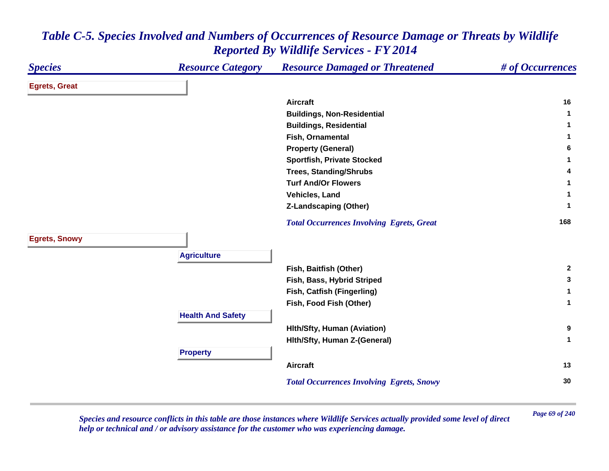| <b>Species</b>       | <b>Resource Category</b> | <b>Resource Damaged or Threatened</b>            | # of Occurrences |
|----------------------|--------------------------|--------------------------------------------------|------------------|
| <b>Egrets, Great</b> |                          |                                                  |                  |
|                      |                          | <b>Aircraft</b>                                  | 16               |
|                      |                          | <b>Buildings, Non-Residential</b>                | 1                |
|                      |                          | <b>Buildings, Residential</b>                    | 1                |
|                      |                          | Fish, Ornamental                                 | 1.               |
|                      |                          | <b>Property (General)</b>                        | 6                |
|                      |                          | <b>Sportfish, Private Stocked</b>                | 1                |
|                      |                          | <b>Trees, Standing/Shrubs</b>                    | 4                |
|                      |                          | <b>Turf And/Or Flowers</b>                       | 1                |
|                      |                          | Vehicles, Land                                   | 1                |
|                      |                          | <b>Z-Landscaping (Other)</b>                     | 1                |
|                      |                          | <b>Total Occurrences Involving Egrets, Great</b> | 168              |
| <b>Egrets, Snowy</b> |                          |                                                  |                  |
|                      | <b>Agriculture</b>       |                                                  |                  |
|                      |                          | Fish, Baitfish (Other)                           | $\mathbf{2}$     |
|                      |                          | Fish, Bass, Hybrid Striped                       | 3                |
|                      |                          | Fish, Catfish (Fingerling)                       | 1                |
|                      |                          | Fish, Food Fish (Other)                          | $\mathbf 1$      |
|                      | <b>Health And Safety</b> |                                                  |                  |
|                      |                          | Hith/Sfty, Human (Aviation)                      | $\bf{9}$         |
|                      |                          | Hith/Sfty, Human Z-(General)                     | $\mathbf{1}$     |
|                      | <b>Property</b>          |                                                  |                  |
|                      |                          | <b>Aircraft</b>                                  | 13               |
|                      |                          | <b>Total Occurrences Involving Egrets, Snowy</b> | 30               |

*Page 69 of 240 Species and resource conflicts in this table are those instances where Wildlife Services actually provided some level of direct help or technical and / or advisory assistance for the customer who was experiencing damage.*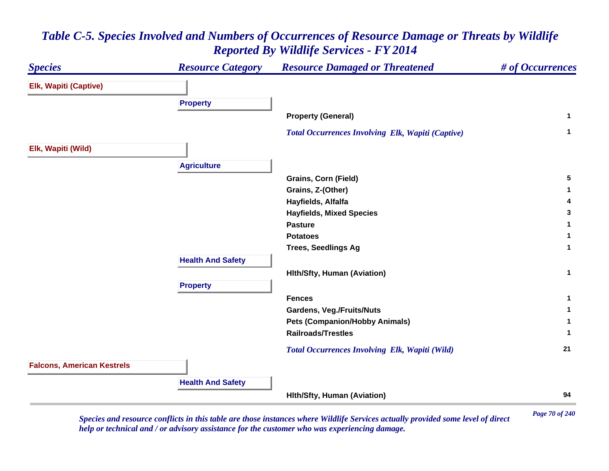#### *Species Resource Category Resource Damaged or Threatened # of Occurrences* **Elk, Wapiti (Captive) Property Property (General) <sup>1</sup>**  *Total Occurrences Involving Elk, Wapiti (Captive)* **<sup>1</sup> Elk, Wapiti (Wild) Agriculture Grains, Corn (Field) <sup>5</sup> Grains, Z-(Other) <sup>1</sup> Hayfields, Alfalfa <sup>4</sup> Hayfields, Mixed Species <sup>3</sup> Pasture 1 Potatoes 1 Trees, Seedlings Ag <sup>1</sup> Health And Safety Hlth/Sfty, Human (Aviation) <sup>1</sup> Property Fences 1 Gardens, Veg./Fruits/Nuts <sup>1</sup> Pets (Companion/Hobby Animals) <sup>1</sup> Railroads/Trestles 1**  *Total Occurrences Involving Elk, Wapiti (Wild)* **<sup>21</sup> Falcons, American Kestrels Health And Safety Hlth/Sfty, Human (Aviation) <sup>94</sup>**

# *Table C-5. Species Involved and Numbers of Occurrences of Resource Damage or Threats by Wildlife Reported By Wildlife Services - FY 2014*

*Page 70 of 240 Species and resource conflicts in this table are those instances where Wildlife Services actually provided some level of direct help or technical and / or advisory assistance for the customer who was experiencing damage.*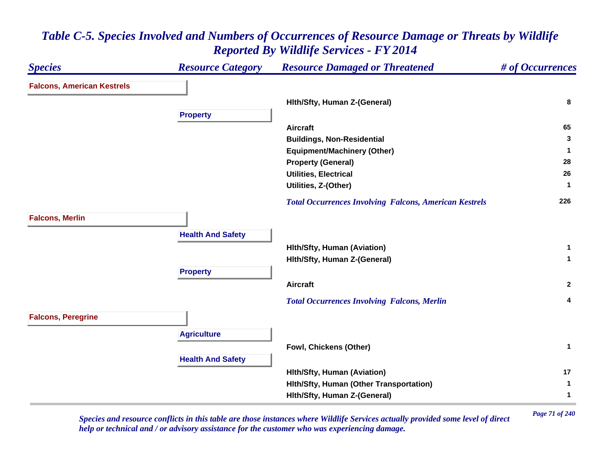### *Species Resource Category Resource Damaged or Threatened # of Occurrences* **Falcons, American Kestrels Hlth/Sfty, Human Z-(General) <sup>8</sup> Property Aircraft 65 Buildings, Non-Residential <sup>3</sup> Equipment/Machinery (Other) <sup>1</sup> Property (General) <sup>28</sup> Utilities, Electrical 26 Utilities, Z-(Other) <sup>1</sup>**  *Total Occurrences Involving Falcons, American Kestrels* **<sup>226</sup> Falcons, Merlin Health And Safety Hlth/Sfty, Human (Aviation) <sup>1</sup> Hlth/Sfty, Human Z-(General) <sup>1</sup> Property Aircraft 2**  *Total Occurrences Involving Falcons, Merlin* **<sup>4</sup> Falcons, Peregrine Agriculture Fowl, Chickens (Other) <sup>1</sup> Health And Safety Hlth/Sfty, Human (Aviation) <sup>17</sup> Hlth/Sfty, Human (Other Transportation) <sup>1</sup> Hlth/Sfty, Human Z-(General) <sup>1</sup>**

### *Table C-5. Species Involved and Numbers of Occurrences of Resource Damage or Threats by Wildlife Reported By Wildlife Services - FY 2014*

*Page 71 of 240 Species and resource conflicts in this table are those instances where Wildlife Services actually provided some level of direct help or technical and / or advisory assistance for the customer who was experiencing damage.*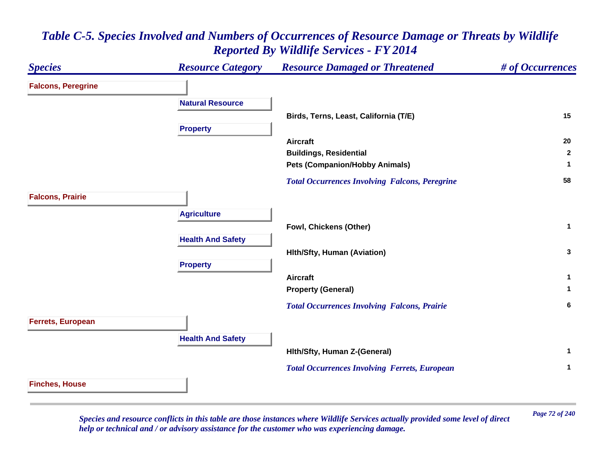### *Species Resource Category Resource Damaged or Threatened # of Occurrences* **Falcons, Peregrine Natural ResourceBirds, Terns, Least, California (T/E) <sup>15</sup> Property Aircraft 20 Buildings, Residential <sup>2</sup> Pets (Companion/Hobby Animals) <sup>1</sup>**  *Total Occurrences Involving Falcons, Peregrine* **<sup>58</sup> Falcons, Prairie Agriculture Fowl, Chickens (Other) <sup>1</sup> Health And Safety Hlth/Sfty, Human (Aviation) <sup>3</sup> Property Aircraft 1 Property (General) <sup>1</sup>**  *Total Occurrences Involving Falcons, Prairie* **<sup>6</sup> Ferrets, European Health And Safety Hlth/Sfty, Human Z-(General) <sup>1</sup>**  *Total Occurrences Involving Ferrets, European* **<sup>1</sup> Finches, House**

### *Table C-5. Species Involved and Numbers of Occurrences of Resource Damage or Threats by Wildlife Reported By Wildlife Services - FY 2014*

*Page 72 of 240 Species and resource conflicts in this table are those instances where Wildlife Services actually provided some level of direct help or technical and / or advisory assistance for the customer who was experiencing damage.*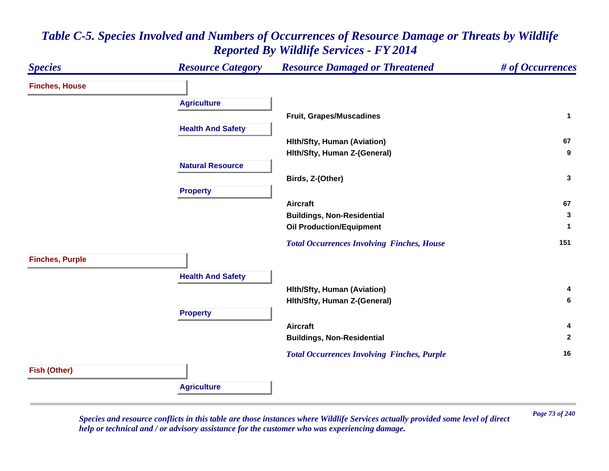#### *Species Resource Category Resource Damaged or Threatened # of Occurrences* **Finches, House Agriculture Fruit, Grapes/Muscadines <sup>1</sup> Health And Safety Hlth/Sfty, Human (Aviation) <sup>67</sup> Hlth/Sfty, Human Z-(General) <sup>9</sup> Natural ResourceBirds, Z-(Other) <sup>3</sup> Property Aircraft 67 Buildings, Non-Residential <sup>3</sup> Oil Production/Equipment <sup>1</sup>**  *Total Occurrences Involving Finches, House* **<sup>151</sup> Finches, Purple Health And Safety Hlth/Sfty, Human (Aviation) <sup>4</sup> Hlth/Sfty, Human Z-(General) <sup>6</sup> Property Aircraft 4 Buildings, Non-Residential <sup>2</sup>**  *Total Occurrences Involving Finches, Purple* **<sup>16</sup> Fish (Other) Agriculture**

#### *Table C-5. Species Involved and Numbers of Occurrences of Resource Damage or Threats by Wildlife Reported By Wildlife Services - FY 2014*

*Page 73 of 240 Species and resource conflicts in this table are those instances where Wildlife Services actually provided some level of direct help or technical and / or advisory assistance for the customer who was experiencing damage.*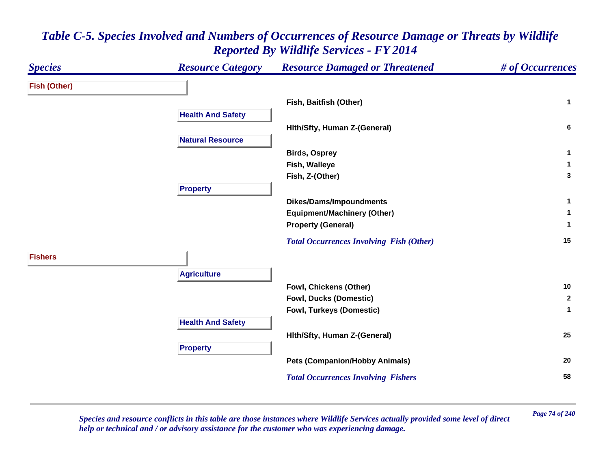

*Page 74 of 240 Species and resource conflicts in this table are those instances where Wildlife Services actually provided some level of direct help or technical and / or advisory assistance for the customer who was experiencing damage.*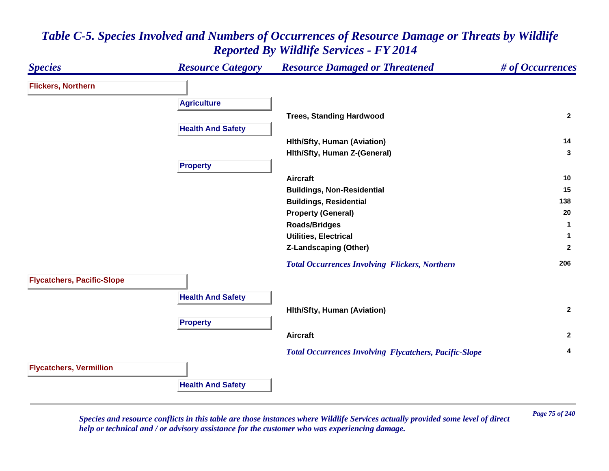#### *Species Resource Category Resource Damaged or Threatened # of Occurrences* **Flickers, Northern Agriculture Trees, Standing Hardwood <sup>2</sup> Health And Safety Hlth/Sfty, Human (Aviation) <sup>14</sup> Hlth/Sfty, Human Z-(General) <sup>3</sup> Property Aircraft 10 Buildings, Non-Residential <sup>15</sup> Buildings, Residential <sup>138</sup> Property (General) <sup>20</sup> Roads/Bridges <sup>1</sup> Utilities, Electrical 1 Z-Landscaping (Other) <sup>2</sup>**  *Total Occurrences Involving Flickers, Northern* **<sup>206</sup> Flycatchers, Pacific-Slope Health And Safety Hlth/Sfty, Human (Aviation) <sup>2</sup> Property Aircraft 2**  *Total Occurrences Involving Flycatchers, Pacific-Slope* **<sup>4</sup> Flycatchers, Vermillion Health And Safety**

#### *Table C-5. Species Involved and Numbers of Occurrences of Resource Damage or Threats by Wildlife Reported By Wildlife Services - FY 2014*

*Page 75 of 240 Species and resource conflicts in this table are those instances where Wildlife Services actually provided some level of direct help or technical and / or advisory assistance for the customer who was experiencing damage.*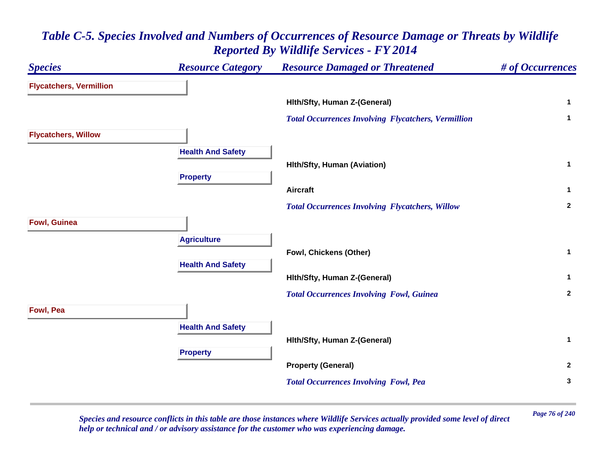| <b>Species</b>                 | <b>Resource Category</b> | <b>Resource Damaged or Threatened</b>                      | # of Occurrences |
|--------------------------------|--------------------------|------------------------------------------------------------|------------------|
| <b>Flycatchers, Vermillion</b> |                          |                                                            |                  |
|                                |                          | Hith/Sfty, Human Z-(General)                               | $\mathbf{1}$     |
|                                |                          | <b>Total Occurrences Involving Flycatchers, Vermillion</b> | $\mathbf{1}$     |
| <b>Flycatchers, Willow</b>     |                          |                                                            |                  |
|                                | <b>Health And Safety</b> |                                                            |                  |
|                                |                          | <b>Hith/Sfty, Human (Aviation)</b>                         | $\mathbf 1$      |
|                                | <b>Property</b>          | <b>Aircraft</b>                                            | $\mathbf{1}$     |
|                                |                          | <b>Total Occurrences Involving Flycatchers, Willow</b>     | $\mathbf{2}$     |
| <b>Fowl, Guinea</b>            |                          |                                                            |                  |
|                                | <b>Agriculture</b>       |                                                            |                  |
|                                |                          | Fowl, Chickens (Other)                                     | $\mathbf 1$      |
|                                | <b>Health And Safety</b> |                                                            |                  |
|                                |                          | Hith/Sfty, Human Z-(General)                               | $\mathbf{1}$     |
|                                |                          | <b>Total Occurrences Involving Fowl, Guinea</b>            | $\overline{2}$   |
| Fowl, Pea                      |                          |                                                            |                  |
|                                | <b>Health And Safety</b> |                                                            |                  |
|                                |                          | Hith/Sfty, Human Z-(General)                               | $\mathbf{1}$     |
|                                | <b>Property</b>          |                                                            |                  |
|                                |                          | <b>Property (General)</b>                                  | $\overline{2}$   |
|                                |                          | <b>Total Occurrences Involving Fowl, Pea</b>               | $\mathbf{3}$     |

*Page 76 of 240 Species and resource conflicts in this table are those instances where Wildlife Services actually provided some level of direct help or technical and / or advisory assistance for the customer who was experiencing damage.*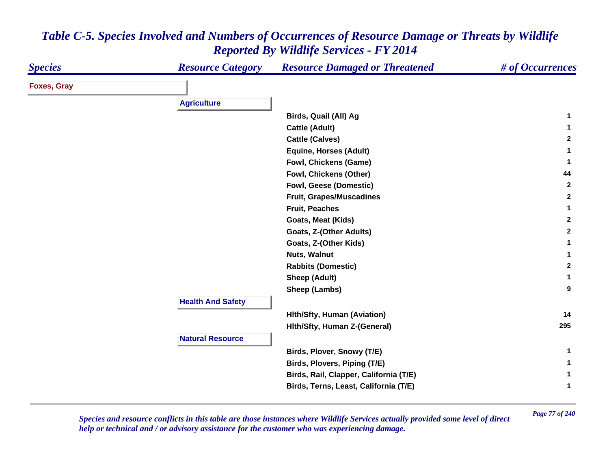| <b>Species</b>     | <b>Resource Category</b> | <b>Resource Damaged or Threatened</b>  | # of Occurrences |
|--------------------|--------------------------|----------------------------------------|------------------|
| <b>Foxes, Gray</b> |                          |                                        |                  |
|                    | <b>Agriculture</b>       |                                        |                  |
|                    |                          |                                        |                  |
|                    |                          | Birds, Quail (All) Ag                  | 1                |
|                    |                          | <b>Cattle (Adult)</b>                  | 1.               |
|                    |                          | <b>Cattle (Calves)</b>                 | $\mathbf{2}$     |
|                    |                          | <b>Equine, Horses (Adult)</b>          | 1                |
|                    |                          | Fowl, Chickens (Game)                  | $\mathbf{1}$     |
|                    |                          | Fowl, Chickens (Other)                 | 44               |
|                    |                          | <b>Fowl, Geese (Domestic)</b>          | $\mathbf{2}$     |
|                    |                          | <b>Fruit, Grapes/Muscadines</b>        | $\mathbf{2}$     |
|                    |                          | <b>Fruit, Peaches</b>                  | 1                |
|                    |                          | Goats, Meat (Kids)                     | $\mathbf{2}$     |
|                    |                          | Goats, Z-(Other Adults)                | $\mathbf{2}$     |
|                    |                          | Goats, Z-(Other Kids)                  | 1                |
|                    |                          | Nuts, Walnut                           | 1                |
|                    |                          | <b>Rabbits (Domestic)</b>              | $\mathbf{2}$     |
|                    |                          | <b>Sheep (Adult)</b>                   | $\mathbf 1$      |
|                    |                          | Sheep (Lambs)                          | 9                |
|                    | <b>Health And Safety</b> |                                        |                  |
|                    |                          | <b>Hith/Sfty, Human (Aviation)</b>     | 14               |
|                    |                          | Hith/Sfty, Human Z-(General)           | 295              |
|                    | <b>Natural Resource</b>  |                                        |                  |
|                    |                          | Birds, Plover, Snowy (T/E)             | $\mathbf{1}$     |
|                    |                          | Birds, Plovers, Piping (T/E)           | $\mathbf 1$      |
|                    |                          | Birds, Rail, Clapper, California (T/E) | 1                |
|                    |                          | Birds, Terns, Least, California (T/E)  | $\mathbf{1}$     |

*Page 77 of 240 Species and resource conflicts in this table are those instances where Wildlife Services actually provided some level of direct help or technical and / or advisory assistance for the customer who was experiencing damage.*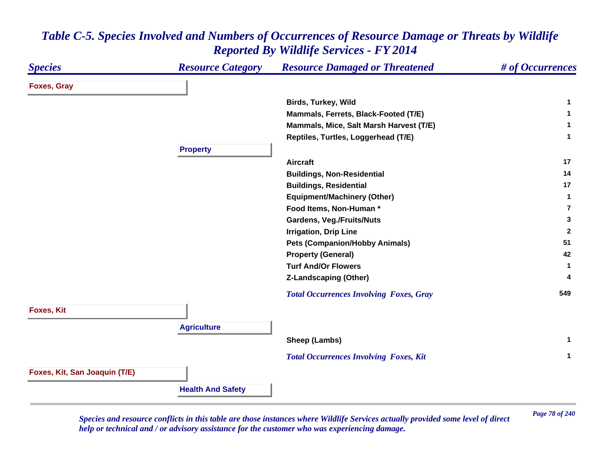#### *Species Resource Category Resource Damaged or Threatened # of Occurrences* **Foxes, Gray Birds, Turkey, Wild <sup>1</sup> Mammals, Ferrets, Black-Footed (T/E) <sup>1</sup> Mammals, Mice, Salt Marsh Harvest (T/E) <sup>1</sup> Reptiles, Turtles, Loggerhead (T/E) <sup>1</sup> Property Aircraft 17 Buildings, Non-Residential <sup>14</sup> Buildings, Residential <sup>17</sup> Equipment/Machinery (Other) <sup>1</sup> Food Items, Non-Human \* 7Gardens, Veg./Fruits/Nuts <sup>3</sup> Irrigation, Drip Line <sup>2</sup> Pets (Companion/Hobby Animals) <sup>51</sup> Property (General) <sup>42</sup> Turf And/Or Flowers 1 Z-Landscaping (Other) <sup>4</sup>**  *Total Occurrences Involving Foxes, Gray* **<sup>549</sup> Foxes, Kit Agriculture Sheep (Lambs) <sup>1</sup>**  *Total Occurrences Involving Foxes, Kit* **<sup>1</sup> Foxes, Kit, San Joaquin (T/E) Health And Safety**

#### *Table C-5. Species Involved and Numbers of Occurrences of Resource Damage or Threats by Wildlife Reported By Wildlife Services - FY 2014*

*Page 78 of 240 Species and resource conflicts in this table are those instances where Wildlife Services actually provided some level of direct help or technical and / or advisory assistance for the customer who was experiencing damage.*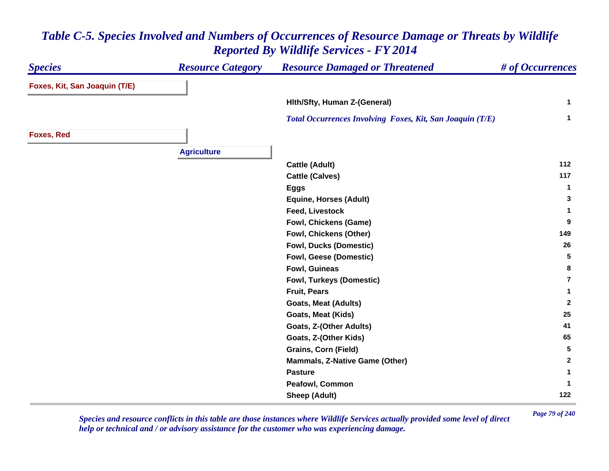#### *Species Resource Category Resource Damaged or Threatened # of Occurrences* **Foxes, Kit, San Joaquin (T/E) Hlth/Sfty, Human Z-(General) <sup>1</sup>**  *Total Occurrences Involving Foxes, Kit, San Joaquin (T/E)* **<sup>1</sup> Foxes, Red Agriculture Cattle (Adult) <sup>112</sup> Cattle (Calves) <sup>117</sup> Eggs <sup>1</sup> Equine, Horses (Adult) <sup>3</sup> Feed, Livestock 1 Fowl, Chickens (Game) <sup>9</sup> Fowl, Chickens (Other) <sup>149</sup> Fowl, Ducks (Domestic) <sup>26</sup> Fowl, Geese (Domestic) <sup>5</sup> Fowl, Guineas 8 Fowl, Turkeys (Domestic) 7Fruit, Pears 1 Goats, Meat (Adults) <sup>2</sup> Goats, Meat (Kids) <sup>25</sup> Goats, Z-(Other Adults) <sup>41</sup> Goats, Z-(Other Kids) <sup>65</sup> Grains, Corn (Field) <sup>5</sup> Mammals, Z-Native Game (Other) <sup>2</sup> Pasture 1 Peafowl, Common 1 Sheep (Adult) <sup>122</sup>**

#### *Table C-5. Species Involved and Numbers of Occurrences of Resource Damage or Threats by Wildlife Reported By Wildlife Services - FY 2014*

*Page 79 of 240 Species and resource conflicts in this table are those instances where Wildlife Services actually provided some level of direct help or technical and / or advisory assistance for the customer who was experiencing damage.*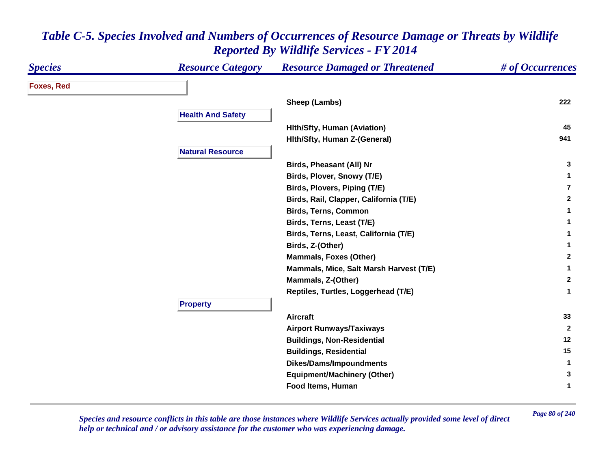| <b>Species</b>    | <b>Resource Category</b> | <b>Resource Damaged or Threatened</b>   | # of Occurrences |
|-------------------|--------------------------|-----------------------------------------|------------------|
| <b>Foxes, Red</b> |                          |                                         |                  |
|                   |                          | Sheep (Lambs)                           | 222              |
|                   | <b>Health And Safety</b> |                                         |                  |
|                   |                          | <b>Hith/Sfty, Human (Aviation)</b>      | 45               |
|                   |                          | Hith/Sfty, Human Z-(General)            | 941              |
|                   | <b>Natural Resource</b>  |                                         |                  |
|                   |                          | Birds, Pheasant (All) Nr                | 3                |
|                   |                          | Birds, Plover, Snowy (T/E)              | $\mathbf 1$      |
|                   |                          | Birds, Plovers, Piping (T/E)            | $\overline{7}$   |
|                   |                          | Birds, Rail, Clapper, California (T/E)  | $\mathbf{2}$     |
|                   |                          | <b>Birds, Terns, Common</b>             | 1                |
|                   |                          | Birds, Terns, Least (T/E)               | 1                |
|                   |                          | Birds, Terns, Least, California (T/E)   | 1                |
|                   |                          | Birds, Z-(Other)                        | 1                |
|                   |                          | <b>Mammals, Foxes (Other)</b>           | $\mathbf{2}$     |
|                   |                          | Mammals, Mice, Salt Marsh Harvest (T/E) | 1                |
|                   |                          | Mammals, Z-(Other)                      | $\mathbf{2}$     |
|                   |                          | Reptiles, Turtles, Loggerhead (T/E)     | 1                |
|                   | <b>Property</b>          |                                         |                  |
|                   |                          | <b>Aircraft</b>                         | 33               |
|                   |                          | <b>Airport Runways/Taxiways</b>         | $\mathbf{2}$     |
|                   |                          | <b>Buildings, Non-Residential</b>       | 12               |
|                   |                          | <b>Buildings, Residential</b>           | 15               |
|                   |                          | <b>Dikes/Dams/Impoundments</b>          | $\mathbf{1}$     |
|                   |                          | <b>Equipment/Machinery (Other)</b>      | 3                |
|                   |                          | Food Items, Human                       | 1                |

*Page 80 of 240 Species and resource conflicts in this table are those instances where Wildlife Services actually provided some level of direct help or technical and / or advisory assistance for the customer who was experiencing damage.*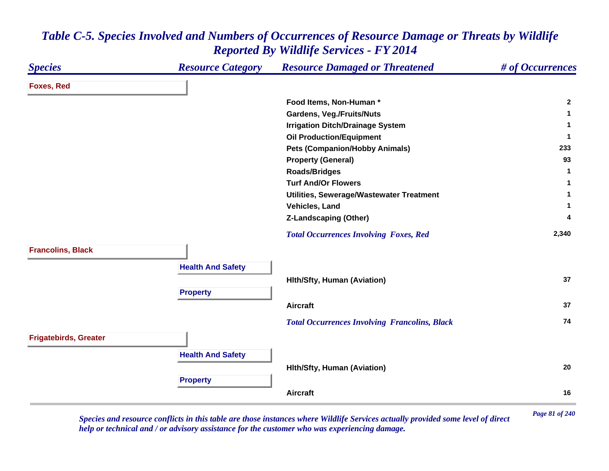| <b>Species</b>               | <b>Resource Category</b> | <b>Resource Damaged or Threatened</b>                | # of Occurrences |
|------------------------------|--------------------------|------------------------------------------------------|------------------|
| <b>Foxes, Red</b>            |                          |                                                      |                  |
|                              |                          | Food Items, Non-Human*                               | $\mathbf{2}$     |
|                              |                          | <b>Gardens, Veg./Fruits/Nuts</b>                     | $\mathbf{1}$     |
|                              |                          | <b>Irrigation Ditch/Drainage System</b>              | $\mathbf{1}$     |
|                              |                          | <b>Oil Production/Equipment</b>                      | $\mathbf{1}$     |
|                              |                          | <b>Pets (Companion/Hobby Animals)</b>                | 233              |
|                              |                          | <b>Property (General)</b>                            | 93               |
|                              |                          | <b>Roads/Bridges</b>                                 | $\mathbf{1}$     |
|                              |                          | <b>Turf And/Or Flowers</b>                           | 1                |
|                              |                          | Utilities, Sewerage/Wastewater Treatment             | 1                |
|                              |                          | Vehicles, Land                                       | 1                |
|                              |                          | <b>Z-Landscaping (Other)</b>                         | 4                |
|                              |                          | <b>Total Occurrences Involving Foxes, Red</b>        | 2,340            |
| <b>Francolins, Black</b>     |                          |                                                      |                  |
|                              | <b>Health And Safety</b> |                                                      |                  |
|                              |                          | <b>Hith/Sfty, Human (Aviation)</b>                   | 37               |
|                              | <b>Property</b>          |                                                      |                  |
|                              |                          | <b>Aircraft</b>                                      | 37               |
|                              |                          | <b>Total Occurrences Involving Francolins, Black</b> | 74               |
| <b>Frigatebirds, Greater</b> |                          |                                                      |                  |
|                              | <b>Health And Safety</b> |                                                      |                  |
|                              |                          | <b>Hith/Sfty, Human (Aviation)</b>                   | 20               |
|                              | <b>Property</b>          |                                                      |                  |
|                              |                          | <b>Aircraft</b>                                      | 16               |
|                              |                          |                                                      |                  |

*Page 81 of 240 Species and resource conflicts in this table are those instances where Wildlife Services actually provided some level of direct help or technical and / or advisory assistance for the customer who was experiencing damage.*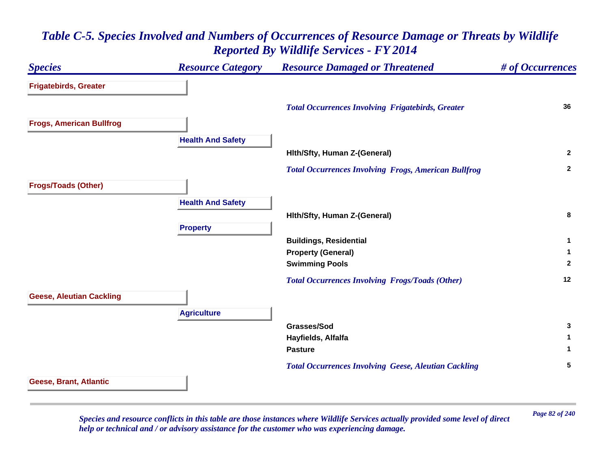# *Species Resource Category Resource Damaged or Threatened # of Occurrences* **Frigatebirds, Greater**  *Total Occurrences Involving Frigatebirds, Greater* **<sup>36</sup> Frogs, American Bullfrog Health And Safety Hlth/Sfty, Human Z-(General) <sup>2</sup>**  *Total Occurrences Involving Frogs, American Bullfrog* **<sup>2</sup> Frogs/Toads (Other) Health And Safety Hlth/Sfty, Human Z-(General) <sup>8</sup> Property Buildings, Residential <sup>1</sup> Property (General) <sup>1</sup> Swimming Pools <sup>2</sup>**  *Total Occurrences Involving Frogs/Toads (Other)* **<sup>12</sup> Geese, Aleutian Cackling Agriculture Grasses/Sod 3 Hayfields, Alfalfa <sup>1</sup> Pasture 1**  *Total Occurrences Involving Geese, Aleutian Cackling* **<sup>5</sup> Geese, Brant, Atlantic**

# *Table C-5. Species Involved and Numbers of Occurrences of Resource Damage or Threats by Wildlife Reported By Wildlife Services - FY 2014*

*Page 82 of 240 Species and resource conflicts in this table are those instances where Wildlife Services actually provided some level of direct help or technical and / or advisory assistance for the customer who was experiencing damage.*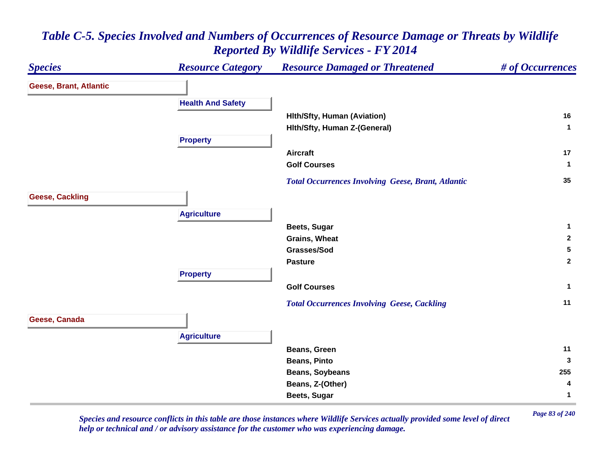#### *Species Resource Category Resource Damaged or Threatened # of Occurrences* **Geese, Brant, Atlantic Health And Safety Hlth/Sfty, Human (Aviation) <sup>16</sup> Hlth/Sfty, Human Z-(General) <sup>1</sup> Property Aircraft 17 Golf Courses 1**  *Total Occurrences Involving Geese, Brant, Atlantic* **<sup>35</sup> Geese, Cackling Agriculture Beets, Sugar <sup>1</sup> Grains, Wheat 2 Grasses/Sod 5 Pasture 2 Property Golf Courses 1**  *Total Occurrences Involving Geese, Cackling* **<sup>11</sup> Geese, Canada Agriculture Beans, Green 11 Beans, Pinto 3 Beans, Soybeans <sup>255</sup> Beans, Z-(Other) <sup>4</sup> Beets, Sugar <sup>1</sup>**

# *Table C-5. Species Involved and Numbers of Occurrences of Resource Damage or Threats by Wildlife Reported By Wildlife Services - FY 2014*

*Page 83 of 240 Species and resource conflicts in this table are those instances where Wildlife Services actually provided some level of direct help or technical and / or advisory assistance for the customer who was experiencing damage.*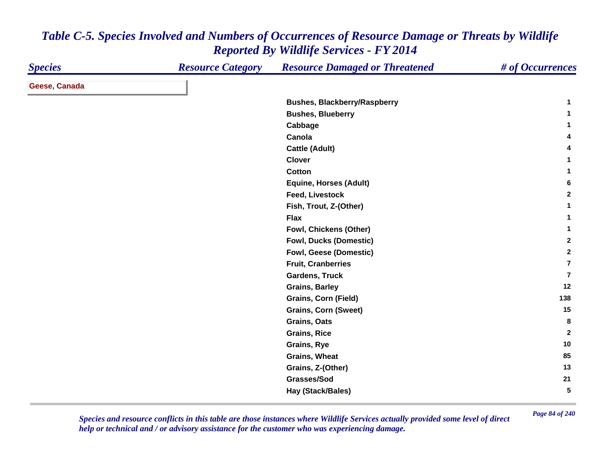| <b>Species</b> | <b>Resource Category</b> | <b>Resource Damaged or Threatened</b> | # of Occurrences        |
|----------------|--------------------------|---------------------------------------|-------------------------|
| Geese, Canada  |                          |                                       |                         |
|                |                          | <b>Bushes, Blackberry/Raspberry</b>   | 1                       |
|                |                          | <b>Bushes, Blueberry</b>              | 1                       |
|                |                          | Cabbage                               | 1                       |
|                |                          | Canola                                | 4                       |
|                |                          | <b>Cattle (Adult)</b>                 | 4                       |
|                |                          | <b>Clover</b>                         | 1                       |
|                |                          | <b>Cotton</b>                         | 1.                      |
|                |                          | <b>Equine, Horses (Adult)</b>         | 6                       |
|                |                          | <b>Feed, Livestock</b>                | $\mathbf{2}$            |
|                |                          | Fish, Trout, Z-(Other)                | 1                       |
|                |                          | <b>Flax</b>                           | 1                       |
|                |                          | Fowl, Chickens (Other)                | 1                       |
|                |                          | <b>Fowl, Ducks (Domestic)</b>         | $\mathbf{2}$            |
|                |                          | Fowl, Geese (Domestic)                | $\mathbf{2}$            |
|                |                          | <b>Fruit, Cranberries</b>             | $\overline{\mathbf{r}}$ |
|                |                          | <b>Gardens, Truck</b>                 | $\overline{7}$          |
|                |                          | <b>Grains, Barley</b>                 | 12                      |
|                |                          | Grains, Corn (Field)                  | 138                     |
|                |                          | <b>Grains, Corn (Sweet)</b>           | 15                      |
|                |                          | <b>Grains, Oats</b>                   | 8                       |
|                |                          | <b>Grains, Rice</b>                   | $\overline{2}$          |
|                |                          | <b>Grains, Rye</b>                    | 10                      |
|                |                          | Grains, Wheat                         | 85                      |
|                |                          | Grains, Z-(Other)                     | 13                      |
|                |                          | Grasses/Sod                           | 21                      |
|                |                          | Hay (Stack/Bales)                     | 5                       |

*Page 84 of 240 Species and resource conflicts in this table are those instances where Wildlife Services actually provided some level of direct help or technical and / or advisory assistance for the customer who was experiencing damage.*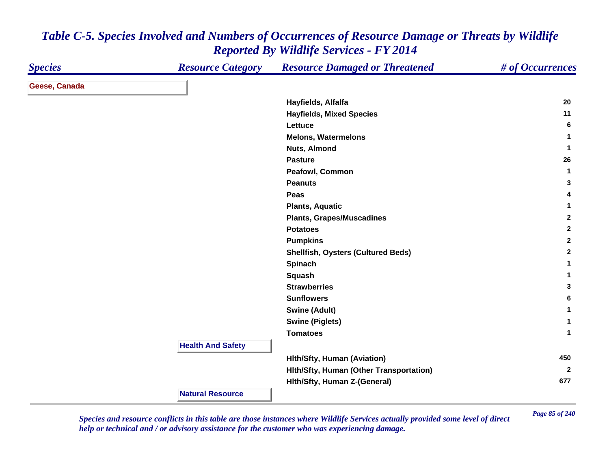| <b>Species</b> | <b>Resource Category</b> | <b>Resource Damaged or Threatened</b>     | # of Occurrences |
|----------------|--------------------------|-------------------------------------------|------------------|
| Geese, Canada  |                          |                                           |                  |
|                |                          | Hayfields, Alfalfa                        | 20               |
|                |                          | <b>Hayfields, Mixed Species</b>           | 11               |
|                |                          | Lettuce                                   | 6                |
|                |                          | <b>Melons, Watermelons</b>                | 1                |
|                |                          | <b>Nuts, Almond</b>                       | 1                |
|                |                          | <b>Pasture</b>                            | 26               |
|                |                          | Peafowl, Common                           | $\mathbf{1}$     |
|                |                          | <b>Peanuts</b>                            | 3                |
|                |                          | Peas                                      | 4                |
|                |                          | <b>Plants, Aquatic</b>                    | 1                |
|                |                          | <b>Plants, Grapes/Muscadines</b>          | $\mathbf{2}$     |
|                |                          | <b>Potatoes</b>                           | $\overline{2}$   |
|                |                          | <b>Pumpkins</b>                           | $\mathbf{2}$     |
|                |                          | <b>Shellfish, Oysters (Cultured Beds)</b> | $\mathbf{2}$     |
|                |                          | Spinach                                   | 1                |
|                |                          | Squash                                    | 1                |
|                |                          | <b>Strawberries</b>                       | 3                |
|                |                          | <b>Sunflowers</b>                         | 6                |
|                |                          | <b>Swine (Adult)</b>                      | $\mathbf{1}$     |
|                |                          | <b>Swine (Piglets)</b>                    | 1                |
|                |                          | <b>Tomatoes</b>                           | $\mathbf{1}$     |
|                | <b>Health And Safety</b> |                                           |                  |
|                |                          | <b>Hith/Sfty, Human (Aviation)</b>        | 450              |
|                |                          | Hith/Sfty, Human (Other Transportation)   | $\mathbf{2}$     |
|                |                          | Hith/Sfty, Human Z-(General)              | 677              |
|                | <b>Natural Resource</b>  |                                           |                  |

*Page 85 of 240 Species and resource conflicts in this table are those instances where Wildlife Services actually provided some level of direct help or technical and / or advisory assistance for the customer who was experiencing damage.*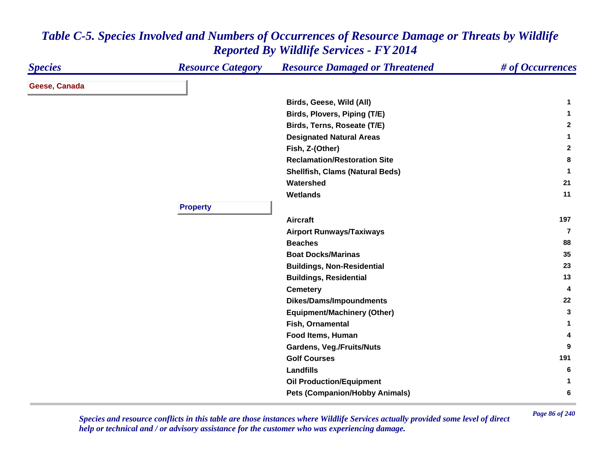| <b>Species</b> | <b>Resource Category</b> | <b>Resource Damaged or Threatened</b>  | # of Occurrences |
|----------------|--------------------------|----------------------------------------|------------------|
| Geese, Canada  |                          |                                        |                  |
|                |                          | Birds, Geese, Wild (All)               | 1                |
|                |                          | Birds, Plovers, Piping (T/E)           | 1                |
|                |                          | Birds, Terns, Roseate (T/E)            | $\mathbf{2}$     |
|                |                          | <b>Designated Natural Areas</b>        | $\mathbf{1}$     |
|                |                          | Fish, Z-(Other)                        | $\mathbf{2}$     |
|                |                          | <b>Reclamation/Restoration Site</b>    | 8                |
|                |                          | <b>Shellfish, Clams (Natural Beds)</b> | $\mathbf{1}$     |
|                |                          | Watershed                              | 21               |
|                |                          | <b>Wetlands</b>                        | 11               |
|                | <b>Property</b>          |                                        |                  |
|                |                          | <b>Aircraft</b>                        | 197              |
|                |                          | <b>Airport Runways/Taxiways</b>        | $\overline{7}$   |
|                |                          | <b>Beaches</b>                         | 88               |
|                |                          | <b>Boat Docks/Marinas</b>              | 35               |
|                |                          | <b>Buildings, Non-Residential</b>      | 23               |
|                |                          | <b>Buildings, Residential</b>          | 13               |
|                |                          | <b>Cemetery</b>                        | 4                |
|                |                          | <b>Dikes/Dams/Impoundments</b>         | 22               |
|                |                          | <b>Equipment/Machinery (Other)</b>     | 3                |
|                |                          | Fish, Ornamental                       | 1                |
|                |                          | Food Items, Human                      | 4                |
|                |                          | <b>Gardens, Veg./Fruits/Nuts</b>       | 9                |
|                |                          | <b>Golf Courses</b>                    | 191              |
|                |                          | <b>Landfills</b>                       | 6                |
|                |                          | <b>Oil Production/Equipment</b>        | $\mathbf{1}$     |
|                |                          | <b>Pets (Companion/Hobby Animals)</b>  | 6                |

*Page 86 of 240 Species and resource conflicts in this table are those instances where Wildlife Services actually provided some level of direct help or technical and / or advisory assistance for the customer who was experiencing damage.*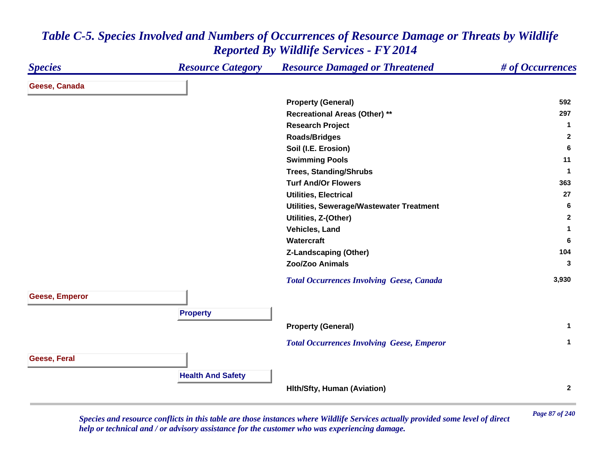#### *Species Resource Category Resource Damaged or Threatened # of Occurrences* **Geese, Canada Property (General) <sup>592</sup> Recreational Areas (Other) \*\* <sup>297</sup> Research Project <sup>1</sup> Roads/Bridges <sup>2</sup> Soil (I.E. Erosion) <sup>6</sup> Swimming Pools <sup>11</sup> Trees, Standing/Shrubs <sup>1</sup> Turf And/Or Flowers5** 363 **Utilities, Electrical 27 Utilities, Sewerage/Wastewater Treatment <sup>6</sup> Utilities, Z-(Other) <sup>2</sup> Vehicles, Land 1 Watercraft 6 Z-Landscaping (Other) <sup>104</sup> Zoo/Zoo Animals 3**  *Total Occurrences Involving Geese, Canada* **3,930 Geese, Emperor Property Property (General) <sup>1</sup>**  *Total Occurrences Involving Geese, Emperor* **<sup>1</sup> Geese, Feral Health And Safety Hlth/Sfty, Human (Aviation) <sup>2</sup>**

#### *Table C-5. Species Involved and Numbers of Occurrences of Resource Damage or Threats by Wildlife Reported By Wildlife Services - FY 2014*

*Page 87 of 240 Species and resource conflicts in this table are those instances where Wildlife Services actually provided some level of direct help or technical and / or advisory assistance for the customer who was experiencing damage.*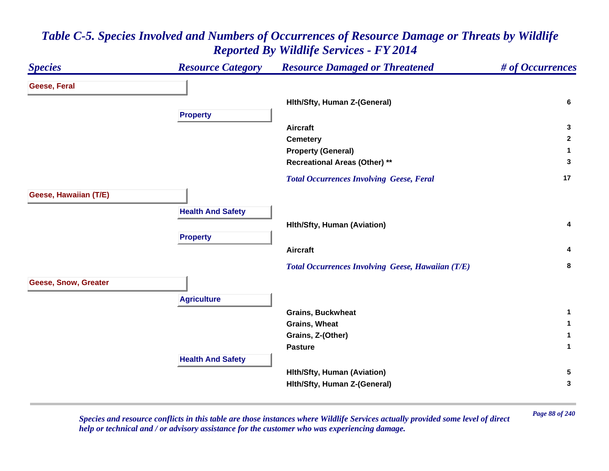#### *Species Resource Category Resource Damaged or Threatened # of Occurrences* **Geese, Feral Hlth/Sfty, Human Z-(General) <sup>6</sup> Property Aircraft 3 Cemetery <sup>2</sup> Property (General) <sup>1</sup> Recreational Areas (Other) \*\* <sup>3</sup>**  *Total Occurrences Involving Geese, Feral* **<sup>17</sup> Geese, Hawaiian (T/E) Health And Safety Hlth/Sfty, Human (Aviation) <sup>4</sup> Property Aircraft 4**  *Total Occurrences Involving Geese, Hawaiian (T/E)* **<sup>8</sup> Geese, Snow, Greater Agriculture Grains, Buckwheat 1 Grains, Wheat 1 Grains, Z-(Other) <sup>1</sup> Pasture 1 Health And Safety Hlth/Sfty, Human (Aviation) <sup>5</sup> Hlth/Sfty, Human Z-(General) <sup>3</sup>**

#### *Table C-5. Species Involved and Numbers of Occurrences of Resource Damage or Threats by Wildlife Reported By Wildlife Services - FY 2014*

*Page 88 of 240 Species and resource conflicts in this table are those instances where Wildlife Services actually provided some level of direct help or technical and / or advisory assistance for the customer who was experiencing damage.*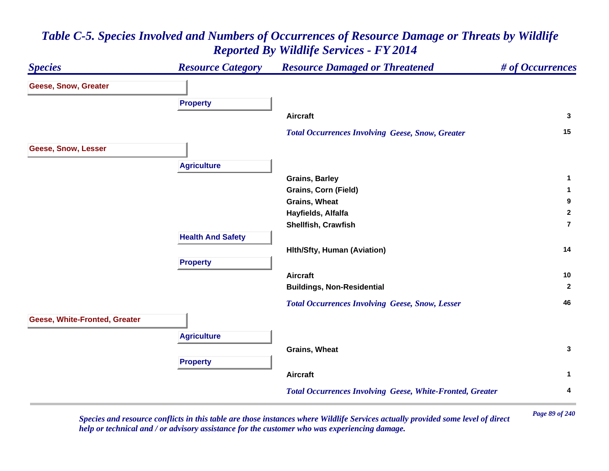#### *Species Resource Category Resource Damaged or Threatened # of Occurrences* **Geese, Snow, Greater Property Aircraft 3**  *Total Occurrences Involving Geese, Snow, Greater* **<sup>15</sup> Geese, Snow, Lesser Agriculture Grains, Barley <sup>1</sup> Grains, Corn (Field) <sup>1</sup> Grains, Wheat 9 Hayfields, Alfalfa <sup>2</sup> Shellfish, Crawfish 7Health And Safety Hlth/Sfty, Human (Aviation) <sup>14</sup> Property Aircraft 10 Buildings, Non-Residential <sup>2</sup>**  *Total Occurrences Involving Geese, Snow, Lesser* **<sup>46</sup> Geese, White-Fronted, Greater Agriculture Grains, Wheat 3 Property Aircraft 1**  *Total Occurrences Involving Geese, White-Fronted, Greater* **<sup>4</sup>**

# *Table C-5. Species Involved and Numbers of Occurrences of Resource Damage or Threats by Wildlife Reported By Wildlife Services - FY 2014*

*Page 89 of 240 Species and resource conflicts in this table are those instances where Wildlife Services actually provided some level of direct help or technical and / or advisory assistance for the customer who was experiencing damage.*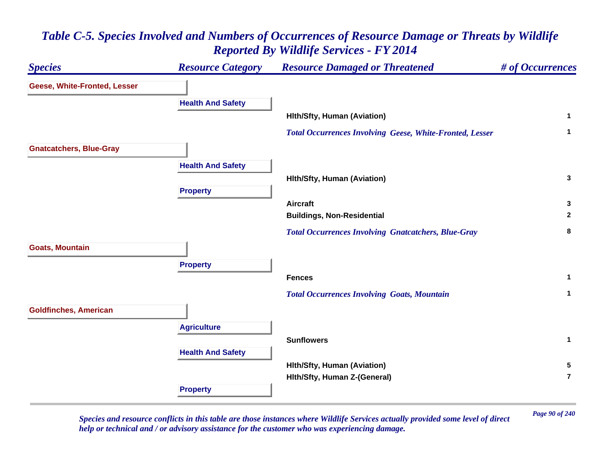

*Page 90 of 240 Species and resource conflicts in this table are those instances where Wildlife Services actually provided some level of direct help or technical and / or advisory assistance for the customer who was experiencing damage.*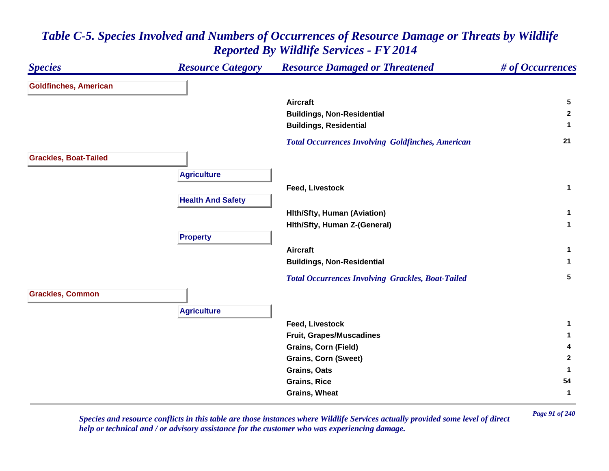| <b>Species</b>               | <b>Resource Category</b> | <b>Resource Damaged or Threatened</b>                    | # of Occurrences |
|------------------------------|--------------------------|----------------------------------------------------------|------------------|
| <b>Goldfinches, American</b> |                          |                                                          |                  |
|                              |                          | <b>Aircraft</b>                                          | $5\phantom{.0}$  |
|                              |                          | <b>Buildings, Non-Residential</b>                        | $\mathbf{2}$     |
|                              |                          | <b>Buildings, Residential</b>                            | 1                |
|                              |                          | <b>Total Occurrences Involving Goldfinches, American</b> | 21               |
| <b>Grackles, Boat-Tailed</b> |                          |                                                          |                  |
|                              | <b>Agriculture</b>       |                                                          |                  |
|                              |                          | <b>Feed, Livestock</b>                                   | $\mathbf{1}$     |
|                              | <b>Health And Safety</b> |                                                          |                  |
|                              |                          | <b>Hith/Sfty, Human (Aviation)</b>                       | $\mathbf{1}$     |
|                              |                          | Hith/Sfty, Human Z-(General)                             | $\mathbf{1}$     |
|                              | <b>Property</b>          |                                                          |                  |
|                              |                          | <b>Aircraft</b>                                          | $\mathbf{1}$     |
|                              |                          | <b>Buildings, Non-Residential</b>                        | $\mathbf{1}$     |
|                              |                          | <b>Total Occurrences Involving Grackles, Boat-Tailed</b> | $5\phantom{.0}$  |
| <b>Grackles, Common</b>      |                          |                                                          |                  |
|                              | <b>Agriculture</b>       |                                                          |                  |
|                              |                          | <b>Feed, Livestock</b>                                   | 1                |
|                              |                          | <b>Fruit, Grapes/Muscadines</b>                          | 1                |
|                              |                          | <b>Grains, Corn (Field)</b>                              | 4                |
|                              |                          | <b>Grains, Corn (Sweet)</b>                              | $\mathbf{2}$     |
|                              |                          | <b>Grains, Oats</b>                                      | 1                |
|                              |                          | <b>Grains, Rice</b>                                      | 54               |
|                              |                          | <b>Grains, Wheat</b>                                     | 1                |

*Page 91 of 240 Species and resource conflicts in this table are those instances where Wildlife Services actually provided some level of direct help or technical and / or advisory assistance for the customer who was experiencing damage.*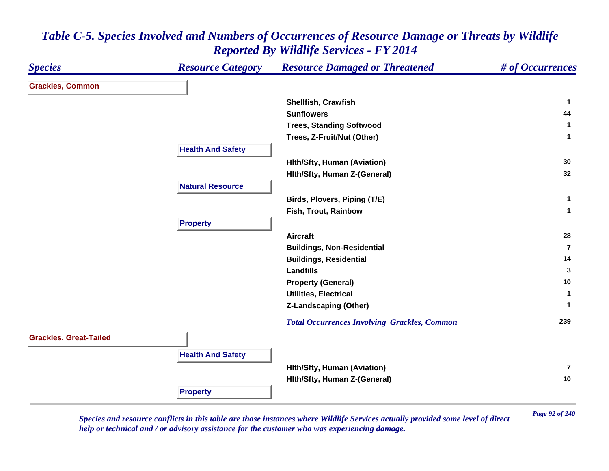| <b>Species</b>                | <b>Resource Category</b> | <b>Resource Damaged or Threatened</b>               | # of Occurrences |
|-------------------------------|--------------------------|-----------------------------------------------------|------------------|
| <b>Grackles, Common</b>       |                          |                                                     |                  |
|                               |                          | Shellfish, Crawfish                                 | -1               |
|                               |                          | <b>Sunflowers</b>                                   | 44               |
|                               |                          | <b>Trees, Standing Softwood</b>                     | $\mathbf 1$      |
|                               |                          | Trees, Z-Fruit/Nut (Other)                          | $\mathbf{1}$     |
|                               | <b>Health And Safety</b> |                                                     |                  |
|                               |                          | <b>Hith/Sfty, Human (Aviation)</b>                  | 30               |
|                               |                          | Hith/Sfty, Human Z-(General)                        | 32               |
|                               | <b>Natural Resource</b>  |                                                     |                  |
|                               |                          | Birds, Plovers, Piping (T/E)                        | $\mathbf{1}$     |
|                               |                          | Fish, Trout, Rainbow                                | $\mathbf{1}$     |
|                               | <b>Property</b>          |                                                     |                  |
|                               |                          | <b>Aircraft</b>                                     | 28               |
|                               |                          | <b>Buildings, Non-Residential</b>                   | $\overline{7}$   |
|                               |                          | <b>Buildings, Residential</b>                       | 14               |
|                               |                          | <b>Landfills</b>                                    | 3                |
|                               |                          | <b>Property (General)</b>                           | 10               |
|                               |                          | <b>Utilities, Electrical</b>                        | 1                |
|                               |                          | <b>Z-Landscaping (Other)</b>                        | 1                |
|                               |                          | <b>Total Occurrences Involving Grackles, Common</b> | 239              |
| <b>Grackles, Great-Tailed</b> |                          |                                                     |                  |
|                               | <b>Health And Safety</b> |                                                     |                  |
|                               |                          | <b>Hith/Sfty, Human (Aviation)</b>                  | $\overline{7}$   |
|                               |                          | Hith/Sfty, Human Z-(General)                        | 10               |
|                               | <b>Property</b>          |                                                     |                  |

*Page 92 of 240 Species and resource conflicts in this table are those instances where Wildlife Services actually provided some level of direct help or technical and / or advisory assistance for the customer who was experiencing damage.*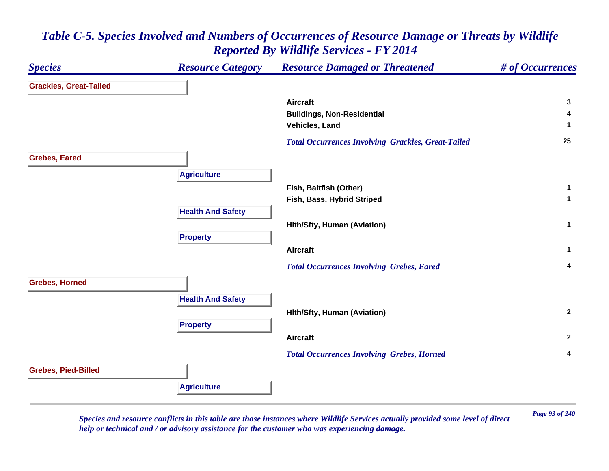| <b>Species</b>                | <b>Resource Category</b> | <b>Resource Damaged or Threatened</b>                     | # of Occurrences |
|-------------------------------|--------------------------|-----------------------------------------------------------|------------------|
| <b>Grackles, Great-Tailed</b> |                          |                                                           |                  |
|                               |                          | <b>Aircraft</b>                                           | $\mathbf{3}$     |
|                               |                          | <b>Buildings, Non-Residential</b>                         | 4                |
|                               |                          | Vehicles, Land                                            | 1                |
|                               |                          | <b>Total Occurrences Involving Grackles, Great-Tailed</b> | 25               |
| <b>Grebes, Eared</b>          |                          |                                                           |                  |
|                               | <b>Agriculture</b>       |                                                           |                  |
|                               |                          | Fish, Baitfish (Other)                                    | $\mathbf{1}$     |
|                               |                          | Fish, Bass, Hybrid Striped                                | $\mathbf{1}$     |
|                               | <b>Health And Safety</b> |                                                           |                  |
|                               |                          | <b>Hith/Sfty, Human (Aviation)</b>                        | $\mathbf{1}$     |
|                               | <b>Property</b>          |                                                           |                  |
|                               |                          | <b>Aircraft</b>                                           | $\mathbf 1$      |
|                               |                          | <b>Total Occurrences Involving Grebes, Eared</b>          | 4                |
| <b>Grebes, Horned</b>         |                          |                                                           |                  |
|                               | <b>Health And Safety</b> |                                                           |                  |
|                               |                          | <b>Hith/Sfty, Human (Aviation)</b>                        | $\mathbf{2}$     |
|                               | <b>Property</b>          |                                                           |                  |
|                               |                          | <b>Aircraft</b>                                           | $\mathbf{2}$     |
|                               |                          | <b>Total Occurrences Involving Grebes, Horned</b>         | 4                |
| <b>Grebes, Pied-Billed</b>    |                          |                                                           |                  |
|                               | <b>Agriculture</b>       |                                                           |                  |

*Page 93 of 240 Species and resource conflicts in this table are those instances where Wildlife Services actually provided some level of direct help or technical and / or advisory assistance for the customer who was experiencing damage.*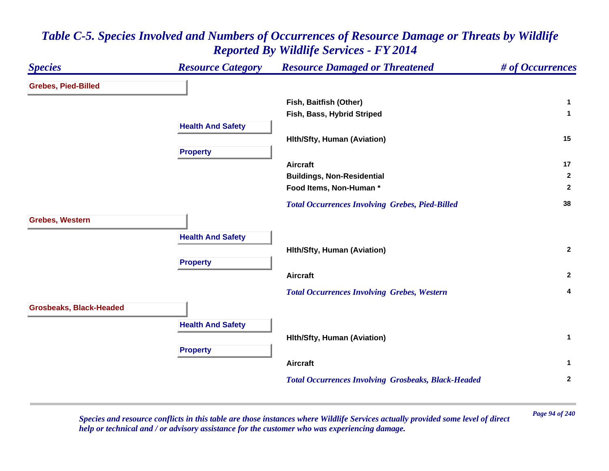#### *Species Resource Category Resource Damaged or Threatened # of Occurrences* **Grebes, Pied-Billed Fish, Baitfish (Other) <sup>1</sup> Fish, Bass, Hybrid Striped <sup>1</sup> Health And Safety Hlth/Sfty, Human (Aviation) <sup>15</sup> Property Aircraft 17 Buildings, Non-Residential <sup>2</sup> Food Items, Non-Human \* 2**  *Total Occurrences Involving Grebes, Pied-Billed* **<sup>38</sup> Grebes, Western Health And Safety Hlth/Sfty, Human (Aviation) <sup>2</sup> Property Aircraft 2**  *Total Occurrences Involving Grebes, Western* **<sup>4</sup> Grosbeaks, Black-Headed Health And Safety Hlth/Sfty, Human (Aviation) <sup>1</sup> Property Aircraft 1**  *Total Occurrences Involving Grosbeaks, Black-Headed* **<sup>2</sup>**

#### *Table C-5. Species Involved and Numbers of Occurrences of Resource Damage or Threats by Wildlife Reported By Wildlife Services - FY 2014*

*Page 94 of 240 Species and resource conflicts in this table are those instances where Wildlife Services actually provided some level of direct help or technical and / or advisory assistance for the customer who was experiencing damage.*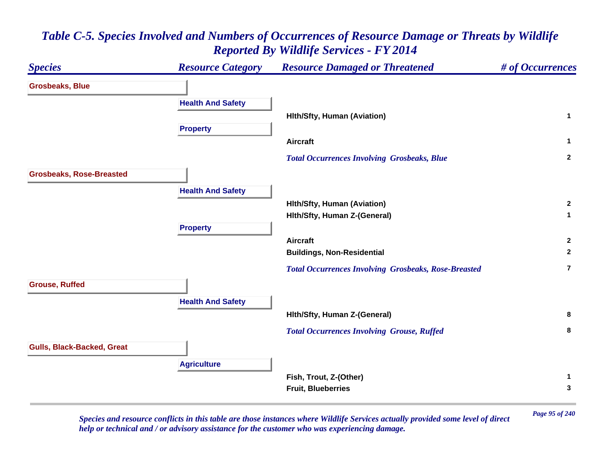#### *Species Resource Category Resource Damaged or Threatened # of Occurrences* **Grosbeaks, Blue Health And Safety Hlth/Sfty, Human (Aviation) <sup>1</sup> Property Aircraft 1**  *Total Occurrences Involving Grosbeaks, Blue* **<sup>2</sup> Grosbeaks, Rose-Breasted Health And Safety Hlth/Sfty, Human (Aviation) <sup>2</sup> Hlth/Sfty, Human Z-(General) <sup>1</sup> Property Aircraft 2 Buildings, Non-Residential <sup>2</sup>**  *Total Occurrences Involving Grosbeaks, Rose-Breasted* **7Grouse, Ruffed Health And Safety Hlth/Sfty, Human Z-(General) <sup>8</sup>**  *Total Occurrences Involving Grouse, Ruffed* **<sup>8</sup> Gulls, Black-Backed, Great Agriculture Fish, Trout, Z-(Other) <sup>1</sup> Fruit, Blueberries 3**

#### *Table C-5. Species Involved and Numbers of Occurrences of Resource Damage or Threats by Wildlife Reported By Wildlife Services - FY 2014*

*Page 95 of 240 Species and resource conflicts in this table are those instances where Wildlife Services actually provided some level of direct help or technical and / or advisory assistance for the customer who was experiencing damage.*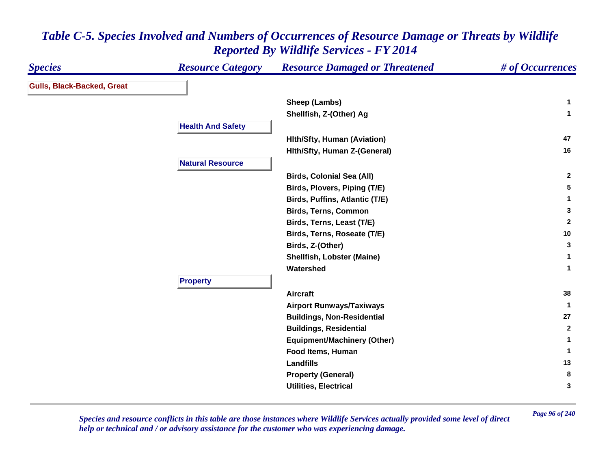| <b>Species</b>                    | <b>Resource Category</b> | <b>Resource Damaged or Threatened</b> | # of Occurrences |
|-----------------------------------|--------------------------|---------------------------------------|------------------|
| <b>Gulls, Black-Backed, Great</b> |                          |                                       |                  |
|                                   |                          | Sheep (Lambs)                         | $\mathbf 1$      |
|                                   |                          | Shellfish, Z-(Other) Ag               | $\mathbf{1}$     |
|                                   | <b>Health And Safety</b> |                                       |                  |
|                                   |                          | <b>Hith/Sfty, Human (Aviation)</b>    | 47               |
|                                   |                          | Hith/Sfty, Human Z-(General)          | 16               |
|                                   | <b>Natural Resource</b>  |                                       |                  |
|                                   |                          | <b>Birds, Colonial Sea (All)</b>      | $\mathbf{2}$     |
|                                   |                          | Birds, Plovers, Piping (T/E)          | 5                |
|                                   |                          | Birds, Puffins, Atlantic (T/E)        | 1                |
|                                   |                          | <b>Birds, Terns, Common</b>           | 3                |
|                                   |                          | Birds, Terns, Least (T/E)             | $\overline{2}$   |
|                                   |                          | Birds, Terns, Roseate (T/E)           | 10               |
|                                   |                          | Birds, Z-(Other)                      | 3                |
|                                   |                          | <b>Shellfish, Lobster (Maine)</b>     | $\mathbf{1}$     |
|                                   |                          | Watershed                             | $\mathbf{1}$     |
|                                   | <b>Property</b>          |                                       |                  |
|                                   |                          | <b>Aircraft</b>                       | 38               |
|                                   |                          | <b>Airport Runways/Taxiways</b>       | $\mathbf{1}$     |
|                                   |                          | <b>Buildings, Non-Residential</b>     | 27               |
|                                   |                          | <b>Buildings, Residential</b>         | $\overline{2}$   |
|                                   |                          | <b>Equipment/Machinery (Other)</b>    | $\mathbf 1$      |
|                                   |                          | Food Items, Human                     | 1                |
|                                   |                          | <b>Landfills</b>                      | 13               |
|                                   |                          | <b>Property (General)</b>             | 8                |
|                                   |                          | <b>Utilities, Electrical</b>          | 3                |

*Page 96 of 240 Species and resource conflicts in this table are those instances where Wildlife Services actually provided some level of direct help or technical and / or advisory assistance for the customer who was experiencing damage.*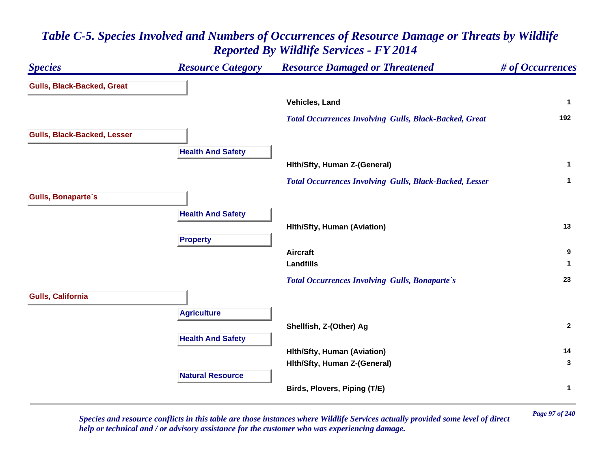#### *Species Resource Category Resource Damaged or Threatened # of Occurrences* **Gulls, Black-Backed, Great Vehicles, Land 1**  *Total Occurrences Involving Gulls, Black-Backed, Great* **<sup>192</sup> Gulls, Black-Backed, Lesser Health And Safety Hlth/Sfty, Human Z-(General) <sup>1</sup>**  *Total Occurrences Involving Gulls, Black-Backed, Lesser* **<sup>1</sup> Gulls, Bonaparte`s Health And Safety Hlth/Sfty, Human (Aviation) <sup>13</sup> Property Aircraft 9 Landfills 1**  *Total Occurrences Involving Gulls, Bonaparte`s* **<sup>23</sup> Gulls, California Agriculture Shellfish, Z-(Other) Ag <sup>2</sup> Health And Safety Hlth/Sfty, Human (Aviation) <sup>14</sup> Hlth/Sfty, Human Z-(General) <sup>3</sup> Natural ResourceBirds, Plovers, Piping (T/E) <sup>1</sup>**

## *Table C-5. Species Involved and Numbers of Occurrences of Resource Damage or Threats by Wildlife Reported By Wildlife Services - FY 2014*

*Page 97 of 240 Species and resource conflicts in this table are those instances where Wildlife Services actually provided some level of direct help or technical and / or advisory assistance for the customer who was experiencing damage.*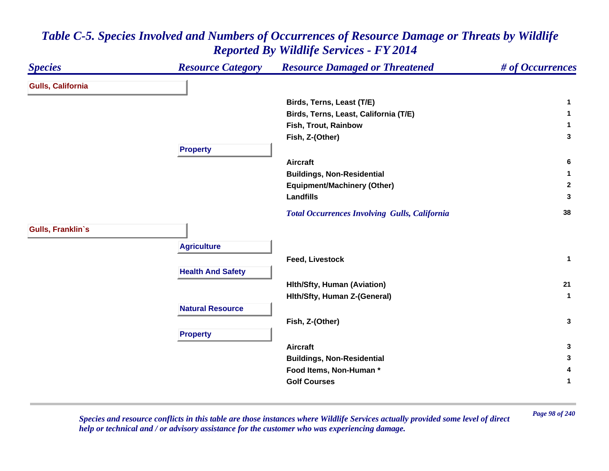| <b>Species</b>           | <b>Resource Category</b> | <b>Resource Damaged or Threatened</b>                | # of Occurrences |
|--------------------------|--------------------------|------------------------------------------------------|------------------|
| <b>Gulls, California</b> |                          |                                                      |                  |
|                          |                          | Birds, Terns, Least (T/E)                            | 1                |
|                          |                          | Birds, Terns, Least, California (T/E)                | 1                |
|                          |                          | Fish, Trout, Rainbow                                 | 1.               |
|                          |                          | Fish, Z-(Other)                                      | 3                |
|                          | <b>Property</b>          |                                                      |                  |
|                          |                          | <b>Aircraft</b>                                      | 6                |
|                          |                          | <b>Buildings, Non-Residential</b>                    | 1.               |
|                          |                          | <b>Equipment/Machinery (Other)</b>                   | $\mathbf{2}$     |
|                          |                          | <b>Landfills</b>                                     | 3                |
|                          |                          | <b>Total Occurrences Involving Gulls, California</b> | 38               |
| Gulls, Franklin's        |                          |                                                      |                  |
|                          | <b>Agriculture</b>       |                                                      |                  |
|                          |                          | <b>Feed, Livestock</b>                               | $\mathbf{1}$     |
|                          | <b>Health And Safety</b> |                                                      |                  |
|                          |                          | <b>Hith/Sfty, Human (Aviation)</b>                   | 21               |
|                          |                          | Hith/Sfty, Human Z-(General)                         | $\mathbf{1}$     |
|                          | <b>Natural Resource</b>  |                                                      |                  |
|                          |                          | Fish, Z-(Other)                                      | $\mathbf{3}$     |
|                          | <b>Property</b>          |                                                      |                  |
|                          |                          | <b>Aircraft</b>                                      | 3                |
|                          |                          | <b>Buildings, Non-Residential</b>                    | 3                |
|                          |                          | Food Items, Non-Human *                              | 4                |
|                          |                          | <b>Golf Courses</b>                                  | 1                |

*Page 98 of 240 Species and resource conflicts in this table are those instances where Wildlife Services actually provided some level of direct help or technical and / or advisory assistance for the customer who was experiencing damage.*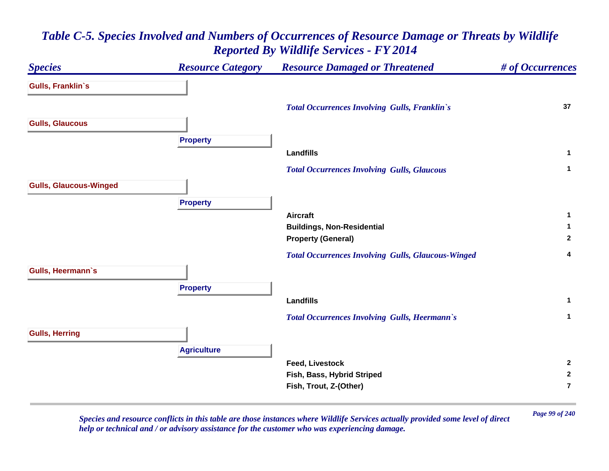

*Page 99 of 240 Species and resource conflicts in this table are those instances where Wildlife Services actually provided some level of direct help or technical and / or advisory assistance for the customer who was experiencing damage.*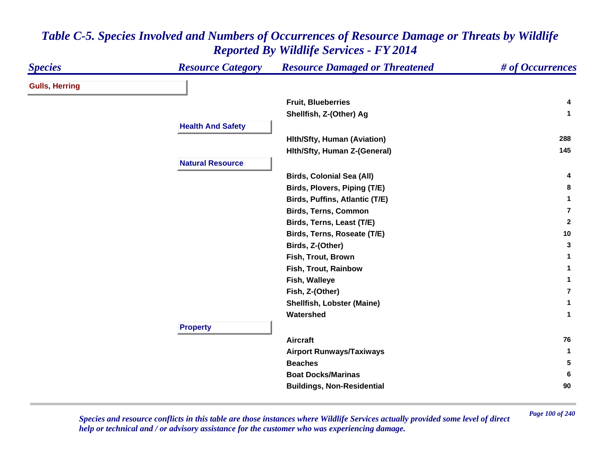| <b>Species</b>        | <b>Resource Category</b> | <b>Resource Damaged or Threatened</b> | # of Occurrences |
|-----------------------|--------------------------|---------------------------------------|------------------|
| <b>Gulls, Herring</b> |                          |                                       |                  |
|                       |                          | <b>Fruit, Blueberries</b>             | 4                |
|                       |                          | Shellfish, Z-(Other) Ag               | $\mathbf{1}$     |
|                       | <b>Health And Safety</b> |                                       |                  |
|                       |                          | <b>Hith/Sfty, Human (Aviation)</b>    | 288              |
|                       |                          | Hith/Sfty, Human Z-(General)          | 145              |
|                       | <b>Natural Resource</b>  |                                       |                  |
|                       |                          | <b>Birds, Colonial Sea (All)</b>      | 4                |
|                       |                          | Birds, Plovers, Piping (T/E)          | 8                |
|                       |                          | Birds, Puffins, Atlantic (T/E)        | 1                |
|                       |                          | <b>Birds, Terns, Common</b>           | 7                |
|                       |                          | Birds, Terns, Least (T/E)             | $\mathbf{2}$     |
|                       |                          | Birds, Terns, Roseate (T/E)           | $10$             |
|                       |                          | Birds, Z-(Other)                      | 3                |
|                       |                          | Fish, Trout, Brown                    | 1                |
|                       |                          | Fish, Trout, Rainbow                  | 1                |
|                       |                          | Fish, Walleye                         | 1                |
|                       |                          | Fish, Z-(Other)                       | $\overline{7}$   |
|                       |                          | <b>Shellfish, Lobster (Maine)</b>     | 1                |
|                       |                          | Watershed                             | $\mathbf{1}$     |
|                       | <b>Property</b>          |                                       |                  |
|                       |                          | <b>Aircraft</b>                       | 76               |
|                       |                          | <b>Airport Runways/Taxiways</b>       | $\mathbf{1}$     |
|                       |                          | <b>Beaches</b>                        | 5                |
|                       |                          | <b>Boat Docks/Marinas</b>             | 6                |
|                       |                          | <b>Buildings, Non-Residential</b>     | 90               |

*Page 100 of 240 Species and resource conflicts in this table are those instances where Wildlife Services actually provided some level of direct help or technical and / or advisory assistance for the customer who was experiencing damage.*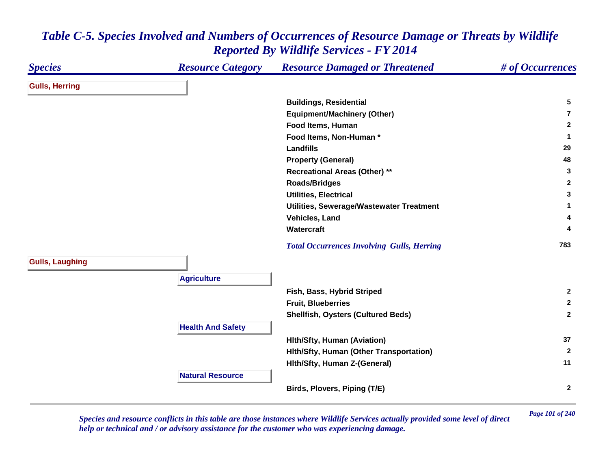#### *Species Resource Category Resource Damaged or Threatened # of Occurrences* **Gulls, Herring Buildings, Residential <sup>5</sup> Equipment/Machinery (Other) 7Food Items, Human 2 Food Items, Non-Human \* 1 Landfills29 29 Property (General) <sup>48</sup> Recreational Areas (Other) \*\* <sup>3</sup> Roads/Bridges <sup>2</sup> Utilities, Electrical 3 Utilities, Sewerage/Wastewater Treatment <sup>1</sup> Vehicles, Land 4 Watercraft 4**  *Total Occurrences Involving Gulls, Herring* **<sup>783</sup> Gulls, Laughing Agriculture Fish, Bass, Hybrid Striped <sup>2</sup> Fruit, Blueberries 2 Shellfish, Oysters (Cultured Beds) <sup>2</sup> Health And Safety Hlth/Sfty, Human (Aviation) <sup>37</sup> Hlth/Sfty, Human (Other Transportation) <sup>2</sup> Hlth/Sfty, Human Z-(General) <sup>11</sup> Natural ResourceBirds, Plovers, Piping (T/E) <sup>2</sup>**

#### *Table C-5. Species Involved and Numbers of Occurrences of Resource Damage or Threats by Wildlife Reported By Wildlife Services - FY 2014*

*Page 101 of 240 Species and resource conflicts in this table are those instances where Wildlife Services actually provided some level of direct help or technical and / or advisory assistance for the customer who was experiencing damage.*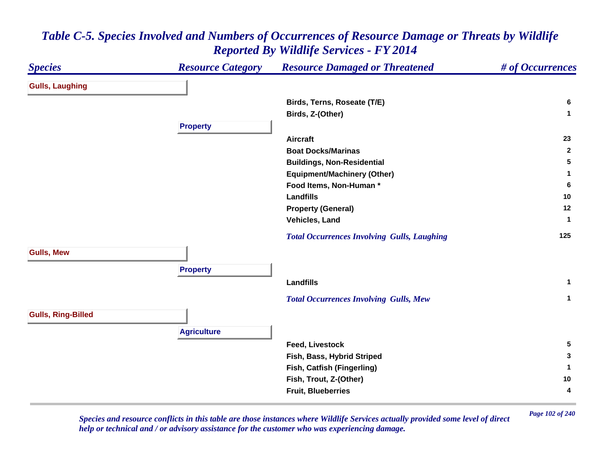| <b>Species</b>            | <b>Resource Category</b> | <b>Resource Damaged or Threatened</b>              | # of Occurrences |
|---------------------------|--------------------------|----------------------------------------------------|------------------|
| <b>Gulls, Laughing</b>    |                          |                                                    |                  |
|                           |                          | Birds, Terns, Roseate (T/E)                        | 6                |
|                           |                          | Birds, Z-(Other)                                   | $\mathbf{1}$     |
|                           | <b>Property</b>          |                                                    |                  |
|                           |                          | <b>Aircraft</b>                                    | 23               |
|                           |                          | <b>Boat Docks/Marinas</b>                          | $\mathbf{2}$     |
|                           |                          | <b>Buildings, Non-Residential</b>                  | 5                |
|                           |                          | <b>Equipment/Machinery (Other)</b>                 | 1                |
|                           |                          | Food Items, Non-Human*                             | 6                |
|                           |                          | <b>Landfills</b>                                   | 10               |
|                           |                          | <b>Property (General)</b>                          | 12               |
|                           |                          | Vehicles, Land                                     | -1               |
|                           |                          | <b>Total Occurrences Involving Gulls, Laughing</b> | 125              |
| <b>Gulls, Mew</b>         |                          |                                                    |                  |
|                           | <b>Property</b>          |                                                    |                  |
|                           |                          | <b>Landfills</b>                                   | $\mathbf{1}$     |
|                           |                          | <b>Total Occurrences Involving Gulls, Mew</b>      | $\mathbf{1}$     |
| <b>Gulls, Ring-Billed</b> |                          |                                                    |                  |
|                           | <b>Agriculture</b>       |                                                    |                  |
|                           |                          | <b>Feed, Livestock</b>                             | $5\phantom{.0}$  |
|                           |                          | Fish, Bass, Hybrid Striped                         | 3                |
|                           |                          | Fish, Catfish (Fingerling)                         | 1                |
|                           |                          | Fish, Trout, Z-(Other)                             | 10               |
|                           |                          | <b>Fruit, Blueberries</b>                          | 4                |

*Page 102 of 240 Species and resource conflicts in this table are those instances where Wildlife Services actually provided some level of direct help or technical and / or advisory assistance for the customer who was experiencing damage.*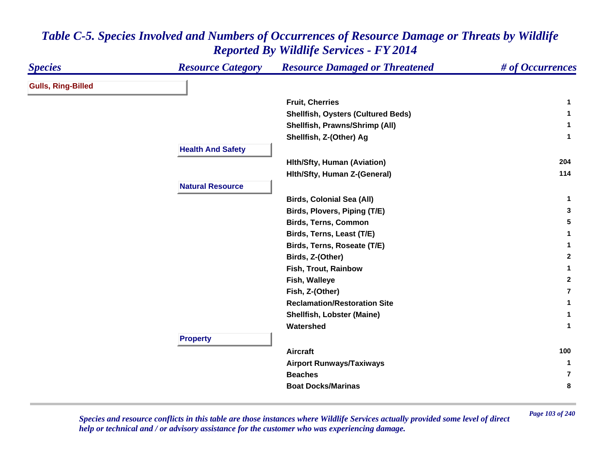| <b>Species</b>            | <b>Resource Category</b> | <b>Resource Damaged or Threatened</b>     | # of Occurrences |
|---------------------------|--------------------------|-------------------------------------------|------------------|
| <b>Gulls, Ring-Billed</b> |                          |                                           |                  |
|                           |                          | <b>Fruit, Cherries</b>                    | 1                |
|                           |                          | <b>Shellfish, Oysters (Cultured Beds)</b> | 1                |
|                           |                          | Shellfish, Prawns/Shrimp (All)            | 1                |
|                           |                          | Shellfish, Z-(Other) Ag                   | $\mathbf{1}$     |
|                           | <b>Health And Safety</b> |                                           |                  |
|                           |                          | <b>Hith/Sfty, Human (Aviation)</b>        | 204              |
|                           |                          | Hith/Sfty, Human Z-(General)              | 114              |
|                           | <b>Natural Resource</b>  |                                           |                  |
|                           |                          | <b>Birds, Colonial Sea (All)</b>          | $\mathbf{1}$     |
|                           |                          | Birds, Plovers, Piping (T/E)              | 3                |
|                           |                          | <b>Birds, Terns, Common</b>               | 5                |
|                           |                          | Birds, Terns, Least (T/E)                 | 1                |
|                           |                          | Birds, Terns, Roseate (T/E)               | 1                |
|                           |                          | Birds, Z-(Other)                          | $\mathbf{2}$     |
|                           |                          | Fish, Trout, Rainbow                      | 1                |
|                           |                          | Fish, Walleye                             | $\mathbf{2}$     |
|                           |                          | Fish, Z-(Other)                           | $\overline{7}$   |
|                           |                          | <b>Reclamation/Restoration Site</b>       | 1                |
|                           |                          | <b>Shellfish, Lobster (Maine)</b>         | 1                |
|                           |                          | Watershed                                 | 1                |
|                           | <b>Property</b>          |                                           |                  |
|                           |                          | <b>Aircraft</b>                           | 100              |
|                           |                          | <b>Airport Runways/Taxiways</b>           | 1                |
|                           |                          | <b>Beaches</b>                            | $\overline{7}$   |
|                           |                          | <b>Boat Docks/Marinas</b>                 | 8                |

*Page 103 of 240 Species and resource conflicts in this table are those instances where Wildlife Services actually provided some level of direct help or technical and / or advisory assistance for the customer who was experiencing damage.*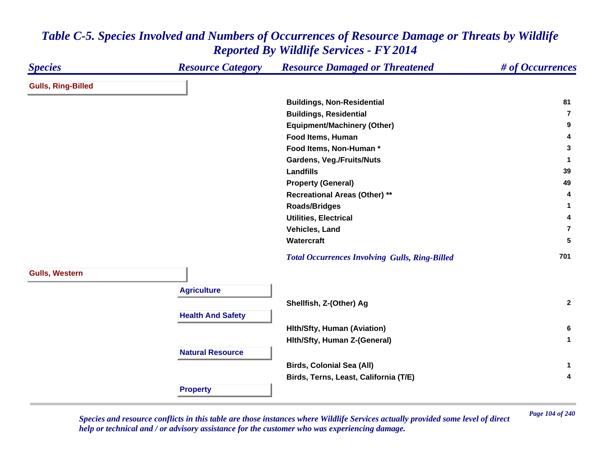| <b>Species</b>            | <b>Resource Category</b> | <b>Resource Damaged or Threatened</b>                 | # of Occurrences        |
|---------------------------|--------------------------|-------------------------------------------------------|-------------------------|
| <b>Gulls, Ring-Billed</b> |                          |                                                       |                         |
|                           |                          | <b>Buildings, Non-Residential</b>                     | 81                      |
|                           |                          | <b>Buildings, Residential</b>                         | $\overline{\mathbf{r}}$ |
|                           |                          | <b>Equipment/Machinery (Other)</b>                    | 9                       |
|                           |                          | Food Items, Human                                     | 4                       |
|                           |                          | Food Items, Non-Human*                                | 3                       |
|                           |                          | <b>Gardens, Veg./Fruits/Nuts</b>                      | $\mathbf{1}$            |
|                           |                          | <b>Landfills</b>                                      | 39                      |
|                           |                          | <b>Property (General)</b>                             | 49                      |
|                           |                          | <b>Recreational Areas (Other) **</b>                  | 4                       |
|                           |                          | <b>Roads/Bridges</b>                                  | 1                       |
|                           |                          | <b>Utilities, Electrical</b>                          | 4                       |
|                           |                          | Vehicles, Land                                        | $\overline{7}$          |
|                           |                          | Watercraft                                            | 5                       |
|                           |                          | <b>Total Occurrences Involving Gulls, Ring-Billed</b> | 701                     |
| <b>Gulls, Western</b>     |                          |                                                       |                         |
|                           | <b>Agriculture</b>       |                                                       |                         |
|                           |                          | Shellfish, Z-(Other) Ag                               | $\mathbf{2}$            |
|                           | <b>Health And Safety</b> |                                                       |                         |
|                           |                          | <b>Hith/Sfty, Human (Aviation)</b>                    | 6                       |
|                           |                          | Hith/Sfty, Human Z-(General)                          | $\mathbf{1}$            |
|                           | <b>Natural Resource</b>  |                                                       |                         |
|                           |                          | <b>Birds, Colonial Sea (All)</b>                      | $\mathbf{1}$            |
|                           |                          | Birds, Terns, Least, California (T/E)                 | $\overline{\mathbf{4}}$ |
|                           |                          |                                                       |                         |
|                           | <b>Property</b>          |                                                       |                         |

*Page 104 of 240 Species and resource conflicts in this table are those instances where Wildlife Services actually provided some level of direct help or technical and / or advisory assistance for the customer who was experiencing damage.*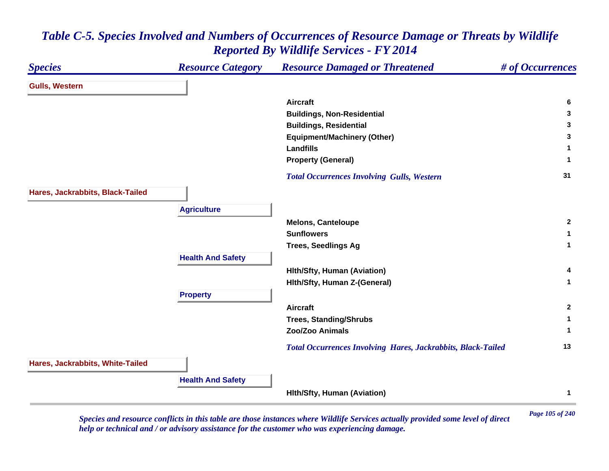#### *Species Resource Category Resource Damaged or Threatened # of Occurrences* **Gulls, Western Aircraft 6 Buildings, Non-Residential <sup>3</sup> Buildings, Residential <sup>3</sup> Equipment/Machinery (Other) <sup>3</sup> Landfills 1 Property (General) <sup>1</sup>**  *Total Occurrences Involving Gulls, Western* **<sup>31</sup> Hares, Jackrabbits, Black-Tailed Agriculture Melons, Canteloupe <sup>2</sup> Sunflowers 1 Trees, Seedlings Ag <sup>1</sup> Health And Safety Hlth/Sfty, Human (Aviation) <sup>4</sup> Hlth/Sfty, Human Z-(General) <sup>1</sup> Property Aircraft 2 Trees, Standing/Shrubs <sup>1</sup> Zoo/Zoo Animals 1**  *Total Occurrences Involving Hares, Jackrabbits, Black-Tailed* **<sup>13</sup> Hares, Jackrabbits, White-Tailed Health And Safety Hlth/Sfty, Human (Aviation) <sup>1</sup>**

#### *Table C-5. Species Involved and Numbers of Occurrences of Resource Damage or Threats by Wildlife Reported By Wildlife Services - FY 2014*

*Page 105 of 240 Species and resource conflicts in this table are those instances where Wildlife Services actually provided some level of direct help or technical and / or advisory assistance for the customer who was experiencing damage.*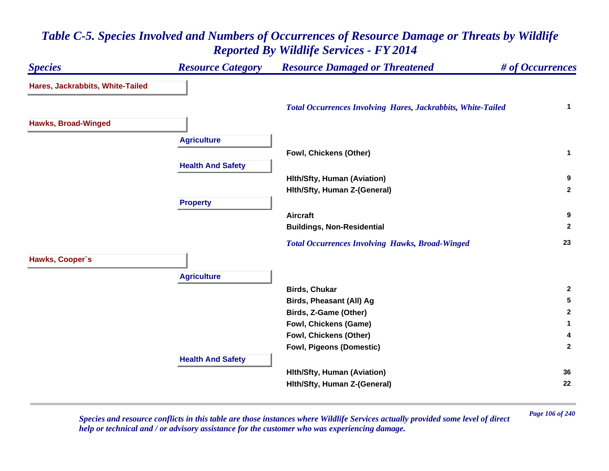#### *Species Resource Category Resource Damaged or Threatened # of Occurrences* **Hares, Jackrabbits, White-Tailed**  *Total Occurrences Involving Hares, Jackrabbits, White-Tailed* **<sup>1</sup> Hawks, Broad-Winged Agriculture Fowl, Chickens (Other) <sup>1</sup> Health And Safety Hlth/Sfty, Human (Aviation) <sup>9</sup> Hlth/Sfty, Human Z-(General) <sup>2</sup> Property Aircraft 9 Buildings, Non-Residential <sup>2</sup>**  *Total Occurrences Involving Hawks, Broad-Winged* **<sup>23</sup> Hawks, Cooper`s Agriculture Birds, Chukar 2 Birds, Pheasant (All) Ag <sup>5</sup> Birds, Z-Game (Other) <sup>2</sup> Fowl, Chickens (Game) <sup>1</sup> Fowl, Chickens (Other) <sup>4</sup> Fowl, Pigeons (Domestic) <sup>2</sup> Health And Safety Hlth/Sfty, Human (Aviation) <sup>36</sup> Hlth/Sfty, Human Z-(General) <sup>22</sup>**

## *Table C-5. Species Involved and Numbers of Occurrences of Resource Damage or Threats by Wildlife Reported By Wildlife Services - FY 2014*

*Page 106 of 240 Species and resource conflicts in this table are those instances where Wildlife Services actually provided some level of direct help or technical and / or advisory assistance for the customer who was experiencing damage.*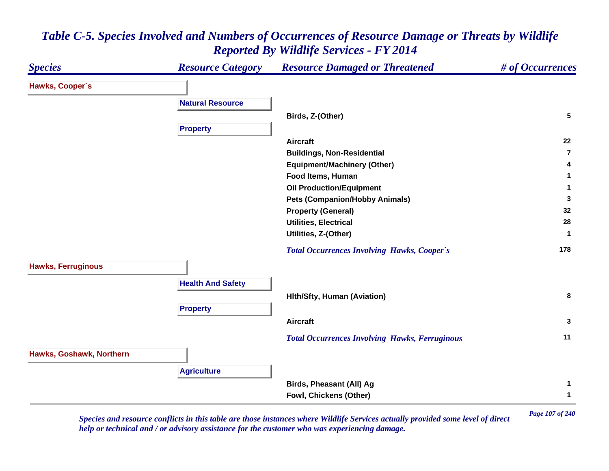#### *Species Resource Category Resource Damaged or Threatened # of Occurrences* **Hawks, Cooper`s Natural ResourceBirds, Z-(Other) <sup>5</sup> Property Aircraft 22 Buildings, Non-Residential 7Equipment/Machinery (Other) <sup>4</sup> Food Items, Human 1 Oil Production/Equipment <sup>1</sup> Pets (Companion/Hobby Animals) <sup>3</sup> Property (General) <sup>32</sup> Utilities, Electrical 28 Utilities, Z-(Other) <sup>1</sup>**  *Total Occurrences Involving Hawks, Cooper`s* **<sup>178</sup> Hawks, Ferruginous Health And Safety Hlth/Sfty, Human (Aviation) <sup>8</sup> Property Aircraft 3**  *Total Occurrences Involving Hawks, Ferruginous* **<sup>11</sup> Hawks, Goshawk, Northern Agriculture Birds, Pheasant (All) Ag <sup>1</sup> Fowl, Chickens (Other) <sup>1</sup>**

#### *Table C-5. Species Involved and Numbers of Occurrences of Resource Damage or Threats by Wildlife Reported By Wildlife Services - FY 2014*

*Page 107 of 240 Species and resource conflicts in this table are those instances where Wildlife Services actually provided some level of direct help or technical and / or advisory assistance for the customer who was experiencing damage.*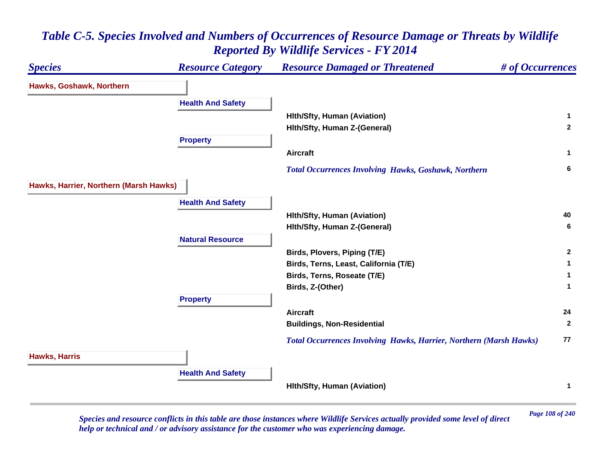#### *Species Resource Category Resource Damaged or Threatened # of Occurrences* **Hawks, Goshawk, Northern Health And Safety Hlth/Sfty, Human (Aviation) <sup>1</sup> Hlth/Sfty, Human Z-(General) <sup>2</sup> Property Aircraft 1**  *Total Occurrences Involving Hawks, Goshawk, Northern* **<sup>6</sup> Hawks, Harrier, Northern (Marsh Hawks) Health And Safety Hlth/Sfty, Human (Aviation) <sup>40</sup> Hlth/Sfty, Human Z-(General) <sup>6</sup> Natural ResourceBirds, Plovers, Piping (T/E) <sup>2</sup> Birds, Terns, Least, California (T/E) <sup>1</sup> Birds, Terns, Roseate (T/E) <sup>1</sup> Birds, Z-(Other) <sup>1</sup> Property Aircraft 24 Buildings, Non-Residential <sup>2</sup>**  *Total Occurrences Involving Hawks, Harrier, Northern (Marsh Hawks)* **<sup>77</sup> Hawks, Harris Health And Safety Hlth/Sfty, Human (Aviation) <sup>1</sup>**

# *Table C-5. Species Involved and Numbers of Occurrences of Resource Damage or Threats by Wildlife Reported By Wildlife Services - FY 2014*

*Page 108 of 240 Species and resource conflicts in this table are those instances where Wildlife Services actually provided some level of direct help or technical and / or advisory assistance for the customer who was experiencing damage.*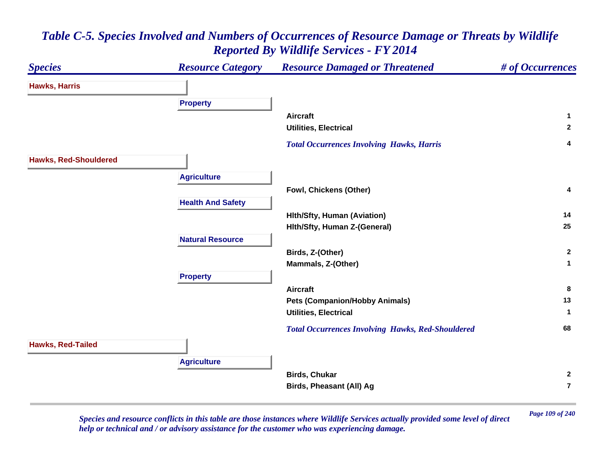

*Page 109 of 240 Species and resource conflicts in this table are those instances where Wildlife Services actually provided some level of direct help or technical and / or advisory assistance for the customer who was experiencing damage.*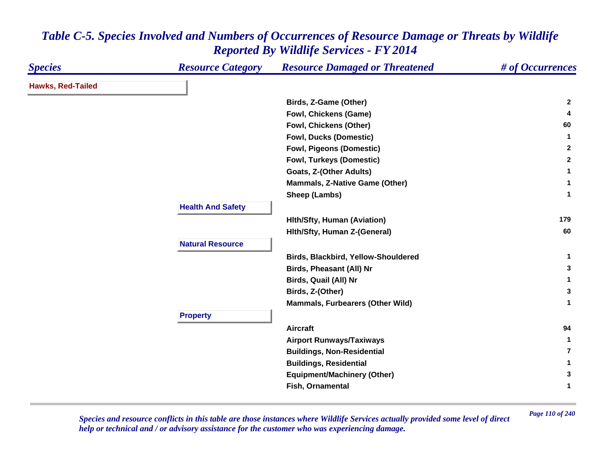| <b>Species</b>           | <b>Resource Category</b> | <b>Resource Damaged or Threatened</b>   | # of Occurrences |
|--------------------------|--------------------------|-----------------------------------------|------------------|
| <b>Hawks, Red-Tailed</b> |                          |                                         |                  |
|                          |                          | Birds, Z-Game (Other)                   | $\mathbf{2}$     |
|                          |                          | <b>Fowl, Chickens (Game)</b>            | 4                |
|                          |                          | <b>Fowl, Chickens (Other)</b>           | 60               |
|                          |                          | <b>Fowl, Ducks (Domestic)</b>           | 1                |
|                          |                          | <b>Fowl, Pigeons (Domestic)</b>         | $\mathbf{2}$     |
|                          |                          | <b>Fowl, Turkeys (Domestic)</b>         | $\mathbf{2}$     |
|                          |                          | Goats, Z-(Other Adults)                 | $\mathbf 1$      |
|                          |                          | <b>Mammals, Z-Native Game (Other)</b>   | 1                |
|                          |                          | Sheep (Lambs)                           | $\mathbf 1$      |
|                          | <b>Health And Safety</b> |                                         |                  |
|                          |                          | <b>Hith/Sfty, Human (Aviation)</b>      | 179              |
|                          |                          | Hith/Sfty, Human Z-(General)            | 60               |
|                          | <b>Natural Resource</b>  |                                         |                  |
|                          |                          | Birds, Blackbird, Yellow-Shouldered     | $\mathbf{1}$     |
|                          |                          | <b>Birds, Pheasant (All) Nr</b>         | 3                |
|                          |                          | <b>Birds, Quail (All) Nr</b>            | $\mathbf{1}$     |
|                          |                          | Birds, Z-(Other)                        | 3                |
|                          |                          | <b>Mammals, Furbearers (Other Wild)</b> | $\mathbf{1}$     |
|                          | <b>Property</b>          |                                         |                  |
|                          |                          | <b>Aircraft</b>                         | 94               |
|                          |                          | <b>Airport Runways/Taxiways</b>         | 1                |
|                          |                          | <b>Buildings, Non-Residential</b>       | 7                |
|                          |                          | <b>Buildings, Residential</b>           | 1                |
|                          |                          | <b>Equipment/Machinery (Other)</b>      | 3                |
|                          |                          | Fish, Ornamental                        | 1                |
|                          |                          |                                         |                  |

*Page 110 of 240 Species and resource conflicts in this table are those instances where Wildlife Services actually provided some level of direct help or technical and / or advisory assistance for the customer who was experiencing damage.*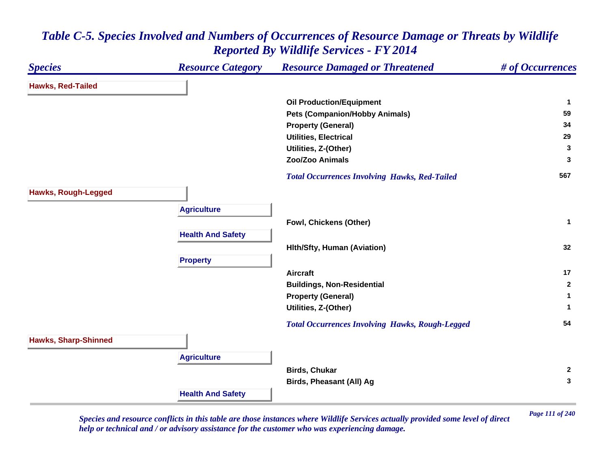#### *Species Resource Category Resource Damaged or Threatened # of Occurrences* **Hawks, Red-Tailed Oil Production/Equipment <sup>1</sup> Pets (Companion/Hobby Animals) <sup>59</sup> Property (General) <sup>34</sup> Utilities, Electrical 29 Utilities, Z-(Other) <sup>3</sup> Zoo/Zoo Animals 3**  *Total Occurrences Involving Hawks, Red-Tailed* **<sup>567</sup> Hawks, Rough-Legged Agriculture Fowl, Chickens (Other) <sup>1</sup> Health And Safety Hlth/Sfty, Human (Aviation) <sup>32</sup> Property Aircraft 17 Buildings, Non-Residential <sup>2</sup> Property (General) <sup>1</sup> Utilities, Z-(Other) <sup>1</sup>**  *Total Occurrences Involving Hawks, Rough-Legged* **<sup>54</sup> Hawks, Sharp-Shinned Agriculture Birds, Chukar 2 Birds, Pheasant (All) Ag <sup>3</sup> Health And Safety**

#### *Table C-5. Species Involved and Numbers of Occurrences of Resource Damage or Threats by Wildlife Reported By Wildlife Services - FY 2014*

*Page 111 of 240 Species and resource conflicts in this table are those instances where Wildlife Services actually provided some level of direct help or technical and / or advisory assistance for the customer who was experiencing damage.*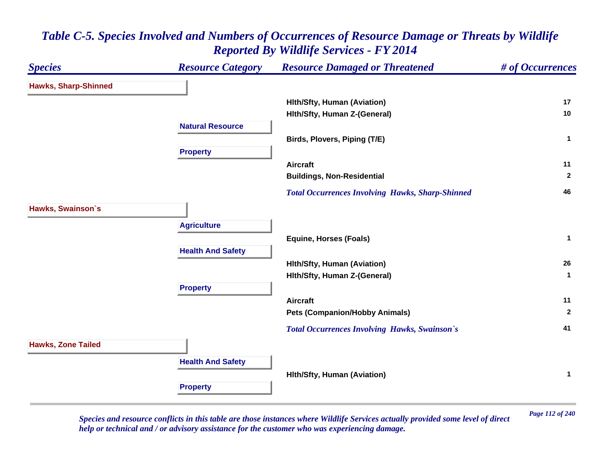

*Page 112 of 240 Species and resource conflicts in this table are those instances where Wildlife Services actually provided some level of direct help or technical and / or advisory assistance for the customer who was experiencing damage.*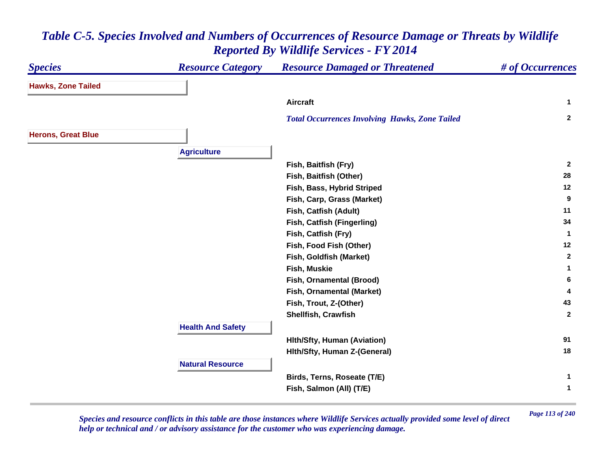#### *Species Resource Category Resource Damaged or Threatened # of Occurrences* **Hawks, Zone Tailed Aircraft 1**  *Total Occurrences Involving Hawks, Zone Tailed* **<sup>2</sup> Herons, Great Blue Agriculture Fish, Baitfish (Fry) <sup>2</sup> Fish, Baitfish (Other) <sup>28</sup> Fish, Bass, Hybrid Striped <sup>12</sup> Fish, Carp, Grass (Market) <sup>9</sup> Fish, Catfish (Adult) <sup>11</sup> Fish, Catfish (Fingerling) <sup>34</sup> Fish, Catfish (Fry) <sup>1</sup> Fish, Food Fish (Other) <sup>12</sup> Fish, Goldfish (Market) <sup>2</sup> Fish, Muskie 1 Fish, Ornamental (Brood) <sup>6</sup> Fish, Ornamental (Market) <sup>4</sup> Fish, Trout, Z-(Other) <sup>43</sup> Shellfish, Crawfish 2 Health And Safety Hlth/Sfty, Human (Aviation) <sup>91</sup> Hlth/Sfty, Human Z-(General) <sup>18</sup> Natural Resource Birds, Terns, Roseate (T/E) <sup>1</sup> Fish, Salmon (All) (T/E) <sup>1</sup>**

#### *Table C-5. Species Involved and Numbers of Occurrences of Resource Damage or Threats by Wildlife Reported By Wildlife Services - FY 2014*

*Page 113 of 240 Species and resource conflicts in this table are those instances where Wildlife Services actually provided some level of direct help or technical and / or advisory assistance for the customer who was experiencing damage.*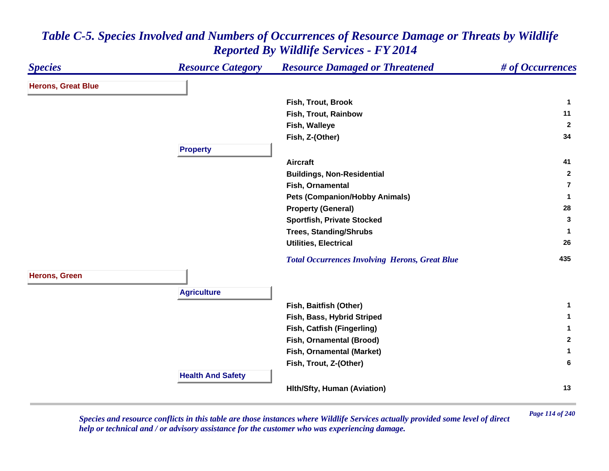#### *Species Resource Category Resource Damaged or Threatened # of Occurrences* **Herons, Great Blue Fish, Trout, Brook 1 Fish, Trout, Rainbow 11 Fish, Walleye <sup>2</sup> Fish, Z-(Other) <sup>34</sup> Property Aircraft 41 Buildings, Non-Residential <sup>2</sup> Fish, Ornamental 7Pets (Companion/Hobby Animals) <sup>1</sup> Property (General) <sup>28</sup> Sportfish, Private Stocked <sup>3</sup> Trees, Standing/Shrubs <sup>1</sup> Utilities, Electrical 26**  *Total Occurrences Involving Herons, Great Blue* **<sup>435</sup> Herons, Green Agriculture Fish, Baitfish (Other) <sup>1</sup> Fish, Bass, Hybrid Striped <sup>1</sup> Fish, Catfish (Fingerling) <sup>1</sup> Fish, Ornamental (Brood) <sup>2</sup> Fish, Ornamental (Market) <sup>1</sup> Fish, Trout, Z-(Other) <sup>6</sup> Health And Safety Hlth/Sfty, Human (Aviation) <sup>13</sup>**

## *Table C-5. Species Involved and Numbers of Occurrences of Resource Damage or Threats by Wildlife Reported By Wildlife Services - FY 2014*

*Page 114 of 240 Species and resource conflicts in this table are those instances where Wildlife Services actually provided some level of direct help or technical and / or advisory assistance for the customer who was experiencing damage.*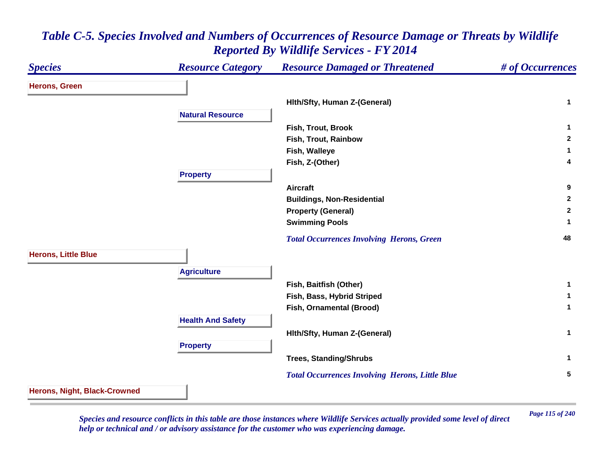## *Species Resource Category Resource Damaged or Threatened # of Occurrences* **Herons, Green Hlth/Sfty, Human Z-(General) <sup>1</sup> Natural ResourceFish, Trout, Brook 1 Fish, Trout, Rainbow 2 Fish, Walleye <sup>1</sup> Fish, Z-(Other) <sup>4</sup> Property Aircraft 9 Buildings, Non-Residential <sup>2</sup> Property (General) <sup>2</sup> Swimming Pools <sup>1</sup>**  *Total Occurrences Involving Herons, Green* **<sup>48</sup> Herons, Little Blue Agriculture Fish, Baitfish (Other) <sup>1</sup> Fish, Bass, Hybrid Striped <sup>1</sup> Fish, Ornamental (Brood) <sup>1</sup> Health And Safety Hlth/Sfty, Human Z-(General) <sup>1</sup> Property Trees, Standing/Shrubs <sup>1</sup>**  *Total Occurrences Involving Herons, Little Blue* **<sup>5</sup> Herons, Night, Black-Crowned**

#### *Table C-5. Species Involved and Numbers of Occurrences of Resource Damage or Threats by Wildlife Reported By Wildlife Services - FY 2014*

*Page 115 of 240 Species and resource conflicts in this table are those instances where Wildlife Services actually provided some level of direct help or technical and / or advisory assistance for the customer who was experiencing damage.*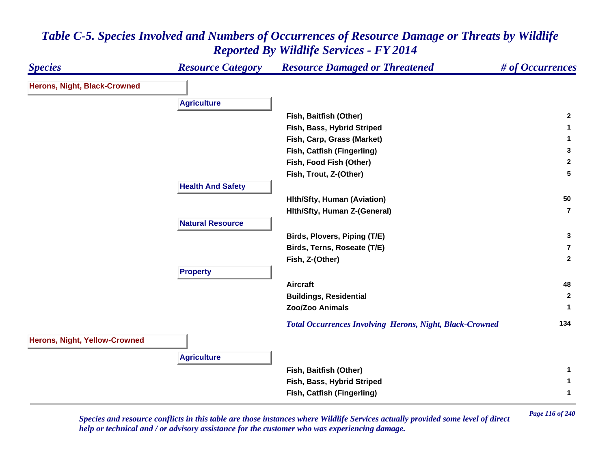| <b>Species</b>                | <b>Resource Category</b> | <b>Resource Damaged or Threatened</b>                           | # of Occurrences |
|-------------------------------|--------------------------|-----------------------------------------------------------------|------------------|
| Herons, Night, Black-Crowned  |                          |                                                                 |                  |
|                               | <b>Agriculture</b>       |                                                                 |                  |
|                               |                          | Fish, Baitfish (Other)                                          | $\mathbf{2}$     |
|                               |                          | Fish, Bass, Hybrid Striped                                      | 1.               |
|                               |                          | Fish, Carp, Grass (Market)                                      | $\mathbf{1}$     |
|                               |                          | Fish, Catfish (Fingerling)                                      | 3                |
|                               |                          | Fish, Food Fish (Other)                                         | $\overline{2}$   |
|                               |                          | Fish, Trout, Z-(Other)                                          | 5                |
|                               | <b>Health And Safety</b> |                                                                 |                  |
|                               |                          | <b>Hith/Sfty, Human (Aviation)</b>                              | 50               |
|                               |                          |                                                                 | $\overline{7}$   |
|                               |                          | Hith/Sfty, Human Z-(General)                                    |                  |
|                               | <b>Natural Resource</b>  |                                                                 |                  |
|                               |                          | Birds, Plovers, Piping (T/E)                                    | 3                |
|                               |                          | Birds, Terns, Roseate (T/E)                                     | $\overline{7}$   |
|                               |                          | Fish, Z-(Other)                                                 | $\mathbf{2}$     |
|                               | <b>Property</b>          |                                                                 |                  |
|                               |                          | <b>Aircraft</b>                                                 | 48               |
|                               |                          | <b>Buildings, Residential</b>                                   | $\mathbf{2}$     |
|                               |                          | Zoo/Zoo Animals                                                 | 1                |
|                               |                          | <b>Total Occurrences Involving Herons, Night, Black-Crowned</b> | 134              |
| Herons, Night, Yellow-Crowned |                          |                                                                 |                  |
|                               | <b>Agriculture</b>       |                                                                 |                  |
|                               |                          | Fish, Baitfish (Other)                                          | 1.               |
|                               |                          | Fish, Bass, Hybrid Striped                                      | $\mathbf 1$      |
|                               |                          | Fish, Catfish (Fingerling)                                      | 1                |
|                               |                          |                                                                 |                  |

*Page 116 of 240 Species and resource conflicts in this table are those instances where Wildlife Services actually provided some level of direct help or technical and / or advisory assistance for the customer who was experiencing damage.*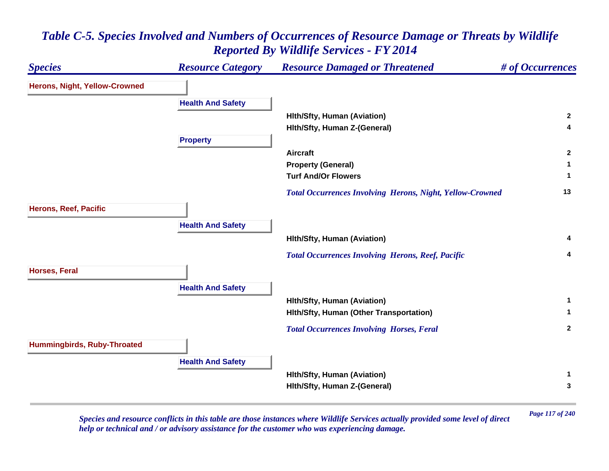# *Species Resource Category Resource Damaged or Threatened # of Occurrences* **Herons, Night, Yellow-Crowned Health And Safety Hlth/Sfty, Human (Aviation) <sup>2</sup> Hlth/Sfty, Human Z-(General) <sup>4</sup> Property Aircraft 2 Property (General) <sup>1</sup> Turf And/Or Flowers 1**  *Total Occurrences Involving Herons, Night, Yellow-Crowned* **<sup>13</sup> Herons, Reef, Pacific Health And Safety Hlth/Sfty, Human (Aviation) <sup>4</sup>**  *Total Occurrences Involving Herons, Reef, Pacific* **<sup>4</sup> Horses, Feral Health And Safety Hlth/Sfty, Human (Aviation) <sup>1</sup> Hlth/Sfty, Human (Other Transportation) <sup>1</sup>**  *Total Occurrences Involving Horses, Feral* **<sup>2</sup> Hummingbirds, Ruby-Throated Health And Safety Hlth/Sfty, Human (Aviation) <sup>1</sup> Hlth/Sfty, Human Z-(General) <sup>3</sup>**

# *Table C-5. Species Involved and Numbers of Occurrences of Resource Damage or Threats by Wildlife Reported By Wildlife Services - FY 2014*

*Page 117 of 240 Species and resource conflicts in this table are those instances where Wildlife Services actually provided some level of direct help or technical and / or advisory assistance for the customer who was experiencing damage.*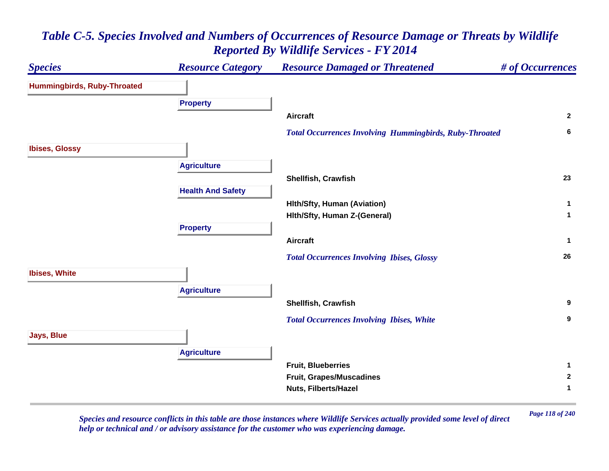# *Species Resource Category Resource Damaged or Threatened # of Occurrences* **Hummingbirds, Ruby-Throated Property Aircraft 2**  *Total Occurrences Involving Hummingbirds, Ruby-Throated* **<sup>6</sup> Ibises, Glossy Agriculture Shellfish, Crawfish 23 Health And Safety Hlth/Sfty, Human (Aviation) <sup>1</sup> Hlth/Sfty, Human Z-(General) <sup>1</sup> Property Aircraft 1**  *Total Occurrences Involving Ibises, Glossy* **<sup>26</sup> Ibises, White Agriculture Shellfish, Crawfish 9**  *Total Occurrences Involving Ibises, White* **<sup>9</sup> Jays, Blue Agriculture Fruit, Blueberries 1 Fruit, Grapes/Muscadines <sup>2</sup> Nuts, Filberts/Hazel 1**

# *Table C-5. Species Involved and Numbers of Occurrences of Resource Damage or Threats by Wildlife Reported By Wildlife Services - FY 2014*

*Page 118 of 240 Species and resource conflicts in this table are those instances where Wildlife Services actually provided some level of direct help or technical and / or advisory assistance for the customer who was experiencing damage.*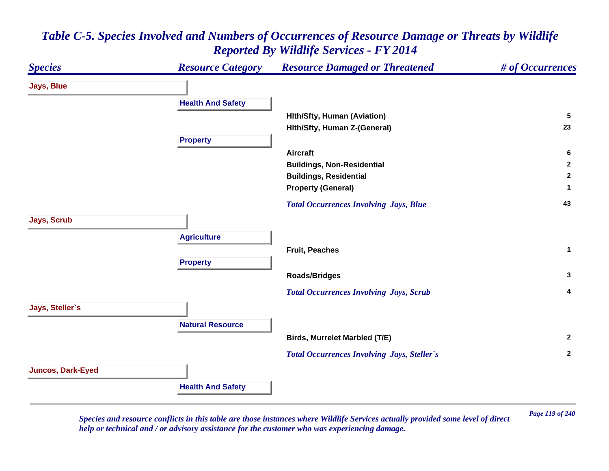# *Species Resource Category Resource Damaged or Threatened # of Occurrences* **Jays, Blue Health And Safety Hlth/Sfty, Human (Aviation) <sup>5</sup> Hlth/Sfty, Human Z-(General) <sup>23</sup> Property Aircraft 6 Buildings, Non-Residential <sup>2</sup> Buildings, Residential <sup>2</sup> Property (General) <sup>1</sup>**  *Total Occurrences Involving Jays, Blue* **<sup>43</sup> Jays, Scrub Agriculture Fruit, Peaches 1 Property Roads/Bridges <sup>3</sup>**  *Total Occurrences Involving Jays, Scrub* **<sup>4</sup> Jays, Steller`s Natural ResourceBirds, Murrelet Marbled (T/E) <sup>2</sup>**  *Total Occurrences Involving Jays, Steller`s* **<sup>2</sup> Juncos, Dark-Eyed Health And Safety**

# *Table C-5. Species Involved and Numbers of Occurrences of Resource Damage or Threats by Wildlife Reported By Wildlife Services - FY 2014*

*Page 119 of 240 Species and resource conflicts in this table are those instances where Wildlife Services actually provided some level of direct help or technical and / or advisory assistance for the customer who was experiencing damage.*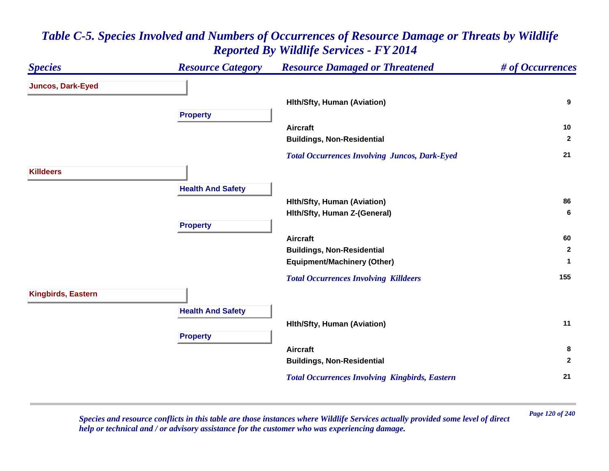#### *Species Resource Category Resource Damaged or Threatened # of Occurrences* **Juncos, Dark-Eyed Hlth/Sfty, Human (Aviation) <sup>9</sup> Property Aircraft 10 Buildings, Non-Residential <sup>2</sup>**  *Total Occurrences Involving Juncos, Dark-Eyed* **<sup>21</sup> KilldeersHealth And Safety Hlth/Sfty, Human (Aviation) <sup>86</sup> Hlth/Sfty, Human Z-(General) <sup>6</sup> Property Aircraft 60 Buildings, Non-Residential <sup>2</sup> Equipment/Machinery (Other) <sup>1</sup>**  *Total Occurrences Involving Killdeers* **<sup>155</sup> Kingbirds, Eastern Health And Safety Hlth/Sfty, Human (Aviation) <sup>11</sup> Property Aircraft 8 Buildings, Non-Residential <sup>2</sup>**  *Total Occurrences Involving Kingbirds, Eastern* **<sup>21</sup>**

# *Table C-5. Species Involved and Numbers of Occurrences of Resource Damage or Threats by Wildlife Reported By Wildlife Services - FY 2014*

*Page 120 of 240 Species and resource conflicts in this table are those instances where Wildlife Services actually provided some level of direct help or technical and / or advisory assistance for the customer who was experiencing damage.*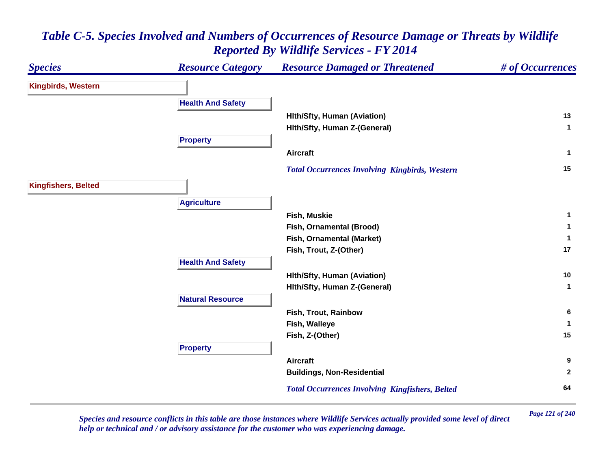#### *Species Resource Category Resource Damaged or Threatened # of Occurrences* **Kingbirds, Western Health And Safety Hlth/Sfty, Human (Aviation) <sup>13</sup> Hlth/Sfty, Human Z-(General) <sup>1</sup> Property Aircraft 1**  *Total Occurrences Involving Kingbirds, Western* **<sup>15</sup> Kingfishers, Belted Agriculture Fish, Muskie 1 Fish, Ornamental (Brood) <sup>1</sup> Fish, Ornamental (Market) <sup>1</sup> Fish, Trout, Z-(Other) <sup>17</sup> Health And Safety Hlth/Sfty, Human (Aviation) <sup>10</sup> Hlth/Sfty, Human Z-(General) <sup>1</sup> Natural ResourceFish, Trout, Rainbow 6 Fish, Walleye <sup>1</sup> Fish, Z-(Other) <sup>15</sup> Property Aircraft 9 Buildings, Non-Residential <sup>2</sup>**  *Total Occurrences Involving Kingfishers, Belted* **<sup>64</sup>**

# *Table C-5. Species Involved and Numbers of Occurrences of Resource Damage or Threats by Wildlife Reported By Wildlife Services - FY 2014*

*Page 121 of 240 Species and resource conflicts in this table are those instances where Wildlife Services actually provided some level of direct help or technical and / or advisory assistance for the customer who was experiencing damage.*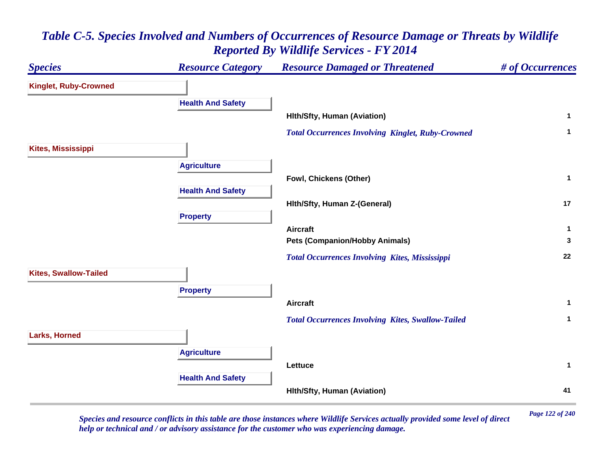

*Page 122 of 240 Species and resource conflicts in this table are those instances where Wildlife Services actually provided some level of direct help or technical and / or advisory assistance for the customer who was experiencing damage.*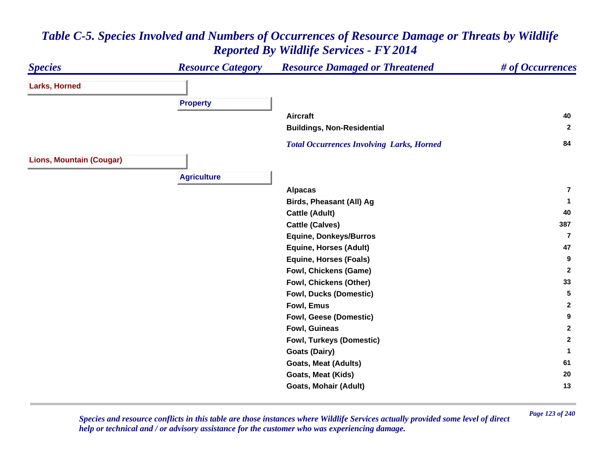#### *Species Resource Category Resource Damaged or Threatened # of Occurrences* **Larks, Horned Property Aircraft 40 Buildings, Non-Residential <sup>2</sup>**  *Total Occurrences Involving Larks, Horned* **<sup>84</sup> Lions, Mountain (Cougar) Agriculture Alpacas 7Birds, Pheasant (All) Ag <sup>1</sup> Cattle (Adult) <sup>40</sup> Cattle (Calves) <sup>387</sup> Equine, Donkeys/Burros 7Equine, Horses (Adult) <sup>47</sup> Equine, Horses (Foals) <sup>9</sup> Fowl, Chickens (Game) <sup>2</sup> Fowl, Chickens (Other) <sup>33</sup> Fowl, Ducks (Domestic) 5 Fowl, Emus 2 Fowl, Geese (Domestic) <sup>9</sup> Fowl, Guineas 2 Fowl, Turkeys (Domestic) <sup>2</sup> Goats (Dairy) <sup>1</sup> Goats, Meat (Adults) <sup>61</sup> Goats, Meat (Kids) <sup>20</sup> Goats, Mohair (Adult) <sup>13</sup>**

# *Table C-5. Species Involved and Numbers of Occurrences of Resource Damage or Threats by Wildlife Reported By Wildlife Services - FY 2014*

*Page 123 of 240 Species and resource conflicts in this table are those instances where Wildlife Services actually provided some level of direct help or technical and / or advisory assistance for the customer who was experiencing damage.*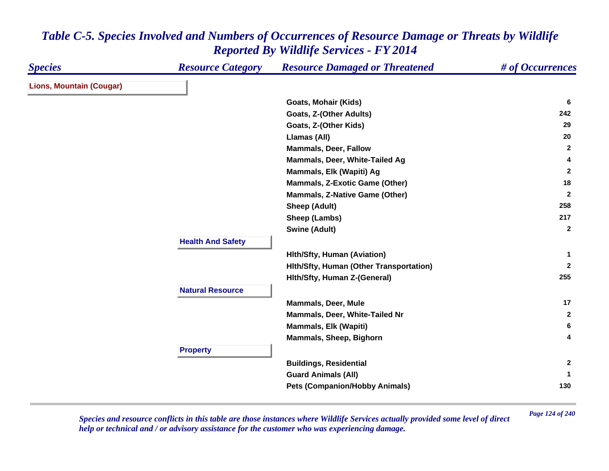| <b>Species</b>                  | <b>Resource Category</b> | <b>Resource Damaged or Threatened</b>   | # of Occurrences |
|---------------------------------|--------------------------|-----------------------------------------|------------------|
| <b>Lions, Mountain (Cougar)</b> |                          |                                         |                  |
|                                 |                          | Goats, Mohair (Kids)                    | 6                |
|                                 |                          | Goats, Z-(Other Adults)                 | 242              |
|                                 |                          | Goats, Z-(Other Kids)                   | 29               |
|                                 |                          | Llamas (All)                            | 20               |
|                                 |                          | <b>Mammals, Deer, Fallow</b>            | $\mathbf{2}$     |
|                                 |                          | Mammals, Deer, White-Tailed Ag          | 4                |
|                                 |                          | Mammals, Elk (Wapiti) Ag                | $\mathbf{2}$     |
|                                 |                          | <b>Mammals, Z-Exotic Game (Other)</b>   | 18               |
|                                 |                          | <b>Mammals, Z-Native Game (Other)</b>   | $\overline{2}$   |
|                                 |                          | Sheep (Adult)                           | 258              |
|                                 |                          | Sheep (Lambs)                           | 217              |
|                                 |                          | <b>Swine (Adult)</b>                    | $\overline{2}$   |
|                                 | <b>Health And Safety</b> |                                         |                  |
|                                 |                          | <b>Hith/Sfty, Human (Aviation)</b>      | -1               |
|                                 |                          | Hith/Sfty, Human (Other Transportation) | $\mathbf{2}$     |
|                                 |                          | Hith/Sfty, Human Z-(General)            | 255              |
|                                 | <b>Natural Resource</b>  |                                         |                  |
|                                 |                          | <b>Mammals, Deer, Mule</b>              | 17               |
|                                 |                          | Mammals, Deer, White-Tailed Nr          | $\mathbf{2}$     |
|                                 |                          | <b>Mammals, Elk (Wapiti)</b>            | 6                |
|                                 |                          | Mammals, Sheep, Bighorn                 | 4                |
|                                 | <b>Property</b>          |                                         |                  |
|                                 |                          | <b>Buildings, Residential</b>           | $\mathbf{2}$     |
|                                 |                          | <b>Guard Animals (All)</b>              | 1                |
|                                 |                          | <b>Pets (Companion/Hobby Animals)</b>   | 130              |

*Page 124 of 240 Species and resource conflicts in this table are those instances where Wildlife Services actually provided some level of direct help or technical and / or advisory assistance for the customer who was experiencing damage.*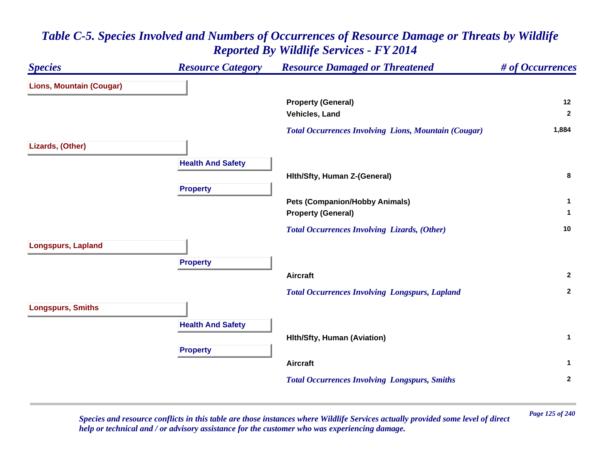# *Species Resource Category Resource Damaged or Threatened # of Occurrences* **Lions, Mountain (Cougar) Property (General) <sup>12</sup> Vehicles, Land 2**  *Total Occurrences Involving Lions, Mountain (Cougar)* **1,884 Lizards, (Other) Health And Safety Hlth/Sfty, Human Z-(General) <sup>8</sup> Property Pets (Companion/Hobby Animals) <sup>1</sup> Property (General) <sup>1</sup>**  *Total Occurrences Involving Lizards, (Other)* **<sup>10</sup> Longspurs, Lapland Property Aircraft 2**  *Total Occurrences Involving Longspurs, Lapland* **<sup>2</sup> Longspurs, Smiths Health And Safety Hlth/Sfty, Human (Aviation) <sup>1</sup> Property Aircraft 1**  *Total Occurrences Involving Longspurs, Smiths* **<sup>2</sup>**

# *Table C-5. Species Involved and Numbers of Occurrences of Resource Damage or Threats by Wildlife Reported By Wildlife Services - FY 2014*

*Page 125 of 240 Species and resource conflicts in this table are those instances where Wildlife Services actually provided some level of direct help or technical and / or advisory assistance for the customer who was experiencing damage.*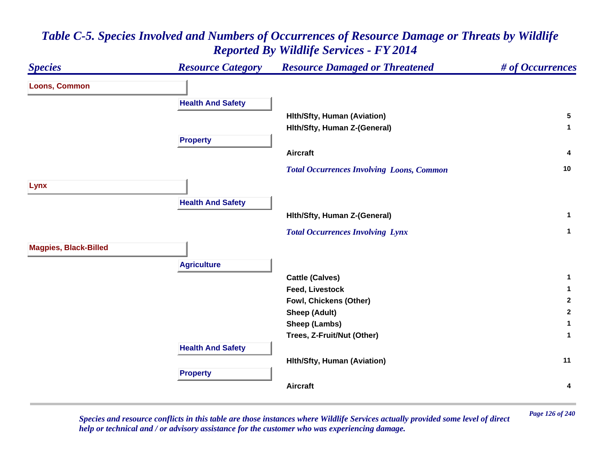#### *Species Resource Category Resource Damaged or Threatened # of Occurrences* **Loons, Common Health And Safety Hlth/Sfty, Human (Aviation) <sup>5</sup> Hlth/Sfty, Human Z-(General) <sup>1</sup> Property Aircraft 4**  *Total Occurrences Involving Loons, Common* **<sup>10</sup> Lynx Health And Safety Hlth/Sfty, Human Z-(General) <sup>1</sup>**  *Total Occurrences Involving Lynx* **<sup>1</sup> Magpies, Black-Billed Agriculture Cattle (Calves) <sup>1</sup> Feed, Livestock 1 Fowl, Chickens (Other) <sup>2</sup> Sheep (Adult) <sup>2</sup> Sheep (Lambs) <sup>1</sup> Trees, Z-Fruit/Nut (Other) <sup>1</sup> Health And Safety Hlth/Sfty, Human (Aviation) <sup>11</sup> Property Aircraft4**

# *Table C-5. Species Involved and Numbers of Occurrences of Resource Damage or Threats by Wildlife Reported By Wildlife Services - FY 2014*

*Page 126 of 240 Species and resource conflicts in this table are those instances where Wildlife Services actually provided some level of direct help or technical and / or advisory assistance for the customer who was experiencing damage.*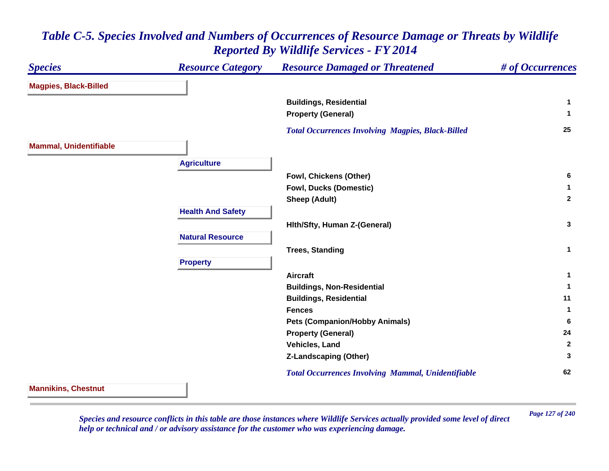#### *Species Resource Category Resource Damaged or Threatened # of Occurrences* **Magpies, Black-Billed Buildings, Residential <sup>1</sup> Property (General) <sup>1</sup>**  *Total Occurrences Involving Magpies, Black-Billed* **<sup>25</sup> Mammal, Unidentifiable Agriculture Fowl, Chickens (Other) <sup>6</sup> Fowl, Ducks (Domestic) <sup>1</sup> Sheep (Adult) <sup>2</sup> Health And Safety Hlth/Sfty, Human Z-(General) <sup>3</sup> Natural ResourceTrees, Standing <sup>1</sup> Property Aircraft 1 Buildings, Non-Residential <sup>1</sup> Buildings, Residential <sup>11</sup> Fences 1 Pets (Companion/Hobby Animals) <sup>6</sup> Property (General) <sup>24</sup> Vehicles, Land 2 Z-Landscaping (Other) <sup>3</sup>**  *Total Occurrences Involving Mammal, Unidentifiable* **<sup>62</sup> Mannikins, Chestnut**

## *Table C-5. Species Involved and Numbers of Occurrences of Resource Damage or Threats by Wildlife Reported By Wildlife Services - FY 2014*

*Page 127 of 240 Species and resource conflicts in this table are those instances where Wildlife Services actually provided some level of direct help or technical and / or advisory assistance for the customer who was experiencing damage.*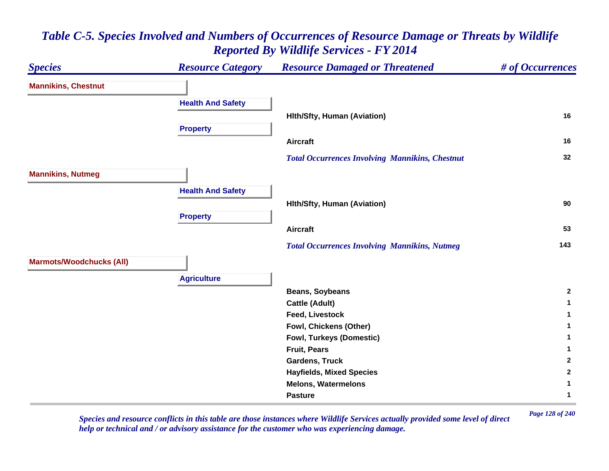#### *Species Resource Category Resource Damaged or Threatened # of Occurrences* **Mannikins, Chestnut Health And Safety Hlth/Sfty, Human (Aviation) <sup>16</sup> Property Aircraft 16**  *Total Occurrences Involving Mannikins, Chestnut* **<sup>32</sup> Mannikins, Nutmeg Health And Safety Hlth/Sfty, Human (Aviation) <sup>90</sup> Property Aircraft 53**  *Total Occurrences Involving Mannikins, Nutmeg* **<sup>143</sup> Marmots/Woodchucks (All) Agriculture Beans, Soybeans <sup>2</sup> Cattle (Adult) <sup>1</sup> Feed, Livestock 1 Fowl, Chickens (Other) <sup>1</sup> Fowl, Turkeys (Domestic) <sup>1</sup> Fruit, Pears 1 Gardens, Truck 2 Hayfields, Mixed Species <sup>2</sup> Melons, Watermelons 1 Pasture1**

# *Table C-5. Species Involved and Numbers of Occurrences of Resource Damage or Threats by Wildlife Reported By Wildlife Services - FY 2014*

*Page 128 of 240 Species and resource conflicts in this table are those instances where Wildlife Services actually provided some level of direct help or technical and / or advisory assistance for the customer who was experiencing damage.*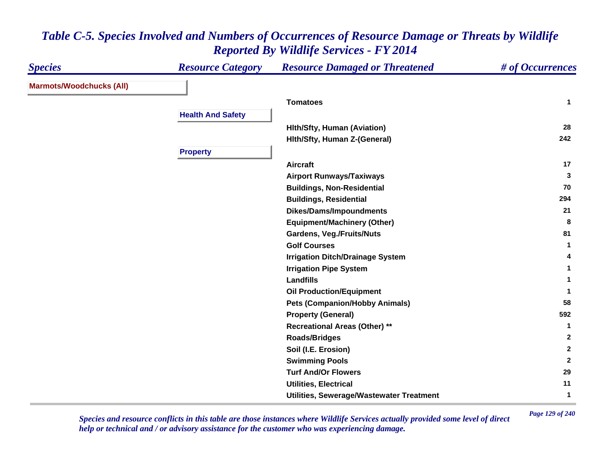| <b>Species</b>                  | <b>Resource Category</b> | <b>Resource Damaged or Threatened</b>    | # of Occurrences |
|---------------------------------|--------------------------|------------------------------------------|------------------|
| <b>Marmots/Woodchucks (All)</b> |                          |                                          |                  |
|                                 |                          | <b>Tomatoes</b>                          | $\mathbf{1}$     |
|                                 | <b>Health And Safety</b> |                                          |                  |
|                                 |                          | <b>Hith/Sfty, Human (Aviation)</b>       | 28               |
|                                 |                          | Hith/Sfty, Human Z-(General)             | 242              |
|                                 | <b>Property</b>          |                                          |                  |
|                                 |                          | <b>Aircraft</b>                          | 17               |
|                                 |                          | <b>Airport Runways/Taxiways</b>          | 3                |
|                                 |                          | <b>Buildings, Non-Residential</b>        | 70               |
|                                 |                          | <b>Buildings, Residential</b>            | 294              |
|                                 |                          | <b>Dikes/Dams/Impoundments</b>           | 21               |
|                                 |                          | <b>Equipment/Machinery (Other)</b>       | 8                |
|                                 |                          | <b>Gardens, Veg./Fruits/Nuts</b>         | 81               |
|                                 |                          | <b>Golf Courses</b>                      | $\mathbf{1}$     |
|                                 |                          | <b>Irrigation Ditch/Drainage System</b>  | 4                |
|                                 |                          | <b>Irrigation Pipe System</b>            | 1                |
|                                 |                          | <b>Landfills</b>                         | 1                |
|                                 |                          | <b>Oil Production/Equipment</b>          | 1                |
|                                 |                          | <b>Pets (Companion/Hobby Animals)</b>    | 58               |
|                                 |                          | <b>Property (General)</b>                | 592              |
|                                 |                          | <b>Recreational Areas (Other) **</b>     | $\mathbf{1}$     |
|                                 |                          | <b>Roads/Bridges</b>                     | $\mathbf{2}$     |
|                                 |                          | Soil (I.E. Erosion)                      | $\mathbf{2}$     |
|                                 |                          | <b>Swimming Pools</b>                    | $\overline{2}$   |
|                                 |                          | <b>Turf And/Or Flowers</b>               | 29               |
|                                 |                          | <b>Utilities, Electrical</b>             | 11               |
|                                 |                          | Utilities, Sewerage/Wastewater Treatment | $\mathbf{1}$     |

*Page 129 of 240 Species and resource conflicts in this table are those instances where Wildlife Services actually provided some level of direct help or technical and / or advisory assistance for the customer who was experiencing damage.*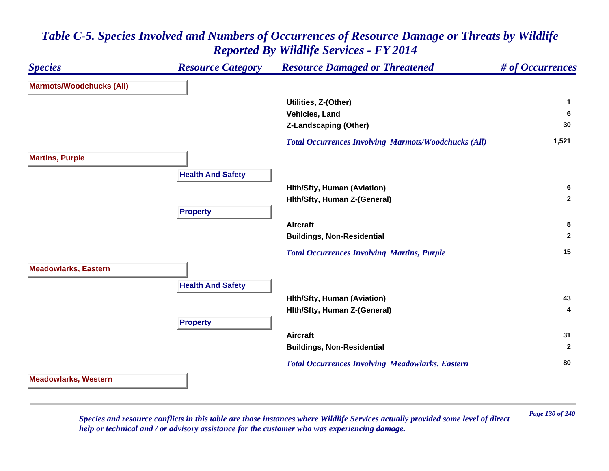## *Species Resource Category Resource Damaged or Threatened # of Occurrences* **Marmots/Woodchucks (All) Utilities, Z-(Other) <sup>1</sup> Vehicles, Land 6 Z-Landscaping (Other) <sup>30</sup>**  *Total Occurrences Involving Marmots/Woodchucks (All)* **1,521 Martins, Purple Health And Safety Hlth/Sfty, Human (Aviation) <sup>6</sup> Hlth/Sfty, Human Z-(General) <sup>2</sup> Property Aircraft 5 Buildings, Non-Residential <sup>2</sup>**  *Total Occurrences Involving Martins, Purple* **<sup>15</sup> Meadowlarks, Eastern Health And Safety Hlth/Sfty, Human (Aviation) <sup>43</sup> Hlth/Sfty, Human Z-(General) <sup>4</sup> Property Aircraft 31 Buildings, Non-Residential <sup>2</sup>**  *Total Occurrences Involving Meadowlarks, Eastern* **<sup>80</sup> Meadowlarks, Western**

## *Table C-5. Species Involved and Numbers of Occurrences of Resource Damage or Threats by Wildlife Reported By Wildlife Services - FY 2014*

*Page 130 of 240 Species and resource conflicts in this table are those instances where Wildlife Services actually provided some level of direct help or technical and / or advisory assistance for the customer who was experiencing damage.*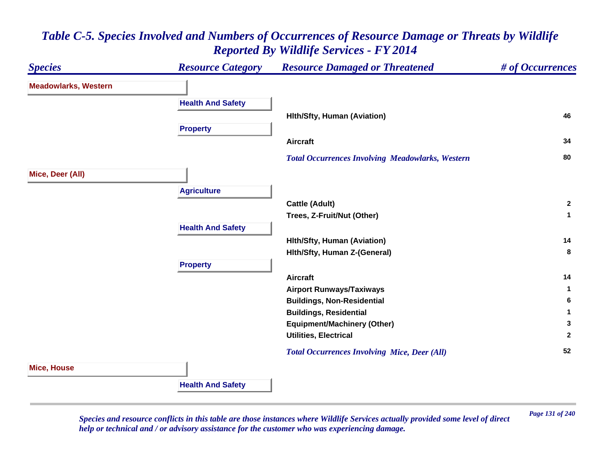#### *Species Resource Category Resource Damaged or Threatened # of Occurrences* **Meadowlarks, Western Health And Safety Hlth/Sfty, Human (Aviation) <sup>46</sup> Property Aircraft 34**  *Total Occurrences Involving Meadowlarks, Western* **<sup>80</sup> Mice, Deer (All) Agriculture Cattle (Adult) <sup>2</sup> Trees, Z-Fruit/Nut (Other) <sup>1</sup> Health And Safety Hlth/Sfty, Human (Aviation) <sup>14</sup> Hlth/Sfty, Human Z-(General) <sup>8</sup> Property Aircraft 14 Airport Runways/Taxiways <sup>1</sup> Buildings, Non-Residential <sup>6</sup> Buildings, Residential <sup>1</sup> Equipment/Machinery (Other) <sup>3</sup> Utilities, Electrical 2**  *Total Occurrences Involving Mice, Deer (All)* **<sup>52</sup> Mice, House Health And Safety**

## *Table C-5. Species Involved and Numbers of Occurrences of Resource Damage or Threats by Wildlife Reported By Wildlife Services - FY 2014*

*Page 131 of 240 Species and resource conflicts in this table are those instances where Wildlife Services actually provided some level of direct help or technical and / or advisory assistance for the customer who was experiencing damage.*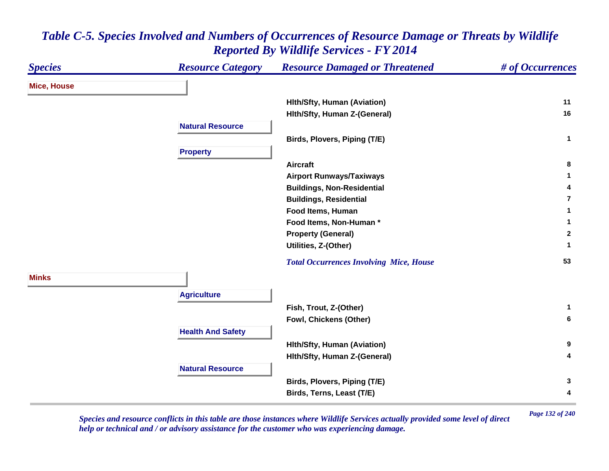| <b>Species</b>     | <b>Resource Category</b> | <b>Resource Damaged or Threatened</b>          | # of Occurrences |
|--------------------|--------------------------|------------------------------------------------|------------------|
| <b>Mice, House</b> |                          |                                                |                  |
|                    |                          | <b>Hith/Sfty, Human (Aviation)</b>             | 11               |
|                    |                          | Hith/Sfty, Human Z-(General)                   | 16               |
|                    | <b>Natural Resource</b>  |                                                |                  |
|                    |                          | Birds, Plovers, Piping (T/E)                   | $\mathbf 1$      |
|                    | <b>Property</b>          |                                                |                  |
|                    |                          | <b>Aircraft</b>                                | 8                |
|                    |                          | <b>Airport Runways/Taxiways</b>                | 1.               |
|                    |                          | <b>Buildings, Non-Residential</b>              | 4                |
|                    |                          | <b>Buildings, Residential</b>                  | $\overline{7}$   |
|                    |                          | Food Items, Human                              | 1                |
|                    |                          | Food Items, Non-Human *                        | 1                |
|                    |                          | <b>Property (General)</b>                      | $\mathbf{2}$     |
|                    |                          | Utilities, Z-(Other)                           | 1                |
|                    |                          | <b>Total Occurrences Involving Mice, House</b> | 53               |
| <b>Minks</b>       |                          |                                                |                  |
|                    | <b>Agriculture</b>       |                                                |                  |
|                    |                          | Fish, Trout, Z-(Other)                         | $\mathbf{1}$     |
|                    |                          | Fowl, Chickens (Other)                         | 6                |
|                    | <b>Health And Safety</b> |                                                |                  |
|                    |                          | <b>Hith/Sfty, Human (Aviation)</b>             | 9                |
|                    |                          | Hith/Sfty, Human Z-(General)                   | 4                |
|                    | <b>Natural Resource</b>  |                                                |                  |
|                    |                          | Birds, Plovers, Piping (T/E)                   | 3                |
|                    |                          | Birds, Terns, Least (T/E)                      | 4                |

*Page 132 of 240 Species and resource conflicts in this table are those instances where Wildlife Services actually provided some level of direct help or technical and / or advisory assistance for the customer who was experiencing damage.*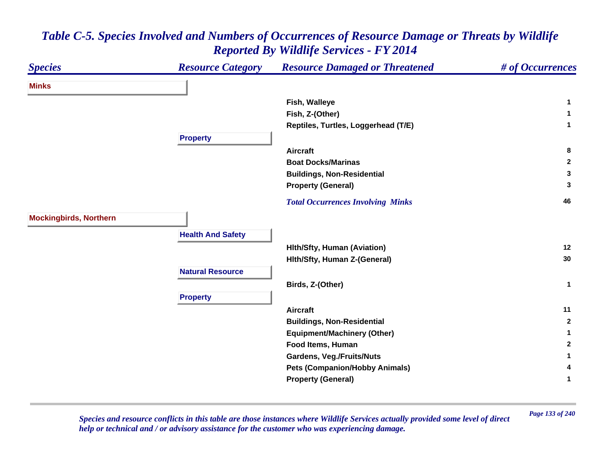| <b>Species</b>                | <b>Resource Category</b> | <b>Resource Damaged or Threatened</b>    | # of Occurrences |
|-------------------------------|--------------------------|------------------------------------------|------------------|
| <b>Minks</b>                  |                          |                                          |                  |
|                               |                          | Fish, Walleye                            | 1                |
|                               |                          | Fish, Z-(Other)                          | 1                |
|                               |                          | Reptiles, Turtles, Loggerhead (T/E)      | $\mathbf 1$      |
|                               | <b>Property</b>          |                                          |                  |
|                               |                          | <b>Aircraft</b>                          | 8                |
|                               |                          | <b>Boat Docks/Marinas</b>                | $\mathbf{2}$     |
|                               |                          | <b>Buildings, Non-Residential</b>        | 3                |
|                               |                          | <b>Property (General)</b>                | 3                |
|                               |                          | <b>Total Occurrences Involving Minks</b> | 46               |
| <b>Mockingbirds, Northern</b> |                          |                                          |                  |
|                               | <b>Health And Safety</b> |                                          |                  |
|                               |                          | <b>Hith/Sfty, Human (Aviation)</b>       | 12               |
|                               |                          | Hith/Sfty, Human Z-(General)             | 30               |
|                               | <b>Natural Resource</b>  |                                          |                  |
|                               |                          | Birds, Z-(Other)                         | $\mathbf{1}$     |
|                               | <b>Property</b>          |                                          |                  |
|                               |                          | <b>Aircraft</b>                          | 11               |
|                               |                          | <b>Buildings, Non-Residential</b>        | $\mathbf{2}$     |
|                               |                          | <b>Equipment/Machinery (Other)</b>       | 1                |
|                               |                          | Food Items, Human                        | $\mathbf{2}$     |
|                               |                          | <b>Gardens, Veg./Fruits/Nuts</b>         | 1                |
|                               |                          | <b>Pets (Companion/Hobby Animals)</b>    | 4                |
|                               |                          | <b>Property (General)</b>                | 1                |

*Page 133 of 240 Species and resource conflicts in this table are those instances where Wildlife Services actually provided some level of direct help or technical and / or advisory assistance for the customer who was experiencing damage.*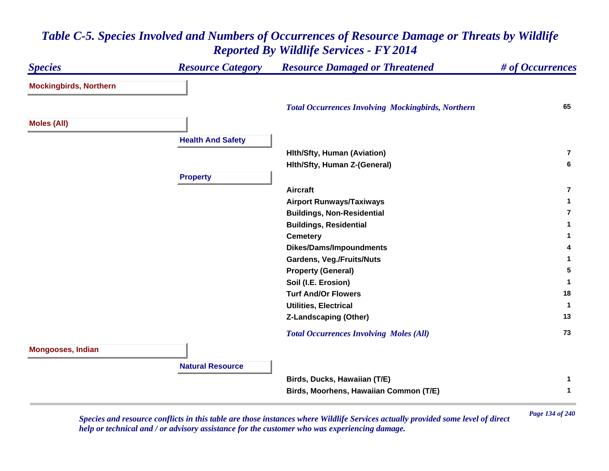#### *Species Resource Category Resource Damaged or Threatened # of Occurrences* **Mockingbirds, Northern**  *Total Occurrences Involving Mockingbirds, Northern* **<sup>65</sup> Moles (All) Health And Safety Hlth/Sfty, Human (Aviation) 7Hlth/Sfty, Human Z-(General) <sup>6</sup> Property Aircraft7Airport Runways/Taxiways <sup>1</sup> Buildings, Non-Residential 7Buildings, Residential <sup>1</sup> Cemetery <sup>1</sup> Dikes/Dams/Impoundments <sup>4</sup> Gardens, Veg./Fruits/Nuts <sup>1</sup> Property (General) <sup>5</sup> Soil (I.E. Erosion) <sup>1</sup> Turf And/Or Flowers 18 Utilities, Electrical 1 Z-Landscaping (Other) <sup>13</sup>**  *Total Occurrences Involving Moles (All)* **<sup>73</sup> Mongooses, Indian Natural ResourceBirds, Ducks, Hawaiian (T/E) <sup>1</sup> Birds, Moorhens, Hawaiian Common (T/E) <sup>1</sup>**

#### *Table C-5. Species Involved and Numbers of Occurrences of Resource Damage or Threats by Wildlife Reported By Wildlife Services - FY 2014*

*Page 134 of 240 Species and resource conflicts in this table are those instances where Wildlife Services actually provided some level of direct help or technical and / or advisory assistance for the customer who was experiencing damage.*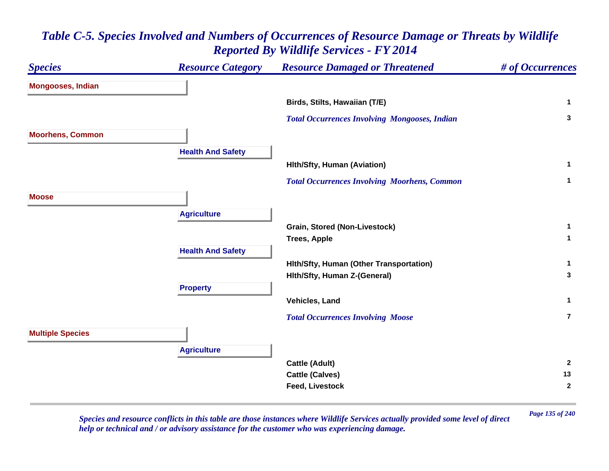# *Species Resource Category Resource Damaged or Threatened # of Occurrences* **Mongooses, Indian Birds, Stilts, Hawaiian (T/E) <sup>1</sup>**  *Total Occurrences Involving Mongooses, Indian* **<sup>3</sup> Moorhens, Common Health And Safety Hlth/Sfty, Human (Aviation) <sup>1</sup>**  *Total Occurrences Involving Moorhens, Common* **<sup>1</sup> MooseAgriculture Grain, Stored (Non-Livestock) <sup>1</sup> Trees, Apple <sup>1</sup> Health And Safety Hlth/Sfty, Human (Other Transportation) <sup>1</sup> Hlth/Sfty, Human Z-(General) <sup>3</sup> Property Vehicles, Land 1**  *Total Occurrences Involving Moose* **7Multiple Species Agriculture Cattle (Adult) <sup>2</sup> Cattle (Calves) <sup>13</sup> Feed, Livestock 2**

# *Table C-5. Species Involved and Numbers of Occurrences of Resource Damage or Threats by Wildlife Reported By Wildlife Services - FY 2014*

*Page 135 of 240 Species and resource conflicts in this table are those instances where Wildlife Services actually provided some level of direct help or technical and / or advisory assistance for the customer who was experiencing damage.*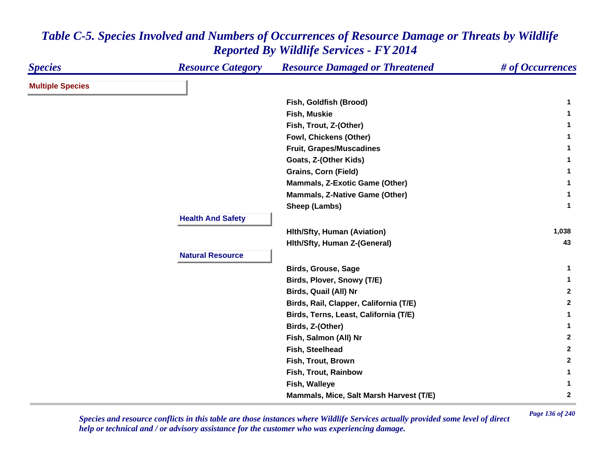| <b>Species</b>          | <b>Resource Category</b> | <b>Resource Damaged or Threatened</b>   | # of Occurrences |
|-------------------------|--------------------------|-----------------------------------------|------------------|
| <b>Multiple Species</b> |                          |                                         |                  |
|                         |                          | Fish, Goldfish (Brood)                  | 1                |
|                         |                          | Fish, Muskie                            | 1                |
|                         |                          | Fish, Trout, Z-(Other)                  | 1                |
|                         |                          | Fowl, Chickens (Other)                  | 1                |
|                         |                          | Fruit, Grapes/Muscadines                | 1                |
|                         |                          | Goats, Z-(Other Kids)                   | 1                |
|                         |                          | <b>Grains, Corn (Field)</b>             | 1                |
|                         |                          | Mammals, Z-Exotic Game (Other)          | 1                |
|                         |                          | <b>Mammals, Z-Native Game (Other)</b>   | 1                |
|                         |                          | Sheep (Lambs)                           | $\mathbf{1}$     |
|                         | <b>Health And Safety</b> |                                         |                  |
|                         |                          | <b>Hith/Sfty, Human (Aviation)</b>      | 1,038            |
|                         |                          | Hith/Sfty, Human Z-(General)            | 43               |
|                         | <b>Natural Resource</b>  |                                         |                  |
|                         |                          | <b>Birds, Grouse, Sage</b>              | 1                |
|                         |                          | Birds, Plover, Snowy (T/E)              | 1                |
|                         |                          | Birds, Quail (All) Nr                   | $\mathbf{2}$     |
|                         |                          | Birds, Rail, Clapper, California (T/E)  | $\mathbf{2}$     |
|                         |                          | Birds, Terns, Least, California (T/E)   | 1                |
|                         |                          | Birds, Z-(Other)                        | 1                |
|                         |                          | Fish, Salmon (All) Nr                   | $\mathbf{2}$     |
|                         |                          | Fish, Steelhead                         | $\mathbf{2}$     |
|                         |                          | Fish, Trout, Brown                      | $\mathbf{2}$     |
|                         |                          | Fish, Trout, Rainbow                    | 1                |
|                         |                          | Fish, Walleye                           | 1                |
|                         |                          | Mammals, Mice, Salt Marsh Harvest (T/E) | $\mathbf 2$      |

*Page 136 of 240 Species and resource conflicts in this table are those instances where Wildlife Services actually provided some level of direct help or technical and / or advisory assistance for the customer who was experiencing damage.*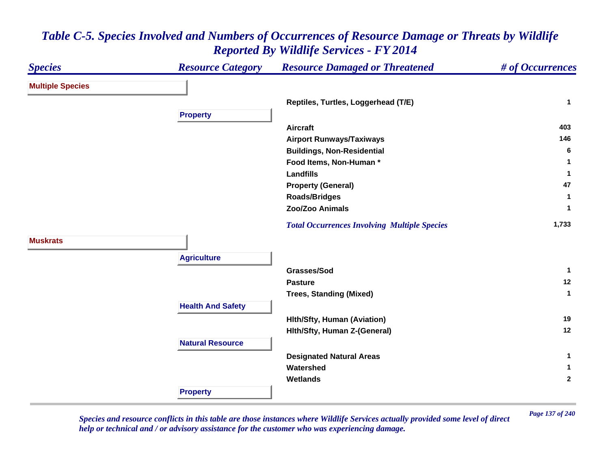#### *Species Resource Category Resource Damaged or Threatened # of Occurrences* **Multiple Species Reptiles, Turtles, Loggerhead (T/E) <sup>1</sup> Property Aircraft 403 Airport Runways/Taxiways <sup>146</sup> Buildings, Non-Residential <sup>6</sup> Food Items, Non-Human \* 1 Landfills 1 Property (General) <sup>47</sup> Roads/Bridges <sup>1</sup> Zoo/Zoo Animals 1**  *Total Occurrences Involving Multiple Species* **1,733 MuskratsAgriculture Grasses/Sod 1 Pasture 12 Trees, Standing (Mixed) <sup>1</sup> Health And Safety Hlth/Sfty, Human (Aviation) <sup>19</sup> Hlth/Sfty, Human Z-(General) <sup>12</sup> Natural ResourceDesignated Natural Areas <sup>1</sup> Watershed 1 Wetlands 2 Property**

## *Table C-5. Species Involved and Numbers of Occurrences of Resource Damage or Threats by Wildlife Reported By Wildlife Services - FY 2014*

*Page 137 of 240 Species and resource conflicts in this table are those instances where Wildlife Services actually provided some level of direct help or technical and / or advisory assistance for the customer who was experiencing damage.*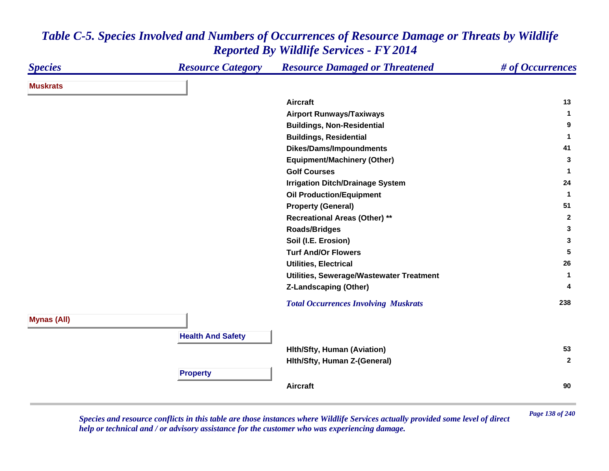| <b>Species</b>     | <b>Resource Category</b> | <b>Resource Damaged or Threatened</b>       | # of Occurrences     |
|--------------------|--------------------------|---------------------------------------------|----------------------|
| <b>Muskrats</b>    |                          |                                             |                      |
|                    |                          | <b>Aircraft</b>                             | 13                   |
|                    |                          | <b>Airport Runways/Taxiways</b>             | $\blacktriangleleft$ |
|                    |                          | <b>Buildings, Non-Residential</b>           | 9                    |
|                    |                          | <b>Buildings, Residential</b>               | 1                    |
|                    |                          | <b>Dikes/Dams/Impoundments</b>              | 41                   |
|                    |                          | <b>Equipment/Machinery (Other)</b>          | 3                    |
|                    |                          | <b>Golf Courses</b>                         | 1                    |
|                    |                          | <b>Irrigation Ditch/Drainage System</b>     | 24                   |
|                    |                          | <b>Oil Production/Equipment</b>             | $\mathbf 1$          |
|                    |                          | <b>Property (General)</b>                   | 51                   |
|                    |                          | <b>Recreational Areas (Other) **</b>        | $\overline{2}$       |
|                    |                          | <b>Roads/Bridges</b>                        | 3                    |
|                    |                          | Soil (I.E. Erosion)                         | 3                    |
|                    |                          | <b>Turf And/Or Flowers</b>                  | 5                    |
|                    |                          | <b>Utilities, Electrical</b>                | 26                   |
|                    |                          | Utilities, Sewerage/Wastewater Treatment    | 1                    |
|                    |                          | <b>Z-Landscaping (Other)</b>                | 4                    |
|                    |                          | <b>Total Occurrences Involving Muskrats</b> | 238                  |
| <b>Mynas (All)</b> |                          |                                             |                      |
|                    | <b>Health And Safety</b> |                                             |                      |
|                    |                          | <b>Hith/Sfty, Human (Aviation)</b>          | 53                   |
|                    |                          | Hith/Sfty, Human Z-(General)                | $\overline{2}$       |
|                    | <b>Property</b>          |                                             |                      |
|                    |                          | <b>Aircraft</b>                             | 90                   |

*Page 138 of 240 Species and resource conflicts in this table are those instances where Wildlife Services actually provided some level of direct help or technical and / or advisory assistance for the customer who was experiencing damage.*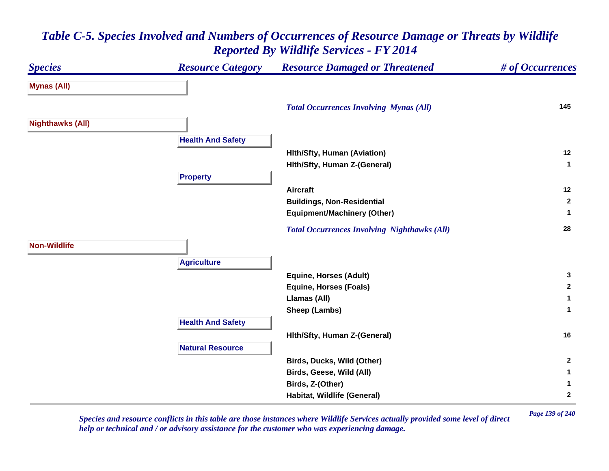## *Species Resource Category Resource Damaged or Threatened # of Occurrences* **Mynas (All)**  *Total Occurrences Involving Mynas (All)* **<sup>145</sup> Nighthawks (All) Health And Safety Hlth/Sfty, Human (Aviation) <sup>12</sup> Hlth/Sfty, Human Z-(General) <sup>1</sup> Property Aircraft 12 Buildings, Non-Residential <sup>2</sup> Equipment/Machinery (Other) <sup>1</sup>**  *Total Occurrences Involving Nighthawks (All)* **<sup>28</sup> Non-WildlifeAgriculture Equine, Horses (Adult) <sup>3</sup> Equine, Horses (Foals) <sup>2</sup> Llamas (All) <sup>1</sup> Sheep (Lambs) <sup>1</sup> Health And Safety Hlth/Sfty, Human Z-(General) <sup>16</sup> Natural ResourceBirds, Ducks, Wild (Other) <sup>2</sup> Birds, Geese, Wild (All) <sup>1</sup> Birds, Z-(Other) <sup>1</sup> Habitat, Wildlife (General) <sup>2</sup>**

# *Table C-5. Species Involved and Numbers of Occurrences of Resource Damage or Threats by Wildlife Reported By Wildlife Services - FY 2014*

*Page 139 of 240 Species and resource conflicts in this table are those instances where Wildlife Services actually provided some level of direct help or technical and / or advisory assistance for the customer who was experiencing damage.*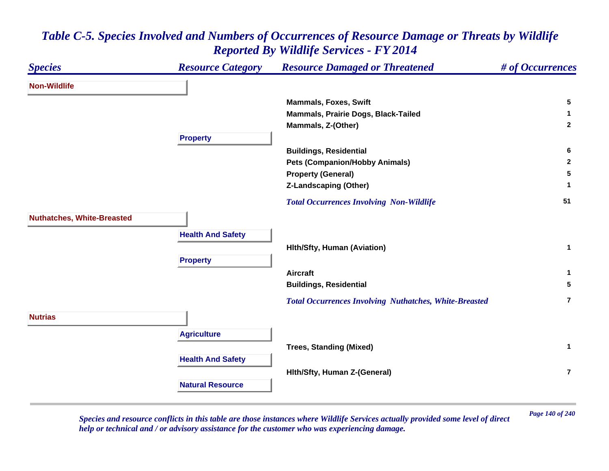#### *Species Resource Category Resource Damaged or Threatened # of Occurrences* **Non-WildlifeMammals, Foxes, Swift 5 Mammals, Prairie Dogs, Black-Tailed <sup>1</sup> Mammals, Z-(Other) <sup>2</sup> Property Buildings, Residential <sup>6</sup> Pets (Companion/Hobby Animals) <sup>2</sup> Property (General) <sup>5</sup> Z-Landscaping (Other) <sup>1</sup>**  *Total Occurrences Involving Non-Wildlife* **<sup>51</sup> Nuthatches, White-Breasted Health And Safety Hlth/Sfty, Human (Aviation) <sup>1</sup> Property Aircraft 1 Buildings, Residential <sup>5</sup>**  *Total Occurrences Involving Nuthatches, White-Breasted* **7NutriasAgriculture Trees, Standing (Mixed) <sup>1</sup> Health And Safety Hlth/Sfty, Human Z-(General) 7Natural Resource**

# *Table C-5. Species Involved and Numbers of Occurrences of Resource Damage or Threats by Wildlife Reported By Wildlife Services - FY 2014*

*Page 140 of 240 Species and resource conflicts in this table are those instances where Wildlife Services actually provided some level of direct help or technical and / or advisory assistance for the customer who was experiencing damage.*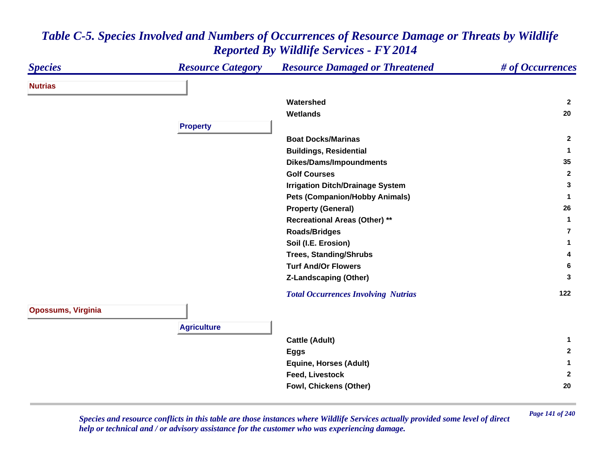| <b>Species</b>            | <b>Resource Category</b> | <b>Resource Damaged or Threatened</b>      | # of Occurrences |
|---------------------------|--------------------------|--------------------------------------------|------------------|
| <b>Nutrias</b>            |                          |                                            |                  |
|                           |                          | Watershed                                  | $\mathbf{2}$     |
|                           |                          | <b>Wetlands</b>                            | 20               |
|                           | <b>Property</b>          |                                            |                  |
|                           |                          | <b>Boat Docks/Marinas</b>                  | $\overline{2}$   |
|                           |                          | <b>Buildings, Residential</b>              | $\mathbf{1}$     |
|                           |                          | <b>Dikes/Dams/Impoundments</b>             | 35               |
|                           |                          | <b>Golf Courses</b>                        | $\overline{2}$   |
|                           |                          | <b>Irrigation Ditch/Drainage System</b>    | 3                |
|                           |                          | <b>Pets (Companion/Hobby Animals)</b>      | 1                |
|                           |                          | <b>Property (General)</b>                  | 26               |
|                           |                          | <b>Recreational Areas (Other) **</b>       | 1                |
|                           |                          | <b>Roads/Bridges</b>                       | $\overline{7}$   |
|                           |                          | Soil (I.E. Erosion)                        | 1                |
|                           |                          | <b>Trees, Standing/Shrubs</b>              | 4                |
|                           |                          | <b>Turf And/Or Flowers</b>                 | 6                |
|                           |                          | <b>Z-Landscaping (Other)</b>               | 3                |
|                           |                          | <b>Total Occurrences Involving Nutrias</b> | 122              |
| <b>Opossums, Virginia</b> |                          |                                            |                  |
|                           |                          |                                            |                  |
|                           | <b>Agriculture</b>       |                                            |                  |
|                           |                          | <b>Cattle (Adult)</b>                      | 1                |
|                           |                          | <b>Eggs</b>                                | $\mathbf{2}$     |
|                           |                          | <b>Equine, Horses (Adult)</b>              | 1                |
|                           |                          | <b>Feed, Livestock</b>                     | $\overline{2}$   |
|                           |                          | Fowl, Chickens (Other)                     | 20               |

*Page 141 of 240 Species and resource conflicts in this table are those instances where Wildlife Services actually provided some level of direct help or technical and / or advisory assistance for the customer who was experiencing damage.*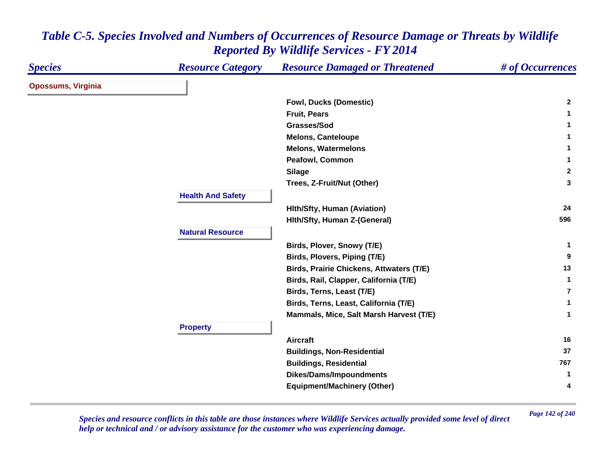| <b>Species</b>            | <b>Resource Category</b> | <b>Resource Damaged or Threatened</b>           | # of Occurrences |
|---------------------------|--------------------------|-------------------------------------------------|------------------|
| <b>Opossums, Virginia</b> |                          |                                                 |                  |
|                           |                          | <b>Fowl, Ducks (Domestic)</b>                   | $\mathbf{2}$     |
|                           |                          | <b>Fruit, Pears</b>                             | 1.               |
|                           |                          | Grasses/Sod                                     | 1.               |
|                           |                          | <b>Melons, Canteloupe</b>                       | 1                |
|                           |                          | <b>Melons, Watermelons</b>                      | 1                |
|                           |                          | Peafowl, Common                                 | 1                |
|                           |                          | <b>Silage</b>                                   | $\mathbf{2}$     |
|                           |                          | Trees, Z-Fruit/Nut (Other)                      | 3                |
|                           | <b>Health And Safety</b> |                                                 |                  |
|                           |                          | <b>Hith/Sfty, Human (Aviation)</b>              | 24               |
|                           |                          | Hith/Sfty, Human Z-(General)                    | 596              |
|                           | <b>Natural Resource</b>  |                                                 |                  |
|                           |                          | Birds, Plover, Snowy (T/E)                      | 1.               |
|                           |                          | Birds, Plovers, Piping (T/E)                    | 9                |
|                           |                          | <b>Birds, Prairie Chickens, Attwaters (T/E)</b> | 13               |
|                           |                          | Birds, Rail, Clapper, California (T/E)          | $\mathbf{1}$     |
|                           |                          | Birds, Terns, Least (T/E)                       | $\overline{7}$   |
|                           |                          | Birds, Terns, Least, California (T/E)           | 1                |
|                           |                          | Mammals, Mice, Salt Marsh Harvest (T/E)         | 1                |
|                           | <b>Property</b>          |                                                 |                  |
|                           |                          | <b>Aircraft</b>                                 | 16               |
|                           |                          | <b>Buildings, Non-Residential</b>               | 37               |
|                           |                          | <b>Buildings, Residential</b>                   | 767              |
|                           |                          | <b>Dikes/Dams/Impoundments</b>                  | $\mathbf{1}$     |
|                           |                          | <b>Equipment/Machinery (Other)</b>              | 4                |

*Page 142 of 240 Species and resource conflicts in this table are those instances where Wildlife Services actually provided some level of direct help or technical and / or advisory assistance for the customer who was experiencing damage.*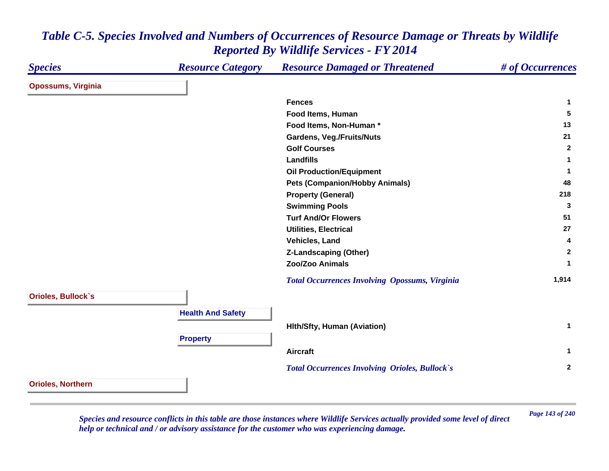| <b>Species</b>            | <b>Resource Category</b> | <b>Resource Damaged or Threatened</b>                 | # of Occurrences |
|---------------------------|--------------------------|-------------------------------------------------------|------------------|
| <b>Opossums, Virginia</b> |                          |                                                       |                  |
|                           |                          | <b>Fences</b>                                         | $\mathbf{1}$     |
|                           |                          | Food Items, Human                                     | 5                |
|                           |                          | Food Items, Non-Human*                                | 13               |
|                           |                          | <b>Gardens, Veg./Fruits/Nuts</b>                      | 21               |
|                           |                          | <b>Golf Courses</b>                                   | $\overline{2}$   |
|                           |                          | <b>Landfills</b>                                      | $\mathbf{1}$     |
|                           |                          | <b>Oil Production/Equipment</b>                       | $\mathbf{1}$     |
|                           |                          | <b>Pets (Companion/Hobby Animals)</b>                 | 48               |
|                           |                          | <b>Property (General)</b>                             | 218              |
|                           |                          | <b>Swimming Pools</b>                                 | 3                |
|                           |                          | <b>Turf And/Or Flowers</b>                            | 51               |
|                           |                          | <b>Utilities, Electrical</b>                          | 27               |
|                           |                          | Vehicles, Land                                        | 4                |
|                           |                          | <b>Z-Landscaping (Other)</b>                          | $\overline{2}$   |
|                           |                          | Zoo/Zoo Animals                                       | $\mathbf 1$      |
|                           |                          | <b>Total Occurrences Involving Opossums, Virginia</b> | 1,914            |
| <b>Orioles, Bullock's</b> |                          |                                                       |                  |
|                           | <b>Health And Safety</b> |                                                       |                  |
|                           |                          |                                                       |                  |
|                           |                          | <b>Hith/Sfty, Human (Aviation)</b>                    | $\mathbf{1}$     |
|                           | <b>Property</b>          |                                                       |                  |
|                           |                          | <b>Aircraft</b>                                       | $\mathbf{1}$     |
|                           |                          | <b>Total Occurrences Involving Orioles, Bullock's</b> | $\mathbf{2}$     |
| <b>Orioles, Northern</b>  |                          |                                                       |                  |

*Page 143 of 240 Species and resource conflicts in this table are those instances where Wildlife Services actually provided some level of direct help or technical and / or advisory assistance for the customer who was experiencing damage.*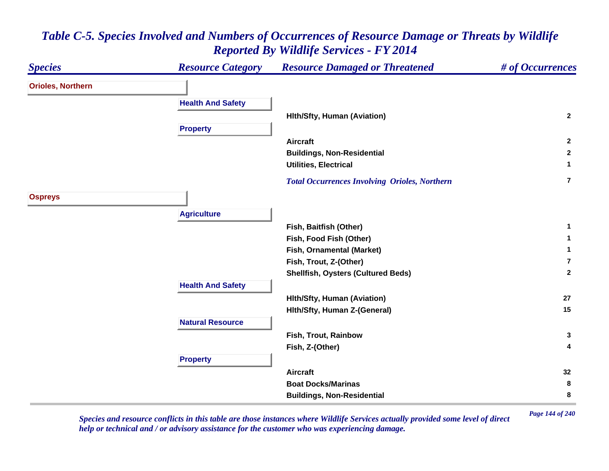#### *Species Resource Category Resource Damaged or Threatened # of Occurrences* **Orioles, Northern Health And Safety Hlth/Sfty, Human (Aviation) <sup>2</sup> Property Aircraft 2 Buildings, Non-Residential <sup>2</sup> Utilities, Electrical 1**  *Total Occurrences Involving Orioles, Northern* **7Ospreys Agriculture Fish, Baitfish (Other) <sup>1</sup> Fish, Food Fish (Other) <sup>1</sup> Fish, Ornamental (Market) <sup>1</sup> Fish, Trout, Z-(Other) 7Shellfish, Oysters (Cultured Beds) <sup>2</sup> Health And Safety Hlth/Sfty, Human (Aviation) <sup>27</sup> Hlth/Sfty, Human Z-(General) <sup>15</sup> Natural ResourceFish, Trout, Rainbow 3 Fish, Z-(Other) <sup>4</sup> Property Aircraft 32 Boat Docks/Marinas 8 Buildings, Non-Residential <sup>8</sup>**

# *Table C-5. Species Involved and Numbers of Occurrences of Resource Damage or Threats by Wildlife Reported By Wildlife Services - FY 2014*

*Page 144 of 240 Species and resource conflicts in this table are those instances where Wildlife Services actually provided some level of direct help or technical and / or advisory assistance for the customer who was experiencing damage.*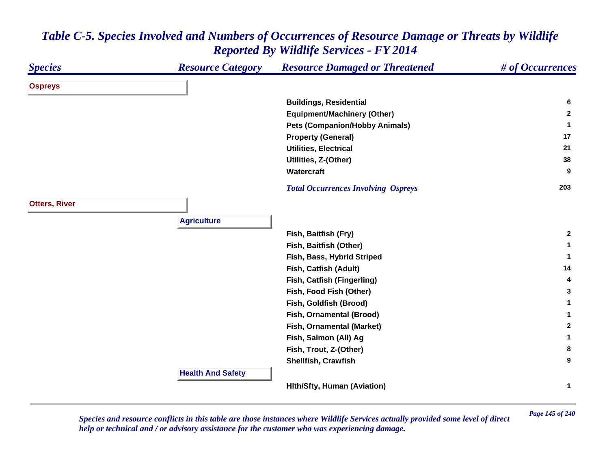#### *Species Resource Category Resource Damaged or Threatened # of Occurrences* **Ospreys Buildings, Residential <sup>6</sup> Equipment/Machinery (Other) <sup>2</sup> Pets (Companion/Hobby Animals) <sup>1</sup> Property (General) <sup>17</sup> Utilities, Electrical 21 Utilities, Z-(Other) <sup>38</sup> Watercraft 9**  *Total Occurrences Involving Ospreys* **<sup>203</sup> Otters, River Agriculture Fish, Baitfish (Fry) <sup>2</sup> Fish, Baitfish (Other) <sup>1</sup> Fish, Bass, Hybrid Striped <sup>1</sup> Fish, Catfish (Adult) <sup>14</sup> Fish, Catfish (Fingerling) <sup>4</sup> Fish, Food Fish (Other) <sup>3</sup> Fish, Goldfish (Brood) <sup>1</sup> Fish, Ornamental (Brood) <sup>1</sup> Fish, Ornamental (Market) <sup>2</sup> Fish, Salmon (All) Ag <sup>1</sup> Fish, Trout, Z-(Other) <sup>8</sup> Shellfish, Crawfish 9 Health And Safety Hlth/Sfty, Human (Aviation) <sup>1</sup>**

## *Table C-5. Species Involved and Numbers of Occurrences of Resource Damage or Threats by Wildlife Reported By Wildlife Services - FY 2014*

*Page 145 of 240 Species and resource conflicts in this table are those instances where Wildlife Services actually provided some level of direct help or technical and / or advisory assistance for the customer who was experiencing damage.*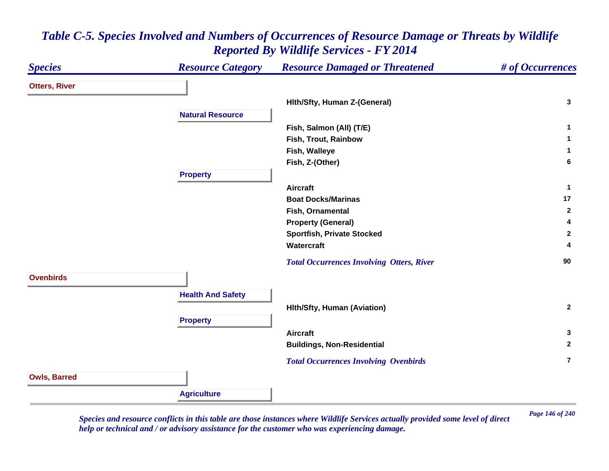#### *Species Resource Category Resource Damaged or Threatened # of Occurrences* **Otters, River Hlth/Sfty, Human Z-(General) <sup>3</sup> Natural ResourceFish, Salmon (All) (T/E) <sup>1</sup> Fish, Trout, Rainbow 1 Fish, Walleye <sup>1</sup> Fish, Z-(Other) <sup>6</sup> Property Aircraft 1 Boat Docks/Marinas17 17 Fish, Ornamental 2 Property (General) <sup>4</sup> Sportfish, Private Stocked <sup>2</sup> Watercraft 4**  *Total Occurrences Involving Otters, River* **<sup>90</sup> OvenbirdsHealth And Safety Hlth/Sfty, Human (Aviation) <sup>2</sup> Property Aircraft 3 Buildings, Non-Residential <sup>2</sup>**  *Total Occurrences Involving Ovenbirds* **7Owls, Barred Agriculture**

### *Table C-5. Species Involved and Numbers of Occurrences of Resource Damage or Threats by Wildlife Reported By Wildlife Services - FY 2014*

*Page 146 of 240 Species and resource conflicts in this table are those instances where Wildlife Services actually provided some level of direct help or technical and / or advisory assistance for the customer who was experiencing damage.*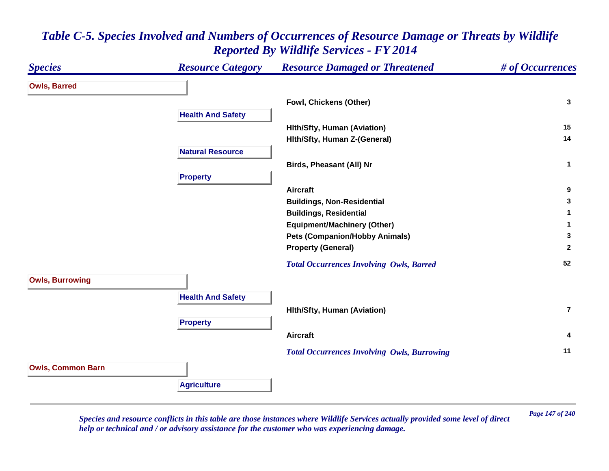#### *Species Resource Category Resource Damaged or Threatened # of Occurrences* **Owls, Barred Fowl, Chickens (Other) <sup>3</sup> Health And Safety Hlth/Sfty, Human (Aviation) <sup>15</sup> Hlth/Sfty, Human Z-(General) <sup>14</sup> Natural ResourceBirds, Pheasant (All) Nr <sup>1</sup> Property Aircraft 9 Buildings, Non-Residential <sup>3</sup> Buildings, Residential <sup>1</sup> Equipment/Machinery (Other) <sup>1</sup> Pets (Companion/Hobby Animals) <sup>3</sup> Property (General) <sup>2</sup>**  *Total Occurrences Involving Owls, Barred* **<sup>52</sup> Owls, Burrowing Health And Safety Hlth/Sfty, Human (Aviation) 7Property Aircraft 4**  *Total Occurrences Involving Owls, Burrowing* **<sup>11</sup> Owls, Common Barn Agriculture**

## *Table C-5. Species Involved and Numbers of Occurrences of Resource Damage or Threats by Wildlife Reported By Wildlife Services - FY 2014*

*Page 147 of 240 Species and resource conflicts in this table are those instances where Wildlife Services actually provided some level of direct help or technical and / or advisory assistance for the customer who was experiencing damage.*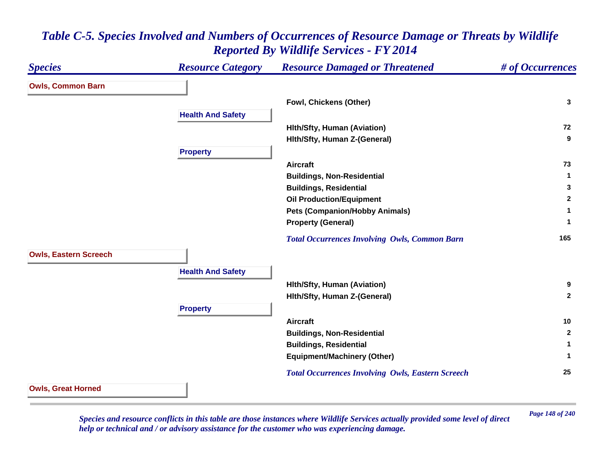#### *Species Resource Category Resource Damaged or Threatened # of Occurrences* **Owls, Common Barn Fowl, Chickens (Other) <sup>3</sup> Health And Safety Hlth/Sfty, Human (Aviation) <sup>72</sup> Hlth/Sfty, Human Z-(General) <sup>9</sup> Property Aircraft 73 Buildings, Non-Residential <sup>1</sup> Buildings, Residential <sup>3</sup> Oil Production/Equipment <sup>2</sup> Pets (Companion/Hobby Animals) <sup>1</sup> Property (General) <sup>1</sup>**  *Total Occurrences Involving Owls, Common Barn* **<sup>165</sup> Owls, Eastern Screech Health And Safety Hlth/Sfty, Human (Aviation) <sup>9</sup> Hlth/Sfty, Human Z-(General) <sup>2</sup> Property Aircraft 10 Buildings, Non-Residential <sup>2</sup> Buildings, Residential <sup>1</sup> Equipment/Machinery (Other) <sup>1</sup>**  *Total Occurrences Involving Owls, Eastern Screech* **<sup>25</sup> Owls, Great Horned**

## *Table C-5. Species Involved and Numbers of Occurrences of Resource Damage or Threats by Wildlife Reported By Wildlife Services - FY 2014*

*Page 148 of 240 Species and resource conflicts in this table are those instances where Wildlife Services actually provided some level of direct help or technical and / or advisory assistance for the customer who was experiencing damage.*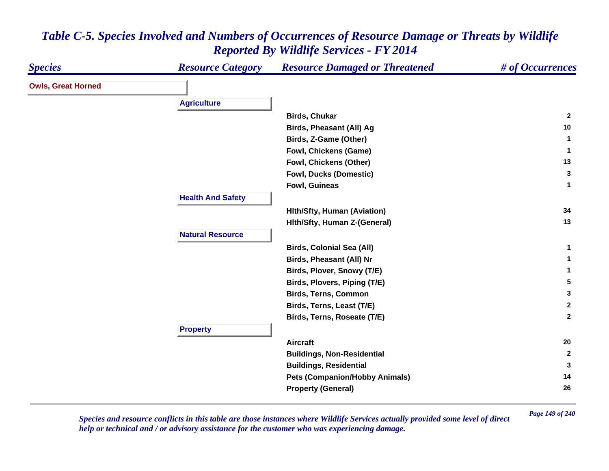| <b>Species</b>            | <b>Resource Category</b> | <b>Resource Damaged or Threatened</b> | # of Occurrences |
|---------------------------|--------------------------|---------------------------------------|------------------|
| <b>Owls, Great Horned</b> |                          |                                       |                  |
|                           | <b>Agriculture</b>       |                                       |                  |
|                           |                          | <b>Birds, Chukar</b>                  | $\overline{2}$   |
|                           |                          | <b>Birds, Pheasant (All) Ag</b>       | 10               |
|                           |                          | Birds, Z-Game (Other)                 | $\mathbf 1$      |
|                           |                          | <b>Fowl, Chickens (Game)</b>          | -1               |
|                           |                          | Fowl, Chickens (Other)                | 13               |
|                           |                          | <b>Fowl, Ducks (Domestic)</b>         | 3                |
|                           |                          | Fowl, Guineas                         | $\mathbf{1}$     |
|                           |                          |                                       |                  |
|                           | <b>Health And Safety</b> |                                       |                  |
|                           |                          | <b>Hith/Sfty, Human (Aviation)</b>    | 34               |
|                           |                          | Hith/Sfty, Human Z-(General)          | 13               |
|                           | <b>Natural Resource</b>  |                                       |                  |
|                           |                          | <b>Birds, Colonial Sea (All)</b>      | $\mathbf{1}$     |
|                           |                          | Birds, Pheasant (All) Nr              | 1                |
|                           |                          | Birds, Plover, Snowy (T/E)            | $\mathbf{1}$     |
|                           |                          | Birds, Plovers, Piping (T/E)          | 5                |
|                           |                          | <b>Birds, Terns, Common</b>           | $\mathbf{3}$     |
|                           |                          | Birds, Terns, Least (T/E)             | $\mathbf{2}$     |
|                           |                          | Birds, Terns, Roseate (T/E)           | $\overline{2}$   |
|                           | <b>Property</b>          |                                       |                  |
|                           |                          | <b>Aircraft</b>                       | 20               |
|                           |                          | <b>Buildings, Non-Residential</b>     | $\overline{2}$   |
|                           |                          | <b>Buildings, Residential</b>         | 3                |
|                           |                          | <b>Pets (Companion/Hobby Animals)</b> | 14               |
|                           |                          | <b>Property (General)</b>             | 26               |
|                           |                          |                                       |                  |

*Page 149 of 240 Species and resource conflicts in this table are those instances where Wildlife Services actually provided some level of direct help or technical and / or advisory assistance for the customer who was experiencing damage.*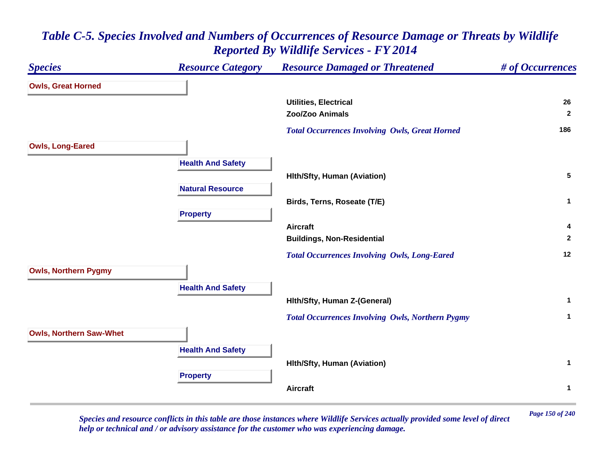## *Species Resource Category Resource Damaged or Threatened # of Occurrences* **Owls, Great Horned Utilities, Electrical 26 Zoo/Zoo Animals 2**  *Total Occurrences Involving Owls, Great Horned* **<sup>186</sup> Owls, Long-Eared Health And Safety Hlth/Sfty, Human (Aviation) <sup>5</sup> Natural ResourceBirds, Terns, Roseate (T/E) <sup>1</sup> Property Aircraft 4 Buildings, Non-Residential <sup>2</sup>**  *Total Occurrences Involving Owls, Long-Eared* **<sup>12</sup> Owls, Northern Pygmy Health And Safety Hlth/Sfty, Human Z-(General) <sup>1</sup>**  *Total Occurrences Involving Owls, Northern Pygmy* **<sup>1</sup> Owls, Northern Saw-Whet Health And Safety Hlth/Sfty, Human (Aviation) <sup>1</sup> Property Aircraft1**

# *Table C-5. Species Involved and Numbers of Occurrences of Resource Damage or Threats by Wildlife Reported By Wildlife Services - FY 2014*

*Page 150 of 240 Species and resource conflicts in this table are those instances where Wildlife Services actually provided some level of direct help or technical and / or advisory assistance for the customer who was experiencing damage.*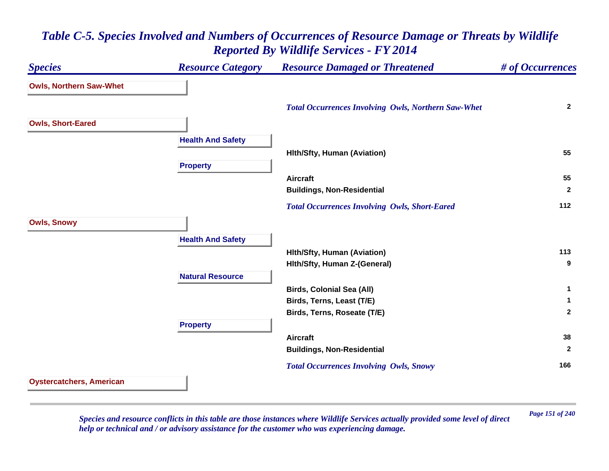## *Species Resource Category Resource Damaged or Threatened # of Occurrences* **Owls, Northern Saw-Whet**  *Total Occurrences Involving Owls, Northern Saw-Whet* **<sup>2</sup> Owls, Short-Eared Health And Safety Hlth/Sfty, Human (Aviation) <sup>55</sup> Property Aircraft 55 Buildings, Non-Residential <sup>2</sup>**  *Total Occurrences Involving Owls, Short-Eared* **<sup>112</sup> Owls, Snowy Health And Safety Hlth/Sfty, Human (Aviation) <sup>113</sup> Hlth/Sfty, Human Z-(General) <sup>9</sup> Natural ResourceBirds, Colonial Sea (All) <sup>1</sup> Birds, Terns, Least (T/E) <sup>1</sup> Birds, Terns, Roseate (T/E) <sup>2</sup> Property Aircraft 38 Buildings, Non-Residential <sup>2</sup>**  *Total Occurrences Involving Owls, Snowy* **<sup>166</sup> Oystercatchers, American**

## *Table C-5. Species Involved and Numbers of Occurrences of Resource Damage or Threats by Wildlife Reported By Wildlife Services - FY 2014*

*Page 151 of 240 Species and resource conflicts in this table are those instances where Wildlife Services actually provided some level of direct help or technical and / or advisory assistance for the customer who was experiencing damage.*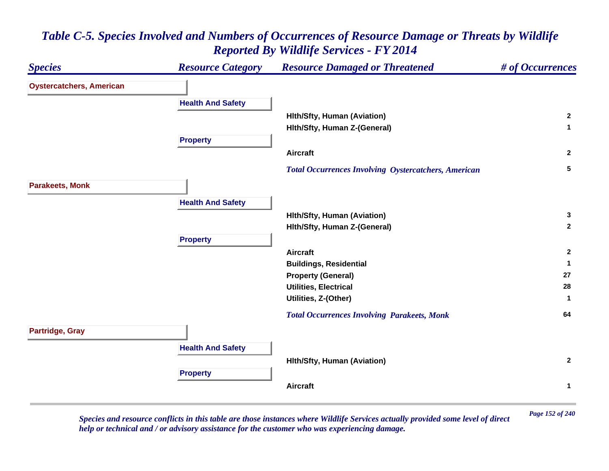#### *Species Resource Category Resource Damaged or Threatened # of Occurrences* **Oystercatchers, American Health And Safety Hlth/Sfty, Human (Aviation) <sup>2</sup> Hlth/Sfty, Human Z-(General) <sup>1</sup> Property Aircraft 2**  *Total Occurrences Involving Oystercatchers, American* **<sup>5</sup> Parakeets, Monk Health And Safety Hlth/Sfty, Human (Aviation) <sup>3</sup> Hlth/Sfty, Human Z-(General) <sup>2</sup> Property Aircraft 2 Buildings, Residential <sup>1</sup> Property (General) <sup>27</sup> Utilities, Electrical 28 Utilities, Z-(Other) <sup>1</sup>**  *Total Occurrences Involving Parakeets, Monk* **<sup>64</sup> Partridge, Gray Health And Safety Hlth/Sfty, Human (Aviation) <sup>2</sup> Property Aircraft1**

## *Table C-5. Species Involved and Numbers of Occurrences of Resource Damage or Threats by Wildlife Reported By Wildlife Services - FY 2014*

*Page 152 of 240 Species and resource conflicts in this table are those instances where Wildlife Services actually provided some level of direct help or technical and / or advisory assistance for the customer who was experiencing damage.*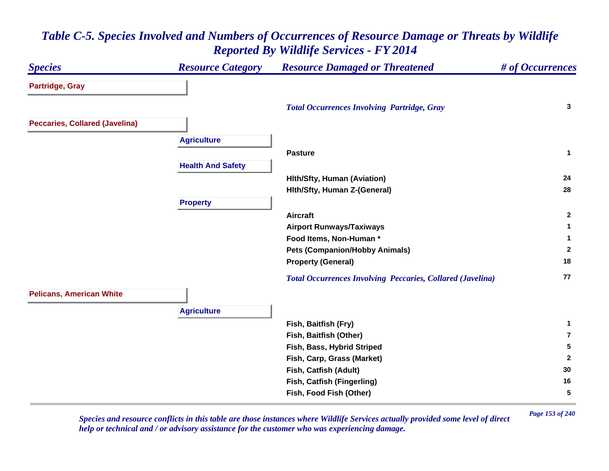#### *Species Resource Category Resource Damaged or Threatened # of Occurrences* **Partridge, Gray**  *Total Occurrences Involving Partridge, Gray* **<sup>3</sup> Peccaries, Collared (Javelina) Agriculture Pasture 1 Health And Safety Hlth/Sfty, Human (Aviation) <sup>24</sup> Hlth/Sfty, Human Z-(General) <sup>28</sup> Property Aircraft 2 Airport Runways/Taxiways <sup>1</sup> Food Items, Non-Human \* 1 Pets (Companion/Hobby Animals) <sup>2</sup> Property (General) <sup>18</sup>**  *Total Occurrences Involving Peccaries, Collared (Javelina)* **<sup>77</sup> Pelicans, American White Agriculture Fish, Baitfish (Fry) <sup>1</sup> Fish, Baitfish (Other) 7Fish, Bass, Hybrid Striped <sup>5</sup> Fish, Carp, Grass (Market) <sup>2</sup> Fish, Catfish (Adult) <sup>30</sup> Fish, Catfish (Fingerling) <sup>16</sup> Fish, Food Fish (Other) 5**

## *Table C-5. Species Involved and Numbers of Occurrences of Resource Damage or Threats by Wildlife Reported By Wildlife Services - FY 2014*

*Page 153 of 240 Species and resource conflicts in this table are those instances where Wildlife Services actually provided some level of direct help or technical and / or advisory assistance for the customer who was experiencing damage.*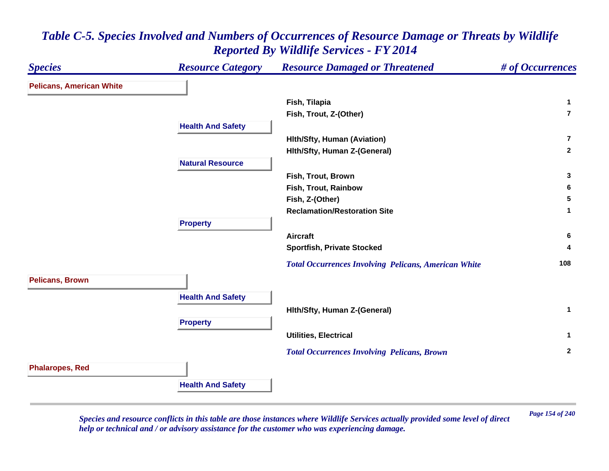#### *Species Resource Category Resource Damaged or Threatened # of Occurrences* **Pelicans, American White Fish, Tilapia <sup>1</sup> Fish, Trout, Z-(Other) 7Health And Safety Hlth/Sfty, Human (Aviation) 7Hlth/Sfty, Human Z-(General) <sup>2</sup> Natural Resource Fish, Trout, Brown 3 Fish, Trout, Rainbow 6 Fish, Z-(Other) 5 Reclamation/Restoration Site 1 Property Aircraft 6 Sportfish, Private Stocked <sup>4</sup>**  *Total Occurrences Involving Pelicans, American White* **<sup>108</sup> Pelicans, Brown Health And Safety Hlth/Sfty, Human Z-(General) <sup>1</sup> Property Utilities, Electrical 1**  *Total Occurrences Involving Pelicans, Brown* **<sup>2</sup> Phalaropes, Red Health And Safety**

## *Table C-5. Species Involved and Numbers of Occurrences of Resource Damage or Threats by Wildlife Reported By Wildlife Services - FY 2014*

*Page 154 of 240 Species and resource conflicts in this table are those instances where Wildlife Services actually provided some level of direct help or technical and / or advisory assistance for the customer who was experiencing damage.*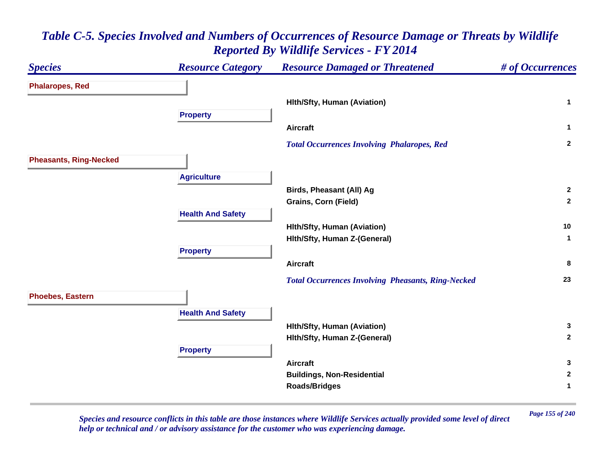#### *Species Resource Category Resource Damaged or Threatened # of Occurrences* **Phalaropes, Red Hlth/Sfty, Human (Aviation) <sup>1</sup> Property Aircraft 1**  *Total Occurrences Involving Phalaropes, Red* **<sup>2</sup> Pheasants, Ring-Necked Agriculture Birds, Pheasant (All) Ag <sup>2</sup> Grains, Corn (Field) <sup>2</sup> Health And Safety Hlth/Sfty, Human (Aviation) <sup>10</sup> Hlth/Sfty, Human Z-(General) <sup>1</sup> Property Aircraft 8**  *Total Occurrences Involving Pheasants, Ring-Necked* **<sup>23</sup> Phoebes, Eastern Health And Safety Hlth/Sfty, Human (Aviation) <sup>3</sup> Hlth/Sfty, Human Z-(General) <sup>2</sup> Property Aircraft 3 Buildings, Non-Residential <sup>2</sup> Roads/Bridges <sup>1</sup>**

# *Table C-5. Species Involved and Numbers of Occurrences of Resource Damage or Threats by Wildlife Reported By Wildlife Services - FY 2014*

*Page 155 of 240 Species and resource conflicts in this table are those instances where Wildlife Services actually provided some level of direct help or technical and / or advisory assistance for the customer who was experiencing damage.*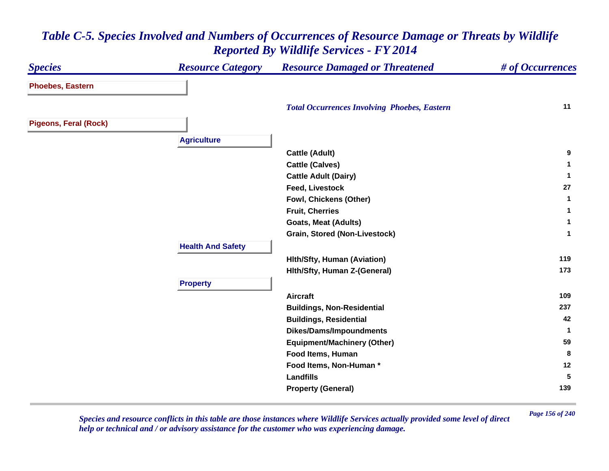#### *Species Resource Category Resource Damaged or Threatened # of Occurrences* **Phoebes, Eastern**  *Total Occurrences Involving Phoebes, Eastern* **<sup>11</sup> Pigeons, Feral (Rock) Agriculture Cattle (Adult) <sup>9</sup> Cattle (Calves) <sup>1</sup> Cattle Adult (Dairy) <sup>1</sup> Feed, Livestock 27 Fowl, Chickens (Other) <sup>1</sup> Fruit, Cherries 1 Goats, Meat (Adults) <sup>1</sup> Grain, Stored (Non-Livestock) <sup>1</sup> Health And Safety Hlth/Sfty, Human (Aviation) <sup>119</sup> Hlth/Sfty, Human Z-(General) <sup>173</sup> Property Aircraft 109 Buildings, Non-Residential <sup>237</sup> Buildings, Residential <sup>42</sup> Dikes/Dams/Impoundments <sup>1</sup> Equipment/Machinery (Other) <sup>59</sup> Food Items, Human 8 Food Items, Non-Human \* 12 Landfills 5 Property (General) <sup>139</sup>**

## *Table C-5. Species Involved and Numbers of Occurrences of Resource Damage or Threats by Wildlife Reported By Wildlife Services - FY 2014*

*Page 156 of 240 Species and resource conflicts in this table are those instances where Wildlife Services actually provided some level of direct help or technical and / or advisory assistance for the customer who was experiencing damage.*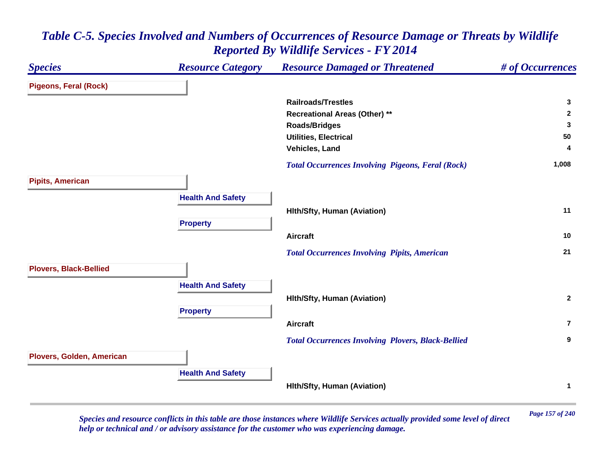

*Page 157 of 240 Species and resource conflicts in this table are those instances where Wildlife Services actually provided some level of direct help or technical and / or advisory assistance for the customer who was experiencing damage.*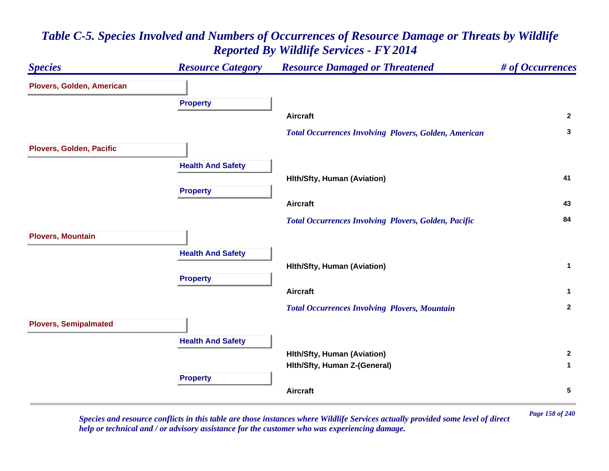

*Page 158 of 240 Species and resource conflicts in this table are those instances where Wildlife Services actually provided some level of direct help or technical and / or advisory assistance for the customer who was experiencing damage.*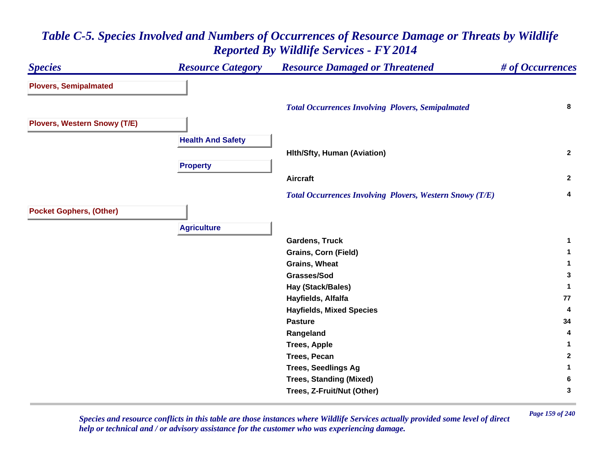| <b>Species</b>                      | <b>Resource Category</b> | <b>Resource Damaged or Threatened</b>                           | # of Occurrences |
|-------------------------------------|--------------------------|-----------------------------------------------------------------|------------------|
| <b>Plovers, Semipalmated</b>        |                          |                                                                 |                  |
|                                     |                          | <b>Total Occurrences Involving Plovers, Semipalmated</b>        | 8                |
| <b>Plovers, Western Snowy (T/E)</b> |                          |                                                                 |                  |
|                                     | <b>Health And Safety</b> |                                                                 |                  |
|                                     |                          | <b>Hith/Sfty, Human (Aviation)</b>                              | $\mathbf{2}$     |
|                                     | <b>Property</b>          |                                                                 |                  |
|                                     |                          | <b>Aircraft</b>                                                 | $\mathbf{2}$     |
|                                     |                          | <b>Total Occurrences Involving Plovers, Western Snowy (T/E)</b> | 4                |
| <b>Pocket Gophers, (Other)</b>      |                          |                                                                 |                  |
|                                     | <b>Agriculture</b>       |                                                                 |                  |
|                                     |                          | <b>Gardens, Truck</b>                                           | 1                |
|                                     |                          | <b>Grains, Corn (Field)</b>                                     | $\mathbf{1}$     |
|                                     |                          | <b>Grains, Wheat</b>                                            | 1                |
|                                     |                          | Grasses/Sod                                                     | 3                |
|                                     |                          | Hay (Stack/Bales)                                               | $\mathbf{1}$     |
|                                     |                          | Hayfields, Alfalfa                                              | 77               |
|                                     |                          | <b>Hayfields, Mixed Species</b>                                 | 4                |
|                                     |                          | <b>Pasture</b>                                                  | 34               |
|                                     |                          | Rangeland                                                       | 4                |
|                                     |                          | <b>Trees, Apple</b>                                             | 1                |
|                                     |                          | <b>Trees, Pecan</b>                                             | $\mathbf{2}$     |
|                                     |                          | <b>Trees, Seedlings Ag</b>                                      | 1                |
|                                     |                          | <b>Trees, Standing (Mixed)</b>                                  | 6                |
|                                     |                          | Trees, Z-Fruit/Nut (Other)                                      | 3                |

*Page 159 of 240 Species and resource conflicts in this table are those instances where Wildlife Services actually provided some level of direct help or technical and / or advisory assistance for the customer who was experiencing damage.*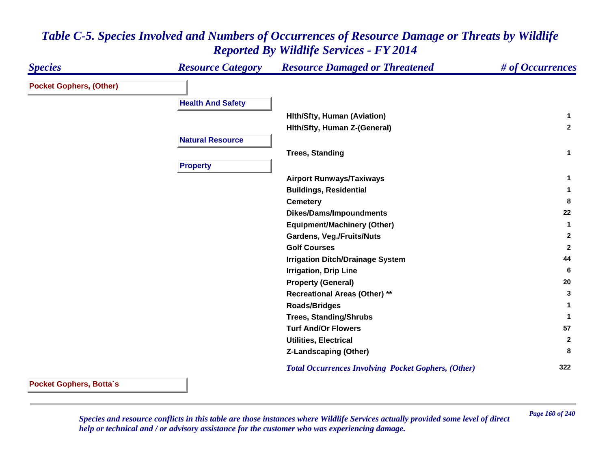| <b>Species</b>                 | <b>Resource Category</b> | <b>Resource Damaged or Threatened</b>                      | # of Occurrences |
|--------------------------------|--------------------------|------------------------------------------------------------|------------------|
| <b>Pocket Gophers, (Other)</b> |                          |                                                            |                  |
|                                | <b>Health And Safety</b> |                                                            |                  |
|                                |                          | <b>Hith/Sfty, Human (Aviation)</b>                         | 1.               |
|                                |                          | Hith/Sfty, Human Z-(General)                               | $\mathbf{2}$     |
|                                | <b>Natural Resource</b>  |                                                            |                  |
|                                |                          | <b>Trees, Standing</b>                                     | $\mathbf{1}$     |
|                                | <b>Property</b>          |                                                            |                  |
|                                |                          | <b>Airport Runways/Taxiways</b>                            | 1                |
|                                |                          | <b>Buildings, Residential</b>                              | 1                |
|                                |                          | <b>Cemetery</b>                                            | 8                |
|                                |                          | <b>Dikes/Dams/Impoundments</b>                             | 22               |
|                                |                          | <b>Equipment/Machinery (Other)</b>                         | 1                |
|                                |                          | <b>Gardens, Veg./Fruits/Nuts</b>                           | $\mathbf{2}$     |
|                                |                          | <b>Golf Courses</b>                                        | $\mathbf{2}$     |
|                                |                          | <b>Irrigation Ditch/Drainage System</b>                    | 44               |
|                                |                          | <b>Irrigation, Drip Line</b>                               | 6                |
|                                |                          | <b>Property (General)</b>                                  | 20               |
|                                |                          | <b>Recreational Areas (Other) **</b>                       | 3                |
|                                |                          | <b>Roads/Bridges</b>                                       | 1                |
|                                |                          | <b>Trees, Standing/Shrubs</b>                              | 1                |
|                                |                          | <b>Turf And/Or Flowers</b>                                 | 57               |
|                                |                          | <b>Utilities, Electrical</b>                               | $\mathbf{2}$     |
|                                |                          | <b>Z-Landscaping (Other)</b>                               | 8                |
|                                |                          | <b>Total Occurrences Involving Pocket Gophers, (Other)</b> | 322              |

**Pocket Gophers, Botta`s**

*Page 160 of 240 Species and resource conflicts in this table are those instances where Wildlife Services actually provided some level of direct help or technical and / or advisory assistance for the customer who was experiencing damage.*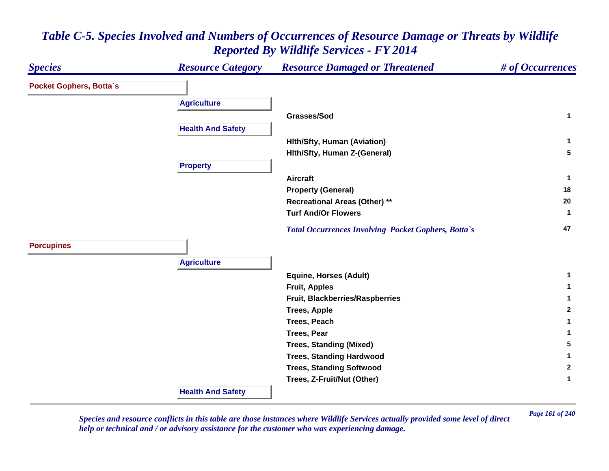#### *Species Resource Category Resource Damaged or Threatened # of Occurrences* **Pocket Gophers, Botta`s Agriculture Grasses/Sod 1 Health And Safety Hlth/Sfty, Human (Aviation) <sup>1</sup> Hlth/Sfty, Human Z-(General) <sup>5</sup> Property Aircraft 1 Property (General) <sup>18</sup> Recreational Areas (Other) \*\* <sup>20</sup> Turf And/Or Flowers 1**  *Total Occurrences Involving Pocket Gophers, Botta`s* **<sup>47</sup> Porcupines Agriculture Equine, Horses (Adult) <sup>1</sup> Fruit, Apples <sup>1</sup> Fruit, Blackberries/Raspberries <sup>1</sup> Trees, Apple <sup>2</sup> Trees, Peach 1 Trees, Pear 1 Trees, Standing (Mixed) <sup>5</sup> Trees, Standing Hardwood <sup>1</sup> Trees, Standing Softwood <sup>2</sup> Trees, Z-Fruit/Nut (Other) <sup>1</sup> Health And Safety**

# *Table C-5. Species Involved and Numbers of Occurrences of Resource Damage or Threats by Wildlife Reported By Wildlife Services - FY 2014*

*Page 161 of 240 Species and resource conflicts in this table are those instances where Wildlife Services actually provided some level of direct help or technical and / or advisory assistance for the customer who was experiencing damage.*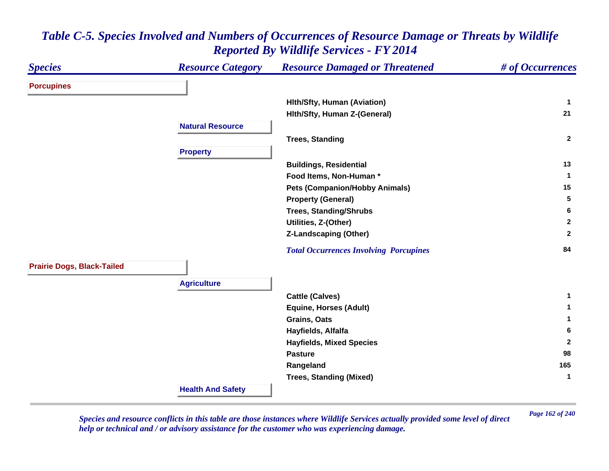| <b>Species</b>                    | <b>Resource Category</b> | <b>Resource Damaged or Threatened</b>         | # of Occurrences |
|-----------------------------------|--------------------------|-----------------------------------------------|------------------|
| <b>Porcupines</b>                 |                          |                                               |                  |
|                                   |                          | <b>Hith/Sfty, Human (Aviation)</b>            | 1                |
|                                   |                          | Hith/Sfty, Human Z-(General)                  | 21               |
|                                   | <b>Natural Resource</b>  |                                               |                  |
|                                   |                          | <b>Trees, Standing</b>                        | $\mathbf{2}$     |
|                                   | <b>Property</b>          |                                               |                  |
|                                   |                          | <b>Buildings, Residential</b>                 | 13               |
|                                   |                          | Food Items, Non-Human*                        | 1                |
|                                   |                          | <b>Pets (Companion/Hobby Animals)</b>         | 15               |
|                                   |                          | <b>Property (General)</b>                     | 5                |
|                                   |                          | <b>Trees, Standing/Shrubs</b>                 | 6                |
|                                   |                          | Utilities, Z-(Other)                          | $\mathbf{2}$     |
|                                   |                          | <b>Z-Landscaping (Other)</b>                  | $\mathbf{2}$     |
|                                   |                          | <b>Total Occurrences Involving Porcupines</b> | 84               |
| <b>Prairie Dogs, Black-Tailed</b> |                          |                                               |                  |
|                                   | <b>Agriculture</b>       |                                               |                  |
|                                   |                          | <b>Cattle (Calves)</b>                        | $\mathbf 1$      |
|                                   |                          | <b>Equine, Horses (Adult)</b>                 | $\mathbf 1$      |
|                                   |                          | Grains, Oats                                  | 1                |
|                                   |                          | Hayfields, Alfalfa                            | 6                |
|                                   |                          | <b>Hayfields, Mixed Species</b>               | $\mathbf{2}$     |
|                                   |                          | <b>Pasture</b>                                | 98               |
|                                   |                          | Rangeland                                     | 165              |
|                                   |                          | <b>Trees, Standing (Mixed)</b>                | $\mathbf 1$      |
|                                   | <b>Health And Safety</b> |                                               |                  |

*Page 162 of 240 Species and resource conflicts in this table are those instances where Wildlife Services actually provided some level of direct help or technical and / or advisory assistance for the customer who was experiencing damage.*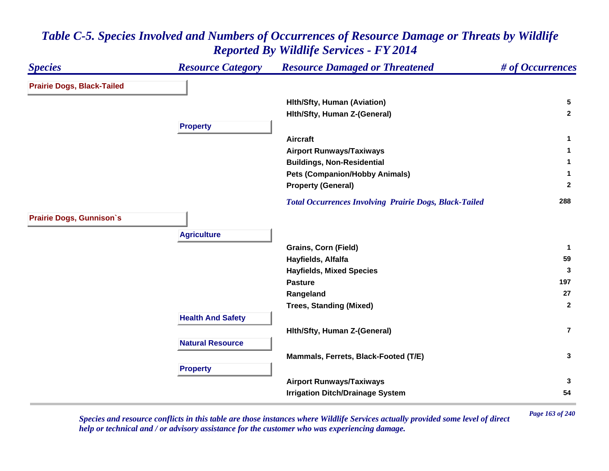| <b>Species</b>                    | <b>Resource Category</b> | <b>Resource Damaged or Threatened</b>                         | # of Occurrences |
|-----------------------------------|--------------------------|---------------------------------------------------------------|------------------|
| <b>Prairie Dogs, Black-Tailed</b> |                          |                                                               |                  |
|                                   |                          | <b>Hith/Sfty, Human (Aviation)</b>                            | 5                |
|                                   |                          | Hith/Sfty, Human Z-(General)                                  | $\mathbf{2}$     |
|                                   | <b>Property</b>          |                                                               |                  |
|                                   |                          | <b>Aircraft</b>                                               | $\mathbf{1}$     |
|                                   |                          | <b>Airport Runways/Taxiways</b>                               | 1                |
|                                   |                          | <b>Buildings, Non-Residential</b>                             | 1                |
|                                   |                          | <b>Pets (Companion/Hobby Animals)</b>                         | 1                |
|                                   |                          | <b>Property (General)</b>                                     | $\mathbf{2}$     |
|                                   |                          | <b>Total Occurrences Involving Prairie Dogs, Black-Tailed</b> | 288              |
| <b>Prairie Dogs, Gunnison's</b>   |                          |                                                               |                  |
|                                   | <b>Agriculture</b>       |                                                               |                  |
|                                   |                          | <b>Grains, Corn (Field)</b>                                   | $\mathbf 1$      |
|                                   |                          | Hayfields, Alfalfa                                            | 59               |
|                                   |                          | <b>Hayfields, Mixed Species</b>                               | 3                |
|                                   |                          | <b>Pasture</b>                                                | 197              |
|                                   |                          | Rangeland                                                     | 27               |
|                                   |                          | <b>Trees, Standing (Mixed)</b>                                | $\overline{2}$   |
|                                   | <b>Health And Safety</b> |                                                               |                  |
|                                   |                          | Hith/Sfty, Human Z-(General)                                  | $\overline{7}$   |
|                                   | <b>Natural Resource</b>  |                                                               |                  |
|                                   |                          | Mammals, Ferrets, Black-Footed (T/E)                          | 3                |
|                                   | <b>Property</b>          |                                                               |                  |
|                                   |                          | <b>Airport Runways/Taxiways</b>                               | 3                |
|                                   |                          | <b>Irrigation Ditch/Drainage System</b>                       | 54               |

*Page 163 of 240 Species and resource conflicts in this table are those instances where Wildlife Services actually provided some level of direct help or technical and / or advisory assistance for the customer who was experiencing damage.*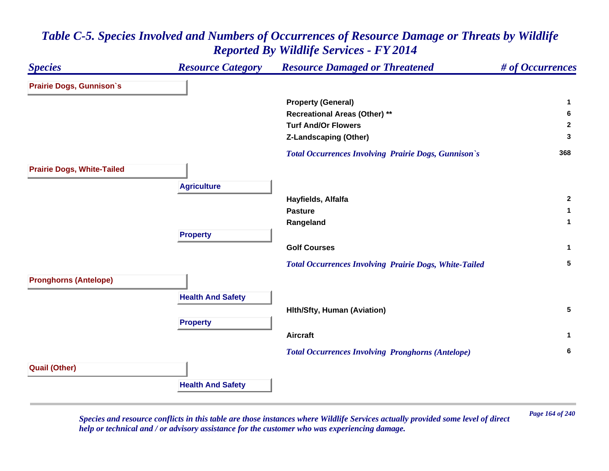

*Page 164 of 240 Species and resource conflicts in this table are those instances where Wildlife Services actually provided some level of direct help or technical and / or advisory assistance for the customer who was experiencing damage.*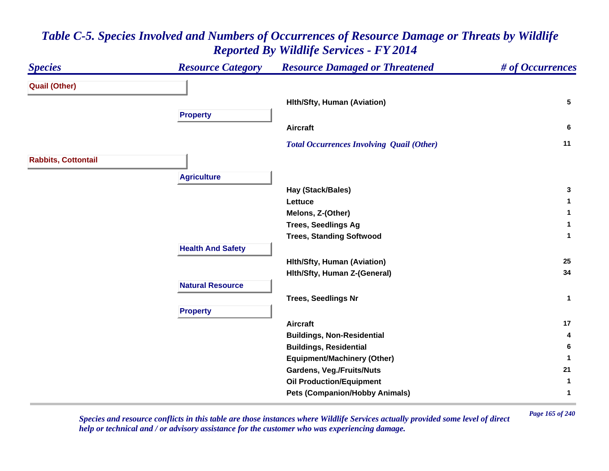#### *Species Resource Category Resource Damaged or Threatened # of Occurrences* **Quail (Other) Hlth/Sfty, Human (Aviation) <sup>5</sup> Property Aircraft 6**  *Total Occurrences Involving Quail (Other)* **<sup>11</sup> Rabbits, Cottontail Agriculture Hay (Stack/Bales) <sup>3</sup> Lettuce 1 Melons, Z-(Other) <sup>1</sup> Trees, Seedlings Ag <sup>1</sup> Trees, Standing Softwood <sup>1</sup> Health And Safety Hlth/Sfty, Human (Aviation) <sup>25</sup> Hlth/Sfty, Human Z-(General) <sup>34</sup> Natural ResourceTrees, Seedlings Nr <sup>1</sup> Property Aircraft 17 Buildings, Non-Residential <sup>4</sup> Buildings, Residential <sup>6</sup> Equipment/Machinery (Other) <sup>1</sup> Gardens, Veg./Fruits/Nuts <sup>21</sup> Oil Production/Equipment <sup>1</sup> Pets (Companion/Hobby Animals) <sup>1</sup>**

# *Table C-5. Species Involved and Numbers of Occurrences of Resource Damage or Threats by Wildlife Reported By Wildlife Services - FY 2014*

*Page 165 of 240 Species and resource conflicts in this table are those instances where Wildlife Services actually provided some level of direct help or technical and / or advisory assistance for the customer who was experiencing damage.*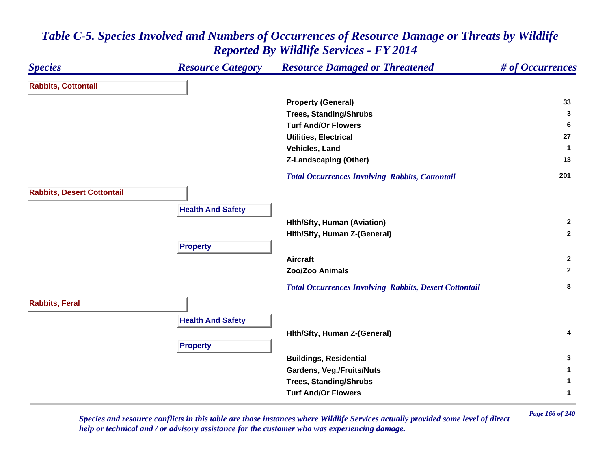#### *Species Resource Category Resource Damaged or Threatened # of Occurrences* **Rabbits, Cottontail Property (General) <sup>33</sup> Trees, Standing/Shrubs <sup>3</sup> Turf And/Or Flowers 6 Utilities, Electrical 27 Vehicles, Land 1 Z-Landscaping (Other) <sup>13</sup>**  *Total Occurrences Involving Rabbits, Cottontail* **<sup>201</sup> Rabbits, Desert Cottontail Health And Safety Hlth/Sfty, Human (Aviation) <sup>2</sup> Hlth/Sfty, Human Z-(General) <sup>2</sup> Property Aircraft 2 Zoo/Zoo Animals 2**  *Total Occurrences Involving Rabbits, Desert Cottontail* **<sup>8</sup> Rabbits, Feral Health And Safety Hlth/Sfty, Human Z-(General) <sup>4</sup> Property Buildings, Residential <sup>3</sup> Gardens, Veg./Fruits/Nuts <sup>1</sup> Trees, Standing/Shrubs <sup>1</sup> Turf And/Or Flowers1**

## *Table C-5. Species Involved and Numbers of Occurrences of Resource Damage or Threats by Wildlife Reported By Wildlife Services - FY 2014*

*Page 166 of 240 Species and resource conflicts in this table are those instances where Wildlife Services actually provided some level of direct help or technical and / or advisory assistance for the customer who was experiencing damage.*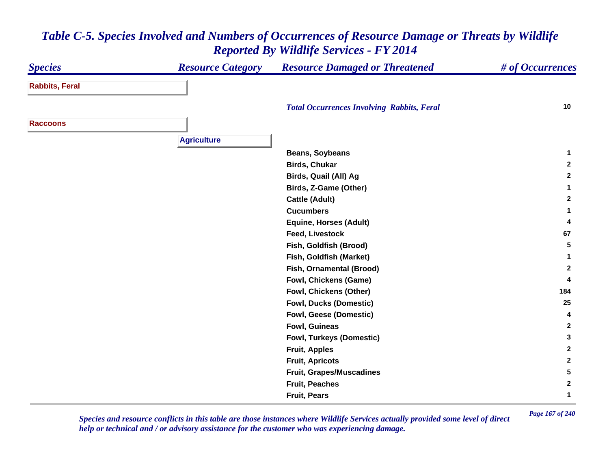#### *Species Resource Category Resource Damaged or Threatened # of Occurrences* **Rabbits, Feral**  *Total Occurrences Involving Rabbits, Feral* **<sup>10</sup> RaccoonsAgriculture Beans, Soybeans <sup>1</sup> Birds, Chukar 2 Birds, Quail (All) Ag <sup>2</sup> Birds, Z-Game (Other) <sup>1</sup> Cattle (Adult) <sup>2</sup> Cucumbers 1 Equine, Horses (Adult) <sup>4</sup> Feed, Livestock 67 Fish, Goldfish (Brood) <sup>5</sup> Fish, Goldfish (Market) <sup>1</sup> Fish, Ornamental (Brood) <sup>2</sup> Fowl, Chickens (Game) <sup>4</sup> Fowl, Chickens (Other) <sup>184</sup> Fowl, Ducks (Domestic) <sup>25</sup> Fowl, Geese (Domestic) <sup>4</sup> Fowl, Guineas 2 Fowl, Turkeys (Domestic) <sup>3</sup> Fruit, Apples <sup>2</sup> Fruit, Apricots <sup>2</sup> Fruit, Grapes/Muscadines <sup>5</sup> Fruit, Peaches 2 Fruit, Pears 1**

## *Table C-5. Species Involved and Numbers of Occurrences of Resource Damage or Threats by Wildlife Reported By Wildlife Services - FY 2014*

*Page 167 of 240 Species and resource conflicts in this table are those instances where Wildlife Services actually provided some level of direct help or technical and / or advisory assistance for the customer who was experiencing damage.*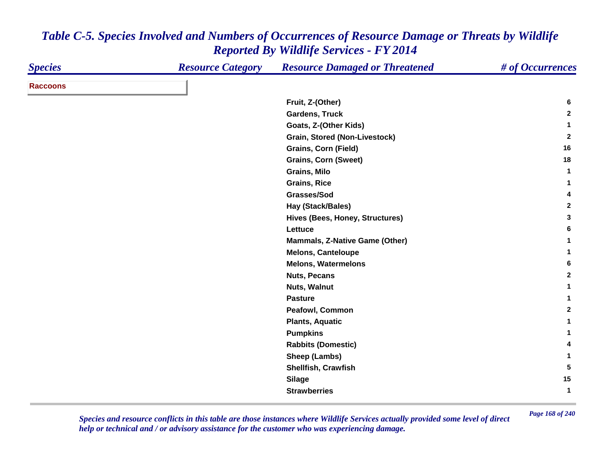| <b>Species</b>  | <b>Resource Category</b> | <b>Resource Damaged or Threatened</b> | # of Occurrences |
|-----------------|--------------------------|---------------------------------------|------------------|
| <b>Raccoons</b> |                          |                                       |                  |
|                 |                          | Fruit, Z-(Other)                      | 6                |
|                 |                          | <b>Gardens, Truck</b>                 | $\mathbf{2}$     |
|                 |                          | Goats, Z-(Other Kids)                 | 1                |
|                 |                          | Grain, Stored (Non-Livestock)         | $\overline{2}$   |
|                 |                          | <b>Grains, Corn (Field)</b>           | 16               |
|                 |                          | <b>Grains, Corn (Sweet)</b>           | 18               |
|                 |                          | <b>Grains, Milo</b>                   | -1               |
|                 |                          | <b>Grains, Rice</b>                   | 1                |
|                 |                          | Grasses/Sod                           | 4                |
|                 |                          | <b>Hay (Stack/Bales)</b>              | $\mathbf{2}$     |
|                 |                          | Hives (Bees, Honey, Structures)       | 3                |
|                 |                          | Lettuce                               | 6                |
|                 |                          | <b>Mammals, Z-Native Game (Other)</b> | 1                |
|                 |                          | <b>Melons, Canteloupe</b>             | $\mathbf{1}$     |
|                 |                          | <b>Melons, Watermelons</b>            | 6                |
|                 |                          | <b>Nuts, Pecans</b>                   | $\mathbf{2}$     |
|                 |                          | Nuts, Walnut                          | $\mathbf{1}$     |
|                 |                          | <b>Pasture</b>                        | 1                |
|                 |                          | Peafowl, Common                       | $\mathbf{2}$     |
|                 |                          | <b>Plants, Aquatic</b>                | 1                |
|                 |                          | <b>Pumpkins</b>                       | 1                |
|                 |                          | <b>Rabbits (Domestic)</b>             | 4                |
|                 |                          | Sheep (Lambs)                         | 1                |
|                 |                          | Shellfish, Crawfish                   | 5                |
|                 |                          | <b>Silage</b>                         | 15               |
|                 |                          | <b>Strawberries</b>                   | 1                |

*Page 168 of 240 Species and resource conflicts in this table are those instances where Wildlife Services actually provided some level of direct help or technical and / or advisory assistance for the customer who was experiencing damage.*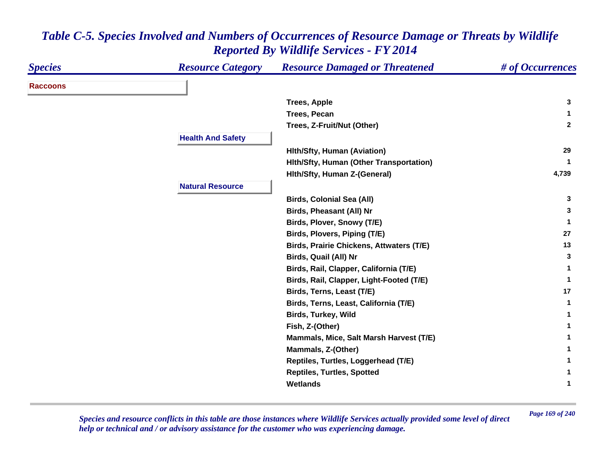| <b>Species</b>  | <b>Resource Category</b> | <b>Resource Damaged or Threatened</b>           | # of Occurrences |
|-----------------|--------------------------|-------------------------------------------------|------------------|
| <b>Raccoons</b> |                          |                                                 |                  |
|                 |                          | <b>Trees, Apple</b>                             | 3                |
|                 |                          | <b>Trees, Pecan</b>                             |                  |
|                 |                          | Trees, Z-Fruit/Nut (Other)                      | $\mathbf{2}$     |
|                 | <b>Health And Safety</b> |                                                 |                  |
|                 |                          | <b>Hith/Sfty, Human (Aviation)</b>              | 29               |
|                 |                          | Hith/Sfty, Human (Other Transportation)         | -1               |
|                 |                          | Hith/Sfty, Human Z-(General)                    | 4,739            |
|                 | <b>Natural Resource</b>  |                                                 |                  |
|                 |                          | <b>Birds, Colonial Sea (All)</b>                | 3                |
|                 |                          | <b>Birds, Pheasant (All) Nr</b>                 | 3                |
|                 |                          | Birds, Plover, Snowy (T/E)                      | -1               |
|                 |                          | Birds, Plovers, Piping (T/E)                    | 27               |
|                 |                          | <b>Birds, Prairie Chickens, Attwaters (T/E)</b> | 13               |
|                 |                          | Birds, Quail (All) Nr                           | 3                |
|                 |                          | Birds, Rail, Clapper, California (T/E)          |                  |
|                 |                          | Birds, Rail, Clapper, Light-Footed (T/E)        | -1               |
|                 |                          | Birds, Terns, Least (T/E)                       | 17               |
|                 |                          | Birds, Terns, Least, California (T/E)           | $\mathbf 1$      |
|                 |                          | <b>Birds, Turkey, Wild</b>                      |                  |
|                 |                          | Fish, Z-(Other)                                 |                  |
|                 |                          | Mammals, Mice, Salt Marsh Harvest (T/E)         |                  |
|                 |                          | Mammals, Z-(Other)                              |                  |
|                 |                          | Reptiles, Turtles, Loggerhead (T/E)             |                  |
|                 |                          | <b>Reptiles, Turtles, Spotted</b>               |                  |
|                 |                          | <b>Wetlands</b>                                 |                  |

*Page 169 of 240 Species and resource conflicts in this table are those instances where Wildlife Services actually provided some level of direct help or technical and / or advisory assistance for the customer who was experiencing damage.*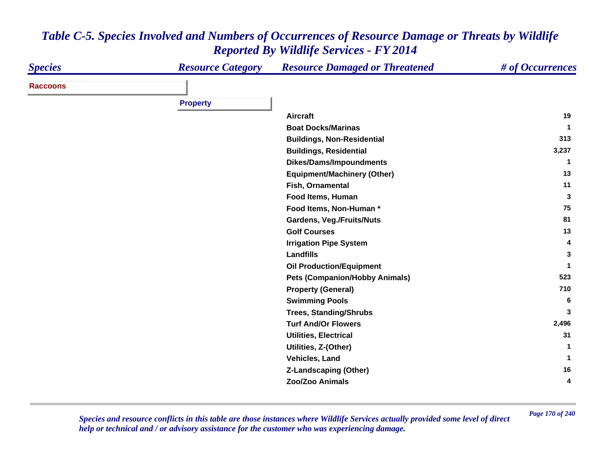| <b>Species</b>  | <b>Resource Category</b> | <b>Resource Damaged or Threatened</b>        | # of Occurrences |
|-----------------|--------------------------|----------------------------------------------|------------------|
| <b>Raccoons</b> |                          |                                              |                  |
|                 | <b>Property</b>          |                                              |                  |
|                 |                          |                                              | 19               |
|                 |                          | <b>Aircraft</b><br><b>Boat Docks/Marinas</b> |                  |
|                 |                          |                                              |                  |
|                 |                          | <b>Buildings, Non-Residential</b>            | 313              |
|                 |                          | <b>Buildings, Residential</b>                | 3,237            |
|                 |                          | <b>Dikes/Dams/Impoundments</b>               | -1               |
|                 |                          | <b>Equipment/Machinery (Other)</b>           | 13               |
|                 |                          | Fish, Ornamental                             | 11               |
|                 |                          | Food Items, Human                            | 3                |
|                 |                          | Food Items, Non-Human*                       | 75               |
|                 |                          | Gardens, Veg./Fruits/Nuts                    | 81               |
|                 |                          | <b>Golf Courses</b>                          | 13               |
|                 |                          | <b>Irrigation Pipe System</b>                | 4                |
|                 |                          | Landfills                                    | 3                |
|                 |                          | <b>Oil Production/Equipment</b>              |                  |
|                 |                          | <b>Pets (Companion/Hobby Animals)</b>        | 523              |
|                 |                          | <b>Property (General)</b>                    | 710              |
|                 |                          | <b>Swimming Pools</b>                        | 6                |
|                 |                          | <b>Trees, Standing/Shrubs</b>                | 3                |
|                 |                          | <b>Turf And/Or Flowers</b>                   | 2,496            |
|                 |                          | <b>Utilities, Electrical</b>                 | 31               |
|                 |                          | Utilities, Z-(Other)                         |                  |
|                 |                          | Vehicles, Land                               |                  |
|                 |                          | <b>Z-Landscaping (Other)</b>                 | 16               |
|                 |                          | Zoo/Zoo Animals                              | 4                |

*Page 170 of 240 Species and resource conflicts in this table are those instances where Wildlife Services actually provided some level of direct help or technical and / or advisory assistance for the customer who was experiencing damage.*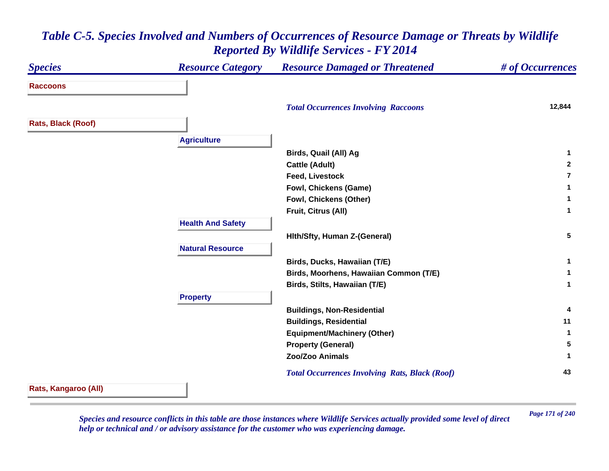#### *Species Resource Category Resource Damaged or Threatened # of Occurrences* **Raccoons** *Total Occurrences Involving Raccoons* **12,844 Rats, Black (Roof) Agriculture Birds, Quail (All) Ag <sup>1</sup> Cattle (Adult) <sup>2</sup> Feed, Livestock 7Fowl, Chickens (Game) <sup>1</sup> Fowl, Chickens (Other) <sup>1</sup> Fruit, Citrus (All) <sup>1</sup> Health And Safety Hlth/Sfty, Human Z-(General) <sup>5</sup> Natural ResourceBirds, Ducks, Hawaiian (T/E) <sup>1</sup> Birds, Moorhens, Hawaiian Common (T/E) <sup>1</sup> Birds, Stilts, Hawaiian (T/E) <sup>1</sup> Property Buildings, Non-Residential <sup>4</sup> Buildings, Residential <sup>11</sup> Equipment/Machinery (Other) <sup>1</sup> Property (General) <sup>5</sup> Zoo/Zoo Animals 1**  *Total Occurrences Involving Rats, Black (Roof)* **<sup>43</sup> Rats, Kangaroo (All)**

## *Table C-5. Species Involved and Numbers of Occurrences of Resource Damage or Threats by Wildlife Reported By Wildlife Services - FY 2014*

*Page 171 of 240 Species and resource conflicts in this table are those instances where Wildlife Services actually provided some level of direct help or technical and / or advisory assistance for the customer who was experiencing damage.*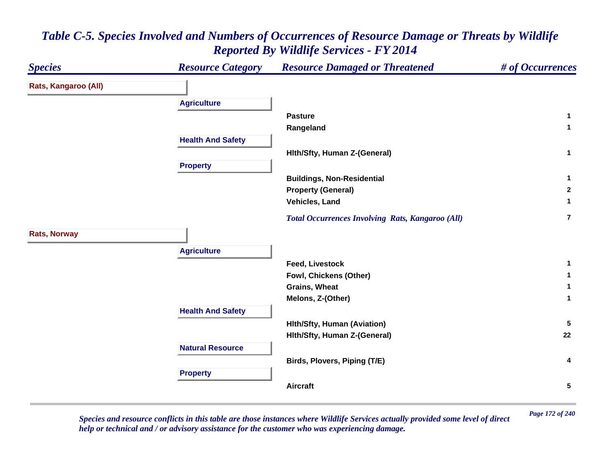#### *Species Resource Category Resource Damaged or Threatened # of Occurrences* **Rats, Kangaroo (All) Agriculture Pasture 1 Rangeland <sup>1</sup> Health And Safety Hlth/Sfty, Human Z-(General) <sup>1</sup> Property Buildings, Non-Residential <sup>1</sup> Property (General) <sup>2</sup> Vehicles, Land 1**  *Total Occurrences Involving Rats, Kangaroo (All)* **7Rats, Norway Agriculture Feed, Livestock 1 Fowl, Chickens (Other) <sup>1</sup> Grains, Wheat 1 Melons, Z-(Other) <sup>1</sup> Health And Safety Hlth/Sfty, Human (Aviation) <sup>5</sup> Hlth/Sfty, Human Z-(General) <sup>22</sup> Natural ResourceBirds, Plovers, Piping (T/E) <sup>4</sup> Property Aircraft5**

# *Table C-5. Species Involved and Numbers of Occurrences of Resource Damage or Threats by Wildlife Reported By Wildlife Services - FY 2014*

*Page 172 of 240 Species and resource conflicts in this table are those instances where Wildlife Services actually provided some level of direct help or technical and / or advisory assistance for the customer who was experiencing damage.*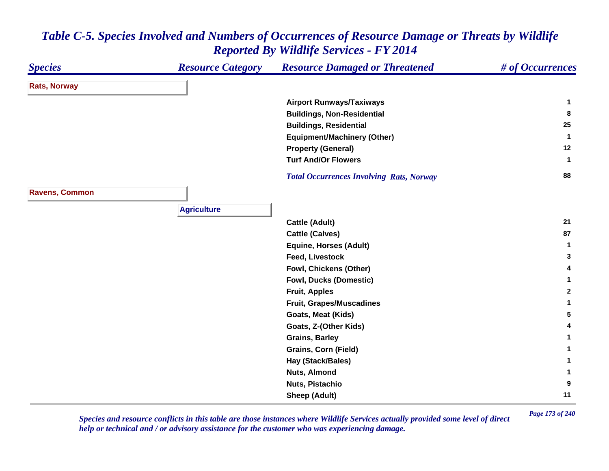| <b>Species</b>        | <b>Resource Category</b> | <b>Resource Damaged or Threatened</b>           | # of Occurrences     |
|-----------------------|--------------------------|-------------------------------------------------|----------------------|
| <b>Rats, Norway</b>   |                          |                                                 |                      |
|                       |                          | <b>Airport Runways/Taxiways</b>                 | -1                   |
|                       |                          | <b>Buildings, Non-Residential</b>               | 8                    |
|                       |                          | <b>Buildings, Residential</b>                   | 25                   |
|                       |                          | <b>Equipment/Machinery (Other)</b>              | $\blacktriangleleft$ |
|                       |                          | <b>Property (General)</b>                       | 12                   |
|                       |                          | <b>Turf And/Or Flowers</b>                      | $\mathbf{1}$         |
|                       |                          | <b>Total Occurrences Involving Rats, Norway</b> | 88                   |
| <b>Ravens, Common</b> |                          |                                                 |                      |
|                       | <b>Agriculture</b>       |                                                 |                      |
|                       |                          | <b>Cattle (Adult)</b>                           | 21                   |
|                       |                          | <b>Cattle (Calves)</b>                          | 87                   |
|                       |                          | <b>Equine, Horses (Adult)</b>                   | $\mathbf 1$          |
|                       |                          | <b>Feed, Livestock</b>                          | 3                    |
|                       |                          | Fowl, Chickens (Other)                          | 4                    |
|                       |                          | <b>Fowl, Ducks (Domestic)</b>                   | 1                    |
|                       |                          | <b>Fruit, Apples</b>                            | $\mathbf{2}$         |
|                       |                          | <b>Fruit, Grapes/Muscadines</b>                 | 1                    |
|                       |                          | Goats, Meat (Kids)                              | 5                    |
|                       |                          | Goats, Z-(Other Kids)                           | 4                    |
|                       |                          | <b>Grains, Barley</b>                           | 1                    |
|                       |                          | Grains, Corn (Field)                            | 1                    |
|                       |                          | Hay (Stack/Bales)                               | 1                    |
|                       |                          | <b>Nuts, Almond</b>                             | 1                    |
|                       |                          | Nuts, Pistachio                                 | 9                    |
|                       |                          | <b>Sheep (Adult)</b>                            | 11                   |

*Page 173 of 240 Species and resource conflicts in this table are those instances where Wildlife Services actually provided some level of direct help or technical and / or advisory assistance for the customer who was experiencing damage.*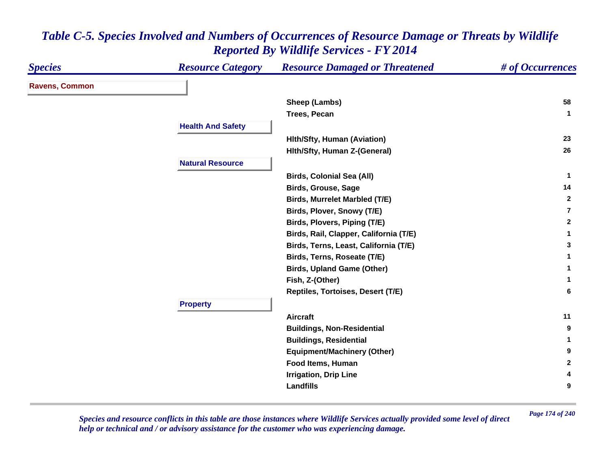| <b>Species</b>        | <b>Resource Category</b> | <b>Resource Damaged or Threatened</b>  | # of Occurrences |
|-----------------------|--------------------------|----------------------------------------|------------------|
| <b>Ravens, Common</b> |                          |                                        |                  |
|                       |                          | Sheep (Lambs)                          | 58               |
|                       |                          | <b>Trees, Pecan</b>                    | $\mathbf{1}$     |
|                       | <b>Health And Safety</b> |                                        |                  |
|                       |                          | <b>Hith/Sfty, Human (Aviation)</b>     | 23               |
|                       |                          | Hith/Sfty, Human Z-(General)           | 26               |
|                       | <b>Natural Resource</b>  |                                        |                  |
|                       |                          | <b>Birds, Colonial Sea (All)</b>       | $\mathbf 1$      |
|                       |                          | <b>Birds, Grouse, Sage</b>             | 14               |
|                       |                          | <b>Birds, Murrelet Marbled (T/E)</b>   | $\mathbf{2}$     |
|                       |                          | Birds, Plover, Snowy (T/E)             | $\overline{7}$   |
|                       |                          | Birds, Plovers, Piping (T/E)           | $\mathbf{2}$     |
|                       |                          | Birds, Rail, Clapper, California (T/E) | 1                |
|                       |                          | Birds, Terns, Least, California (T/E)  | 3                |
|                       |                          | Birds, Terns, Roseate (T/E)            | 1                |
|                       |                          | <b>Birds, Upland Game (Other)</b>      | 1                |
|                       |                          | Fish, Z-(Other)                        | 1                |
|                       |                          | Reptiles, Tortoises, Desert (T/E)      | 6                |
|                       | <b>Property</b>          |                                        |                  |
|                       |                          | <b>Aircraft</b>                        | 11               |
|                       |                          | <b>Buildings, Non-Residential</b>      | 9                |
|                       |                          | <b>Buildings, Residential</b>          | 1                |
|                       |                          | <b>Equipment/Machinery (Other)</b>     | 9                |
|                       |                          | Food Items, Human                      | $\mathbf{2}$     |
|                       |                          | <b>Irrigation, Drip Line</b>           | 4                |
|                       |                          | <b>Landfills</b>                       | 9                |

*Page 174 of 240 Species and resource conflicts in this table are those instances where Wildlife Services actually provided some level of direct help or technical and / or advisory assistance for the customer who was experiencing damage.*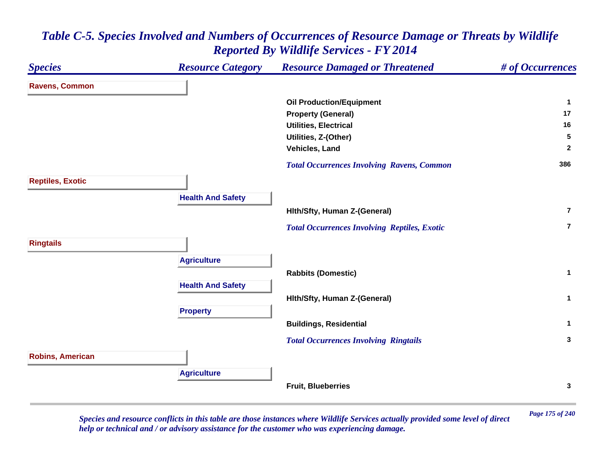

*Page 175 of 240 Species and resource conflicts in this table are those instances where Wildlife Services actually provided some level of direct help or technical and / or advisory assistance for the customer who was experiencing damage.*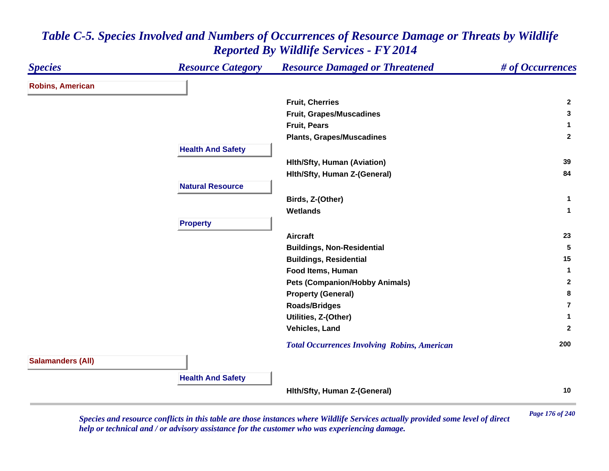| <b>Species</b>           | <b>Resource Category</b> | <b>Resource Damaged or Threatened</b>               | # of Occurrences        |
|--------------------------|--------------------------|-----------------------------------------------------|-------------------------|
| <b>Robins, American</b>  |                          |                                                     |                         |
|                          |                          | <b>Fruit, Cherries</b>                              | $\mathbf{2}$            |
|                          |                          | Fruit, Grapes/Muscadines                            | 3                       |
|                          |                          | <b>Fruit, Pears</b>                                 | 1                       |
|                          |                          | <b>Plants, Grapes/Muscadines</b>                    | $\overline{2}$          |
|                          | <b>Health And Safety</b> |                                                     |                         |
|                          |                          | <b>Hith/Sfty, Human (Aviation)</b>                  | 39                      |
|                          |                          | Hith/Sfty, Human Z-(General)                        | 84                      |
|                          | <b>Natural Resource</b>  |                                                     |                         |
|                          |                          | Birds, Z-(Other)                                    | 1                       |
|                          |                          | <b>Wetlands</b>                                     | $\mathbf 1$             |
|                          | <b>Property</b>          |                                                     |                         |
|                          |                          | <b>Aircraft</b>                                     | 23                      |
|                          |                          | <b>Buildings, Non-Residential</b>                   | 5                       |
|                          |                          | <b>Buildings, Residential</b>                       | 15                      |
|                          |                          | Food Items, Human                                   | 1                       |
|                          |                          | <b>Pets (Companion/Hobby Animals)</b>               | $\mathbf{2}$            |
|                          |                          | <b>Property (General)</b>                           | 8                       |
|                          |                          | <b>Roads/Bridges</b>                                | $\overline{\mathbf{r}}$ |
|                          |                          | Utilities, Z-(Other)                                | 1                       |
|                          |                          | Vehicles, Land                                      | $\mathbf{2}$            |
|                          |                          | <b>Total Occurrences Involving Robins, American</b> | 200                     |
| <b>Salamanders (All)</b> |                          |                                                     |                         |
|                          | <b>Health And Safety</b> |                                                     |                         |
|                          |                          | Hith/Sfty, Human Z-(General)                        | 10                      |

*Page 176 of 240 Species and resource conflicts in this table are those instances where Wildlife Services actually provided some level of direct help or technical and / or advisory assistance for the customer who was experiencing damage.*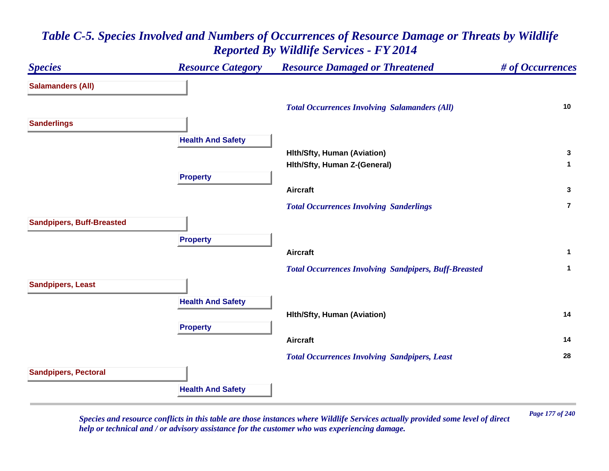## *Species Resource Category Resource Damaged or Threatened # of Occurrences* **Salamanders (All)**  *Total Occurrences Involving Salamanders (All)* **<sup>10</sup> Sanderlings Health And Safety Hlth/Sfty, Human (Aviation) <sup>3</sup> Hlth/Sfty, Human Z-(General) <sup>1</sup> Property Aircraft 3**  *Total Occurrences Involving Sanderlings* **7Sandpipers, Buff-Breasted Property Aircraft 1**  *Total Occurrences Involving Sandpipers, Buff-Breasted* **<sup>1</sup> Sandpipers, Least Health And Safety Hlth/Sfty, Human (Aviation) <sup>14</sup> Property Aircraft 14**  *Total Occurrences Involving Sandpipers, Least* **<sup>28</sup> Sandpipers, Pectoral Health And Safety**

## *Table C-5. Species Involved and Numbers of Occurrences of Resource Damage or Threats by Wildlife Reported By Wildlife Services - FY 2014*

*Page 177 of 240 Species and resource conflicts in this table are those instances where Wildlife Services actually provided some level of direct help or technical and / or advisory assistance for the customer who was experiencing damage.*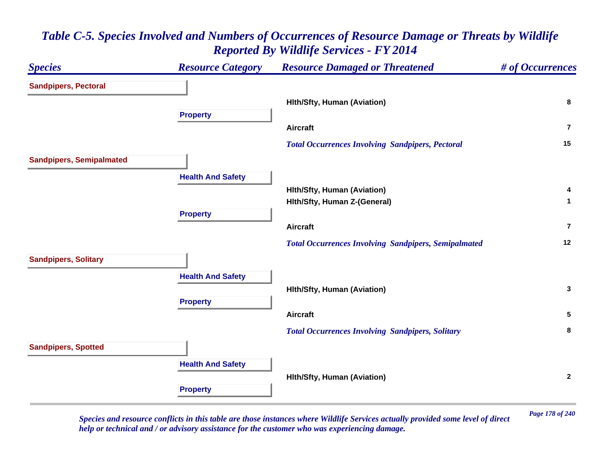## *Species Resource Category Resource Damaged or Threatened # of Occurrences* **Sandpipers, Pectoral Hlth/Sfty, Human (Aviation) <sup>8</sup> Property Aircraft7** *Total Occurrences Involving Sandpipers, Pectoral* **<sup>15</sup> Sandpipers, Semipalmated Health And Safety Hlth/Sfty, Human (Aviation) <sup>4</sup> Hlth/Sfty, Human Z-(General) <sup>1</sup> Property Aircraft7** *Total Occurrences Involving Sandpipers, Semipalmated* **<sup>12</sup> Sandpipers, Solitary Health And Safety Hlth/Sfty, Human (Aviation) <sup>3</sup> Property Aircraft 5**  *Total Occurrences Involving Sandpipers, Solitary* **<sup>8</sup> Sandpipers, Spotted Health And Safety Hlth/Sfty, Human (Aviation) <sup>2</sup> Property**

# *Table C-5. Species Involved and Numbers of Occurrences of Resource Damage or Threats by Wildlife Reported By Wildlife Services - FY 2014*

*Page 178 of 240 Species and resource conflicts in this table are those instances where Wildlife Services actually provided some level of direct help or technical and / or advisory assistance for the customer who was experiencing damage.*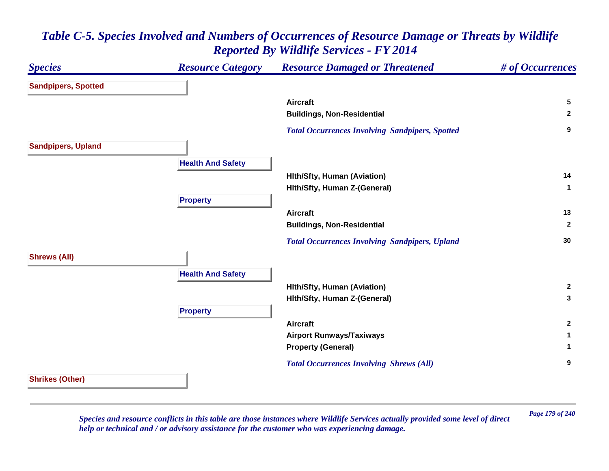#### *Species Resource Category Resource Damaged or Threatened # of Occurrences* **Sandpipers, Spotted Aircraft 5 Buildings, Non-Residential <sup>2</sup>**  *Total Occurrences Involving Sandpipers, Spotted* **<sup>9</sup> Sandpipers, Upland Health And Safety Hlth/Sfty, Human (Aviation) <sup>14</sup> Hlth/Sfty, Human Z-(General) <sup>1</sup> Property Aircraft 13 Buildings, Non-Residential <sup>2</sup>**  *Total Occurrences Involving Sandpipers, Upland* **<sup>30</sup> Shrews (All) Health And Safety Hlth/Sfty, Human (Aviation) <sup>2</sup> Hlth/Sfty, Human Z-(General) <sup>3</sup> Property Aircraft 2 Airport Runways/Taxiways <sup>1</sup> Property (General) <sup>1</sup>**  *Total Occurrences Involving Shrews (All)* **<sup>9</sup> Shrikes (Other)**

# *Table C-5. Species Involved and Numbers of Occurrences of Resource Damage or Threats by Wildlife Reported By Wildlife Services - FY 2014*

*Page 179 of 240 Species and resource conflicts in this table are those instances where Wildlife Services actually provided some level of direct help or technical and / or advisory assistance for the customer who was experiencing damage.*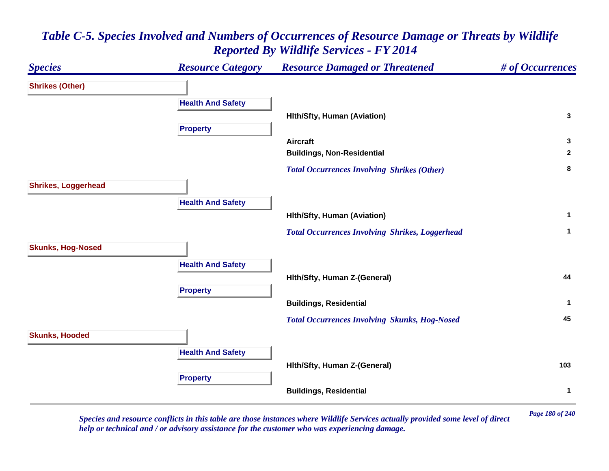# *Species Resource Category Resource Damaged or Threatened # of Occurrences* **Shrikes (Other) Health And Safety Hlth/Sfty, Human (Aviation) <sup>3</sup> Property Aircraft 3 Buildings, Non-Residential <sup>2</sup>**  *Total Occurrences Involving Shrikes (Other)* **<sup>8</sup> Shrikes, Loggerhead Health And Safety Hlth/Sfty, Human (Aviation) <sup>1</sup>**  *Total Occurrences Involving Shrikes, Loggerhead* **<sup>1</sup> Skunks, Hog-Nosed Health And Safety Hlth/Sfty, Human Z-(General) <sup>44</sup> Property Buildings, Residential <sup>1</sup>**  *Total Occurrences Involving Skunks, Hog-Nosed* **<sup>45</sup> Skunks, Hooded Health And Safety Hlth/Sfty, Human Z-(General) <sup>103</sup> Property Buildings, Residential <sup>1</sup>**

# *Table C-5. Species Involved and Numbers of Occurrences of Resource Damage or Threats by Wildlife Reported By Wildlife Services - FY 2014*

*Page 180 of 240 Species and resource conflicts in this table are those instances where Wildlife Services actually provided some level of direct help or technical and / or advisory assistance for the customer who was experiencing damage.*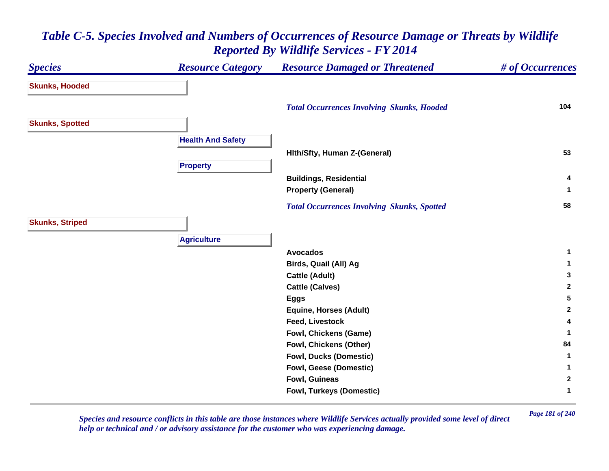### *Species Resource Category Resource Damaged or Threatened # of Occurrences* **Skunks, Hooded**  *Total Occurrences Involving Skunks, Hooded* **<sup>104</sup> Skunks, Spotted Health And Safety Hlth/Sfty, Human Z-(General) <sup>53</sup> Property Buildings, Residential <sup>4</sup> Property (General) <sup>1</sup>**  *Total Occurrences Involving Skunks, Spotted* **<sup>58</sup> Skunks, Striped Agriculture Avocados 1 Birds, Quail (All) Ag <sup>1</sup> Cattle (Adult) <sup>3</sup> Cattle (Calves) <sup>2</sup> Eggs <sup>5</sup> Equine, Horses (Adult) <sup>2</sup> Feed, Livestock 4 Fowl, Chickens (Game) <sup>1</sup> Fowl, Chickens (Other) <sup>84</sup> Fowl, Ducks (Domestic) <sup>1</sup> Fowl, Geese (Domestic) <sup>1</sup> Fowl, Guineas 2 Fowl, Turkeys (Domestic) <sup>1</sup>**

### *Table C-5. Species Involved and Numbers of Occurrences of Resource Damage or Threats by Wildlife Reported By Wildlife Services - FY 2014*

*Page 181 of 240 Species and resource conflicts in this table are those instances where Wildlife Services actually provided some level of direct help or technical and / or advisory assistance for the customer who was experiencing damage.*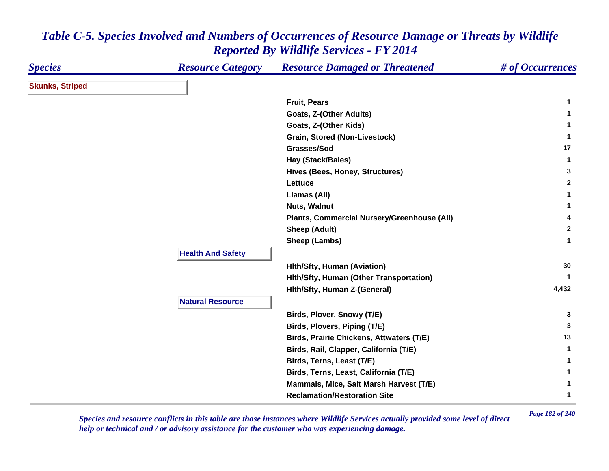| <b>Species</b>         | <b>Resource Category</b> | <b>Resource Damaged or Threatened</b>           | # of Occurrences |
|------------------------|--------------------------|-------------------------------------------------|------------------|
| <b>Skunks, Striped</b> |                          |                                                 |                  |
|                        |                          | <b>Fruit, Pears</b>                             | 1                |
|                        |                          | <b>Goats, Z-(Other Adults)</b>                  | $\mathbf 1$      |
|                        |                          | Goats, Z-(Other Kids)                           | 1                |
|                        |                          | Grain, Stored (Non-Livestock)                   | $\mathbf 1$      |
|                        |                          | Grasses/Sod                                     | 17               |
|                        |                          | Hay (Stack/Bales)                               | $\mathbf{1}$     |
|                        |                          | Hives (Bees, Honey, Structures)                 | 3                |
|                        |                          | Lettuce                                         | $\mathbf{2}$     |
|                        |                          | Llamas (All)                                    | 1                |
|                        |                          | <b>Nuts, Walnut</b>                             | 1                |
|                        |                          | Plants, Commercial Nursery/Greenhouse (All)     | 4                |
|                        |                          | <b>Sheep (Adult)</b>                            | $\overline{2}$   |
|                        |                          | Sheep (Lambs)                                   | $\mathbf{1}$     |
|                        | <b>Health And Safety</b> |                                                 |                  |
|                        |                          | <b>Hith/Sfty, Human (Aviation)</b>              | 30               |
|                        |                          | Hith/Sfty, Human (Other Transportation)         | -1               |
|                        |                          | Hith/Sfty, Human Z-(General)                    | 4,432            |
|                        | <b>Natural Resource</b>  |                                                 |                  |
|                        |                          | Birds, Plover, Snowy (T/E)                      | 3                |
|                        |                          | Birds, Plovers, Piping (T/E)                    | 3                |
|                        |                          | <b>Birds, Prairie Chickens, Attwaters (T/E)</b> | 13               |
|                        |                          | Birds, Rail, Clapper, California (T/E)          | $\mathbf{1}$     |
|                        |                          | Birds, Terns, Least (T/E)                       | 1                |
|                        |                          | Birds, Terns, Least, California (T/E)           | 1                |
|                        |                          | Mammals, Mice, Salt Marsh Harvest (T/E)         | 1                |
|                        |                          | <b>Reclamation/Restoration Site</b>             | 1                |
|                        |                          |                                                 |                  |

*Page 182 of 240 Species and resource conflicts in this table are those instances where Wildlife Services actually provided some level of direct help or technical and / or advisory assistance for the customer who was experiencing damage.*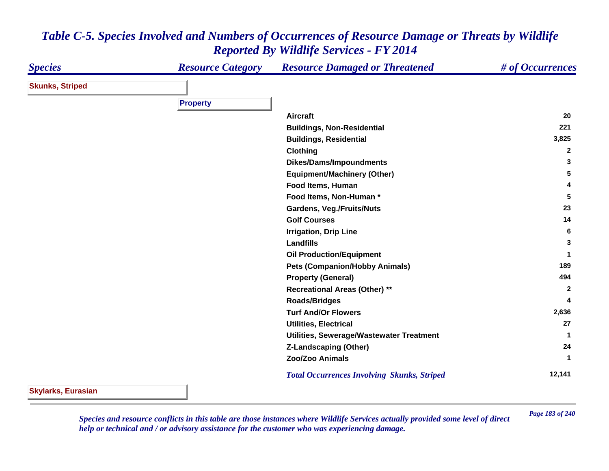#### *Species Resource Category Resource Damaged or Threatened # of Occurrences* **Skunks, Striped Property Aircraft 20 Buildings, Non-Residential <sup>221</sup> Buildings, Residential 3,825 Clothing <sup>2</sup> Dikes/Dams/Impoundments <sup>3</sup> Equipment/Machinery (Other) <sup>5</sup> Food Items, Human 4 Food Items, Non-Human \* 5 Gardens, Veg./Fruits/Nuts <sup>23</sup> Golf Courses 14 Irrigation, Drip Line <sup>6</sup> Landfills 3 Oil Production/Equipment <sup>1</sup> Pets (Companion/Hobby Animals) <sup>189</sup> Property (General) <sup>494</sup> Recreational Areas (Other) \*\* <sup>2</sup> Roads/Bridges <sup>4</sup> Turf And/Or Flowers 2,636 Utilities, Electrical 27 Utilities, Sewerage/Wastewater Treatment <sup>1</sup> Z-Landscaping (Other) <sup>24</sup> Zoo/Zoo Animals 1**  *Total Occurrences Involving Skunks, Striped* **12,141**

### *Table C-5. Species Involved and Numbers of Occurrences of Resource Damage or Threats by Wildlife Reported By Wildlife Services - FY 2014*

**Skylarks, Eurasian**

*Page 183 of 240 Species and resource conflicts in this table are those instances where Wildlife Services actually provided some level of direct help or technical and / or advisory assistance for the customer who was experiencing damage.*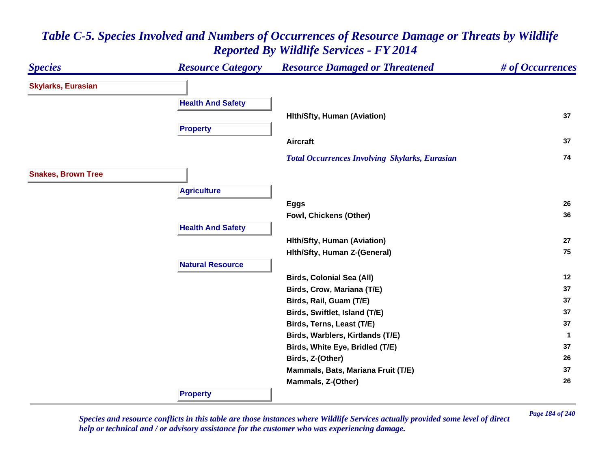### *Species Resource Category Resource Damaged or Threatened # of Occurrences* **Skylarks, Eurasian Health And Safety Hlth/Sfty, Human (Aviation) <sup>37</sup> Property Aircraft 37**  *Total Occurrences Involving Skylarks, Eurasian* **<sup>74</sup> Snakes, Brown Tree Agriculture Eggs <sup>26</sup> Fowl, Chickens (Other) <sup>36</sup> Health And Safety Hlth/Sfty, Human (Aviation) <sup>27</sup> Hlth/Sfty, Human Z-(General) <sup>75</sup> Natural ResourceBirds, Colonial Sea (All) <sup>12</sup> Birds, Crow, Mariana (T/E) <sup>37</sup> Birds, Rail, Guam (T/E) <sup>37</sup> Birds, Swiftlet, Island (T/E) <sup>37</sup> Birds, Terns, Least (T/E) <sup>37</sup> Birds, Warblers, Kirtlands (T/E) <sup>1</sup> Birds, White Eye, Bridled (T/E) <sup>37</sup> Birds, Z-(Other) <sup>26</sup> Mammals, Bats, Mariana Fruit (T/E) <sup>37</sup> Mammals, Z-(Other) <sup>26</sup> Property**

# *Table C-5. Species Involved and Numbers of Occurrences of Resource Damage or Threats by Wildlife Reported By Wildlife Services - FY 2014*

*Page 184 of 240 Species and resource conflicts in this table are those instances where Wildlife Services actually provided some level of direct help or technical and / or advisory assistance for the customer who was experiencing damage.*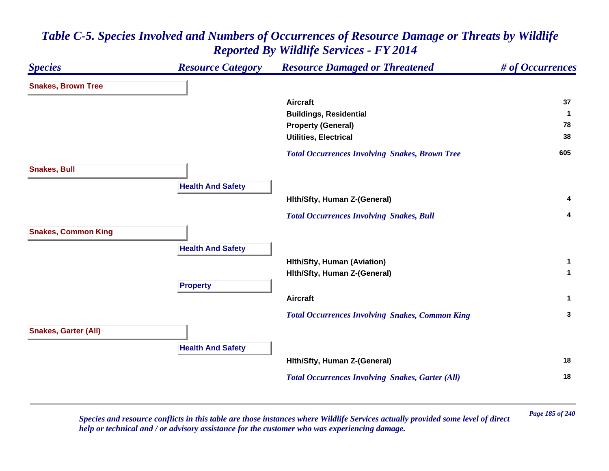| <b>Species</b>              | <b>Resource Category</b> | <b>Resource Damaged or Threatened</b>                   | # of Occurrences |
|-----------------------------|--------------------------|---------------------------------------------------------|------------------|
| <b>Snakes, Brown Tree</b>   |                          |                                                         |                  |
|                             |                          | <b>Aircraft</b>                                         | 37               |
|                             |                          | <b>Buildings, Residential</b>                           | 1                |
|                             |                          | <b>Property (General)</b>                               | 78               |
|                             |                          | <b>Utilities, Electrical</b>                            | 38               |
|                             |                          | <b>Total Occurrences Involving Snakes, Brown Tree</b>   | 605              |
| <b>Snakes, Bull</b>         |                          |                                                         |                  |
|                             | <b>Health And Safety</b> |                                                         |                  |
|                             |                          | Hith/Sfty, Human Z-(General)                            | 4                |
|                             |                          | <b>Total Occurrences Involving Snakes, Bull</b>         | 4                |
| <b>Snakes, Common King</b>  |                          |                                                         |                  |
|                             | <b>Health And Safety</b> |                                                         |                  |
|                             |                          | <b>Hith/Sfty, Human (Aviation)</b>                      | $\mathbf{1}$     |
|                             |                          | Hith/Sfty, Human Z-(General)                            | $\mathbf{1}$     |
|                             | <b>Property</b>          |                                                         |                  |
|                             |                          | <b>Aircraft</b>                                         | $\mathbf 1$      |
|                             |                          | <b>Total Occurrences Involving Snakes, Common King</b>  | 3                |
| <b>Snakes, Garter (All)</b> |                          |                                                         |                  |
|                             | <b>Health And Safety</b> |                                                         |                  |
|                             |                          | Hith/Sfty, Human Z-(General)                            | 18               |
|                             |                          | <b>Total Occurrences Involving Snakes, Garter (All)</b> | 18               |
|                             |                          |                                                         |                  |

*Page 185 of 240 Species and resource conflicts in this table are those instances where Wildlife Services actually provided some level of direct help or technical and / or advisory assistance for the customer who was experiencing damage.*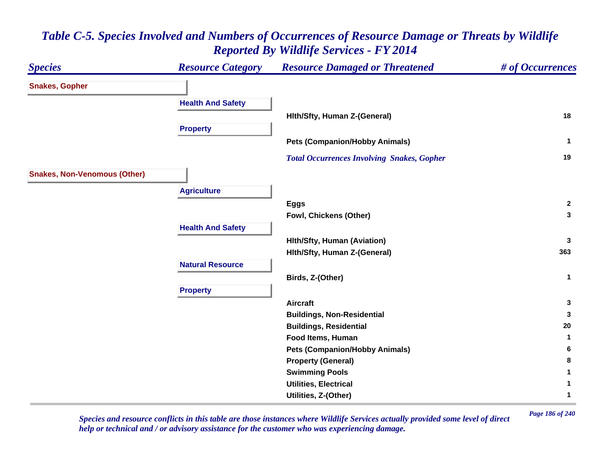### *Species Resource Category Resource Damaged or Threatened # of Occurrences* **Snakes, Gopher Health And Safety Hlth/Sfty, Human Z-(General) <sup>18</sup> Property Pets (Companion/Hobby Animals) <sup>1</sup>**  *Total Occurrences Involving Snakes, Gopher* **<sup>19</sup> Snakes, Non-Venomous (Other) Agriculture Eggs <sup>2</sup> Fowl, Chickens (Other) <sup>3</sup> Health And Safety Hlth/Sfty, Human (Aviation) <sup>3</sup> Hlth/Sfty, Human Z-(General) <sup>363</sup> Natural ResourceBirds, Z-(Other) <sup>1</sup> Property Aircraft 3 Buildings, Non-Residential <sup>3</sup> Buildings, Residential <sup>20</sup> Food Items, Human 1 Pets (Companion/Hobby Animals) <sup>6</sup> Property (General) <sup>8</sup> Swimming Pools <sup>1</sup> Utilities, Electrical 1 Utilities, Z-(Other) <sup>1</sup>**

# *Table C-5. Species Involved and Numbers of Occurrences of Resource Damage or Threats by Wildlife Reported By Wildlife Services - FY 2014*

*Page 186 of 240 Species and resource conflicts in this table are those instances where Wildlife Services actually provided some level of direct help or technical and / or advisory assistance for the customer who was experiencing damage.*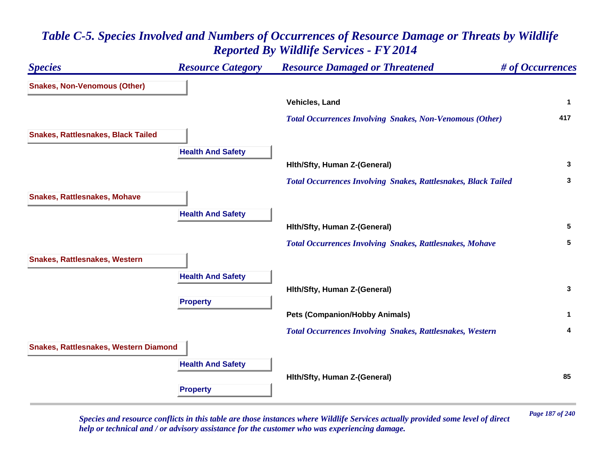# *Species Resource Category Resource Damaged or Threatened # of Occurrences* **Snakes, Non-Venomous (Other) Vehicles, Land 1**  *Total Occurrences Involving Snakes, Non-Venomous (Other)* **<sup>417</sup> Snakes, Rattlesnakes, Black Tailed Health And Safety Hlth/Sfty, Human Z-(General) <sup>3</sup>**  *Total Occurrences Involving Snakes, Rattlesnakes, Black Tailed* **<sup>3</sup> Snakes, Rattlesnakes, Mohave Health And Safety Hlth/Sfty, Human Z-(General) <sup>5</sup>**  *Total Occurrences Involving Snakes, Rattlesnakes, Mohave* **<sup>5</sup> Snakes, Rattlesnakes, Western Health And Safety Hlth/Sfty, Human Z-(General) <sup>3</sup> Property Pets (Companion/Hobby Animals) <sup>1</sup>**  *Total Occurrences Involving Snakes, Rattlesnakes, Western* **<sup>4</sup> Snakes, Rattlesnakes, Western Diamond Health And Safety Hlth/Sfty, Human Z-(General) <sup>85</sup> Property**

## *Table C-5. Species Involved and Numbers of Occurrences of Resource Damage or Threats by Wildlife Reported By Wildlife Services - FY 2014*

*Page 187 of 240 Species and resource conflicts in this table are those instances where Wildlife Services actually provided some level of direct help or technical and / or advisory assistance for the customer who was experiencing damage.*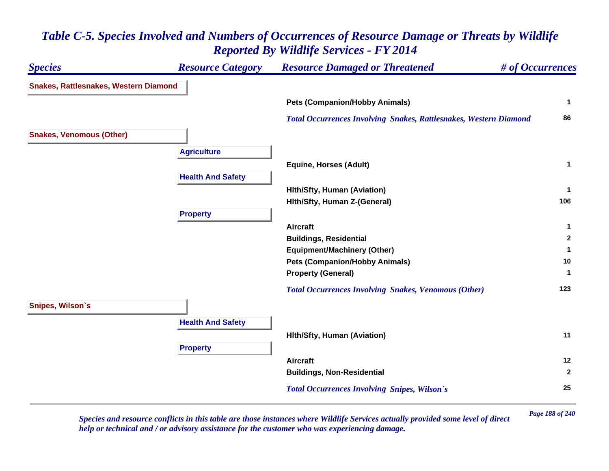### *Species Resource Category Resource Damaged or Threatened # of Occurrences* **Snakes, Rattlesnakes, Western Diamond Pets (Companion/Hobby Animals) <sup>1</sup>**  *Total Occurrences Involving Snakes, Rattlesnakes, Western Diamond* **<sup>86</sup> Snakes, Venomous (Other) Agriculture Equine, Horses (Adult) <sup>1</sup> Health And Safety Hlth/Sfty, Human (Aviation) <sup>1</sup> Hlth/Sfty, Human Z-(General) <sup>106</sup> Property Aircraft 1 Buildings, Residential <sup>2</sup> Equipment/Machinery (Other) <sup>1</sup> Pets (Companion/Hobby Animals) <sup>10</sup> Property (General) <sup>1</sup>**  *Total Occurrences Involving Snakes, Venomous (Other)* **<sup>123</sup> Snipes, Wilson`s Health And Safety Hlth/Sfty, Human (Aviation) <sup>11</sup> Property Aircraft 12 Buildings, Non-Residential <sup>2</sup>**  *Total Occurrences Involving Snipes, Wilson`s* **<sup>25</sup>**

### *Table C-5. Species Involved and Numbers of Occurrences of Resource Damage or Threats by Wildlife Reported By Wildlife Services - FY 2014*

*Page 188 of 240 Species and resource conflicts in this table are those instances where Wildlife Services actually provided some level of direct help or technical and / or advisory assistance for the customer who was experiencing damage.*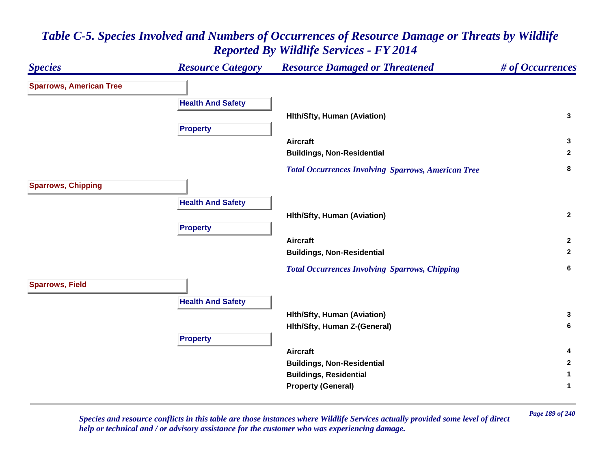### *Species Resource Category Resource Damaged or Threatened # of Occurrences* **Sparrows, American Tree Health And Safety Hlth/Sfty, Human (Aviation) <sup>3</sup> Property Aircraft 3 Buildings, Non-Residential <sup>2</sup>**  *Total Occurrences Involving Sparrows, American Tree* **<sup>8</sup> Sparrows, Chipping Health And Safety Hlth/Sfty, Human (Aviation) <sup>2</sup> Property Aircraft 2 Buildings, Non-Residential <sup>2</sup>**  *Total Occurrences Involving Sparrows, Chipping* **<sup>6</sup> Sparrows, Field Health And Safety Hlth/Sfty, Human (Aviation) <sup>3</sup> Hlth/Sfty, Human Z-(General) <sup>6</sup> Property Aircraft 4 Buildings, Non-Residential <sup>2</sup> Buildings, Residential <sup>1</sup> Property (General) <sup>1</sup>**

# *Table C-5. Species Involved and Numbers of Occurrences of Resource Damage or Threats by Wildlife Reported By Wildlife Services - FY 2014*

*Page 189 of 240 Species and resource conflicts in this table are those instances where Wildlife Services actually provided some level of direct help or technical and / or advisory assistance for the customer who was experiencing damage.*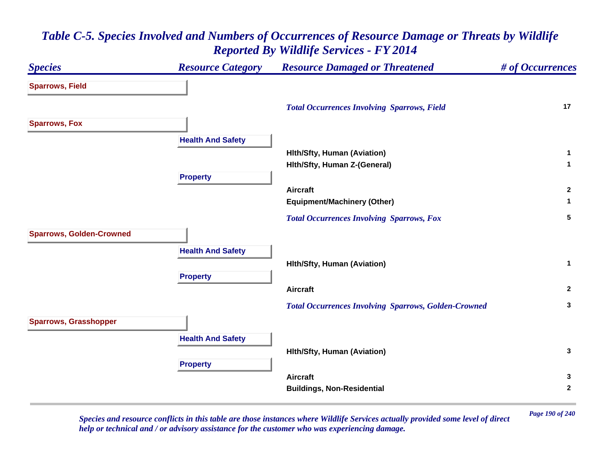### *Species Resource Category Resource Damaged or Threatened # of Occurrences* **Sparrows, Field**  *Total Occurrences Involving Sparrows, Field* **<sup>17</sup> Sparrows, Fox Health And Safety Hlth/Sfty, Human (Aviation) <sup>1</sup> Hlth/Sfty, Human Z-(General) <sup>1</sup> Property Aircraft 2 Equipment/Machinery (Other) <sup>1</sup>**  *Total Occurrences Involving Sparrows, Fox* **<sup>5</sup> Sparrows, Golden-Crowned Health And Safety Hlth/Sfty, Human (Aviation) <sup>1</sup> Property Aircraft 2**  *Total Occurrences Involving Sparrows, Golden-Crowned* **<sup>3</sup> Sparrows, Grasshopper Health And Safety Hlth/Sfty, Human (Aviation) <sup>3</sup> Property Aircraft 3 Buildings, Non-Residential <sup>2</sup>**

### *Table C-5. Species Involved and Numbers of Occurrences of Resource Damage or Threats by Wildlife Reported By Wildlife Services - FY 2014*

*Page 190 of 240 Species and resource conflicts in this table are those instances where Wildlife Services actually provided some level of direct help or technical and / or advisory assistance for the customer who was experiencing damage.*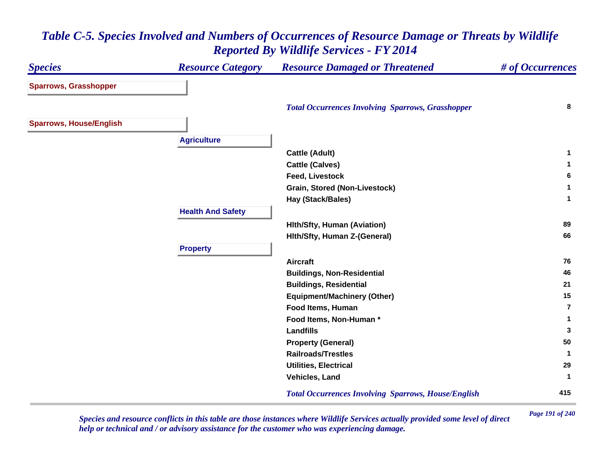| <b>Species</b>                 | <b>Resource Category</b> | <b>Resource Damaged or Threatened</b>                      | # of Occurrences        |
|--------------------------------|--------------------------|------------------------------------------------------------|-------------------------|
| <b>Sparrows, Grasshopper</b>   |                          |                                                            |                         |
|                                |                          | <b>Total Occurrences Involving Sparrows, Grasshopper</b>   | 8                       |
| <b>Sparrows, House/English</b> |                          |                                                            |                         |
|                                | <b>Agriculture</b>       |                                                            |                         |
|                                |                          | <b>Cattle (Adult)</b>                                      | 1                       |
|                                |                          | <b>Cattle (Calves)</b>                                     | 1                       |
|                                |                          | <b>Feed, Livestock</b>                                     | 6                       |
|                                |                          | <b>Grain, Stored (Non-Livestock)</b>                       | 1                       |
|                                |                          | Hay (Stack/Bales)                                          | $\mathbf{1}$            |
|                                | <b>Health And Safety</b> |                                                            |                         |
|                                |                          | <b>Hith/Sfty, Human (Aviation)</b>                         | 89                      |
|                                |                          | Hith/Sfty, Human Z-(General)                               | 66                      |
|                                | <b>Property</b>          |                                                            |                         |
|                                |                          | <b>Aircraft</b>                                            | 76                      |
|                                |                          | <b>Buildings, Non-Residential</b>                          | 46                      |
|                                |                          | <b>Buildings, Residential</b>                              | 21                      |
|                                |                          | <b>Equipment/Machinery (Other)</b>                         | 15                      |
|                                |                          | Food Items, Human                                          | $\overline{\mathbf{r}}$ |
|                                |                          | Food Items, Non-Human*                                     | 1                       |
|                                |                          | <b>Landfills</b>                                           | 3                       |
|                                |                          | <b>Property (General)</b>                                  | 50                      |
|                                |                          | <b>Railroads/Trestles</b>                                  | 1                       |
|                                |                          | <b>Utilities, Electrical</b>                               | 29                      |
|                                |                          | Vehicles, Land                                             | -1                      |
|                                |                          | <b>Total Occurrences Involving Sparrows, House/English</b> | 415                     |

*Page 191 of 240 Species and resource conflicts in this table are those instances where Wildlife Services actually provided some level of direct help or technical and / or advisory assistance for the customer who was experiencing damage.*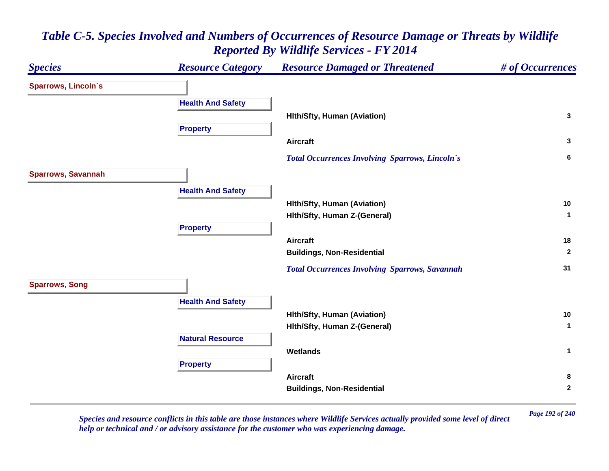#### *Species Resource Category Resource Damaged or Threatened # of Occurrences* **Sparrows, Lincoln`s Health And Safety Hlth/Sfty, Human (Aviation) <sup>3</sup> Property Aircraft 3**  *Total Occurrences Involving Sparrows, Lincoln`s* **<sup>6</sup> Sparrows, Savannah Health And Safety Hlth/Sfty, Human (Aviation) <sup>10</sup> Hlth/Sfty, Human Z-(General) <sup>1</sup> Property Aircraft 18 Buildings, Non-Residential <sup>2</sup>**  *Total Occurrences Involving Sparrows, Savannah* **<sup>31</sup> Sparrows, Song Health And Safety Hlth/Sfty, Human (Aviation) <sup>10</sup> Hlth/Sfty, Human Z-(General) <sup>1</sup> Natural ResourceWetlands 1 Property Aircraft 8 Buildings, Non-Residential <sup>2</sup>**

# *Table C-5. Species Involved and Numbers of Occurrences of Resource Damage or Threats by Wildlife Reported By Wildlife Services - FY 2014*

*Page 192 of 240 Species and resource conflicts in this table are those instances where Wildlife Services actually provided some level of direct help or technical and / or advisory assistance for the customer who was experiencing damage.*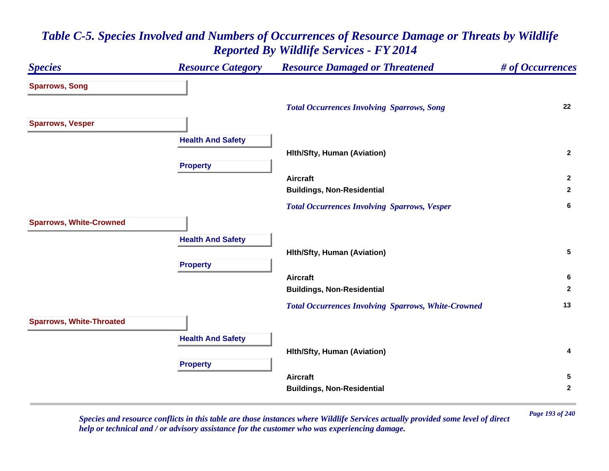### *Species Resource Category Resource Damaged or Threatened # of Occurrences* **Sparrows, Song**  *Total Occurrences Involving Sparrows, Song* **<sup>22</sup> Sparrows, Vesper Health And Safety Hlth/Sfty, Human (Aviation) <sup>2</sup> Property Aircraft 2 Buildings, Non-Residential <sup>2</sup>**  *Total Occurrences Involving Sparrows, Vesper* **<sup>6</sup> Sparrows, White-Crowned Health And Safety Hlth/Sfty, Human (Aviation) <sup>5</sup> Property Aircraft 6 Buildings, Non-Residential <sup>2</sup>**  *Total Occurrences Involving Sparrows, White-Crowned* **<sup>13</sup> Sparrows, White-Throated Health And Safety Hlth/Sfty, Human (Aviation) <sup>4</sup> Property Aircraft 5 Buildings, Non-Residential <sup>2</sup>**

# *Table C-5. Species Involved and Numbers of Occurrences of Resource Damage or Threats by Wildlife Reported By Wildlife Services - FY 2014*

*Page 193 of 240 Species and resource conflicts in this table are those instances where Wildlife Services actually provided some level of direct help or technical and / or advisory assistance for the customer who was experiencing damage.*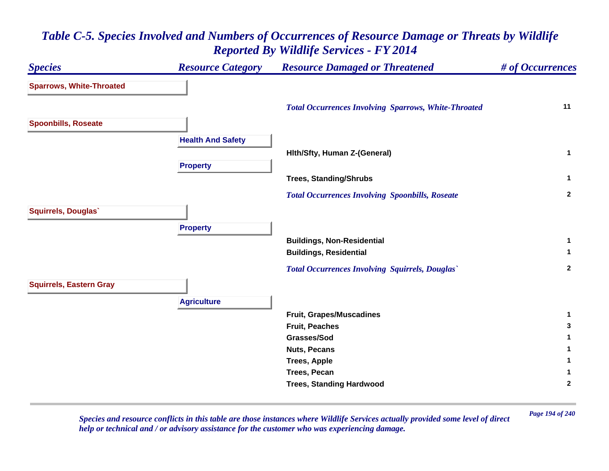# *Species Resource Category Resource Damaged or Threatened # of Occurrences* **Sparrows, White-Throated**  *Total Occurrences Involving Sparrows, White-Throated* **<sup>11</sup> Spoonbills, Roseate Health And Safety Hlth/Sfty, Human Z-(General) <sup>1</sup> Property Trees, Standing/Shrubs <sup>1</sup>**  *Total Occurrences Involving Spoonbills, Roseate* **<sup>2</sup> Squirrels, Douglas` Property Buildings, Non-Residential <sup>1</sup> Buildings, Residential <sup>1</sup>**  *Total Occurrences Involving Squirrels, Douglas`* **<sup>2</sup> Squirrels, Eastern Gray Agriculture Fruit, Grapes/Muscadines <sup>1</sup> Fruit, Peaches 3 Grasses/Sod 1 Nuts, Pecans 1 Trees, Apple <sup>1</sup> Trees, Pecan 1 Trees, Standing Hardwood <sup>2</sup>**

### *Table C-5. Species Involved and Numbers of Occurrences of Resource Damage or Threats by Wildlife Reported By Wildlife Services - FY 2014*

*Page 194 of 240 Species and resource conflicts in this table are those instances where Wildlife Services actually provided some level of direct help or technical and / or advisory assistance for the customer who was experiencing damage.*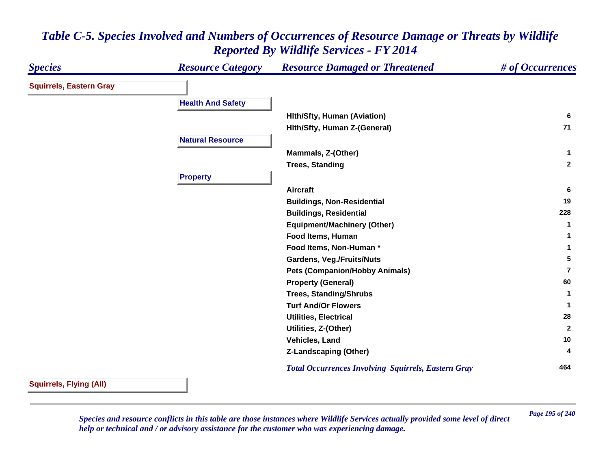| <b>Species</b>                 | <b>Resource Category</b> | <b>Resource Damaged or Threatened</b>                      | # of Occurrences |
|--------------------------------|--------------------------|------------------------------------------------------------|------------------|
| <b>Squirrels, Eastern Gray</b> |                          |                                                            |                  |
|                                | <b>Health And Safety</b> |                                                            |                  |
|                                |                          | <b>Hith/Sfty, Human (Aviation)</b>                         | -6               |
|                                |                          | Hith/Sfty, Human Z-(General)                               | 71               |
|                                | <b>Natural Resource</b>  |                                                            |                  |
|                                |                          | Mammals, Z-(Other)                                         | $\mathbf{1}$     |
|                                |                          | <b>Trees, Standing</b>                                     | $\overline{2}$   |
|                                | <b>Property</b>          |                                                            |                  |
|                                |                          | <b>Aircraft</b>                                            | 6                |
|                                |                          | <b>Buildings, Non-Residential</b>                          | 19               |
|                                |                          | <b>Buildings, Residential</b>                              | 228              |
|                                |                          | <b>Equipment/Machinery (Other)</b>                         | 1                |
|                                |                          | Food Items, Human                                          | 1                |
|                                |                          | Food Items, Non-Human*                                     |                  |
|                                |                          | <b>Gardens, Veg./Fruits/Nuts</b>                           | 5                |
|                                |                          | <b>Pets (Companion/Hobby Animals)</b>                      | 7                |
|                                |                          | <b>Property (General)</b>                                  | 60               |
|                                |                          | <b>Trees, Standing/Shrubs</b>                              | 1                |
|                                |                          | <b>Turf And/Or Flowers</b>                                 | $\mathbf 1$      |
|                                |                          | <b>Utilities, Electrical</b>                               | 28               |
|                                |                          | Utilities, Z-(Other)                                       | $\overline{2}$   |
|                                |                          | Vehicles, Land                                             | 10               |
|                                |                          | <b>Z-Landscaping (Other)</b>                               | 4                |
|                                |                          | <b>Total Occurrences Involving Squirrels, Eastern Gray</b> | 464              |

#### **Squirrels, Flying (All)**

*Page 195 of 240 Species and resource conflicts in this table are those instances where Wildlife Services actually provided some level of direct help or technical and / or advisory assistance for the customer who was experiencing damage.*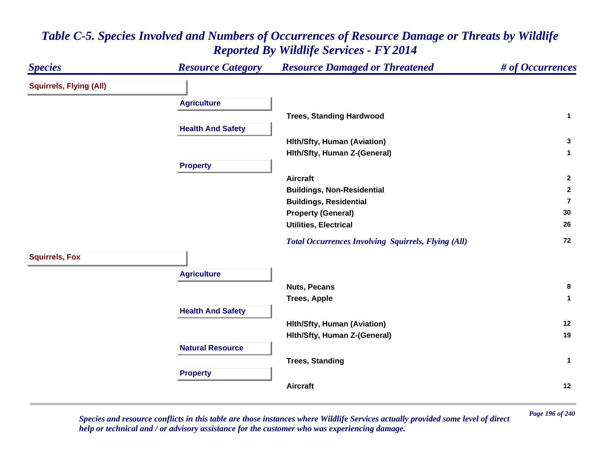#### *Species Resource Category Resource Damaged or Threatened # of Occurrences* **Squirrels, Flying (All) Agriculture Trees, Standing Hardwood <sup>1</sup> Health And Safety Hlth/Sfty, Human (Aviation) <sup>3</sup> Hlth/Sfty, Human Z-(General) <sup>1</sup> Property Aircraft 2 Buildings, Non-Residential <sup>2</sup> Buildings, Residential 7Property (General) <sup>30</sup> Utilities, Electrical 26**  *Total Occurrences Involving Squirrels, Flying (All)* **<sup>72</sup> Squirrels, Fox Agriculture Nuts, Pecans 8 Trees, Apple <sup>1</sup> Health And Safety Hlth/Sfty, Human (Aviation) <sup>12</sup> Hlth/Sfty, Human Z-(General) <sup>19</sup> Natural ResourceTrees, Standing <sup>1</sup> Property Aircraft12**

# *Table C-5. Species Involved and Numbers of Occurrences of Resource Damage or Threats by Wildlife Reported By Wildlife Services - FY 2014*

*Page 196 of 240 Species and resource conflicts in this table are those instances where Wildlife Services actually provided some level of direct help or technical and / or advisory assistance for the customer who was experiencing damage.*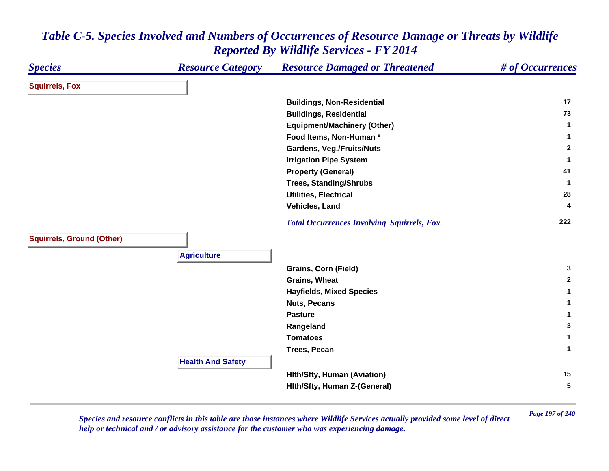#### *Species Resource Category Resource Damaged or Threatened # of Occurrences* **Squirrels, Fox Buildings, Non-Residential <sup>17</sup> Buildings, Residential <sup>73</sup> Equipment/Machinery (Other) <sup>1</sup> Food Items, Non-Human \* 1 Gardens, Veg./Fruits/Nuts <sup>2</sup> Irrigation Pipe System <sup>1</sup> Property (General) <sup>41</sup> Trees, Standing/Shrubs <sup>1</sup> Utilities, Electrical 28 Vehicles, Land 4**  *Total Occurrences Involving Squirrels, Fox* **<sup>222</sup> Squirrels, Ground (Other) Agriculture Grains, Corn (Field) <sup>3</sup> Grains, Wheat 2 Hayfields, Mixed Species <sup>1</sup> Nuts, Pecans 1 Pasture 1 Rangeland <sup>3</sup> Tomatoes 1 Trees, Pecan 1 Health And Safety Hlth/Sfty, Human (Aviation) <sup>15</sup> Hlth/Sfty, Human Z-(General) <sup>5</sup>**

## *Table C-5. Species Involved and Numbers of Occurrences of Resource Damage or Threats by Wildlife Reported By Wildlife Services - FY 2014*

*Page 197 of 240 Species and resource conflicts in this table are those instances where Wildlife Services actually provided some level of direct help or technical and / or advisory assistance for the customer who was experiencing damage.*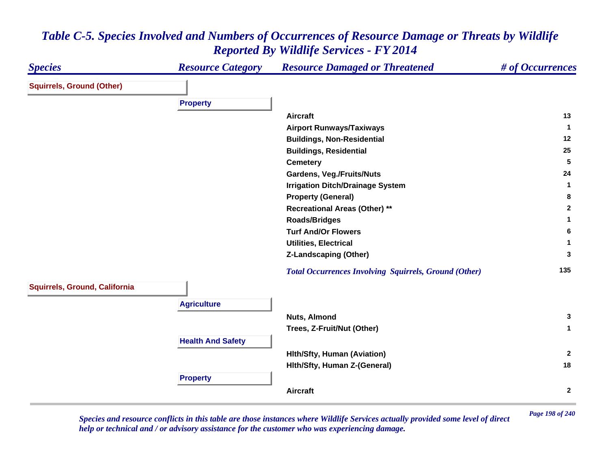#### *Species Resource Category Resource Damaged or Threatened # of Occurrences* **Squirrels, Ground (Other) Property Aircraft 13 Airport Runways/Taxiways <sup>1</sup> Buildings, Non-Residential <sup>12</sup> Buildings, Residential <sup>25</sup> Cemetery <sup>5</sup> Gardens, Veg./Fruits/Nuts <sup>24</sup> Irrigation Ditch/Drainage System <sup>1</sup> Property (General) <sup>8</sup> Recreational Areas (Other) \*\* <sup>2</sup> Roads/Bridges <sup>1</sup> Turf And/Or Flowers 6 Utilities, Electrical 1 Z-Landscaping (Other) <sup>3</sup>**  *Total Occurrences Involving Squirrels, Ground (Other)* **<sup>135</sup> Squirrels, Ground, California Agriculture Nuts, Almond 3 Trees, Z-Fruit/Nut (Other) <sup>1</sup> Health And Safety Hlth/Sfty, Human (Aviation) <sup>2</sup> Hlth/Sfty, Human Z-(General) <sup>18</sup> Property Aircraft2**

### *Table C-5. Species Involved and Numbers of Occurrences of Resource Damage or Threats by Wildlife Reported By Wildlife Services - FY 2014*

*Page 198 of 240 Species and resource conflicts in this table are those instances where Wildlife Services actually provided some level of direct help or technical and / or advisory assistance for the customer who was experiencing damage.*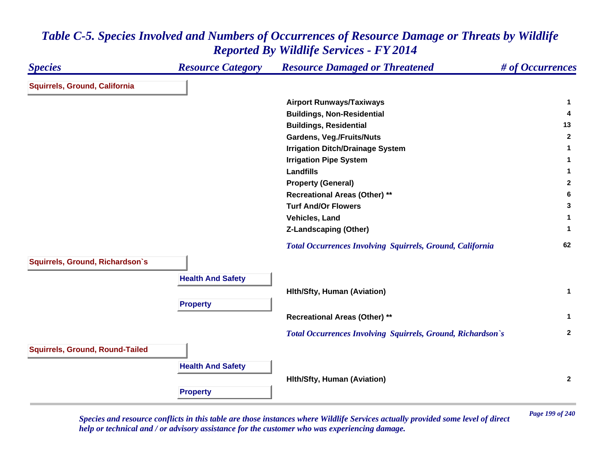| <b>Species</b>                         | <b>Resource Category</b> | <b>Resource Damaged or Threatened</b>                            | # of Occurrences |
|----------------------------------------|--------------------------|------------------------------------------------------------------|------------------|
| Squirrels, Ground, California          |                          |                                                                  |                  |
|                                        |                          | <b>Airport Runways/Taxiways</b>                                  | 1                |
|                                        |                          | <b>Buildings, Non-Residential</b>                                | 4                |
|                                        |                          | <b>Buildings, Residential</b>                                    | 13               |
|                                        |                          | <b>Gardens, Veg./Fruits/Nuts</b>                                 | $\mathbf{2}$     |
|                                        |                          | <b>Irrigation Ditch/Drainage System</b>                          |                  |
|                                        |                          | <b>Irrigation Pipe System</b>                                    | 1                |
|                                        |                          | <b>Landfills</b>                                                 | 1                |
|                                        |                          | <b>Property (General)</b>                                        | $\mathbf{2}$     |
|                                        |                          | <b>Recreational Areas (Other) **</b>                             | 6                |
|                                        |                          | <b>Turf And/Or Flowers</b>                                       | 3                |
|                                        |                          | Vehicles, Land                                                   | 1.               |
|                                        |                          | <b>Z-Landscaping (Other)</b>                                     | 1                |
|                                        |                          | <b>Total Occurrences Involving Squirrels, Ground, California</b> | 62               |
| Squirrels, Ground, Richardson's        |                          |                                                                  |                  |
|                                        | <b>Health And Safety</b> |                                                                  |                  |
|                                        |                          | <b>Hith/Sfty, Human (Aviation)</b>                               | $\mathbf{1}$     |
|                                        | <b>Property</b>          |                                                                  |                  |
|                                        |                          | <b>Recreational Areas (Other) **</b>                             | $\mathbf 1$      |
|                                        |                          |                                                                  |                  |
|                                        |                          | Total Occurrences Involving Squirrels, Ground, Richardson's      | $\mathbf{2}$     |
| <b>Squirrels, Ground, Round-Tailed</b> |                          |                                                                  |                  |
|                                        | <b>Health And Safety</b> |                                                                  |                  |
|                                        |                          | <b>Hith/Sfty, Human (Aviation)</b>                               | $\overline{2}$   |
|                                        | <b>Property</b>          |                                                                  |                  |
|                                        |                          |                                                                  |                  |

*Page 199 of 240 Species and resource conflicts in this table are those instances where Wildlife Services actually provided some level of direct help or technical and / or advisory assistance for the customer who was experiencing damage.*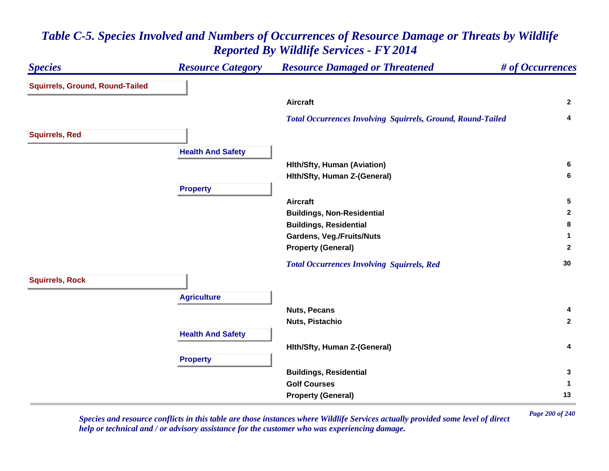#### *Species Resource Category Resource Damaged or Threatened # of Occurrences* **Squirrels, Ground, Round-Tailed Aircraft 2**  *Total Occurrences Involving Squirrels, Ground, Round-Tailed* **<sup>4</sup> Squirrels, Red Health And Safety Hlth/Sfty, Human (Aviation) <sup>6</sup> Hlth/Sfty, Human Z-(General) <sup>6</sup> Property Aircraft 5 Buildings, Non-Residential <sup>2</sup> Buildings, Residential <sup>8</sup> Gardens, Veg./Fruits/Nuts <sup>1</sup> Property (General) <sup>2</sup>**  *Total Occurrences Involving Squirrels, Red* **<sup>30</sup> Squirrels, Rock Agriculture Nuts, Pecans 4 Nuts, Pistachio 2 Health And Safety Hlth/Sfty, Human Z-(General) <sup>4</sup> Property Buildings, Residential <sup>3</sup> Golf Courses 1 Property (General) <sup>13</sup>**

### *Table C-5. Species Involved and Numbers of Occurrences of Resource Damage or Threats by Wildlife Reported By Wildlife Services - FY 2014*

*Page 200 of 240 Species and resource conflicts in this table are those instances where Wildlife Services actually provided some level of direct help or technical and / or advisory assistance for the customer who was experiencing damage.*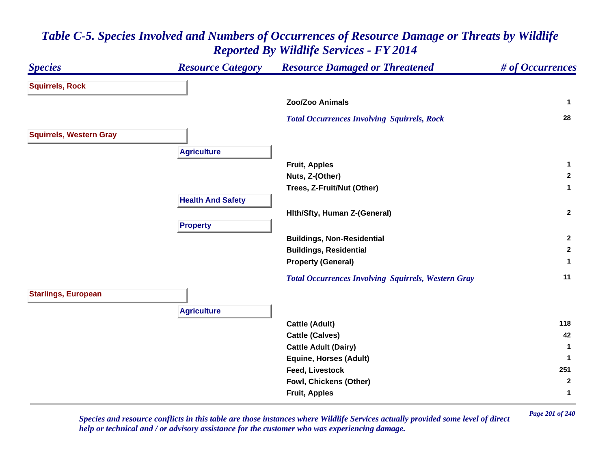### *Species Resource Category Resource Damaged or Threatened # of Occurrences* **Squirrels, Rock Zoo/Zoo Animals 1**  *Total Occurrences Involving Squirrels, Rock* **<sup>28</sup> Squirrels, Western Gray Agriculture Fruit, Apples <sup>1</sup> Nuts, Z-(Other) <sup>2</sup> Trees, Z-Fruit/Nut (Other) <sup>1</sup> Health And Safety Hlth/Sfty, Human Z-(General) <sup>2</sup> Property Buildings, Non-Residential <sup>2</sup> Buildings, Residential <sup>2</sup> Property (General) <sup>1</sup>**  *Total Occurrences Involving Squirrels, Western Gray* **<sup>11</sup> Starlings, European Agriculture Cattle (Adult) <sup>118</sup> Cattle (Calves) <sup>42</sup> Cattle Adult (Dairy) <sup>1</sup> Equine, Horses (Adult) <sup>1</sup> Feed, Livestock 251 Fowl, Chickens (Other) <sup>2</sup> Fruit, Apples <sup>1</sup>**

# *Table C-5. Species Involved and Numbers of Occurrences of Resource Damage or Threats by Wildlife Reported By Wildlife Services - FY 2014*

*Page 201 of 240 Species and resource conflicts in this table are those instances where Wildlife Services actually provided some level of direct help or technical and / or advisory assistance for the customer who was experiencing damage.*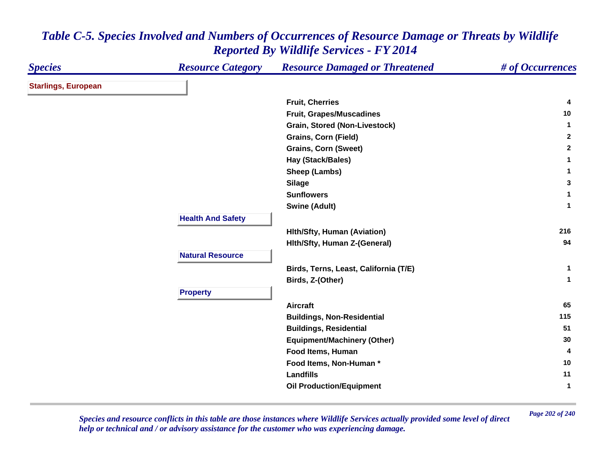| <b>Species</b>             | <b>Resource Category</b> | <b>Resource Damaged or Threatened</b> | # of Occurrences |
|----------------------------|--------------------------|---------------------------------------|------------------|
| <b>Starlings, European</b> |                          |                                       |                  |
|                            |                          | <b>Fruit, Cherries</b>                | 4                |
|                            |                          | Fruit, Grapes/Muscadines              | 10               |
|                            |                          | Grain, Stored (Non-Livestock)         | $\mathbf{1}$     |
|                            |                          | <b>Grains, Corn (Field)</b>           | $\mathbf{2}$     |
|                            |                          | <b>Grains, Corn (Sweet)</b>           | $\mathbf{2}$     |
|                            |                          | Hay (Stack/Bales)                     | $\mathbf{1}$     |
|                            |                          | Sheep (Lambs)                         | $\mathbf{1}$     |
|                            |                          | <b>Silage</b>                         | 3                |
|                            |                          | <b>Sunflowers</b>                     | $\mathbf{1}$     |
|                            |                          | <b>Swine (Adult)</b>                  | $\mathbf{1}$     |
|                            | <b>Health And Safety</b> |                                       |                  |
|                            |                          | <b>Hith/Sfty, Human (Aviation)</b>    | 216              |
|                            |                          | Hith/Sfty, Human Z-(General)          | 94               |
|                            | <b>Natural Resource</b>  |                                       |                  |
|                            |                          | Birds, Terns, Least, California (T/E) | $\mathbf{1}$     |
|                            |                          | Birds, Z-(Other)                      | $\mathbf{1}$     |
|                            | <b>Property</b>          |                                       |                  |
|                            |                          | <b>Aircraft</b>                       | 65               |
|                            |                          | <b>Buildings, Non-Residential</b>     | 115              |
|                            |                          | <b>Buildings, Residential</b>         | 51               |
|                            |                          | <b>Equipment/Machinery (Other)</b>    | 30               |
|                            |                          | Food Items, Human                     | 4                |
|                            |                          | Food Items, Non-Human*                | 10               |
|                            |                          | <b>Landfills</b>                      | 11               |
|                            |                          | <b>Oil Production/Equipment</b>       | $\mathbf{1}$     |

*Page 202 of 240 Species and resource conflicts in this table are those instances where Wildlife Services actually provided some level of direct help or technical and / or advisory assistance for the customer who was experiencing damage.*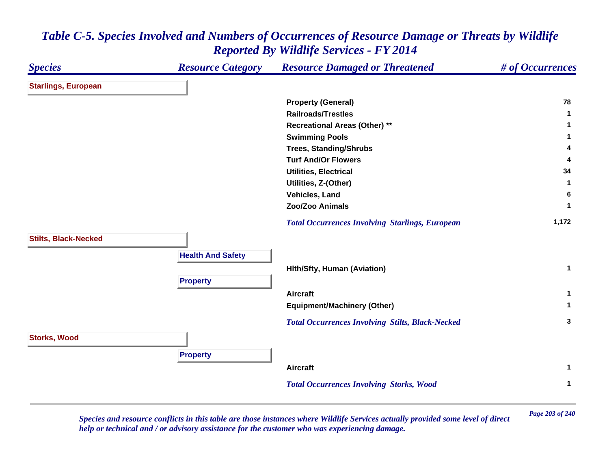#### *Species Resource Category Resource Damaged or Threatened # of Occurrences* **Starlings, European Property (General) <sup>78</sup> Railroads/Trestles 1 Recreational Areas (Other) \*\* <sup>1</sup> Swimming Pools <sup>1</sup> Trees, Standing/Shrubs <sup>4</sup> Turf And/Or Flowers 4 Utilities, Electrical 34 Utilities, Z-(Other) <sup>1</sup> Vehicles, Land 6 Zoo/Zoo Animals 1**  *Total Occurrences Involving Starlings, European* **1,172 Stilts, Black-Necked Health And Safety Hlth/Sfty, Human (Aviation) <sup>1</sup> Property Aircraft 1 Equipment/Machinery (Other) <sup>1</sup>**  *Total Occurrences Involving Stilts, Black-Necked* **<sup>3</sup> Storks, Wood Property Aircraft 1**  *Total Occurrences Involving Storks, Wood* **<sup>1</sup>**

### *Table C-5. Species Involved and Numbers of Occurrences of Resource Damage or Threats by Wildlife Reported By Wildlife Services - FY 2014*

*Page 203 of 240 Species and resource conflicts in this table are those instances where Wildlife Services actually provided some level of direct help or technical and / or advisory assistance for the customer who was experiencing damage.*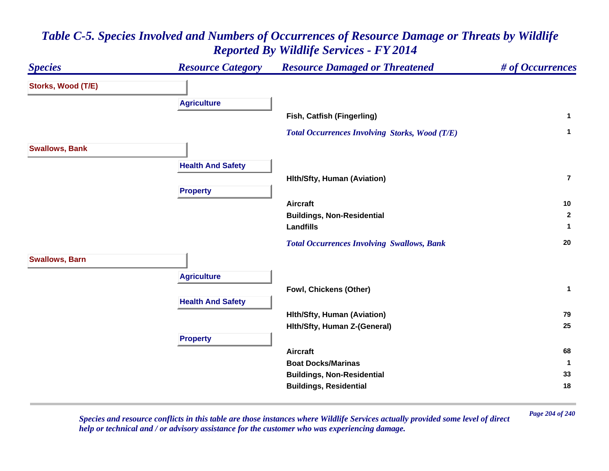#### *Species Resource Category Resource Damaged or Threatened # of Occurrences* **Storks, Wood (T/E) Agriculture Fish, Catfish (Fingerling) <sup>1</sup>**  *Total Occurrences Involving Storks, Wood (T/E)* **<sup>1</sup> Swallows, Bank Health And Safety Hlth/Sfty, Human (Aviation) 7Property Aircraft 10 Buildings, Non-Residential <sup>2</sup> Landfills 1**  *Total Occurrences Involving Swallows, Bank* **<sup>20</sup> Swallows, Barn Agriculture Fowl, Chickens (Other) <sup>1</sup> Health And Safety Hlth/Sfty, Human (Aviation) <sup>79</sup> Hlth/Sfty, Human Z-(General) <sup>25</sup> Property Aircraft 68 Boat Docks/Marinas**

# *Table C-5. Species Involved and Numbers of Occurrences of Resource Damage or Threats by Wildlife Reported By Wildlife Services - FY 2014*

*Page 204 of 240 Species and resource conflicts in this table are those instances where Wildlife Services actually provided some level of direct help or technical and / or advisory assistance for the customer who was experiencing damage.* 

**1**

**Buildings, Non-Residential <sup>33</sup> Buildings, Residential <sup>18</sup>**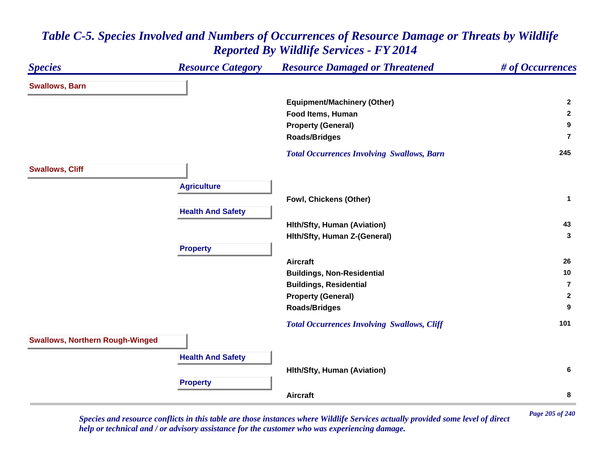#### *Species Resource Category Resource Damaged or Threatened # of Occurrences* **Swallows, Barn Equipment/Machinery (Other) <sup>2</sup> Food Items, Human 2 Property (General) <sup>9</sup> Roads/Bridges 7** *Total Occurrences Involving Swallows, Barn* **<sup>245</sup> Swallows, Cliff Agriculture Fowl, Chickens (Other) <sup>1</sup> Health And Safety Hlth/Sfty, Human (Aviation) <sup>43</sup> Hlth/Sfty, Human Z-(General) <sup>3</sup> Property Aircraft 26 Buildings, Non-Residential <sup>10</sup> Buildings, Residential 7Property (General) <sup>2</sup> Roads/Bridges <sup>9</sup>**  *Total Occurrences Involving Swallows, Cliff* **<sup>101</sup> Swallows, Northern Rough-Winged Health And Safety Hlth/Sfty, Human (Aviation) <sup>6</sup> Property Aircraft8**

# *Table C-5. Species Involved and Numbers of Occurrences of Resource Damage or Threats by Wildlife Reported By Wildlife Services - FY 2014*

*Page 205 of 240 Species and resource conflicts in this table are those instances where Wildlife Services actually provided some level of direct help or technical and / or advisory assistance for the customer who was experiencing damage.*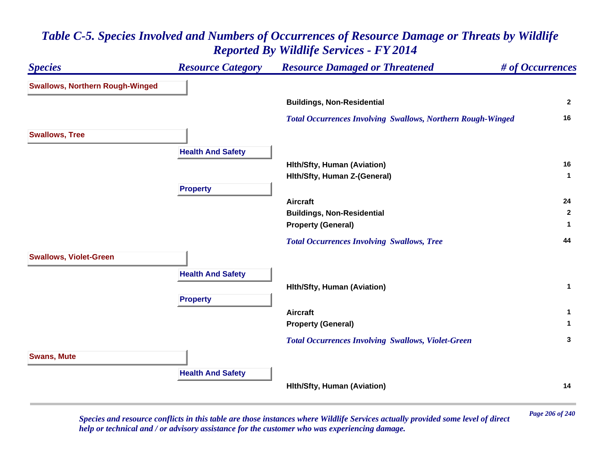# *Species Resource Category Resource Damaged or Threatened # of Occurrences* **Swallows, Northern Rough-Winged Buildings, Non-Residential <sup>2</sup>**  *Total Occurrences Involving Swallows, Northern Rough-Winged* **<sup>16</sup> Swallows, Tree Health And Safety Hlth/Sfty, Human (Aviation) <sup>16</sup> Hlth/Sfty, Human Z-(General) <sup>1</sup> Property Aircraft 24 Buildings, Non-Residential <sup>2</sup> Property (General) <sup>1</sup>**  *Total Occurrences Involving Swallows, Tree* **<sup>44</sup> Swallows, Violet-Green Health And Safety Hlth/Sfty, Human (Aviation) <sup>1</sup> Property Aircraft 1 Property (General) <sup>1</sup>**  *Total Occurrences Involving Swallows, Violet-Green* **<sup>3</sup> Swans, Mute Health And Safety Hlth/Sfty, Human (Aviation) <sup>14</sup>**

### *Table C-5. Species Involved and Numbers of Occurrences of Resource Damage or Threats by Wildlife Reported By Wildlife Services - FY 2014*

*Page 206 of 240 Species and resource conflicts in this table are those instances where Wildlife Services actually provided some level of direct help or technical and / or advisory assistance for the customer who was experiencing damage.*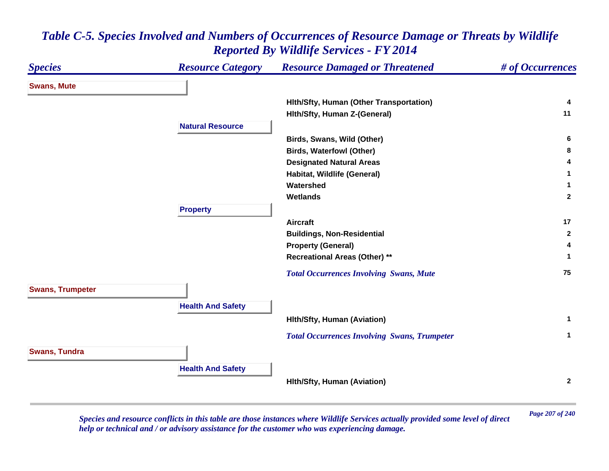| <b>Species</b>          | <b>Resource Category</b> | <b>Resource Damaged or Threatened</b>               | # of Occurrences |
|-------------------------|--------------------------|-----------------------------------------------------|------------------|
| <b>Swans, Mute</b>      |                          |                                                     |                  |
|                         |                          | Hith/Sfty, Human (Other Transportation)             | 4                |
|                         |                          | Hith/Sfty, Human Z-(General)                        | 11               |
|                         | <b>Natural Resource</b>  |                                                     |                  |
|                         |                          | Birds, Swans, Wild (Other)                          | 6.               |
|                         |                          | <b>Birds, Waterfowl (Other)</b>                     | 8                |
|                         |                          | <b>Designated Natural Areas</b>                     |                  |
|                         |                          | Habitat, Wildlife (General)                         |                  |
|                         |                          | Watershed                                           | 1                |
|                         |                          | <b>Wetlands</b>                                     | $\mathbf{2}$     |
|                         | <b>Property</b>          |                                                     |                  |
|                         |                          | <b>Aircraft</b>                                     | 17               |
|                         |                          | <b>Buildings, Non-Residential</b>                   | $\mathbf{2}$     |
|                         |                          | <b>Property (General)</b>                           | 4                |
|                         |                          | <b>Recreational Areas (Other) **</b>                | 1                |
|                         |                          | <b>Total Occurrences Involving Swans, Mute</b>      | 75               |
| <b>Swans, Trumpeter</b> |                          |                                                     |                  |
|                         | <b>Health And Safety</b> |                                                     |                  |
|                         |                          | <b>Hith/Sfty, Human (Aviation)</b>                  | $\mathbf 1$      |
|                         |                          |                                                     |                  |
|                         |                          | <b>Total Occurrences Involving Swans, Trumpeter</b> | $\mathbf 1$      |
| <b>Swans, Tundra</b>    |                          |                                                     |                  |
|                         |                          |                                                     |                  |
|                         | <b>Health And Safety</b> |                                                     |                  |
|                         |                          | Hith/Sfty, Human (Aviation)                         | $\mathbf{2}$     |
|                         |                          |                                                     |                  |

*Page 207 of 240 Species and resource conflicts in this table are those instances where Wildlife Services actually provided some level of direct help or technical and / or advisory assistance for the customer who was experiencing damage.*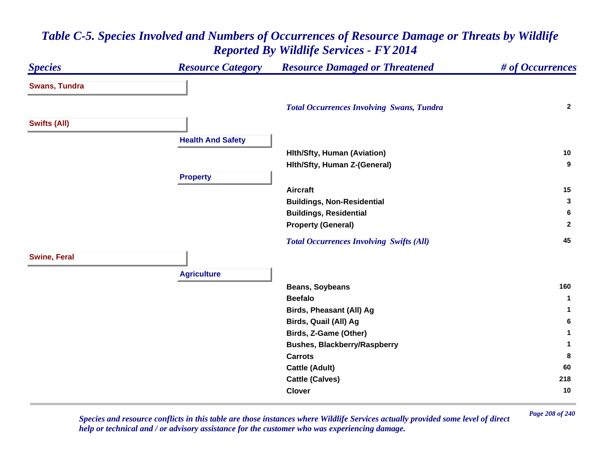#### *Species Resource Category Resource Damaged or Threatened # of Occurrences* **Swans, Tundra**  *Total Occurrences Involving Swans, Tundra* **<sup>2</sup> Swifts (All) Health And Safety Hlth/Sfty, Human (Aviation) <sup>10</sup> Hlth/Sfty, Human Z-(General) <sup>9</sup> Property Aircraft 15 Buildings, Non-Residential <sup>3</sup> Buildings, Residential <sup>6</sup> Property (General) <sup>2</sup>**  *Total Occurrences Involving Swifts (All)* **<sup>45</sup> Swine, Feral Agriculture Beans, Soybeans <sup>160</sup> Beefalo 1 Birds, Pheasant (All) Ag <sup>1</sup> Birds, Quail (All) Ag <sup>6</sup> Birds, Z-Game (Other) <sup>1</sup> Bushes, Blackberry/Raspberry <sup>1</sup> Carrots 8 Cattle (Adult) <sup>60</sup> Cattle (Calves) <sup>218</sup> Clover10**

### *Table C-5. Species Involved and Numbers of Occurrences of Resource Damage or Threats by Wildlife Reported By Wildlife Services - FY 2014*

*Page 208 of 240 Species and resource conflicts in this table are those instances where Wildlife Services actually provided some level of direct help or technical and / or advisory assistance for the customer who was experiencing damage.*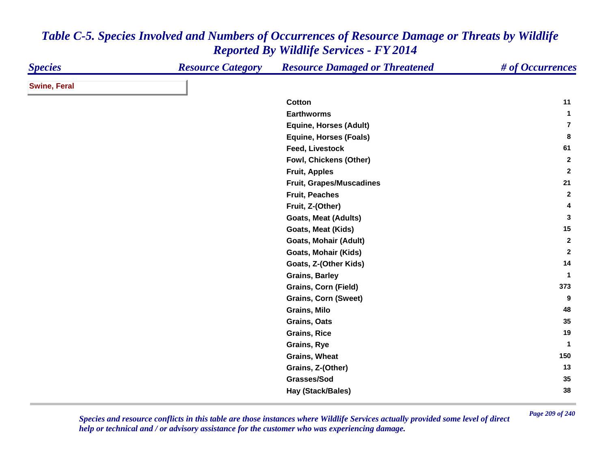| <b>Species</b>      | <b>Resource Category</b> | <b>Resource Damaged or Threatened</b> | # of Occurrences |
|---------------------|--------------------------|---------------------------------------|------------------|
| <b>Swine, Feral</b> |                          |                                       |                  |
|                     |                          | Cotton                                | 11               |
|                     |                          | <b>Earthworms</b>                     | $\mathbf{1}$     |
|                     |                          | <b>Equine, Horses (Adult)</b>         | $\overline{7}$   |
|                     |                          | <b>Equine, Horses (Foals)</b>         | 8                |
|                     |                          | <b>Feed, Livestock</b>                | 61               |
|                     |                          | Fowl, Chickens (Other)                | $\mathbf{2}$     |
|                     |                          | <b>Fruit, Apples</b>                  | $\mathbf{2}$     |
|                     |                          | Fruit, Grapes/Muscadines              | 21               |
|                     |                          | <b>Fruit, Peaches</b>                 | $\mathbf{2}$     |
|                     |                          | Fruit, Z-(Other)                      | 4                |
|                     |                          | <b>Goats, Meat (Adults)</b>           | 3                |
|                     |                          | Goats, Meat (Kids)                    | 15               |
|                     |                          | <b>Goats, Mohair (Adult)</b>          | $\mathbf{2}$     |
|                     |                          | <b>Goats, Mohair (Kids)</b>           | $\overline{2}$   |
|                     |                          | Goats, Z-(Other Kids)                 | 14               |
|                     |                          | <b>Grains, Barley</b>                 | -1               |
|                     |                          | <b>Grains, Corn (Field)</b>           | 373              |
|                     |                          | <b>Grains, Corn (Sweet)</b>           | 9                |
|                     |                          | Grains, Milo                          | 48               |
|                     |                          | <b>Grains, Oats</b>                   | 35               |
|                     |                          | <b>Grains, Rice</b>                   | 19               |
|                     |                          | <b>Grains, Rye</b>                    | $\mathbf{1}$     |
|                     |                          | Grains, Wheat                         | 150              |
|                     |                          | Grains, Z-(Other)                     | 13               |
|                     |                          | Grasses/Sod                           | 35               |
|                     |                          | Hay (Stack/Bales)                     | 38               |

*Page 209 of 240 Species and resource conflicts in this table are those instances where Wildlife Services actually provided some level of direct help or technical and / or advisory assistance for the customer who was experiencing damage.*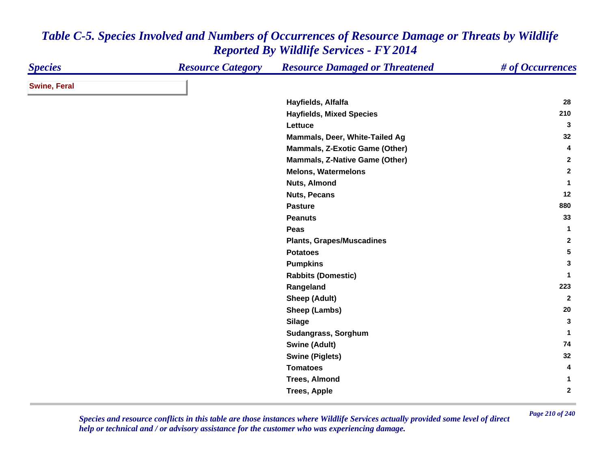| <b>Species</b>      | <b>Resource Category</b> | <b>Resource Damaged or Threatened</b> | # of Occurrences |
|---------------------|--------------------------|---------------------------------------|------------------|
| <b>Swine, Feral</b> |                          |                                       |                  |
|                     |                          | Hayfields, Alfalfa                    | 28               |
|                     |                          | <b>Hayfields, Mixed Species</b>       | 210              |
|                     |                          | Lettuce                               | 3                |
|                     |                          | Mammals, Deer, White-Tailed Ag        | 32               |
|                     |                          | Mammals, Z-Exotic Game (Other)        | 4                |
|                     |                          | <b>Mammals, Z-Native Game (Other)</b> | $\mathbf{2}$     |
|                     |                          | <b>Melons, Watermelons</b>            | $\overline{2}$   |
|                     |                          | Nuts, Almond                          | $\mathbf{1}$     |
|                     |                          | <b>Nuts, Pecans</b>                   | 12               |
|                     |                          | <b>Pasture</b>                        | 880              |
|                     |                          | <b>Peanuts</b>                        | 33               |
|                     |                          | Peas                                  | $\mathbf{1}$     |
|                     |                          | <b>Plants, Grapes/Muscadines</b>      | $\mathbf{2}$     |
|                     |                          | <b>Potatoes</b>                       | 5                |
|                     |                          | <b>Pumpkins</b>                       | 3                |
|                     |                          | <b>Rabbits (Domestic)</b>             | $\mathbf 1$      |
|                     |                          | Rangeland                             | 223              |
|                     |                          | <b>Sheep (Adult)</b>                  | $\overline{2}$   |
|                     |                          | Sheep (Lambs)                         | 20               |
|                     |                          | <b>Silage</b>                         | 3                |
|                     |                          | Sudangrass, Sorghum                   | $\mathbf{1}$     |
|                     |                          | <b>Swine (Adult)</b>                  | 74               |
|                     |                          | <b>Swine (Piglets)</b>                | 32               |
|                     |                          | <b>Tomatoes</b>                       | 4                |
|                     |                          | <b>Trees, Almond</b>                  | $\mathbf{1}$     |
|                     |                          | <b>Trees, Apple</b>                   | $\overline{2}$   |

*Page 210 of 240 Species and resource conflicts in this table are those instances where Wildlife Services actually provided some level of direct help or technical and / or advisory assistance for the customer who was experiencing damage.*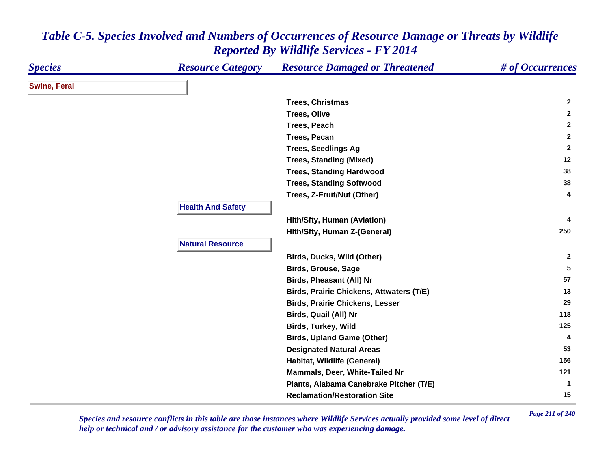| <b>Species</b>      | <b>Resource Category</b> | <b>Resource Damaged or Threatened</b>           | # of Occurrences |
|---------------------|--------------------------|-------------------------------------------------|------------------|
| <b>Swine, Feral</b> |                          |                                                 |                  |
|                     |                          | <b>Trees, Christmas</b>                         | $\mathbf{2}$     |
|                     |                          | <b>Trees, Olive</b>                             | $\mathbf{2}$     |
|                     |                          | <b>Trees, Peach</b>                             | $\mathbf{2}$     |
|                     |                          | <b>Trees, Pecan</b>                             | $\mathbf{2}$     |
|                     |                          | <b>Trees, Seedlings Ag</b>                      | $\mathbf{2}$     |
|                     |                          | <b>Trees, Standing (Mixed)</b>                  | 12               |
|                     |                          | <b>Trees, Standing Hardwood</b>                 | 38               |
|                     |                          | <b>Trees, Standing Softwood</b>                 | 38               |
|                     |                          | Trees, Z-Fruit/Nut (Other)                      | 4                |
|                     | <b>Health And Safety</b> |                                                 |                  |
|                     |                          | <b>Hith/Sfty, Human (Aviation)</b>              | 4                |
|                     |                          | Hith/Sfty, Human Z-(General)                    | 250              |
|                     | <b>Natural Resource</b>  |                                                 |                  |
|                     |                          | Birds, Ducks, Wild (Other)                      | $\mathbf{2}$     |
|                     |                          | <b>Birds, Grouse, Sage</b>                      | 5                |
|                     |                          | <b>Birds, Pheasant (All) Nr</b>                 | 57               |
|                     |                          | <b>Birds, Prairie Chickens, Attwaters (T/E)</b> | 13               |
|                     |                          | <b>Birds, Prairie Chickens, Lesser</b>          | 29               |
|                     |                          | <b>Birds, Quail (All) Nr</b>                    | 118              |
|                     |                          | <b>Birds, Turkey, Wild</b>                      | 125              |
|                     |                          | <b>Birds, Upland Game (Other)</b>               | 4                |
|                     |                          | <b>Designated Natural Areas</b>                 | 53               |
|                     |                          | Habitat, Wildlife (General)                     | 156              |
|                     |                          | Mammals, Deer, White-Tailed Nr                  | 121              |
|                     |                          | Plants, Alabama Canebrake Pitcher (T/E)         | $\mathbf 1$      |
|                     |                          | <b>Reclamation/Restoration Site</b>             | 15               |

*Page 211 of 240 Species and resource conflicts in this table are those instances where Wildlife Services actually provided some level of direct help or technical and / or advisory assistance for the customer who was experiencing damage.*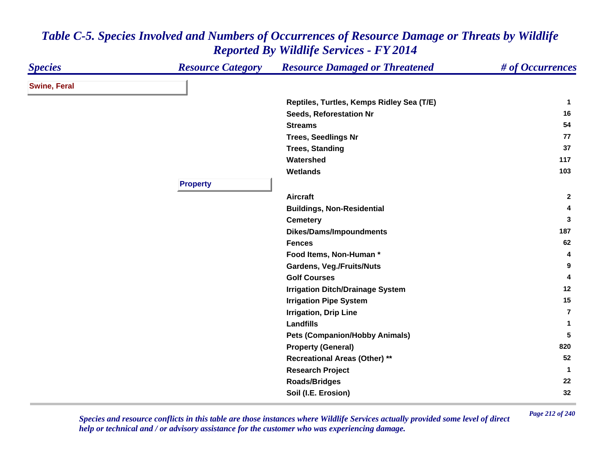| <b>Species</b>      | <b>Resource Category</b> | <b>Resource Damaged or Threatened</b>     | # of Occurrences |
|---------------------|--------------------------|-------------------------------------------|------------------|
| <b>Swine, Feral</b> |                          |                                           |                  |
|                     |                          | Reptiles, Turtles, Kemps Ridley Sea (T/E) | $\mathbf{1}$     |
|                     |                          | Seeds, Reforestation Nr                   | 16               |
|                     |                          | <b>Streams</b>                            | 54               |
|                     |                          | <b>Trees, Seedlings Nr</b>                | 77               |
|                     |                          | <b>Trees, Standing</b>                    | 37               |
|                     |                          | Watershed                                 | 117              |
|                     |                          | <b>Wetlands</b>                           | 103              |
|                     | <b>Property</b>          |                                           |                  |
|                     |                          | <b>Aircraft</b>                           | $\mathbf{2}$     |
|                     |                          | <b>Buildings, Non-Residential</b>         | 4                |
|                     |                          | <b>Cemetery</b>                           | 3                |
|                     |                          | <b>Dikes/Dams/Impoundments</b>            | 187              |
|                     |                          | <b>Fences</b>                             | 62               |
|                     |                          | Food Items, Non-Human*                    | 4                |
|                     |                          | <b>Gardens, Veg./Fruits/Nuts</b>          | 9                |
|                     |                          | <b>Golf Courses</b>                       | 4                |
|                     |                          | <b>Irrigation Ditch/Drainage System</b>   | 12               |
|                     |                          | <b>Irrigation Pipe System</b>             | 15               |
|                     |                          | <b>Irrigation, Drip Line</b>              | $\overline{7}$   |
|                     |                          | <b>Landfills</b>                          | $\mathbf{1}$     |
|                     |                          | <b>Pets (Companion/Hobby Animals)</b>     | 5                |
|                     |                          | <b>Property (General)</b>                 | 820              |
|                     |                          | <b>Recreational Areas (Other) **</b>      | 52               |
|                     |                          | <b>Research Project</b>                   | $\mathbf 1$      |
|                     |                          | <b>Roads/Bridges</b>                      | 22               |
|                     |                          | Soil (I.E. Erosion)                       | 32               |

*Page 212 of 240 Species and resource conflicts in this table are those instances where Wildlife Services actually provided some level of direct help or technical and / or advisory assistance for the customer who was experiencing damage.*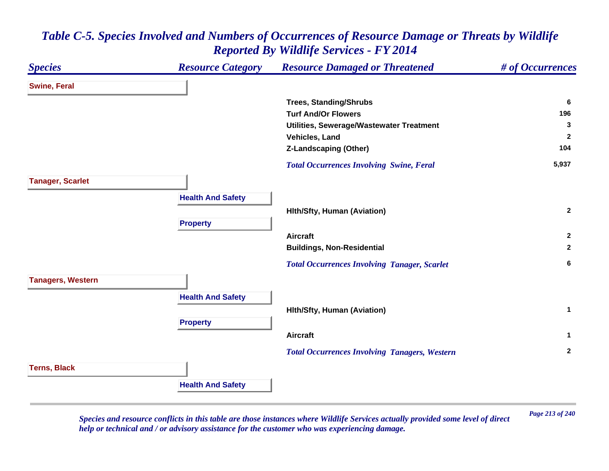### *Species Resource Category Resource Damaged or Threatened # of Occurrences* **Swine, Feral Trees, Standing/Shrubs <sup>6</sup> Turf And/Or Flowers 196 Utilities, Sewerage/Wastewater Treatment <sup>3</sup> Vehicles, Land 2 Z-Landscaping (Other) <sup>104</sup>**  *Total Occurrences Involving Swine, Feral* **5,937 Tanager, Scarlet Health And Safety Hlth/Sfty, Human (Aviation) <sup>2</sup> Property Aircraft 2 Buildings, Non-Residential <sup>2</sup>**  *Total Occurrences Involving Tanager, Scarlet* **<sup>6</sup> Tanagers, Western Health And Safety Hlth/Sfty, Human (Aviation) <sup>1</sup> Property Aircraft 1**  *Total Occurrences Involving Tanagers, Western* **<sup>2</sup> Terns, Black Health And Safety**

### *Table C-5. Species Involved and Numbers of Occurrences of Resource Damage or Threats by Wildlife Reported By Wildlife Services - FY 2014*

*Page 213 of 240 Species and resource conflicts in this table are those instances where Wildlife Services actually provided some level of direct help or technical and / or advisory assistance for the customer who was experiencing damage.*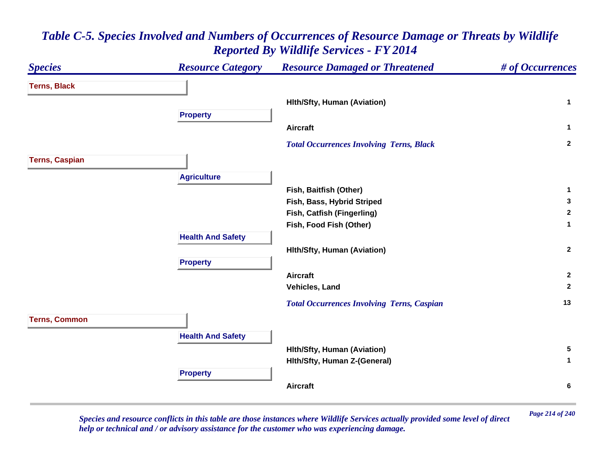### *Species Resource Category Resource Damaged or Threatened # of Occurrences* **Terns, Black Hlth/Sfty, Human (Aviation) <sup>1</sup> Property Aircraft 1**  *Total Occurrences Involving Terns, Black* **<sup>2</sup> Terns, Caspian Agriculture Fish, Baitfish (Other) <sup>1</sup> Fish, Bass, Hybrid Striped <sup>3</sup> Fish, Catfish (Fingerling) <sup>2</sup> Fish, Food Fish (Other) <sup>1</sup> Health And Safety Hlth/Sfty, Human (Aviation) <sup>2</sup> Property Aircraft 2 Vehicles, Land 2**  *Total Occurrences Involving Terns, Caspian* **<sup>13</sup> Terns, Common Health And Safety Hlth/Sfty, Human (Aviation) <sup>5</sup> Hlth/Sfty, Human Z-(General) <sup>1</sup> Property Aircraft6**

# *Table C-5. Species Involved and Numbers of Occurrences of Resource Damage or Threats by Wildlife Reported By Wildlife Services - FY 2014*

*Page 214 of 240 Species and resource conflicts in this table are those instances where Wildlife Services actually provided some level of direct help or technical and / or advisory assistance for the customer who was experiencing damage.*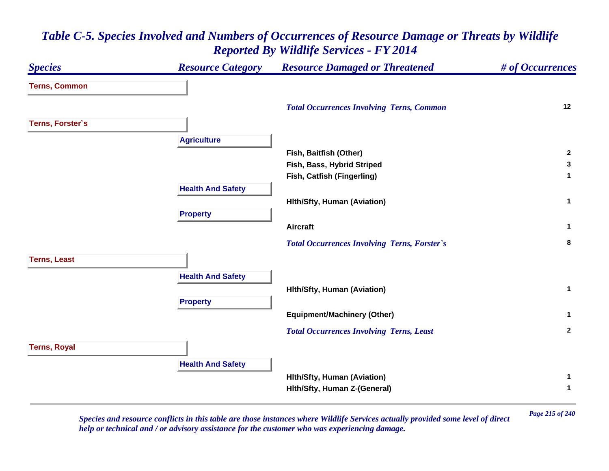# *Species Resource Category Resource Damaged or Threatened # of Occurrences* **Terns, Common**  *Total Occurrences Involving Terns, Common* **<sup>12</sup> Terns, Forster`s Agriculture Fish, Baitfish (Other) <sup>2</sup> Fish, Bass, Hybrid Striped <sup>3</sup> Fish, Catfish (Fingerling) <sup>1</sup> Health And Safety Hlth/Sfty, Human (Aviation) <sup>1</sup> Property Aircraft 1**  *Total Occurrences Involving Terns, Forster`s* **<sup>8</sup> Terns, Least Health And Safety Hlth/Sfty, Human (Aviation) <sup>1</sup> Property Equipment/Machinery (Other) <sup>1</sup>**  *Total Occurrences Involving Terns, Least* **<sup>2</sup> Terns, Royal Health And Safety Hlth/Sfty, Human (Aviation) <sup>1</sup> Hlth/Sfty, Human Z-(General) <sup>1</sup>**

### *Table C-5. Species Involved and Numbers of Occurrences of Resource Damage or Threats by Wildlife Reported By Wildlife Services - FY 2014*

*Page 215 of 240 Species and resource conflicts in this table are those instances where Wildlife Services actually provided some level of direct help or technical and / or advisory assistance for the customer who was experiencing damage.*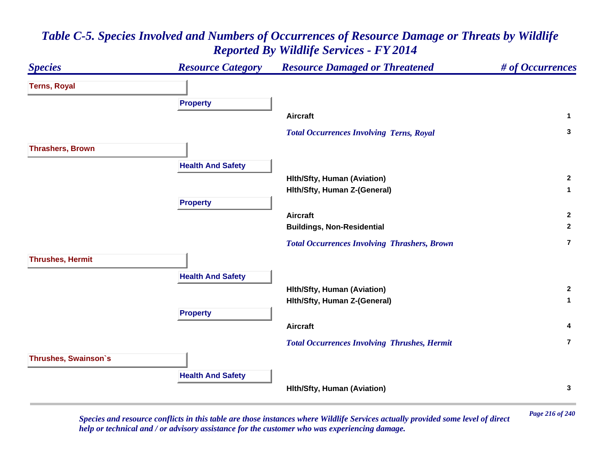#### *Species Resource Category Resource Damaged or Threatened # of Occurrences* **Terns, Royal Property Aircraft 1**  *Total Occurrences Involving Terns, Royal* **<sup>3</sup> Thrashers, Brown Health And Safety Hlth/Sfty, Human (Aviation) <sup>2</sup> Hlth/Sfty, Human Z-(General) <sup>1</sup> Property Aircraft 2 Buildings, Non-Residential <sup>2</sup>**  *Total Occurrences Involving Thrashers, Brown* **7Thrushes, Hermit Health And Safety Hlth/Sfty, Human (Aviation) <sup>2</sup> Hlth/Sfty, Human Z-(General) <sup>1</sup> Property Aircraft 4**  *Total Occurrences Involving Thrushes, Hermit* **7Thrushes, Swainson`s Health And Safety Hlth/Sfty, Human (Aviation) <sup>3</sup>**

# *Table C-5. Species Involved and Numbers of Occurrences of Resource Damage or Threats by Wildlife Reported By Wildlife Services - FY 2014*

*Page 216 of 240 Species and resource conflicts in this table are those instances where Wildlife Services actually provided some level of direct help or technical and / or advisory assistance for the customer who was experiencing damage.*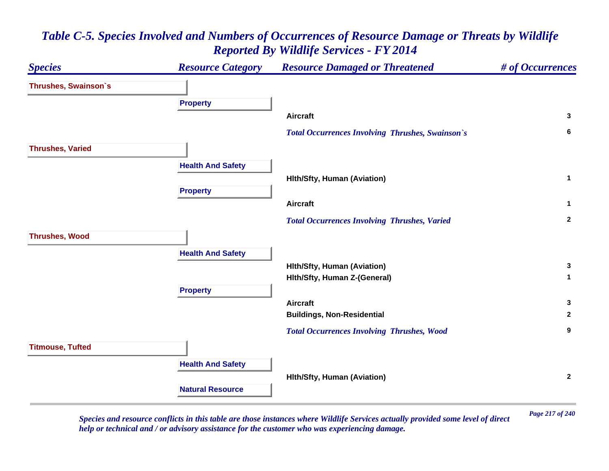

*Page 217 of 240 Species and resource conflicts in this table are those instances where Wildlife Services actually provided some level of direct help or technical and / or advisory assistance for the customer who was experiencing damage.*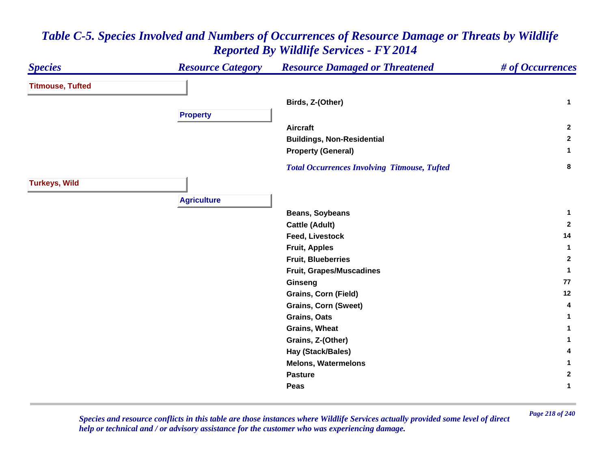#### *Species Resource Category Resource Damaged or Threatened # of Occurrences* **Titmouse, Tufted Birds, Z-(Other) <sup>1</sup> Property Aircraft 2 Buildings, Non-Residential <sup>2</sup> Property (General) <sup>1</sup>**  *Total Occurrences Involving Titmouse, Tufted* **<sup>8</sup> Turkeys, Wild Agriculture Beans, Soybeans <sup>1</sup> Cattle (Adult) <sup>2</sup> Feed, Livestock 14 Fruit, Apples <sup>1</sup> Fruit, Blueberries 2 Fruit, Grapes/Muscadines <sup>1</sup> Ginseng <sup>77</sup> Grains, Corn (Field) <sup>12</sup> Grains, Corn (Sweet) <sup>4</sup> Grains, Oats 1 Grains, Wheat 1 Grains, Z-(Other) <sup>1</sup> Hay (Stack/Bales) <sup>4</sup> Melons, Watermelons 1 Pasture 2 Peas1**

*Table C-5. Species Involved and Numbers of Occurrences of Resource Damage or Threats by Wildlife Reported By Wildlife Services - FY 2014*

*Page 218 of 240 Species and resource conflicts in this table are those instances where Wildlife Services actually provided some level of direct help or technical and / or advisory assistance for the customer who was experiencing damage.*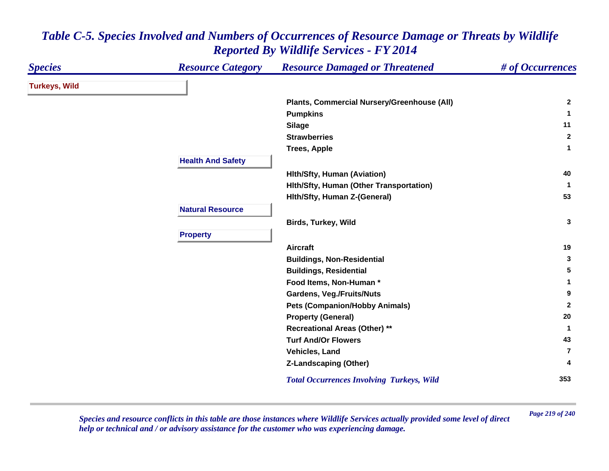| <b>Species</b>       | <b>Resource Category</b> | <b>Resource Damaged or Threatened</b>            | # of Occurrences |
|----------------------|--------------------------|--------------------------------------------------|------------------|
| <b>Turkeys, Wild</b> |                          |                                                  |                  |
|                      |                          | Plants, Commercial Nursery/Greenhouse (All)      | $\mathbf{2}$     |
|                      |                          | <b>Pumpkins</b>                                  | 1                |
|                      |                          | <b>Silage</b>                                    | 11               |
|                      |                          | <b>Strawberries</b>                              | $\mathbf{2}$     |
|                      |                          | <b>Trees, Apple</b>                              | 1                |
|                      | <b>Health And Safety</b> |                                                  |                  |
|                      |                          | <b>Hith/Sfty, Human (Aviation)</b>               | 40               |
|                      |                          | Hith/Sfty, Human (Other Transportation)          | -1               |
|                      |                          | Hith/Sfty, Human Z-(General)                     | 53               |
|                      | <b>Natural Resource</b>  |                                                  |                  |
|                      |                          | <b>Birds, Turkey, Wild</b>                       | 3                |
|                      | <b>Property</b>          |                                                  |                  |
|                      |                          | <b>Aircraft</b>                                  | 19               |
|                      |                          | <b>Buildings, Non-Residential</b>                | 3                |
|                      |                          | <b>Buildings, Residential</b>                    | 5                |
|                      |                          | Food Items, Non-Human *                          | 1                |
|                      |                          | <b>Gardens, Veg./Fruits/Nuts</b>                 | 9                |
|                      |                          | <b>Pets (Companion/Hobby Animals)</b>            | $\mathbf{2}$     |
|                      |                          | <b>Property (General)</b>                        | 20               |
|                      |                          | <b>Recreational Areas (Other) **</b>             | -1               |
|                      |                          | <b>Turf And/Or Flowers</b>                       | 43               |
|                      |                          | Vehicles, Land                                   | 7                |
|                      |                          | Z-Landscaping (Other)                            | 4                |
|                      |                          | <b>Total Occurrences Involving Turkeys, Wild</b> | 353              |

*Page 219 of 240 Species and resource conflicts in this table are those instances where Wildlife Services actually provided some level of direct help or technical and / or advisory assistance for the customer who was experiencing damage.*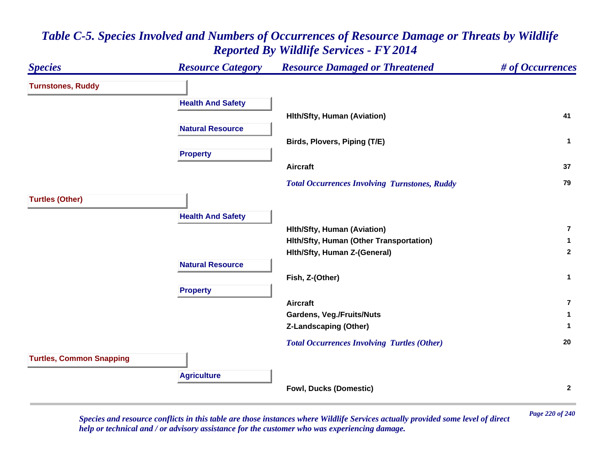### *Species Resource Category Resource Damaged or Threatened # of Occurrences* **Turnstones, Ruddy Health And Safety Hlth/Sfty, Human (Aviation) <sup>41</sup> Natural ResourceBirds, Plovers, Piping (T/E) <sup>1</sup> Property Aircraft 37**  *Total Occurrences Involving Turnstones, Ruddy* **<sup>79</sup> Turtles (Other) Health And Safety Hlth/Sfty, Human (Aviation) 7Hlth/Sfty, Human (Other Transportation) <sup>1</sup> Hlth/Sfty, Human Z-(General) <sup>2</sup> Natural ResourceFish, Z-(Other) <sup>1</sup> Property Aircraft7Gardens, Veg./Fruits/Nuts <sup>1</sup> Z-Landscaping (Other) <sup>1</sup>**  *Total Occurrences Involving Turtles (Other)* **<sup>20</sup> Turtles, Common Snapping Agriculture Fowl, Ducks (Domestic) <sup>2</sup>**

## *Table C-5. Species Involved and Numbers of Occurrences of Resource Damage or Threats by Wildlife Reported By Wildlife Services - FY 2014*

*Page 220 of 240 Species and resource conflicts in this table are those instances where Wildlife Services actually provided some level of direct help or technical and / or advisory assistance for the customer who was experiencing damage.*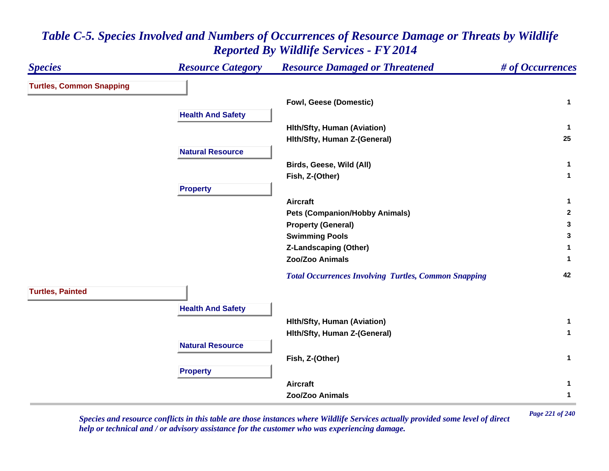| <b>Species</b>                  | <b>Resource Category</b> | <b>Resource Damaged or Threatened</b>                       | # of Occurrences |
|---------------------------------|--------------------------|-------------------------------------------------------------|------------------|
| <b>Turtles, Common Snapping</b> |                          |                                                             |                  |
|                                 |                          | Fowl, Geese (Domestic)                                      | $\mathbf{1}$     |
|                                 | <b>Health And Safety</b> |                                                             |                  |
|                                 |                          | <b>Hith/Sfty, Human (Aviation)</b>                          | $\mathbf{1}$     |
|                                 |                          | Hith/Sfty, Human Z-(General)                                | 25               |
|                                 | <b>Natural Resource</b>  |                                                             |                  |
|                                 |                          | Birds, Geese, Wild (All)                                    | 1                |
|                                 |                          | Fish, Z-(Other)                                             | $\mathbf{1}$     |
|                                 | <b>Property</b>          |                                                             |                  |
|                                 |                          | <b>Aircraft</b>                                             | 1                |
|                                 |                          | <b>Pets (Companion/Hobby Animals)</b>                       | $\mathbf{2}$     |
|                                 |                          | <b>Property (General)</b>                                   | 3                |
|                                 |                          | <b>Swimming Pools</b>                                       | 3                |
|                                 |                          | <b>Z-Landscaping (Other)</b>                                | 1                |
|                                 |                          | Zoo/Zoo Animals                                             | 1.               |
|                                 |                          | <b>Total Occurrences Involving Turtles, Common Snapping</b> | 42               |
| <b>Turtles, Painted</b>         |                          |                                                             |                  |
|                                 | <b>Health And Safety</b> |                                                             |                  |
|                                 |                          | <b>Hith/Sfty, Human (Aviation)</b>                          | $\mathbf{1}$     |
|                                 |                          | Hith/Sfty, Human Z-(General)                                | $\mathbf{1}$     |
|                                 | <b>Natural Resource</b>  |                                                             |                  |
|                                 |                          | Fish, Z-(Other)                                             | $\mathbf{1}$     |
|                                 | <b>Property</b>          |                                                             |                  |
|                                 |                          | <b>Aircraft</b>                                             | 1                |
|                                 |                          | Zoo/Zoo Animals                                             | $\mathbf 1$      |

*Page 221 of 240 Species and resource conflicts in this table are those instances where Wildlife Services actually provided some level of direct help or technical and / or advisory assistance for the customer who was experiencing damage.*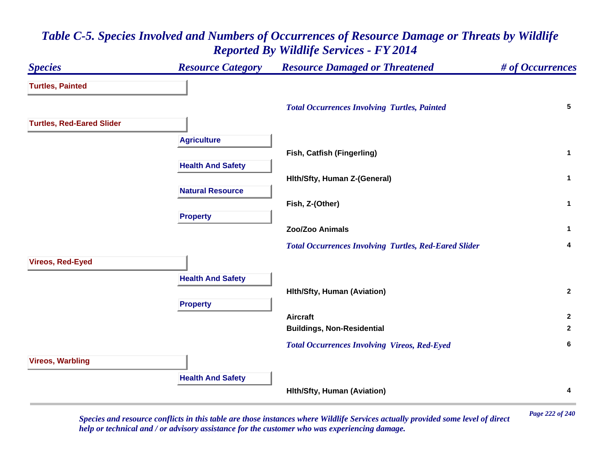# *Species Resource Category Resource Damaged or Threatened # of Occurrences* **Turtles, Painted**  *Total Occurrences Involving Turtles, Painted* **<sup>5</sup> Turtles, Red-Eared Slider Agriculture Fish, Catfish (Fingerling) <sup>1</sup> Health And Safety Hlth/Sfty, Human Z-(General) <sup>1</sup> Natural ResourceFish, Z-(Other) <sup>1</sup> Property Zoo/Zoo Animals 1**  *Total Occurrences Involving Turtles, Red-Eared Slider* **<sup>4</sup> Vireos, Red-Eyed Health And Safety Hlth/Sfty, Human (Aviation) <sup>2</sup> Property Aircraft 2 Buildings, Non-Residential <sup>2</sup>**  *Total Occurrences Involving Vireos, Red-Eyed* **<sup>6</sup> Vireos, Warbling Health And Safety Hlth/Sfty, Human (Aviation) <sup>4</sup>**

# *Table C-5. Species Involved and Numbers of Occurrences of Resource Damage or Threats by Wildlife Reported By Wildlife Services - FY 2014*

*Page 222 of 240 Species and resource conflicts in this table are those instances where Wildlife Services actually provided some level of direct help or technical and / or advisory assistance for the customer who was experiencing damage.*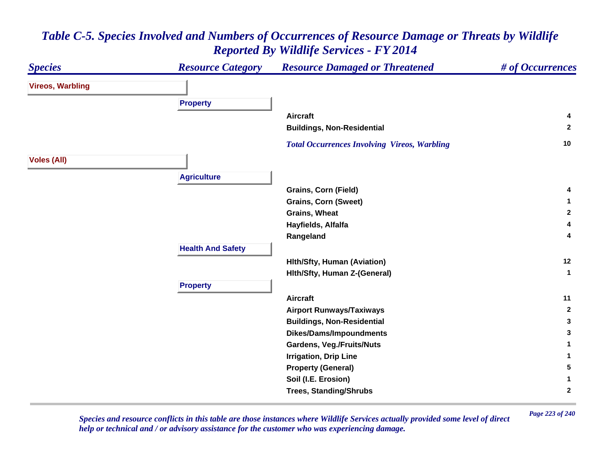#### *Species Resource Category Resource Damaged or Threatened # of Occurrences* **Vireos, Warbling Property Aircraft 4 Buildings, Non-Residential <sup>2</sup>**  *Total Occurrences Involving Vireos, Warbling* **<sup>10</sup> Voles (All) Agriculture Grains, Corn (Field) <sup>4</sup> Grains, Corn (Sweet) <sup>1</sup> Grains, Wheat 2 Hayfields, Alfalfa <sup>4</sup> Rangeland <sup>4</sup> Health And Safety Hlth/Sfty, Human (Aviation) <sup>12</sup> Hlth/Sfty, Human Z-(General) <sup>1</sup> Property Aircraft 11 Airport Runways/Taxiways <sup>2</sup> Buildings, Non-Residential <sup>3</sup> Dikes/Dams/Impoundments <sup>3</sup> Gardens, Veg./Fruits/Nuts <sup>1</sup> Irrigation, Drip Line 1 Property (General) <sup>5</sup> Soil (I.E. Erosion) <sup>1</sup> Trees, Standing/Shrubs <sup>2</sup>**

# *Table C-5. Species Involved and Numbers of Occurrences of Resource Damage or Threats by Wildlife Reported By Wildlife Services - FY 2014*

*Page 223 of 240 Species and resource conflicts in this table are those instances where Wildlife Services actually provided some level of direct help or technical and / or advisory assistance for the customer who was experiencing damage.*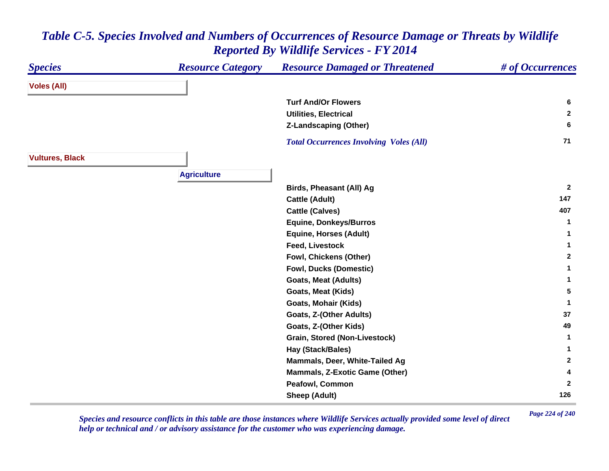#### *Species Resource Category Resource Damaged or Threatened # of Occurrences* **Voles (All) Turf And/Or Flowers 6 Utilities, Electrical 2 Z-Landscaping (Other) <sup>6</sup>**  *Total Occurrences Involving Voles (All)* **<sup>71</sup> Vultures, Black Agriculture Birds, Pheasant (All) Ag <sup>2</sup> Cattle (Adult) <sup>147</sup> Cattle (Calves) <sup>407</sup> Equine, Donkeys/Burros <sup>1</sup> Equine, Horses (Adult) <sup>1</sup> Feed, Livestock 1 Fowl, Chickens (Other) <sup>2</sup> Fowl, Ducks (Domestic) <sup>1</sup> Goats, Meat (Adults) <sup>1</sup> Goats, Meat (Kids) 5 Goats, Mohair (Kids) <sup>1</sup> Goats, Z-(Other Adults) <sup>37</sup> Goats, Z-(Other Kids) <sup>49</sup> Grain, Stored (Non-Livestock) <sup>1</sup> Hay (Stack/Bales) <sup>1</sup> Mammals, Deer, White-Tailed Ag <sup>2</sup> Mammals, Z-Exotic Game (Other) <sup>4</sup> Peafowl, Common 2 Sheep (Adult) <sup>126</sup>**

# *Table C-5. Species Involved and Numbers of Occurrences of Resource Damage or Threats by Wildlife Reported By Wildlife Services - FY 2014*

*Page 224 of 240 Species and resource conflicts in this table are those instances where Wildlife Services actually provided some level of direct help or technical and / or advisory assistance for the customer who was experiencing damage.*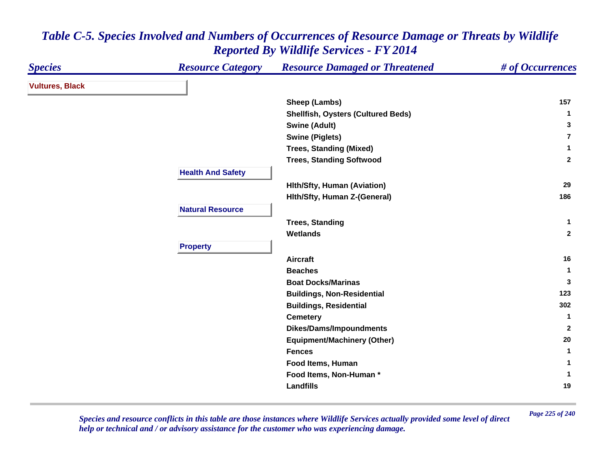| <b>Species</b>         | <b>Resource Category</b> | <b>Resource Damaged or Threatened</b>     | # of Occurrences |
|------------------------|--------------------------|-------------------------------------------|------------------|
| <b>Vultures, Black</b> |                          |                                           |                  |
|                        |                          | Sheep (Lambs)                             | 157              |
|                        |                          | <b>Shellfish, Oysters (Cultured Beds)</b> | -1               |
|                        |                          | <b>Swine (Adult)</b>                      | 3                |
|                        |                          | <b>Swine (Piglets)</b>                    | 7                |
|                        |                          | <b>Trees, Standing (Mixed)</b>            | 1                |
|                        |                          | <b>Trees, Standing Softwood</b>           | $\mathbf{2}$     |
|                        | <b>Health And Safety</b> |                                           |                  |
|                        |                          | <b>Hith/Sfty, Human (Aviation)</b>        | 29               |
|                        |                          | Hith/Sfty, Human Z-(General)              | 186              |
|                        | <b>Natural Resource</b>  |                                           |                  |
|                        |                          | <b>Trees, Standing</b>                    | $\mathbf{1}$     |
|                        |                          | <b>Wetlands</b>                           | $\overline{2}$   |
|                        | <b>Property</b>          |                                           |                  |
|                        |                          | <b>Aircraft</b>                           | 16               |
|                        |                          | <b>Beaches</b>                            | -1               |
|                        |                          | <b>Boat Docks/Marinas</b>                 | 3                |
|                        |                          | <b>Buildings, Non-Residential</b>         | 123              |
|                        |                          | <b>Buildings, Residential</b>             | 302              |
|                        |                          | <b>Cemetery</b>                           | -1               |
|                        |                          | <b>Dikes/Dams/Impoundments</b>            | 2                |
|                        |                          | <b>Equipment/Machinery (Other)</b>        | 20               |
|                        |                          | <b>Fences</b>                             | 1                |
|                        |                          | Food Items, Human                         | 1                |
|                        |                          | Food Items, Non-Human*                    | -1               |
|                        |                          | <b>Landfills</b>                          | 19               |

*Page 225 of 240 Species and resource conflicts in this table are those instances where Wildlife Services actually provided some level of direct help or technical and / or advisory assistance for the customer who was experiencing damage.*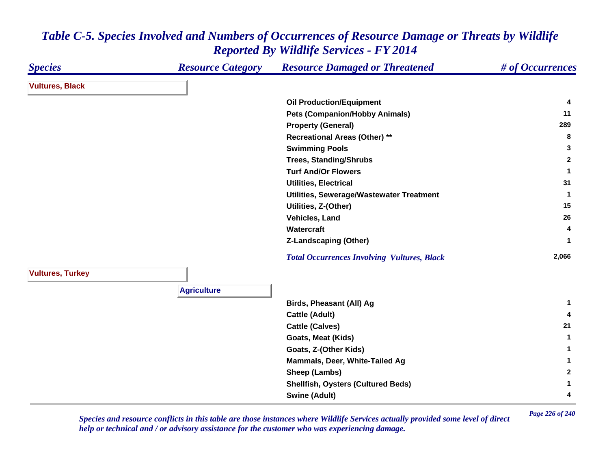| <b>Species</b>          | <b>Resource Category</b> | <b>Resource Damaged or Threatened</b>              | # of Occurrences |
|-------------------------|--------------------------|----------------------------------------------------|------------------|
| <b>Vultures, Black</b>  |                          |                                                    |                  |
|                         |                          | <b>Oil Production/Equipment</b>                    | 4                |
|                         |                          | <b>Pets (Companion/Hobby Animals)</b>              | 11               |
|                         |                          | <b>Property (General)</b>                          | 289              |
|                         |                          | <b>Recreational Areas (Other) **</b>               | 8                |
|                         |                          | <b>Swimming Pools</b>                              | 3                |
|                         |                          | <b>Trees, Standing/Shrubs</b>                      | $\mathbf{2}$     |
|                         |                          | <b>Turf And/Or Flowers</b>                         | 1                |
|                         |                          | <b>Utilities, Electrical</b>                       | 31               |
|                         |                          | Utilities, Sewerage/Wastewater Treatment           | 1                |
|                         |                          | Utilities, Z-(Other)                               | 15               |
|                         |                          | Vehicles, Land                                     | 26               |
|                         |                          | Watercraft                                         | 4                |
|                         |                          | <b>Z-Landscaping (Other)</b>                       |                  |
|                         |                          | <b>Total Occurrences Involving Vultures, Black</b> | 2,066            |
| <b>Vultures, Turkey</b> |                          |                                                    |                  |
|                         | <b>Agriculture</b>       |                                                    |                  |
|                         |                          | Birds, Pheasant (All) Ag                           | -1               |
|                         |                          | <b>Cattle (Adult)</b>                              | 4                |
|                         |                          | <b>Cattle (Calves)</b>                             | 21               |
|                         |                          | Goats, Meat (Kids)                                 | $\mathbf{1}$     |
|                         |                          | Goats, Z-(Other Kids)                              | 1                |
|                         |                          | Mammals, Deer, White-Tailed Ag                     | 1                |
|                         |                          | Sheep (Lambs)                                      | $\mathbf{2}$     |
|                         |                          | <b>Shellfish, Oysters (Cultured Beds)</b>          | 1                |
|                         |                          | <b>Swine (Adult)</b>                               | 4                |

*Page 226 of 240 Species and resource conflicts in this table are those instances where Wildlife Services actually provided some level of direct help or technical and / or advisory assistance for the customer who was experiencing damage.*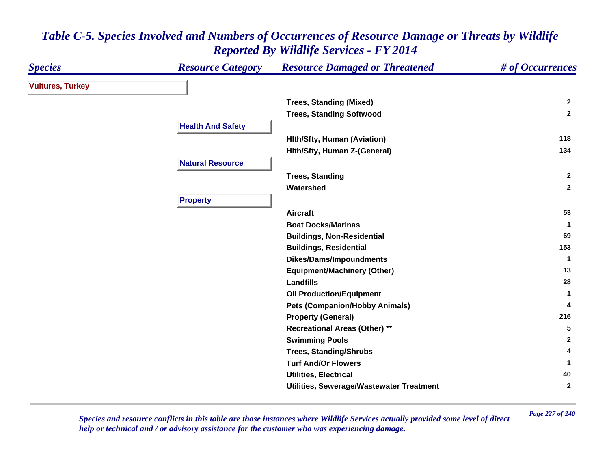| <b>Species</b>          | <b>Resource Category</b> | <b>Resource Damaged or Threatened</b>    | # of Occurrences |
|-------------------------|--------------------------|------------------------------------------|------------------|
| <b>Vultures, Turkey</b> |                          |                                          |                  |
|                         |                          | <b>Trees, Standing (Mixed)</b>           | $\mathbf{2}$     |
|                         |                          | <b>Trees, Standing Softwood</b>          | $\overline{2}$   |
|                         | <b>Health And Safety</b> |                                          |                  |
|                         |                          | <b>Hith/Sfty, Human (Aviation)</b>       | 118              |
|                         |                          | Hith/Sfty, Human Z-(General)             | 134              |
|                         | <b>Natural Resource</b>  |                                          |                  |
|                         |                          | <b>Trees, Standing</b>                   | $\overline{2}$   |
|                         |                          | Watershed                                | $\mathbf{2}$     |
|                         | <b>Property</b>          |                                          |                  |
|                         |                          | <b>Aircraft</b>                          | 53               |
|                         |                          | <b>Boat Docks/Marinas</b>                | 1                |
|                         |                          | <b>Buildings, Non-Residential</b>        | 69               |
|                         |                          | <b>Buildings, Residential</b>            | 153              |
|                         |                          | <b>Dikes/Dams/Impoundments</b>           | -1               |
|                         |                          | <b>Equipment/Machinery (Other)</b>       | 13               |
|                         |                          | <b>Landfills</b>                         | 28               |
|                         |                          | <b>Oil Production/Equipment</b>          | -1               |
|                         |                          | <b>Pets (Companion/Hobby Animals)</b>    | 4                |
|                         |                          | <b>Property (General)</b>                | 216              |
|                         |                          | <b>Recreational Areas (Other) **</b>     | 5                |
|                         |                          | <b>Swimming Pools</b>                    | $\mathbf{2}$     |
|                         |                          | <b>Trees, Standing/Shrubs</b>            | 4                |
|                         |                          | <b>Turf And/Or Flowers</b>               |                  |
|                         |                          | <b>Utilities, Electrical</b>             | 40               |
|                         |                          | Utilities, Sewerage/Wastewater Treatment | $\mathbf{2}$     |

*Page 227 of 240 Species and resource conflicts in this table are those instances where Wildlife Services actually provided some level of direct help or technical and / or advisory assistance for the customer who was experiencing damage.*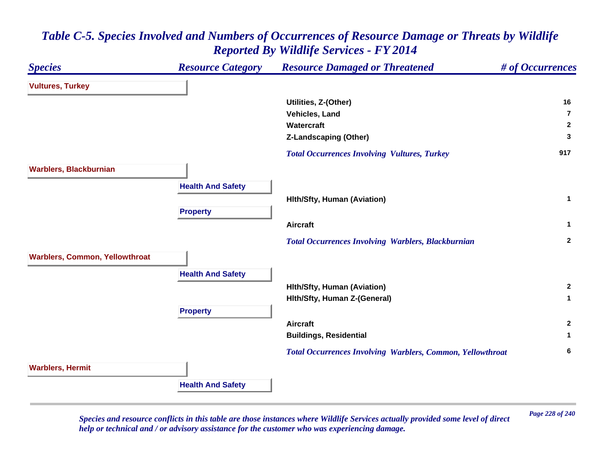

*Page 228 of 240 Species and resource conflicts in this table are those instances where Wildlife Services actually provided some level of direct help or technical and / or advisory assistance for the customer who was experiencing damage.*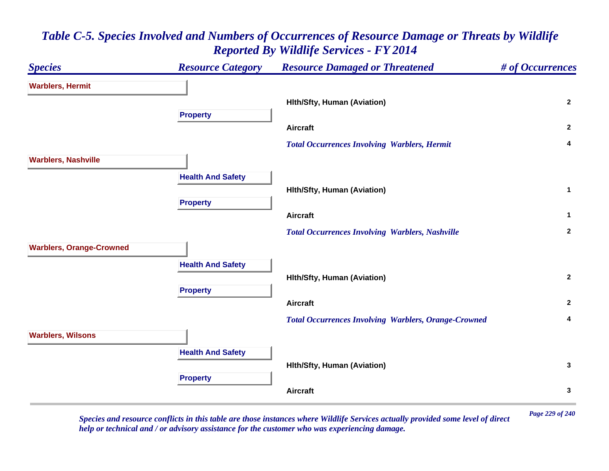### *Species Resource Category Resource Damaged or Threatened # of Occurrences* **Warblers, Hermit Hlth/Sfty, Human (Aviation) <sup>2</sup> Property Aircraft 2**  *Total Occurrences Involving Warblers, Hermit* **<sup>4</sup> Warblers, Nashville Health And Safety Hlth/Sfty, Human (Aviation) <sup>1</sup> Property Aircraft 1**  *Total Occurrences Involving Warblers, Nashville* **<sup>2</sup> Warblers, Orange-Crowned Health And Safety Hlth/Sfty, Human (Aviation) <sup>2</sup> Property Aircraft 2**  *Total Occurrences Involving Warblers, Orange-Crowned* **<sup>4</sup> Warblers, Wilsons Health And Safety Hlth/Sfty, Human (Aviation) <sup>3</sup> Property Aircraft3**

# *Table C-5. Species Involved and Numbers of Occurrences of Resource Damage or Threats by Wildlife Reported By Wildlife Services - FY 2014*

*Page 229 of 240 Species and resource conflicts in this table are those instances where Wildlife Services actually provided some level of direct help or technical and / or advisory assistance for the customer who was experiencing damage.*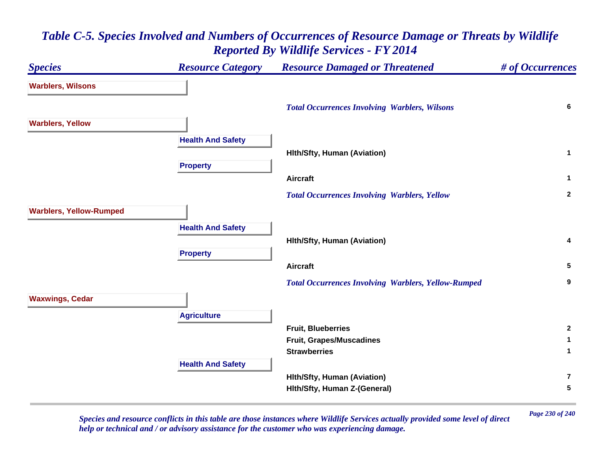### *Species Resource Category Resource Damaged or Threatened # of Occurrences* **Warblers, Wilsons**  *Total Occurrences Involving Warblers, Wilsons* **<sup>6</sup> Warblers, Yellow Health And Safety Hlth/Sfty, Human (Aviation) <sup>1</sup> Property Aircraft 1**  *Total Occurrences Involving Warblers, Yellow* **<sup>2</sup> Warblers, Yellow-Rumped Health And Safety Hlth/Sfty, Human (Aviation) <sup>4</sup> Property Aircraft 5**  *Total Occurrences Involving Warblers, Yellow-Rumped* **<sup>9</sup> Waxwings, Cedar Agriculture Fruit, Blueberries 2 Fruit, Grapes/Muscadines <sup>1</sup> Strawberries 1 Health And Safety Hlth/Sfty, Human (Aviation) 7Hlth/Sfty, Human Z-(General) <sup>5</sup>**

# *Table C-5. Species Involved and Numbers of Occurrences of Resource Damage or Threats by Wildlife Reported By Wildlife Services - FY 2014*

*Page 230 of 240 Species and resource conflicts in this table are those instances where Wildlife Services actually provided some level of direct help or technical and / or advisory assistance for the customer who was experiencing damage.*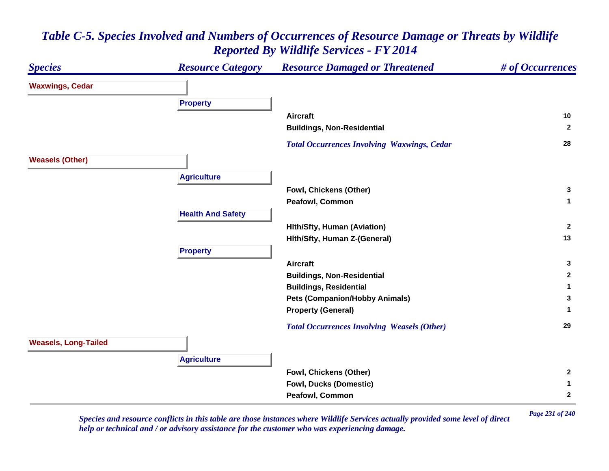### *Species Resource Category Resource Damaged or Threatened # of Occurrences* **Waxwings, Cedar Property Aircraft 10 Buildings, Non-Residential <sup>2</sup>**  *Total Occurrences Involving Waxwings, Cedar* **<sup>28</sup> Weasels (Other) Agriculture Fowl, Chickens (Other) <sup>3</sup> Peafowl, Common 1 Health And Safety Hlth/Sfty, Human (Aviation) <sup>2</sup> Hlth/Sfty, Human Z-(General) <sup>13</sup> Property Aircraft 3 Buildings, Non-Residential <sup>2</sup> Buildings, Residential <sup>1</sup> Pets (Companion/Hobby Animals) <sup>3</sup> Property (General) <sup>1</sup>**  *Total Occurrences Involving Weasels (Other)* **<sup>29</sup> Weasels, Long-Tailed Agriculture Fowl, Chickens (Other) <sup>2</sup> Fowl, Ducks (Domestic) <sup>1</sup> Peafowl, Common 2**

# *Table C-5. Species Involved and Numbers of Occurrences of Resource Damage or Threats by Wildlife Reported By Wildlife Services - FY 2014*

*Page 231 of 240 Species and resource conflicts in this table are those instances where Wildlife Services actually provided some level of direct help or technical and / or advisory assistance for the customer who was experiencing damage.*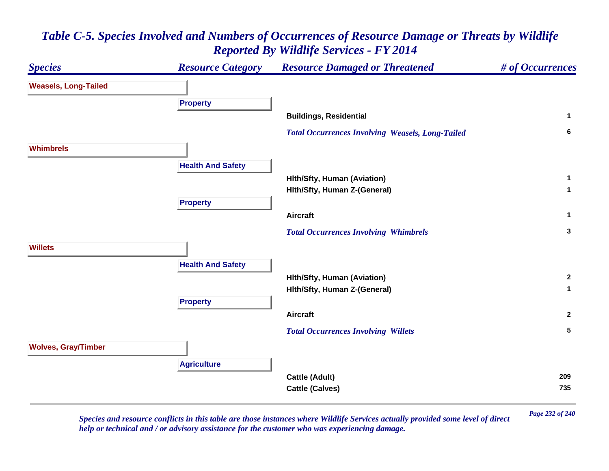

*Page 232 of 240 Species and resource conflicts in this table are those instances where Wildlife Services actually provided some level of direct help or technical and / or advisory assistance for the customer who was experiencing damage.*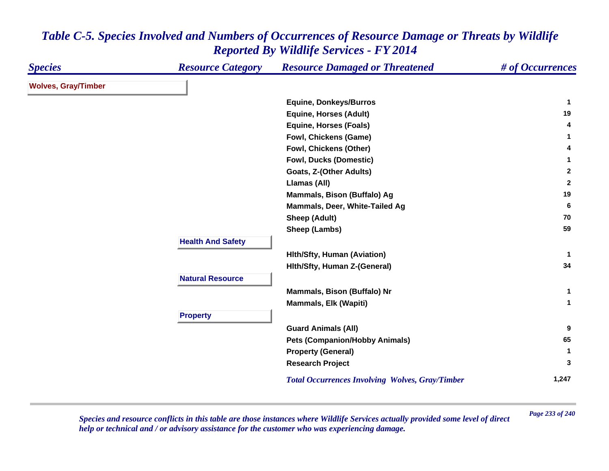| <b>Species</b>             | <b>Resource Category</b> | <b>Resource Damaged or Threatened</b>                  | # of Occurrences |
|----------------------------|--------------------------|--------------------------------------------------------|------------------|
| <b>Wolves, Gray/Timber</b> |                          |                                                        |                  |
|                            |                          | <b>Equine, Donkeys/Burros</b>                          | $\mathbf 1$      |
|                            |                          | <b>Equine, Horses (Adult)</b>                          | 19               |
|                            |                          | <b>Equine, Horses (Foals)</b>                          | 4                |
|                            |                          | Fowl, Chickens (Game)                                  | 1                |
|                            |                          | Fowl, Chickens (Other)                                 | 4                |
|                            |                          | <b>Fowl, Ducks (Domestic)</b>                          | $\mathbf{1}$     |
|                            |                          | Goats, Z-(Other Adults)                                | $\mathbf{2}$     |
|                            |                          | Llamas (All)                                           | $\overline{2}$   |
|                            |                          | Mammals, Bison (Buffalo) Ag                            | 19               |
|                            |                          | Mammals, Deer, White-Tailed Ag                         | 6                |
|                            |                          | <b>Sheep (Adult)</b>                                   | 70               |
|                            |                          | Sheep (Lambs)                                          | 59               |
|                            | <b>Health And Safety</b> |                                                        |                  |
|                            |                          | <b>Hith/Sfty, Human (Aviation)</b>                     | $\mathbf 1$      |
|                            |                          | Hith/Sfty, Human Z-(General)                           | 34               |
|                            | <b>Natural Resource</b>  |                                                        |                  |
|                            |                          |                                                        | 1                |
|                            |                          | Mammals, Bison (Buffalo) Nr                            | $\mathbf{1}$     |
|                            |                          | Mammals, Elk (Wapiti)                                  |                  |
|                            | <b>Property</b>          |                                                        |                  |
|                            |                          | <b>Guard Animals (All)</b>                             | 9                |
|                            |                          | <b>Pets (Companion/Hobby Animals)</b>                  | 65               |
|                            |                          | <b>Property (General)</b>                              | $\mathbf{1}$     |
|                            |                          | <b>Research Project</b>                                | 3                |
|                            |                          | <b>Total Occurrences Involving Wolves, Gray/Timber</b> | 1,247            |

*Page 233 of 240 Species and resource conflicts in this table are those instances where Wildlife Services actually provided some level of direct help or technical and / or advisory assistance for the customer who was experiencing damage.*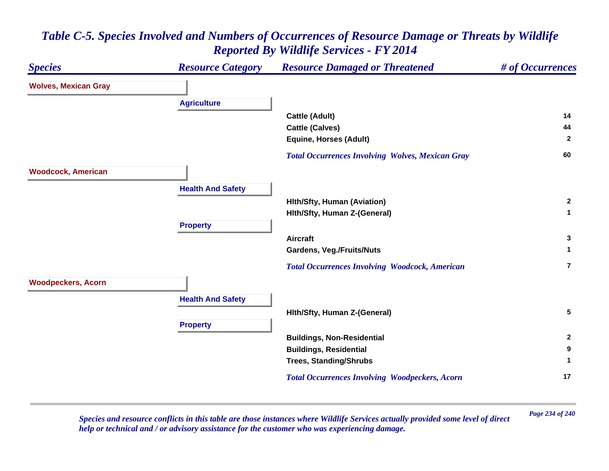

*Page 234 of 240 Species and resource conflicts in this table are those instances where Wildlife Services actually provided some level of direct help or technical and / or advisory assistance for the customer who was experiencing damage.*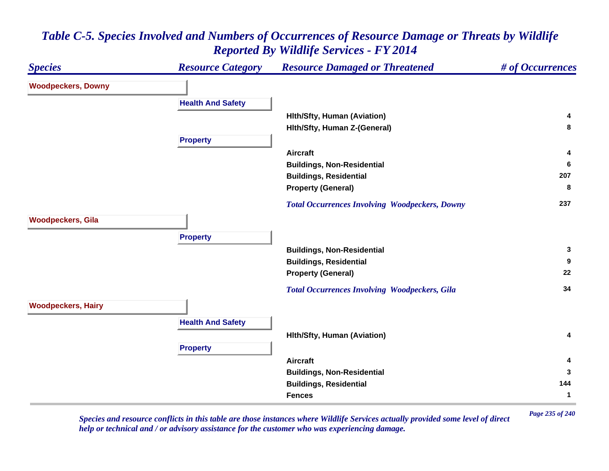#### *Species Resource Category Resource Damaged or Threatened # of Occurrences* **Woodpeckers, Downy Health And Safety Hlth/Sfty, Human (Aviation) <sup>4</sup> Hlth/Sfty, Human Z-(General) <sup>8</sup> Property Aircraft 4 Buildings, Non-Residential <sup>6</sup> Buildings, Residential <sup>207</sup> Property (General) <sup>8</sup>**  *Total Occurrences Involving Woodpeckers, Downy* **<sup>237</sup> Woodpeckers, Gila Property Buildings, Non-Residential <sup>3</sup> Buildings, Residential <sup>9</sup> Property (General) <sup>22</sup>**  *Total Occurrences Involving Woodpeckers, Gila* **<sup>34</sup> Woodpeckers, Hairy Health And Safety Hlth/Sfty, Human (Aviation) <sup>4</sup> Property Aircraft 4 Buildings, Non-Residential <sup>3</sup> Buildings, Residential <sup>144</sup> Fences1**

# *Table C-5. Species Involved and Numbers of Occurrences of Resource Damage or Threats by Wildlife Reported By Wildlife Services - FY 2014*

*Page 235 of 240 Species and resource conflicts in this table are those instances where Wildlife Services actually provided some level of direct help or technical and / or advisory assistance for the customer who was experiencing damage.*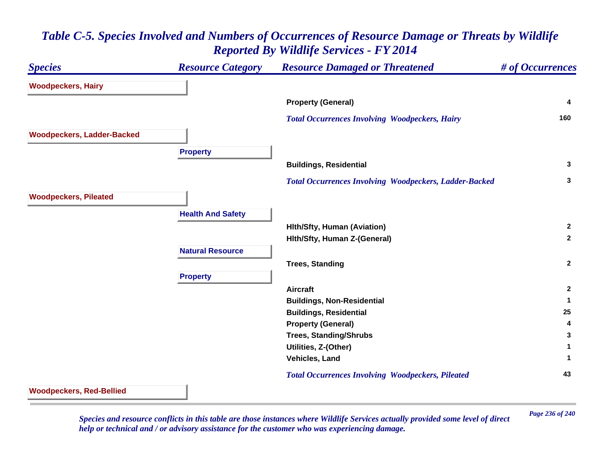| <b>Species</b>                    | <b>Resource Category</b> | <b>Resource Damaged or Threatened</b>                         | # of Occurrences |
|-----------------------------------|--------------------------|---------------------------------------------------------------|------------------|
| <b>Woodpeckers, Hairy</b>         |                          |                                                               |                  |
|                                   |                          | <b>Property (General)</b>                                     | 4                |
|                                   |                          | <b>Total Occurrences Involving Woodpeckers, Hairy</b>         | 160              |
| <b>Woodpeckers, Ladder-Backed</b> |                          |                                                               |                  |
|                                   | <b>Property</b>          |                                                               |                  |
|                                   |                          | <b>Buildings, Residential</b>                                 | $\mathbf{3}$     |
|                                   |                          | <b>Total Occurrences Involving Woodpeckers, Ladder-Backed</b> | 3                |
| <b>Woodpeckers, Pileated</b>      |                          |                                                               |                  |
|                                   | <b>Health And Safety</b> |                                                               |                  |
|                                   |                          | <b>Hith/Sfty, Human (Aviation)</b>                            | $\mathbf{2}$     |
|                                   |                          | Hith/Sfty, Human Z-(General)                                  | $\mathbf{2}$     |
|                                   | <b>Natural Resource</b>  |                                                               |                  |
|                                   |                          | <b>Trees, Standing</b>                                        | $\mathbf{2}$     |
|                                   | <b>Property</b>          |                                                               |                  |
|                                   |                          | <b>Aircraft</b>                                               | $\overline{2}$   |
|                                   |                          | <b>Buildings, Non-Residential</b>                             | $\mathbf 1$      |
|                                   |                          | <b>Buildings, Residential</b>                                 | 25               |
|                                   |                          | <b>Property (General)</b>                                     | 4                |
|                                   |                          | <b>Trees, Standing/Shrubs</b>                                 | 3                |
|                                   |                          | Utilities, Z-(Other)                                          | 1                |
|                                   |                          | Vehicles, Land                                                | 1                |
|                                   |                          | <b>Total Occurrences Involving Woodpeckers, Pileated</b>      | 43               |
| <b>Woodpeckers, Red-Bellied</b>   |                          |                                                               |                  |

*Page 236 of 240 Species and resource conflicts in this table are those instances where Wildlife Services actually provided some level of direct help or technical and / or advisory assistance for the customer who was experiencing damage.*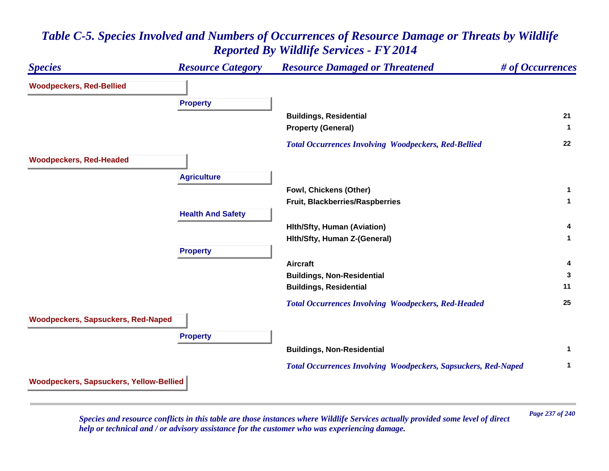# *Species Resource Category Resource Damaged or Threatened # of Occurrences* **Woodpeckers, Red-Bellied Property Buildings, Residential <sup>21</sup> Property (General) <sup>1</sup>**  *Total Occurrences Involving Woodpeckers, Red-Bellied* **<sup>22</sup> Woodpeckers, Red-Headed Agriculture Fowl, Chickens (Other) <sup>1</sup> Fruit, Blackberries/Raspberries <sup>1</sup> Health And Safety Hlth/Sfty, Human (Aviation) <sup>4</sup> Hlth/Sfty, Human Z-(General) <sup>1</sup> Property Aircraft 4 Buildings, Non-Residential <sup>3</sup> Buildings, Residential <sup>11</sup>**  *Total Occurrences Involving Woodpeckers, Red-Headed* **<sup>25</sup> Woodpeckers, Sapsuckers, Red-Naped Property Buildings, Non-Residential <sup>1</sup>**  *Total Occurrences Involving Woodpeckers, Sapsuckers, Red-Naped* **<sup>1</sup> Woodpeckers, Sapsuckers, Yellow-Bellied**

## *Table C-5. Species Involved and Numbers of Occurrences of Resource Damage or Threats by Wildlife Reported By Wildlife Services - FY 2014*

*Page 237 of 240 Species and resource conflicts in this table are those instances where Wildlife Services actually provided some level of direct help or technical and / or advisory assistance for the customer who was experiencing damage.*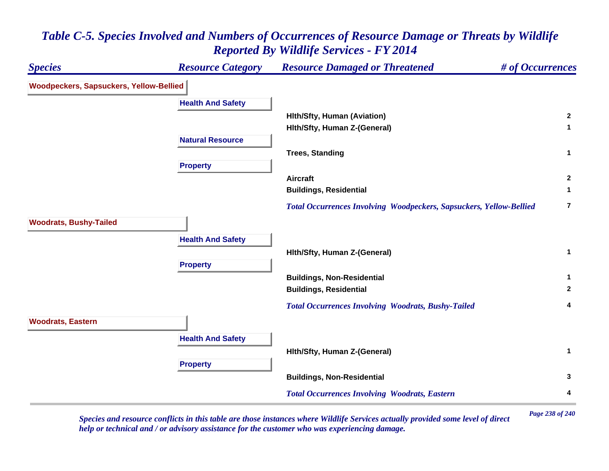### *Species Resource Category Resource Damaged or Threatened # of Occurrences* **Woodpeckers, Sapsuckers, Yellow-Bellied Health And Safety Hlth/Sfty, Human (Aviation) <sup>2</sup> Hlth/Sfty, Human Z-(General) <sup>1</sup> Natural ResourceTrees, Standing <sup>1</sup> Property Aircraft 2 Buildings, Residential <sup>1</sup>**  *Total Occurrences Involving Woodpeckers, Sapsuckers, Yellow-Bellied* **7Woodrats, Bushy-Tailed Health And Safety Hlth/Sfty, Human Z-(General) <sup>1</sup> Property Buildings, Non-Residential <sup>1</sup> Buildings, Residential <sup>2</sup>**  *Total Occurrences Involving Woodrats, Bushy-Tailed* **<sup>4</sup> Woodrats, Eastern Health And Safety Hlth/Sfty, Human Z-(General) <sup>1</sup> Property Buildings, Non-Residential <sup>3</sup>**  *Total Occurrences Involving Woodrats, Eastern* **<sup>4</sup>**

# *Table C-5. Species Involved and Numbers of Occurrences of Resource Damage or Threats by Wildlife Reported By Wildlife Services - FY 2014*

*Page 238 of 240 Species and resource conflicts in this table are those instances where Wildlife Services actually provided some level of direct help or technical and / or advisory assistance for the customer who was experiencing damage.*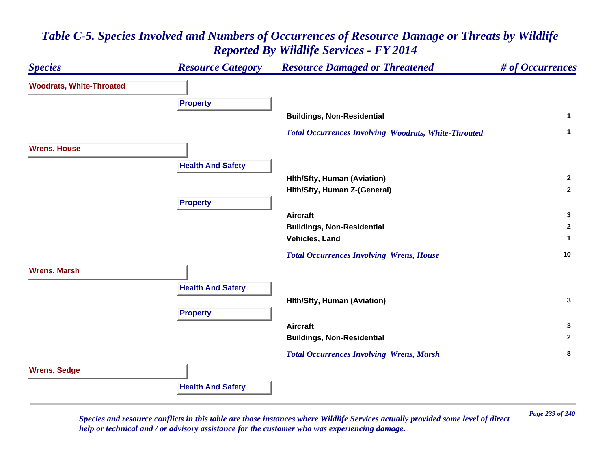

*Page 239 of 240 Species and resource conflicts in this table are those instances where Wildlife Services actually provided some level of direct help or technical and / or advisory assistance for the customer who was experiencing damage.*